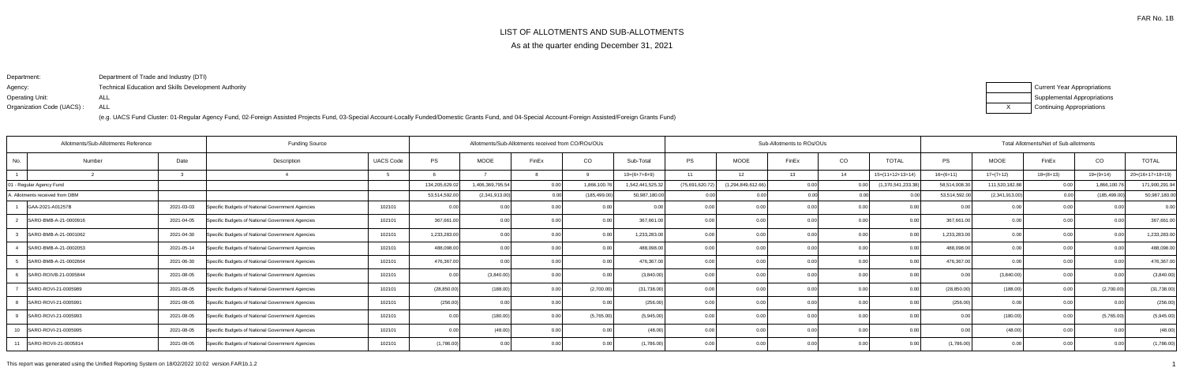As at the quarter ending December 31, 2021

|  | <b>JB-ALLOTMENTS</b> |
|--|----------------------|
|--|----------------------|

Department:Agency: Operating Unit:Organization Code (UACS) :Department of Trade and Industry (DTI)Technical Education and Skills Development AuthorityALLALL

| Current Year Appropriations        |
|------------------------------------|
| <b>Supplemental Appropriations</b> |
| <b>Continuing Appropriations</b>   |

|                                 | Allotments/Sub-Allotments Reference |            |                                                  | Allotments/Sub-Allotments received from CO/ROs/OUs |                |                  |       |               |                 |                 |                    | Sub-Allotments to ROs/OUs |       |                    |               |                | Total Allotments/Net of Sub-allotments |                |                    |  |  |
|---------------------------------|-------------------------------------|------------|--------------------------------------------------|----------------------------------------------------|----------------|------------------|-------|---------------|-----------------|-----------------|--------------------|---------------------------|-------|--------------------|---------------|----------------|----------------------------------------|----------------|--------------------|--|--|
| No.                             | Number                              | Date       | Description                                      | <b>UACS Code</b>                                   | PS             | <b>MOOE</b>      | FinEx | CO            | Sub-Total       | <b>PS</b>       | <b>MOOE</b>        | FinEx                     | CO    | <b>TOTAL</b>       | PS            | <b>MOOE</b>    | FinEx                                  | CO             | <b>TOTAL</b>       |  |  |
|                                 |                                     |            |                                                  |                                                    |                |                  |       |               | $10=(6+7+8+9)$  | 11              | 12 <sup>7</sup>    | 13 <sup>13</sup>          | 14    | $15=(11+12+13+14)$ | $16=(6+11)$   | $17=(7+12)$    | $18=(8+13)$                            | $19=(9+14)$    | $20=(16+17+18+19)$ |  |  |
| - Regular Agency Fund           |                                     |            |                                                  |                                                    | 134,205,629.02 | 1,406,369,795.54 |       | 1,866,100.76  | 1,542,441,525.3 | (75,691,620.72) | (1,294,849,612.66) | 0.00                      | 0.00  | (1,370,541,233.38) | 58,514,008.30 | 111,520,182.88 | 0.00                                   | 1,866,100.     | 171,900,291.94     |  |  |
| A. Allotments received from DBM |                                     |            |                                                  |                                                    | 53,514,592.00  | (2,341,913.00)   |       | (185, 499.00) | 50,987,180.00   |                 | 0.00               | 0.00                      | n nni |                    | 53,514,592.00 | (2,341,913.00) | 0.00                                   | (185,499.00    | 50,987,180.00      |  |  |
| GAA-2021-A01257B                |                                     | 2021-03-03 | Specific Budgets of National Government Agencies | 102101                                             | 0.00           |                  |       | 0.00          |                 |                 | 0.0(               |                           | 0.00  |                    |               | 0 <sub>0</sub> | 0.00                                   |                | 0.00               |  |  |
|                                 | SARO-BMB-A-21-0000916               | 2021-04-05 | Specific Budgets of National Government Agencies | 102101                                             | 367,661.00     | 0.00             |       | 0.00          | 367,661.00      |                 | 0.0                |                           | 0.00  |                    | 367,661.00    | 0.0            | 0.00                                   |                | 367,661.00         |  |  |
|                                 | SARO-BMB-A-21-0001062               | 2021-04-30 | Specific Budgets of National Government Agencies | 102101                                             | 1,233,283.00   | 0.00             |       | 0.00          | 1,233,283.00    |                 | 0.0                |                           | 0.00  | 0 <sub>0</sub>     | 1,233,283.00  | 0 <sub>0</sub> | 0.00                                   |                | 1,233,283.00       |  |  |
|                                 | SARO-BMB-A-21-0002053               | 2021-05-14 | Specific Budgets of National Government Agencies | 102101                                             | 488,098.00     | 0.001            |       | 0.001         | 488,098.00      |                 | 0.0                |                           | 0.00  |                    | 488,098.00    | 0 <sub>0</sub> | 0.00                                   |                | 488,098.00         |  |  |
|                                 | SARO-BMB-A-21-0002664               | 2021-06-30 | Specific Budgets of National Government Agencies | 102101                                             | 476,367.00     | 0.00             |       | 0.00          | 476,367.00      |                 | 0.0                |                           | 0.00  |                    | 476,367.00    | 0.0            | 0.00                                   |                | 476,367.00         |  |  |
|                                 | SARO-ROIVB-21-0005844               | 2021-08-05 | Specific Budgets of National Government Agencies | 102101                                             | 0.00           | (3,840.00)       |       | 0.00          | (3,840.00)      |                 | 0.0                |                           | 0.00  |                    |               | (3,840.00)     | 0.00                                   |                | (3,840.00)         |  |  |
|                                 | SARO-ROVI-21-0005989                | 2021-08-05 | Specific Budgets of National Government Agencies | 102101                                             | (28, 850.00)   | (188.00)         |       | (2,700.00)    | (31,738.00)     |                 | 0.0                |                           | 0.00  |                    | (28, 850.00)  | (188.00)       | 0.00                                   | (2,700.00)     | (31, 738.00)       |  |  |
|                                 | SARO-ROVI-21-0005991                | 2021-08-05 | Specific Budgets of National Government Agencies | 102101                                             | (256.00)       | 0.00             |       | 0.00          | (256.00)        |                 | 0.00               |                           | 0.00  | 0 <sub>0</sub>     | (256.00)      | 0.00           | 0.001                                  |                | (256.00)           |  |  |
|                                 | SARO-ROVI-21-0005993                | 2021-08-05 | Specific Budgets of National Government Agencies | 102101                                             | 0.00           | (180.00)         |       | (5,765.00)    | (5,945.00)      |                 | 0.0                |                           | 0.00  | 0.00               |               | (180.00)       | 0.00                                   | (5,765.00)     | (5,945.00)         |  |  |
| 10                              | SARO-ROVI-21-0005995                | 2021-08-05 | Specific Budgets of National Government Agencies | 102101                                             | 0.00           | (48.00)          |       | 0.00          | (48.00)         |                 | 0.0                |                           | 0.00  | 0.00               |               | (48.00)        | 0.00                                   |                | (48.00)            |  |  |
|                                 | SARO-ROVII-21-0005814               | 2021-08-05 | Specific Budgets of National Government Agencies | 102101                                             | (1,786.00)     | 0.00             |       | 0.00          | (1,786.00)      |                 | 0.0                | n nn                      | 0.00  | 0.00               | (1,786.00)    | 0.00           | 0.00                                   | 0 <sub>0</sub> | (1,786.00)         |  |  |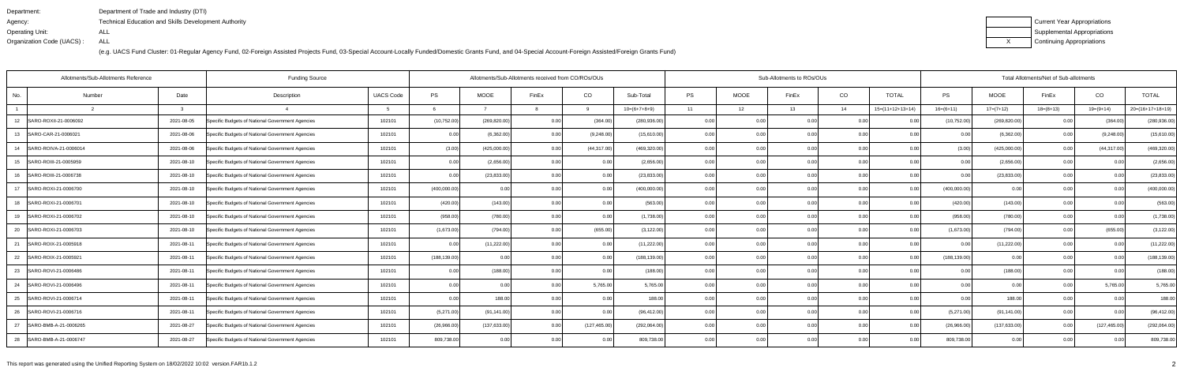| Department:               | Department of Trade and Industry (DTI)               |
|---------------------------|------------------------------------------------------|
| Agency:                   | Technical Education and Skills Development Authority |
| Operating Unit:           | ALL                                                  |
| Organization Code (UACS): | ALL                                                  |

| Current Year Appropriations |
|-----------------------------|
| Supplemental Appropriations |
| Continuing Appropriations   |

| Allotments/Sub-Allotments Reference |            | Allotments/Sub-Allotments received from CO/ROs/OUs |                  |               |               |                |               | Sub-Allotments to ROs/OUs |           |             | Total Allotments/Net of Sub-allotments |                |                    |               |               |             |                |                    |
|-------------------------------------|------------|----------------------------------------------------|------------------|---------------|---------------|----------------|---------------|---------------------------|-----------|-------------|----------------------------------------|----------------|--------------------|---------------|---------------|-------------|----------------|--------------------|
| No.<br>Number                       | Date       | Description                                        | <b>UACS Code</b> | PS            | <b>MOOE</b>   | FinEx          | CO            | Sub-Total                 | <b>PS</b> | <b>MOOE</b> | FinEx                                  | CO             | <b>TOTAL</b>       | PS            | <b>MOOE</b>   | FinEx       | CO             | <b>TOTAL</b>       |
|                                     |            |                                                    |                  |               |               |                | q             | $10=(6+7+8+9)$            | 11        | 12          | 13                                     | 14             | $15=(11+12+13+14)$ | $16=(6+11)$   | $17=(7+12)$   | $18=(8+13)$ | $19=(9+14)$    | $20=(16+17+18+19)$ |
| SARO-ROXII-21-0006092<br>12         | 2021-08-05 | Specific Budgets of National Government Agencies   | 102101           | (10, 752.00)  | (269, 820.00) | 0.00           | (364.00       | (280, 936.00)             | 0.00      |             | 0.00                                   | 0.0            |                    | (10, 752.00)  | (269, 820.00) | 0.00        | (364.0)        | (280, 936.00)      |
| 13<br>SARO-CAR-21-0006021           | 2021-08-06 | Specific Budgets of National Government Agencies   | 102101           | 0.00          | (6,362.00)    | 0.00           | (9,248.00)    | (15,610.00)               | 0.001     | 0.00        | n nr                                   | 0.00           | ი იი               | 0.00          | (6,362.00)    | 0.00        | (9,248.00)     | (15,610.00)        |
| SARO-ROIVA-21-0006014<br>14         | 2021-08-06 | Specific Budgets of National Government Agencies   | 102101           | (3.00)        | (425,000.00)  | 0.00           | (44, 317.00)  | (469, 320.00)             | 0.00      | 0.00        | 0.OC                                   | 0.00           | 0.00               | (3.00)        | (425,000.00)  | 0.00        | (44, 317.00)   | (469, 320.00)      |
| 15<br>SARO-ROIII-21-0005959         | 2021-08-10 | Specific Budgets of National Government Agencies   | 102101           | 0.00          | (2,656.00)    | 0.00           | 0.00          | (2,656.00)                | 0.00      | 0.00        | 0.00                                   | 0.00           | 0.00               | 0.00          | (2,656.00)    | 0.00        | 0.0(           | (2,656.00)         |
| 16<br>SARO-ROIII-21-0006738         | 2021-08-10 | Specific Budgets of National Government Agencies   | 102101           | 0.00          | (23, 833.00)  |                | 0.00          | (23, 833.00)              | 0.00      | 0.0         |                                        | 0.0            | 0.00               |               | (23, 833.00)  | 0.00        | 0 <sub>0</sub> | (23, 833.00)       |
| SARO-ROXI-21-0006700<br>17          | 2021-08-10 | Specific Budgets of National Government Agencies   | 102101           | (400,000.00)  | 0.00          | 0 <sub>0</sub> | 0.00          | (400,000.00)              | 0.00      | 0.00        | 0.OC                                   | 0.0            | 0.00               | (400,000.00)  | 0.00          | 0.00        | 0 <sub>0</sub> | (400,000.00)       |
| SARO-ROXI-21-0006701<br>18          | 2021-08-10 | Specific Budgets of National Government Agencies   | 102101           | (420.00)      | (143.00)      | 0.00           | 0.00          | (563.00)                  | 0.001     | 0.00        | 0.00                                   | 0.00           | 0.00               | (420.00)      | (143.00)      | 0.00        | 0.00           | (563.00)           |
| SARO-ROXI-21-0006702<br>19          | 2021-08-10 | Specific Budgets of National Government Agencies   | 102101           | (958.00)      | (780.00)      | 0 <sub>0</sub> | 0.0           | (1,738.00)                | 0.00      | 0.00        |                                        | 0 <sub>0</sub> | 0.00               | (958.00)      | (780.00)      | 0.00        | 0 <sub>0</sub> | (1,738.00)         |
| 20<br>SARO-ROXI-21-0006703          | 2021-08-10 | Specific Budgets of National Government Agencies   | 102101           | (1,673.00)    | (794.00)      | 0.00           | (655.00)      | (3, 122.00)               | 0.00      | 0.00        | 0.00                                   | 0.0            | 0.00               | (1,673.00)    | (794.00)      | 0.00        | (655.00)       | (3, 122.00)        |
| 21<br>SARO-ROIX-21-0005918          | 2021-08-11 | Specific Budgets of National Government Agencies   | 102101           | 0.00          | (11, 222.00)  | 0.00           | 0.00          | (11, 222.00)              | 0.00      | 0.00        | 0.00                                   | 0.00           | 0.00               | 0.00          | (11, 222.00)  | 0.00        | 0.00           | (11, 222.00)       |
| 22<br>SARO-ROIX-21-0005921          | 2021-08-11 | Specific Budgets of National Government Agencies   | 102101           | (188, 139.00) | 0.00          | 0.00           | 0.00          | (188, 139.00)             | 0.00      | 0.00        | 0.00                                   | 0.0            | 0.00               | (188, 139.00) | 0.00          | 0.00        | 0 <sub>0</sub> | (188, 139.00)      |
| 23<br>SARO-ROVI-21-0006486          | 2021-08-11 | Specific Budgets of National Government Agencies   | 102101           | 0.00          | (188.00)      | 0.00           | 0.00          | (188.00)                  | 0.00      | 0.00        | 0.OC                                   | 0.00           | 0.00               | 0.00          | (188.00)      | 0.00        | 0.0            | (188.00)           |
| SARO-ROVI-21-0006496<br>24          | 2021-08-11 | Specific Budgets of National Government Agencies   | 102101           | 0.00          | 0.00          | 0.00           | 5,765.00      | 5,765.00                  | 0.00      | 0.00        | 0.OC                                   | 0.00           | 0.00               | 0.00          | 0.00          | 0.00        | 5,765.00       | 5,765.00           |
| 25<br>SARO-ROVI-21-0006714          | 2021-08-11 | Specific Budgets of National Government Agencies   | 102101           | 0.00          | 188.00        | 0.00           | 0.00          | 188.00                    | 0.00      | 0.00        | 0.00                                   | 0.00           | 0.00               | 0.00          | 188.00        | 0.00        | 0.00           | 188.00             |
| 26<br>SARO-ROVI-21-0006716          | 2021-08-11 | Specific Budgets of National Government Agencies   | 102101           | (5,271.00)    | (91, 141.00)  | 0.00           | 0.00          | (96, 412.00)              | 0.001     | 0.00        | 0.00                                   | 0.00           | 0.00               | (5,271.00)    | (91, 141.00)  | 0.00        | 0 <sub>0</sub> | (96, 412.00)       |
| 27<br>SARO-BMB-A-21-0006265         | 2021-08-27 | Specific Budgets of National Government Agencies   | 102101           | (26,966.00)   | (137, 633.00) | 0.00           | (127, 465.00) | (292,064.00)              | 0.00      | 0.00        | n nr                                   | 0.00           | 0.00               | (26,966.00)   | (137, 633.00) | 0.00        | (127, 465.00)  | (292,064.00)       |
| 28 SARO-BMB-A-21-0006747            | 2021-08-27 | Specific Budgets of National Government Agencies   | 102101           | 809,738.00    | 0.00          | 0.00           | 0.00          | 809,738.00                | 0.001     | 0.00        | 0.00                                   | 0.00           | 0.00               | 809,738.00    | 0.00          | 0.00        | 0 <sub>0</sub> | 809,738.00         |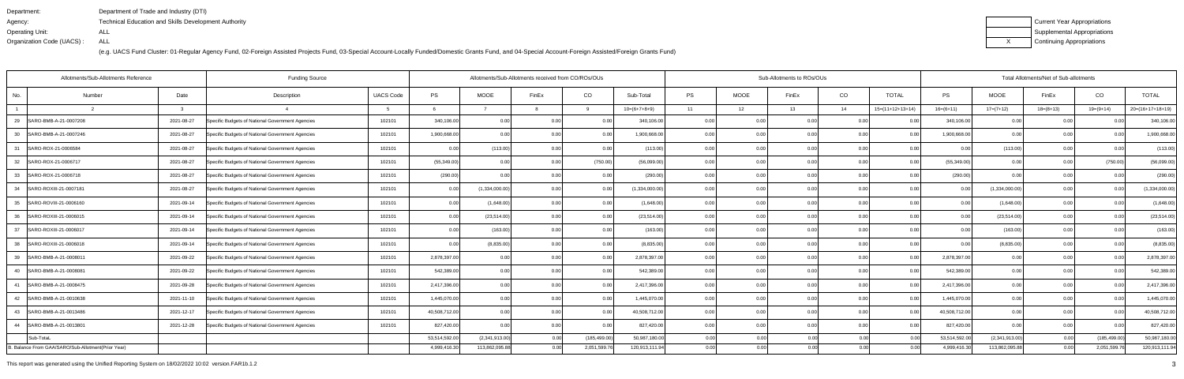| Department:               | Department of Trade and Industry (DTI)               |
|---------------------------|------------------------------------------------------|
| Agency:                   | Technical Education and Skills Development Authority |
| Operating Unit:           | ALL                                                  |
| Organization Code (UACS): | ALL                                                  |

| Current Year Appropriations |
|-----------------------------|
| Supplemental Appropriations |
| Continuing Appropriations   |

| Allotments/Sub-Allotments Reference<br><b>Funding Source</b> |            |                                                  |                  |               |                | Allotments/Sub-Allotments received from CO/ROs/OUs |                |                |       |      | Sub-Allotments to ROs/OUs |                |                    | Total Allotments/Net of Sub-allotments |                |             |                |                    |  |  |
|--------------------------------------------------------------|------------|--------------------------------------------------|------------------|---------------|----------------|----------------------------------------------------|----------------|----------------|-------|------|---------------------------|----------------|--------------------|----------------------------------------|----------------|-------------|----------------|--------------------|--|--|
| No.<br>Number                                                | Date       | Description                                      | <b>UACS Code</b> | PS            | MOOE           | FinEx                                              | CO             | Sub-Total      | PS    | MOOE | FinEx                     | CO             | <b>TOTAL</b>       | PS                                     | MOOE           | FinEx       | CO             | <b>TOTAL</b>       |  |  |
|                                                              | -3         |                                                  |                  |               |                |                                                    | 9              | $10=(6+7+8+9)$ | 11    | 12   | 13                        | 14             | $15=(11+12+13+14)$ | $16=(6+11)$                            | $17=(7+12)$    | $18=(8+13)$ | $19=(9+14)$    | $20=(16+17+18+19)$ |  |  |
| 29<br>SARO-BMB-A-21-0007208                                  | 2021-08-27 | Specific Budgets of National Government Agencies | 102101           | 340,106.00    | 0.00           | 0.00                                               | 0.0(           | 340,106.00     | 0.00  |      | 0.00                      | 0.0            |                    | 340,106.00                             | 0.00           | 0.00        | 0.0            | 340,106.00         |  |  |
| SARO-BMB-A-21-0007246<br>30                                  | 2021-08-27 | Specific Budgets of National Government Agencies | 102101           | 1,900,668.00  | 0.00           | 0.00                                               | 0.00           | 1,900,668.00   | 0.00  | 0.00 | 0.00                      | 0.00           | 0.00               | 1,900,668.00                           | 0.00           | 0.00        | 0.00           | 1,900,668.00       |  |  |
| 31<br>SARO-ROX-21-0006584                                    | 2021-08-27 | Specific Budgets of National Government Agencies | 102101           | 0.00          | (113.00)       | 0.00                                               | 0.00           | (113.00)       | 0.00  | 0.00 | 0.00                      | 0.00           | 0.00               | 0.00                                   | (113.00)       | 0.00        | 0.00           | (113.00)           |  |  |
| 32<br>SARO-ROX-21-0006717                                    | 2021-08-27 | Specific Budgets of National Government Agencies | 102101           | (55, 349.00)  | 0.00           | 0 <sub>0</sub>                                     | (750.00)       | (56,099.00)    | 0.00  | 0.00 | 0.00                      | 0.0            | 0.00               | (55,349.00)                            | 0.00           | 0.00        | (750.00)       | (56,099.00)        |  |  |
| 33<br>SARO-ROX-21-0006718                                    | 2021-08-27 | Specific Budgets of National Government Agencies | 102101           | (290.00)      | 0.00           | 0.00                                               | 0.00           | (290.00)       | 0.00  | 0.00 | 0.00                      | 0.00           | 0.00               | (290.00)                               | 0.00           | 0.00        | 0.00           | (290.00)           |  |  |
| 34<br>SARO-ROXIII-21-0007181                                 | 2021-08-27 | Specific Budgets of National Government Agencies | 102101           | 0.00          | (1,334,000.00) | 0.00                                               | 0.00           | (1,334,000.00) | 0.001 | 0.00 | ი იი                      | 0.0            | 0.00               | 0.00                                   | (1,334,000.00) | 0.00        | 0 <sub>0</sub> | (1,334,000.00)     |  |  |
| 35<br>SARO-ROVIII-21-0006160                                 | 2021-09-14 | Specific Budgets of National Government Agencies | 102101           | 0.00          | (1,648.00)     | 0.00                                               | 0.00           | (1,648.00)     | 0.00  | 0.00 | 0.00                      | 0.00           | 0.00               | 0.00                                   | (1,648.00)     | 0.00        | 0.00           | (1,648.00)         |  |  |
| 36<br>SARO-ROXIII-21-0006015                                 | 2021-09-14 | Specific Budgets of National Government Agencies | 102101           | 0.00          | (23, 514.00)   | 0.00                                               | 0.00           | (23, 514.00)   | 0.001 | 0.00 | 0.00                      | 0.0            | 0.00               | 0.00                                   | (23,514.00)    | 0.00        | 0.0(           | (23, 514.00)       |  |  |
| 37<br>SARO-ROXIII-21-0006017                                 | 2021-09-14 | Specific Budgets of National Government Agencies | 102101           | 0.00          | (163.00)       | 0 <sub>0</sub>                                     | 0.00           | (163.00)       | 0.00  | 0.00 | n nn                      | 0.0            | 0.00               | 0.00                                   | (163.00)       | 0.00        | 0 <sub>0</sub> | (163.00)           |  |  |
| 38<br>SARO-ROXIII-21-0006018                                 | 2021-09-14 | Specific Budgets of National Government Agencies | 102101           | 0.00          | (8,835.00)     | 0.00                                               | 0.00           | (8,835.00)     | 0.00  | 0.00 | 0.00                      | 0.00           | 0.00               | 0.00                                   | (8,835.00)     | 0.00        | 0.00           | (8,835.00)         |  |  |
| 39<br>SARO-BMB-A-21-0008011                                  | 2021-09-22 | Specific Budgets of National Government Agencies | 102101           | 2,878,397.00  | 0.00           |                                                    | 0.00           | 2,878,397.00   | 0.00  | 0.00 |                           | 0.0            |                    | 2,878,397.00                           | 0.00           | 0.00        | 0 <sub>0</sub> | 2,878,397.00       |  |  |
| 40<br>SARO-BMB-A-21-000808                                   | 2021-09-22 | Specific Budgets of National Government Agencies | 102101           | 542,389.00    | 0.00           | 0.00                                               | 0.00           | 542,389.00     | 0.00  | 0.00 | 0.00                      | 0.00           | 0.00               | 542,389.00                             | 0.00           | 0.00        | 0.00           | 542,389.00         |  |  |
| 41<br>SARO-BMB-A-21-0008475                                  | 2021-09-28 | Specific Budgets of National Government Agencies | 102101           | 2,417,396.00  | 0.00           | 0.00                                               | 0.00           | 2,417,396.00   | 0.00  | 0.00 | 0.00                      | 0.00           | 0.00               | 2,417,396.00                           | 0.00           | 0.00        | 0.00           | 2,417,396.00       |  |  |
| SARO-BMB-A-21-0010638<br>42                                  | 2021-11-10 | Specific Budgets of National Government Agencies | 102101           | 1,445,070.00  | 0.00           | 0.00                                               | 0.00           | 1,445,070.00   | 0.00  | 0.00 | n nn                      | 0.0            | 0.00               | 1,445,070.00                           | 0.00           | 0.00        | 0.0(           | 1,445,070.00       |  |  |
| 43 SARO-BMB-A-21-0013486                                     | 2021-12-17 | Specific Budgets of National Government Agencies | 102101           | 40,508,712.00 | 0.00           | 0.00                                               | 0.00           | 40,508,712.00  | 0.00  | 0.00 | 0.00                      | 0.00           | 0.00               | 40,508,712.00                          | 0.00           | 0.00        | 0.00           | 40,508,712.00      |  |  |
| SARO-BMB-A-21-0013801<br>44                                  | 2021-12-28 | Specific Budgets of National Government Agencies | 102101           | 827,420.00    | 0.00           | 0.00                                               | 0 <sub>0</sub> | 827,420.00     | 0.00  | 0.00 |                           | 0 <sub>0</sub> |                    | 827,420.00                             | 0.00           | 0.00        | 0 <sub>0</sub> | 827,420.00         |  |  |
| Sub-TotaL                                                    |            |                                                  |                  | 53,514,592.00 | (2,341,913.00) | 0 <sub>0</sub>                                     | (185, 499.00)  | 50,987,180.00  | 0.00  | 0.00 | 0.00                      |                | 0.00               | 53,514,592.00                          | (2,341,913.00) | 0.00        | (185, 499.00)  | 50,987,180.00      |  |  |
| B. Balance From GAA/SARO/Sub-Allotment(Prior Year)           |            |                                                  |                  | 4,999,416.30  | 113,862,095.88 | 0.00                                               | 2,051,599.76   | 120,913,111.94 | 0.001 | 0.00 | 0.00                      |                | 0.00               | 4,999,416.30                           | 113,862,095.88 | 0.00        | 2,051,599.76   | 120,913,111.94     |  |  |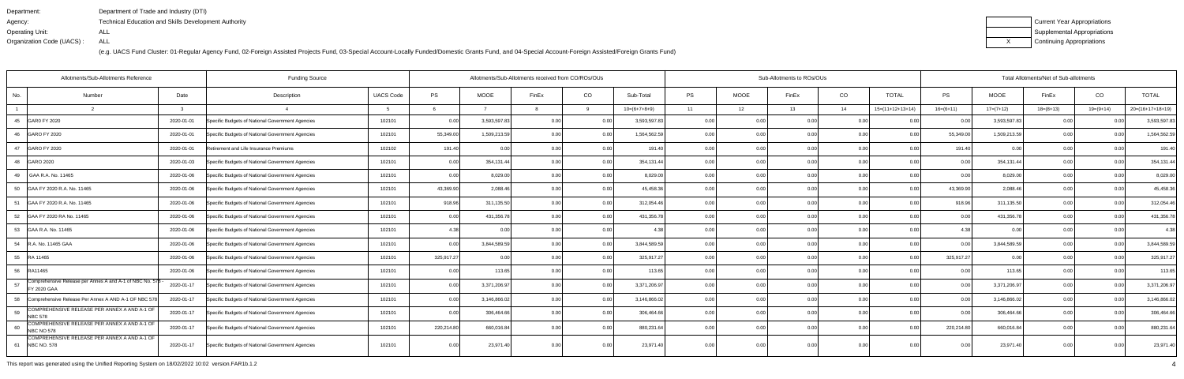| Department:               | Department of Trade and Industry (DTI)               |
|---------------------------|------------------------------------------------------|
| Agency:                   | Technical Education and Skills Development Authority |
| Operating Unit:           | ALL                                                  |
| Organization Code (UACS): | ALL                                                  |

| Current Year Appropriations |
|-----------------------------|
| Supplemental Appropriations |
| Continuing Appropriations   |

| <b>Funding Source</b><br>Allotments/Sub-Allotments Reference                  |            |                                                  |                  |            | Allotments/Sub-Allotments received from CO/ROs/OUs |                |                |                |       |      | Sub-Allotments to ROs/OUs |      |                    | Total Allotments/Net of Sub-allotments |              |             |                |                    |  |
|-------------------------------------------------------------------------------|------------|--------------------------------------------------|------------------|------------|----------------------------------------------------|----------------|----------------|----------------|-------|------|---------------------------|------|--------------------|----------------------------------------|--------------|-------------|----------------|--------------------|--|
| No.<br>Number                                                                 | Date       | Description                                      | <b>UACS Code</b> | PS         | MOOE                                               | FinEx          | CO             | Sub-Total      | PS    | MOOE | FinEx                     | CO   | <b>TOTAL</b>       | PS                                     | MOOE         | FinEx       | CO             | <b>TOTAL</b>       |  |
|                                                                               |            |                                                  |                  |            |                                                    |                | 9              | $10=(6+7+8+9)$ | 11    | 12   | 13                        | 14   | $15=(11+12+13+14)$ | $16=(6+11)$                            | $17=(7+12)$  | $18=(8+13)$ | $19=(9+14)$    | $20=(16+17+18+19)$ |  |
| 45<br>GAR0 FY 2020                                                            | 2020-01-01 | Specific Budgets of National Government Agencies | 102101           | 0.00       | 3,593,597.83                                       | 0.00           | 0.00           | 3,593,597.83   | 0.00  | 0.0  | 0.00                      | 0.0  | 0 <sub>0</sub>     | 0.00                                   | 3,593,597.83 | 0.00        | 0 <sub>0</sub> | 3,593,597.83       |  |
| 46 GARO FY 2020                                                               | 2020-01-01 | Specific Budgets of National Government Agencies | 102101           | 55,349.00  | 1,509,213.59                                       | 0.00           | 0.00           | 1,564,562.59   | 0.00  | 0.00 | 0.00                      | 0.00 | 0.00               | 55,349.00                              | 1,509,213.59 | 0.00        | 0.00           | 1,564,562.59       |  |
| <b>GARO FY 2020</b><br>47                                                     | 2020-01-01 | Retirement and Life Insurance Premiums           | 102102           | 191.40     | 0 <sub>0</sub>                                     | 0.00           | 0.00           | 191.40         | 0.001 | 0.00 | 0.OC                      | 0.0  | 0.00               | 191.40                                 | 0.00         | 0.00        | 0 <sub>0</sub> | 191.40             |  |
| 48 GARO 2020                                                                  | 2020-01-03 | Specific Budgets of National Government Agencies | 102101           | 0.00       | 354,131.44                                         | 0.00           | 0.00           | 354,131.44     | 0.00  | 0.00 | 0.00                      | 0.00 | 0.00               | 0.00                                   | 354,131.44   | 0.00        | 0.00           | 354,131.44         |  |
| GAA R.A. No. 11465<br>49                                                      | 2020-01-06 | Specific Budgets of National Government Agencies | 102101           | 0.00       | 8,029.00                                           | 0 <sub>0</sub> | 0.00           | 8,029.00       | 0.00  | 0.00 |                           | 0.0  | 0.00               | 0.00                                   | 8,029.00     | 0.00        | 0 <sub>0</sub> | 8,029.00           |  |
| 50<br>GAA FY 2020 R.A. No. 11465                                              | 2020-01-06 | Specific Budgets of National Government Agencies | 102101           | 43,369.90  | 2,088.46                                           |                | 0.00           | 45,458.36      | 0.00  | 0.00 | n nc                      | 0.00 | 0.00               | 43,369.90                              | 2,088.46     | 0.00        | 0 <sub>0</sub> | 45,458.36          |  |
| GAA FY 2020 R.A. No. 11465<br>51                                              | 2020-01-06 | Specific Budgets of National Government Agencies | 102101           | 918.96     | 311,135.50                                         | 0 <sub>0</sub> | 0.00           | 312,054.46     | 0.00  | 0.00 | 0.00                      | 0.00 | 0.00               | 918.96                                 | 311,135.50   | 0.00        | 0.00           | 312,054.46         |  |
| 52 GAA FY 2020 RA No. 11465                                                   | 2020-01-06 | Specific Budgets of National Government Agencies | 102101           | 0.00       | 431,356.78                                         | 0 <sub>0</sub> | 0.00           | 431,356.78     | 0.001 | 0.00 | n nr                      | 0.0  | 0.00               | 0.00                                   | 431,356.78   | 0.00        | 0 <sub>0</sub> | 431,356.78         |  |
| 53 GAA R.A. No. 11465                                                         | 2020-01-06 | Specific Budgets of National Government Agencies | 102101           | 4.38       | 0.00                                               | 0.00           | 0.00           | 4.38           | 0.001 | 0.00 | 0.00                      | 0.00 | 0.00               | 4.38                                   | 0.00         | 0.00        | 0.0(           | 4.38               |  |
| 54 R.A. No. 11465 GAA                                                         | 2020-01-06 | Specific Budgets of National Government Agencies | 102101           | 0.00       | 3,844,589.59                                       | 0.00           | 0.00           | 3,844,589.59   | 0.001 | 0.00 | 0.OC                      | 0.00 | 0.00               | 0.OC                                   | 3,844,589.59 | 0.00        | 0.00           | 3,844,589.59       |  |
| 55 RA 11465                                                                   | 2020-01-06 | Specific Budgets of National Government Agencies | 102101           | 325,917.27 | 0.00                                               | 0.00           | 0.00           | 325,917.27     | 0.00  | 0.00 | 0.00                      | 0.00 | 0.00               | 325,917.27                             | 0.00         | 0.00        | 0.00           | 325,917.27         |  |
| 56<br>RA11465                                                                 | 2020-01-06 | Specific Budgets of National Government Agencies | 102101           | 0.00       | 113.65                                             | 0 <sub>0</sub> | 0.00           | 113.65         | 0.00  | 0.00 | 0.OC                      | 0.0  | 0.00               | 0.00                                   | 113.65       | 0.00        | 0 <sub>0</sub> | 113.65             |  |
| Comprehensive Release per Annes A and A-1 of NBC No. 578<br>57<br>FY 2020 GAA | 2020-01-17 | Specific Budgets of National Government Agencies | 102101           | 0.00       | 3,371,206.97                                       | 0.00           | 0.00           | 3,371,206.97   | 0.00  | 0.00 | 0.00                      | 0.0  | 0.00               | 0.00                                   | 3,371,206.97 | 0.00        | 0.0(           | 3,371,206.97       |  |
| Comprehensive Release Per Annex A AND A-1 OF NBC 578<br>58                    | 2020-01-17 | Specific Budgets of National Government Agencies | 102101           | 0.00       | 3,146,866.02                                       | 0.00           | 0.00           | 3,146,866.02   | 0.00  | 0.00 | 0.00                      | 0.00 | 0.00               | 0.00                                   | 3,146,866.02 | 0.00        | 0.00           | 3,146,866.02       |  |
| COMPREHENSIVE RELEASE PER ANNEX A AND A-1 OF<br>59<br><b>NBC 578</b>          | 2020-01-17 | Specific Budgets of National Government Agencies | 102101           | 0.00       | 306,464.66                                         | 0.00           | 0.00           | 306,464.66     | 0.00  | 0.00 |                           | 0.0  | 0.00               |                                        | 306,464.66   | 0.00        | 0 <sub>0</sub> | 306,464.66         |  |
| COMPREHENSIVE RELEASE PER ANNEX A AND A-1 OF<br>60<br>NBC NO 578              | 2020-01-17 | Specific Budgets of National Government Agencies | 102101           | 220,214.80 | 660,016.84                                         | 0.00           | 0.00           | 880,231.64     | 0.001 | 0.00 | n nr                      | 0.00 | 0.00               | 220,214.80                             | 660,016.84   | 0.00        | 0 <sub>0</sub> | 880,231.64         |  |
| COMPREHENSIVE RELEASE PER ANNEX A AND A-1 OF<br><b>NBC NO. 578</b><br>61      | 2020-01-17 | Specific Budgets of National Government Agencies | 102101           | 0.00       | 23,971.40                                          | 0.00           | 0 <sub>0</sub> | 23,971.40      | 0.00  | 0.00 | n nr                      | 0.00 | 0.00               |                                        | 23,971.40    | 0.00        | 0.00           | 23,971.40          |  |

This report was generated using the Unified Reporting System on 18/02/2022 10:02 version.FAR1b.1.2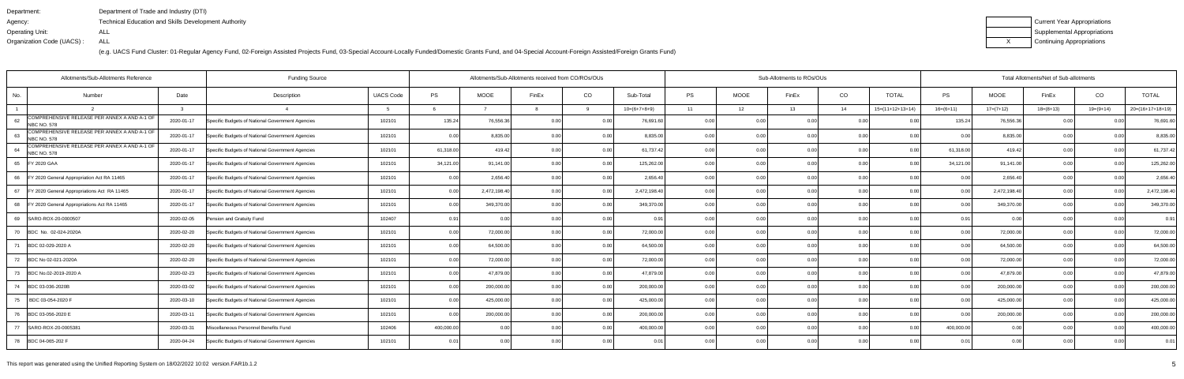| Department:               | Department of Trade and Industry (DTI)                      |
|---------------------------|-------------------------------------------------------------|
| Agency:                   | <b>Technical Education and Skills Development Authority</b> |
| Operating Unit:           | ALL                                                         |
| Organization Code (UACS): | ALL                                                         |

| Current Year Appropriations |
|-----------------------------|
| Supplemental Appropriations |
| Continuing Appropriations   |

| Allotments/Sub-Allotments Reference                                      | Allotments/Sub-Allotments received from CO/ROs/OUs |                                                  |                  |            |              |       |          | Sub-Allotments to ROs/OUs |           | Total Allotments/Net of Sub-allotments |       |      |                    |                |              |             |           |                    |
|--------------------------------------------------------------------------|----------------------------------------------------|--------------------------------------------------|------------------|------------|--------------|-------|----------|---------------------------|-----------|----------------------------------------|-------|------|--------------------|----------------|--------------|-------------|-----------|--------------------|
| Number<br>No.                                                            | Date                                               | Description                                      | <b>UACS Code</b> | <b>PS</b>  | <b>MOOE</b>  | FinEx | CO       | Sub-Total                 | <b>PS</b> | <b>MOOE</b>                            | FinEx | CO   | <b>TOTAL</b>       | <b>PS</b>      | <b>MOOE</b>  | FinEx       | CO        | <b>TOTAL</b>       |
|                                                                          | $\mathbf{R}$                                       |                                                  |                  |            |              |       | $\Omega$ | $10=(6+7+8+9)$            | 11        | 12                                     | 13    | 14   | $15=(11+12+13+14)$ | $16=(6+11)$    | $17=(7+12)$  | $18=(8+13)$ | 19=(9+14) | $20=(16+17+18+19)$ |
| COMPREHENSIVE RELEASE PER ANNEX A AND A-1 OF<br>62<br><b>NBC NO. 578</b> | 2020-01-17                                         | Specific Budgets of National Government Agencies | 102101           | 135.24     | 76,556.36    | 0.00  | 0.00     | 76,691.60                 | 0.00      | 0.00                                   | 0.00  | 0.00 | 0.00               | 135.24         | 76,556.36    | 0.00        | 0.00      | 76,691.60          |
| COMPREHENSIVE RELEASE PER ANNEX A AND A-1 OF<br>63<br><b>NBC NO. 578</b> | 2020-01-17                                         | Specific Budgets of National Government Agencies | 102101           | 0.00       | 8,835.00     | 0.00  | 0.00     | 8,835.00                  | 0.00      | 0.00                                   | 0.00  | 0.00 | 0.00               | 0 <sub>0</sub> | 8,835.00     | 0.00        | 0.00      | 8,835.00           |
| COMPREHENSIVE RELEASE PER ANNEX A AND A-1 OF<br>64<br><b>NBC NO. 578</b> | 2020-01-17                                         | Specific Budgets of National Government Agencies | 102101           | 61,318.00  | 419.42       | 0.00  | 0.00     | 61,737.42                 | 0.00      | 0.00                                   | 0.00  | 0.00 | 0.00               | 61,318.00      | 419.42       | 0.00        | 0.00      | 61,737.42          |
| 65<br>FY 2020 GAA                                                        | 2020-01-17                                         | Specific Budgets of National Government Agencies | 102101           | 34,121.00  | 91,141.00    | 0.00  | 0.00     | 125,262.00                | 0.00      | 0.00                                   | 0.001 | 0.00 | 0.001              | 34,121.00      | 91,141.00    | 0.00        | 0.00      | 125,262.00         |
| FY 2020 General Appropriation Act RA 11465<br>66                         | 2020-01-17                                         | Specific Budgets of National Government Agencies | 102101           | 0.00       | 2,656.40     | 0.00  | 0.00     | 2,656.40                  | 0.001     | 0.00                                   | 0.00  | 0.00 | 0.00               | 0.00           | 2,656.40     | 0.00        | 0.00      | 2,656.40           |
| 67<br>FY 2020 General Appropriations Act RA 11465                        | 2020-01-17                                         | Specific Budgets of National Government Agencies | 102101           | 0.00       | 2,472,198.40 | 0.00  | 0.00     | 2,472,198.40              | 0.00      | 0.00                                   | 0.00  | 0.00 | 0.00               | 0.00           | 2,472,198.40 | 0.0         | 0.00      | 2,472,198.40       |
| 68 FY 2020 General Appropriations Act RA 11465                           | 2020-01-17                                         | Specific Budgets of National Government Agencies | 102101           | 0.00       | 349,370.00   | 0.00  | 0.00     | 349,370.00                | 0.00      | 0.00                                   | 0.00  | 0.00 | 0.00               | 0 Q            | 349,370.00   | 0.00        | 0.00      | 349,370.00         |
| 69<br>SARO-ROX-20-0000507                                                | 2020-02-05                                         | Pension and Gratuity Fund                        | 102407           | 0.91       | 0.001        | 0.00  | 0.00     | 0.91                      | 0.00      | 0.00                                   | 0.00  | 0.00 | 0.00               | 0.91           | 0.00         | 0.00        | 0.00      | 0.91               |
| 70<br>BDC No. 02-024-2020A                                               | 2020-02-20                                         | Specific Budgets of National Government Agencies | 102101           | 0.00       | 72,000.00    | 0.00  | 0.00     | 72,000.00                 | 0.00      | 0.00                                   | 0.00  | 0.00 | 0.001              | 0 Q            | 72,000.00    | 0.00        | ი იი      | 72,000.00          |
| 71<br>BDC 02-029-2020 A                                                  | 2020-02-20                                         | Specific Budgets of National Government Agencies | 102101           | 0.00       | 64,500.00    | 0.00  | 0.00     | 64,500.00                 | 0.00 l    | 0.00                                   | 0.00  | 0.00 | 0.00               | 0.00           | 64,500.00    | 0.00        | 0.00      | 64,500.00          |
| 72<br>BDC No 02-021-2020A                                                | 2020-02-20                                         | Specific Budgets of National Government Agencies | 102101           | 0.00       | 72,000.00    | 0.00  | 0.00     | 72,000.00                 | 0.00      | 0.00                                   | 0.00  | 0.00 | 0.00               | 0.00           | 72,000.00    | 0.00        | 0.00      | 72,000.00          |
| 73<br>BDC No.02-2019-2020 A                                              | 2020-02-23                                         | Specific Budgets of National Government Agencies | 102101           | 0.00       | 47,879.00    | 0.00  | 0.00     | 47,879.00                 | 0.00      | 0.00                                   | 0.00  | 0.00 | 0.00               | 0 Q            | 47,879.00    | 0.0         |           | 47,879.00          |
| BDC 03-036-2020B<br>74                                                   | 2020-03-02                                         | Specific Budgets of National Government Agencies | 102101           | 0.00       | 200,000.00   | 0.00  | 0.00     | 200,000.00                | 0.00      | 0.00                                   | 0.00  | 0.00 | 0.00               | 0 <sub>0</sub> | 200,000.00   | 0.00        | 0.00      | 200,000.00         |
| BDC 03-054-2020 F<br>75                                                  | 2020-03-10                                         | Specific Budgets of National Government Agencies | 102101           | 0.00       | 425,000.00   | 0.00  | 0.00     | 425,000.00                | 0.00      | 0.00                                   | 0.00  | 0.00 | 0.001              | 0.00           | 425,000.00   | 0.00        | 0.00      | 425,000.00         |
| 76<br>BDC 03-056-2020 E                                                  | 2020-03-11                                         | Specific Budgets of National Government Agencies | 102101           | 0.00       | 200,000.00   | 0.00  | 0.00     | 200,000.00                | 0.00      | 0.00                                   |       | 0.00 | 0.001              |                | 200,000.00   | 0.00        |           | 200,000.00         |
| 77<br>SARO-ROX-20-0005381                                                | 2020-03-31                                         | Miscellaneous Personnel Benefits Fund            | 102406           | 400,000.00 | 0.00         | 0.OC  | 0.00     | 400,000.00                | 0.00      | 0.00                                   |       | 0.00 | 0.00               | 400,000.00     | 0.00         | 0.00        |           | 400,000.00         |
| 78<br>BDC 04-065-202 F                                                   | 2020-04-24                                         | Specific Budgets of National Government Agencies | 102101           | 0.01       | 0.001        | n nr  | 0.00     | 0.01                      | 0.00      | 0.00                                   | 0.00  | 0.00 | 0.00               |                | 0.00         | 0.00        |           | 0.01               |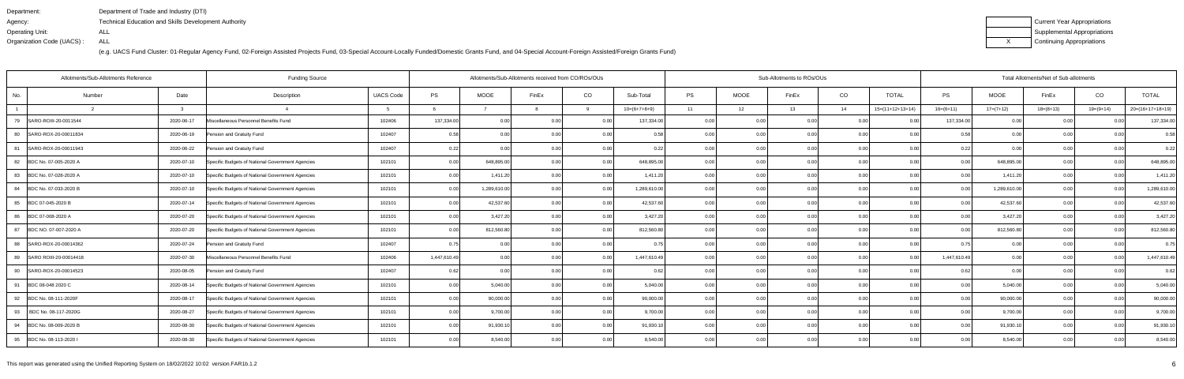| Department:               | Department of Trade and Industry (DTI)               |
|---------------------------|------------------------------------------------------|
| Agency:                   | Technical Education and Skills Development Authority |
| Operating Unit:           | ALL                                                  |
| Organization Code (UACS): | ALL                                                  |

| Current Year Appropriations |
|-----------------------------|
| Supplemental Appropriations |
| Continuing Appropriations   |

| Allotments/Sub-Allotments Reference |                                                                |                  | Allotments/Sub-Allotments received from CO/ROs/OUs |              |       |      |                | Sub-Allotments to ROs/OUs |             | Total Allotments/Net of Sub-allotments |      |                    |                |              |             |                |                    |
|-------------------------------------|----------------------------------------------------------------|------------------|----------------------------------------------------|--------------|-------|------|----------------|---------------------------|-------------|----------------------------------------|------|--------------------|----------------|--------------|-------------|----------------|--------------------|
| Number<br>No.                       | Date<br>Description                                            | <b>UACS Code</b> | <b>PS</b>                                          | <b>MOOE</b>  | FinEx | CO   | Sub-Total      | PS                        | <b>MOOE</b> | FinEx                                  | CO   | <b>TOTAL</b>       | <b>PS</b>      | MOOE         | FinEx       | CO             | <b>TOTAL</b>       |
| $\overline{2}$                      | $\mathcal{R}$                                                  |                  |                                                    |              |       |      | $10=(6+7+8+9)$ | 11                        | 12          | 13                                     | 14   | $15=(11+12+13+14)$ | $16=(6+11)$    | $17=(7+12)$  | $18=(8+13)$ | 19=(9+14)      | $20=(16+17+18+19)$ |
| SARO-ROIII-20-0011544<br>79         | 2020-06-17<br>Miscellaneous Personnel Benefits Fund            | 102406           | 137,334.00                                         | 0.00         | 0.00  | 0.00 | 137,334.00     | 0.00                      | 0.00        | 0.00                                   | 0.00 | 0.00               | 137,334.00     | 0.00         | 0.00        |                | 137,334.00         |
| 80<br>SARO-ROX-20-00011834          | 2020-06-19<br>Pension and Gratuity Fund                        | 102407           | 0.58                                               | 0.00         | 0.00  | 0.00 | 0.58           | 0.00                      | 0.00        | 0.00                                   | 0.00 | 0.001              | 0.58           | 0.00         | 0.00        |                | 0.58               |
| 81<br>SARO-ROX-20-00011943          | 2020-06-22<br>Pension and Gratuity Fund                        | 102407           | 0.22                                               | 0.00         | 0.00  | 0.00 | 0.22           | 0.00                      | 0.00        | 0.00                                   | 0.00 | 0.00               | 0.22           | 0.00         | 0.00        | 0.00           | 0.22               |
| BDC No. 07-005-2020 A<br>82         | 2020-07-10<br>Specific Budgets of National Government Agencies | 102101           | 0.00                                               | 648,895.00   | 0.00  | 0.00 | 648,895.00     | 0.00                      | 0.00        | 0.00                                   | 0.00 | 0.00               | 0.00           | 648,895.00   | 0.00        | 0.00           | 648,895.00         |
| BDC No. 07-028-2020 A<br>83         | 2020-07-10<br>Specific Budgets of National Government Agencies | 102101           | 0.00                                               | 1,411.20     | 0.00  | 0.00 | 1,411.20       | 0.00                      | 0.00        |                                        | 0.00 | 0.00               | 0 <sub>0</sub> | 1,411.20     | 0.0         | 0 <sub>0</sub> | 1,411.20           |
| BDC No. 07-033-2020 B<br>84         | 2020-07-10<br>Specific Budgets of National Government Agencies | 102101           | 0.00                                               | 1,289,610.00 | 0.00  | 0.00 | 1,289,610.00   | 0.00                      | 0.00        | 0.00                                   | 0.00 | 0.00               | 0 <sub>0</sub> | 1,289,610.00 | 0.00        | 0.00           | 1,289,610.00       |
| BDC 07-045-2020 B<br>85             | 2020-07-14<br>Specific Budgets of National Government Agencies | 102101           | 0.00                                               | 42,537.60    | 0.00  | 0.00 | 42,537.60      | 0.00                      | 0.00        | 0.00                                   | 0.00 | 0.00               | 0.00           | 42,537.60    | 0.00        | 0.00           | 42,537.60          |
| 86<br>BDC 07-008-2020 A             | 2020-07-20<br>Specific Budgets of National Government Agencies | 102101           | 0.00                                               | 3,427.20     | 0.00  | 0.00 | 3,427.20       | 0.00                      | 0.00        |                                        | 0.00 | 0.00               | 0 <sub>0</sub> | 3,427.20     | 0.00        | ი იი           | 3,427.20           |
| BDC NO. 07-007-2020 A<br>87         | 2020-07-20<br>Specific Budgets of National Government Agencies | 102101           | 0.00                                               | 812,560.80   | 0.00  | 0.00 | 812,560.80     | 0.00                      | 0.00        | n nn                                   | 0.00 | 0.001              | 0 <sub>0</sub> | 812,560.80   | 0.00        |                | 812,560.80         |
| SARO-ROX-20-00014362<br>88          | 2020-07-24<br>Pension and Gratuity Fund                        | 102407           | 0.75                                               | 0.00         | 0.00  | 0.00 | 0.75           | 0.00                      | 0.00        |                                        | 0.00 | 0.00               |                | 0.00         | 0.00        |                | 0.75               |
| 89<br>SARO ROIII-20-00014418        | 2020-07-30<br>Miscellaneous Personnel Benefits Fund            | 102406           | 1,447,610.49                                       | 0.00         | 0.00  | 0.00 | 1,447,610.49   | 0.00                      | 0.00        | 0.00                                   | 0.00 | 0.00               | 1,447,610.49   | 0.00         | 0.00        |                | 1,447,610.49       |
| 90<br>SARO-ROX-20-00014523          | 2020-08-05<br>Pension and Gratuity Fund                        | 102407           | 0.62                                               | 0.00         | 0.00  | 0.00 | 0.63           | 0.00                      | 0.00        | 0.00                                   | 0.00 | 0.001              | 0 6            | 0.00         | 0.00        | 0.00           | 0.62               |
| BDC 08-048 2020 C<br>91             | 2020-08-14<br>Specific Budgets of National Government Agencies | 102101           | 0.00                                               | 5,040.00     | 0.00  | 0.00 | 5,040.00       | 0.00                      | 0.00        |                                        | 0.00 | 0.001              | 0 <sub>0</sub> | 5,040.00     | 0.00        | 0.00           | 5,040.00           |
| 92 BDC No. 08-111-2020F             | 2020-08-17<br>Specific Budgets of National Government Agencies | 102101           | 0.00                                               | 90,000.00    | 0.00  | 0.00 | 90,000.00      | 0.00                      | 0.00        | 0.00                                   | 0.00 | 0.00               | 0.00           | 90,000.00    | 0.00        | 0.00           | 90,000.00          |
| 93<br>BDC No. 08-117-2020G          | 2020-08-27<br>Specific Budgets of National Government Agencies | 102101           | 0.00                                               | 9,700.00     | 0.00  | 0.00 | 9,700.00       | 0.00                      | 0.00        | 0.00                                   | 0.00 | 0.00               | 0 <sub>0</sub> | 9,700.00     | 0.00        | 0.00           | 9,700.00           |
| 94<br>BDC No. 08-009-2020 B         | 2020-08-30<br>Specific Budgets of National Government Agencies | 102101           | 0.00                                               | 91,930.10    | 0.00  | 0.00 | 91,930.10      | 0.00                      | 0.00        | 0.00                                   | 0.00 | 0.00               | 0 <sub>0</sub> | 91,930.10    | 0.00        | 0.00           | 91,930.10          |
| 95 BDC No. 08-113-2020 I            | Specific Budgets of National Government Agencies<br>2020-08-30 | 102101           | 0.00                                               | 8,540.00     | 0.00  | 0.00 | 8,540.00       | 0.00                      | 0.00        | 0.001                                  | 0.00 | 0.00               | 0.00           | 8,540.00     | 0.00        | 0.00           | 8,540.00           |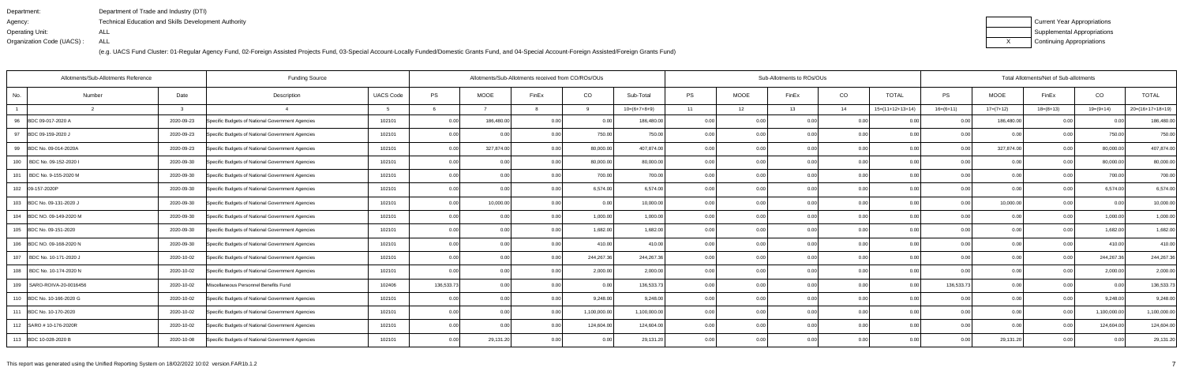| Department:               | Department of Trade and Industry (DTI)               |
|---------------------------|------------------------------------------------------|
| Agency:                   | Technical Education and Skills Development Authority |
| Operating Unit:           | ALL                                                  |
| Organization Code (UACS): | ALL                                                  |

| Current Year Appropriations |
|-----------------------------|
| Supplemental Appropriations |
| Continuing Appropriations   |

| <b>Funding Source</b><br>Allotments/Sub-Allotments Reference |        |            |                                                  |                  |            | Allotments/Sub-Allotments received from CO/ROs/OUs |                |             |                |           |             | Sub-Allotments to ROs/OUs |      |                    | Total Allotments/Net of Sub-allotments |             |                   |             |                    |  |  |
|--------------------------------------------------------------|--------|------------|--------------------------------------------------|------------------|------------|----------------------------------------------------|----------------|-------------|----------------|-----------|-------------|---------------------------|------|--------------------|----------------------------------------|-------------|-------------------|-------------|--------------------|--|--|
| No.                                                          | Number | Date       | Description                                      | <b>UACS Code</b> | PS         | MOOE                                               | FinEx          | CO          | Sub-Total      | <b>PS</b> | <b>MOOE</b> | FinEx                     | CO   | <b>TOTAL</b>       | PS                                     | <b>MOOE</b> | FinEx             | CO          | <b>TOTAL</b>       |  |  |
|                                                              |        |            |                                                  |                  |            |                                                    |                | <b>Q</b>    | $10=(6+7+8+9)$ | 11        | 12          | 13                        | 14   | $15=(11+12+13+14)$ | $16=(6+11)$                            | $17=(7+12)$ | $18=(8+13)$       | $19=(9+14)$ | $20=(16+17+18+19)$ |  |  |
| 96<br>BDC 09-017-2020 A                                      |        | 2020-09-23 | Specific Budgets of National Government Agencies | 102101           | 0.00       | 186,480.00                                         |                | 0.00        | 186,480.00     | 0.00      | 0.00        | 0 <sub>0</sub>            | 0.0  |                    | 0.00 <sub>1</sub>                      | 186,480.00  | 0.00              |             | 186,480.00         |  |  |
| 97<br>BDC 09-159-2020 J                                      |        | 2020-09-23 | Specific Budgets of National Government Agencies | 102101           | 0.00       |                                                    |                | 750.00      | 750.00         | 0.00      | 0.00        |                           | 0.00 | 0.00               |                                        | 0.00        | 0.00              | 750.00      | 750.00             |  |  |
| 99<br>BDC No. 09-014-2020A                                   |        | 2020-09-23 | Specific Budgets of National Government Agencies | 102101           | 0.00       | 327,874.00                                         |                | 80,000.00   | 407,874.00     | 0.00      | 0.00        |                           | 0.00 | 0.00               | 0.00                                   | 327,874.00  | 0.00              | 80,000.00   | 407,874.00         |  |  |
| 100<br>BDC No. 09-152-2020 I                                 |        | 2020-09-30 | Specific Budgets of National Government Agencies | 102101           | 0.00       | 0.00                                               |                | 80,000.00   | 80,000.00      | 0.00      | 0.00        | 0.00                      | 0.00 | 0.00               | 0.001                                  | 0.00        | 0.00              | 80,000.00   | 80,000.00          |  |  |
| 101<br>BDC No. 9-155-2020 M                                  |        | 2020-09-30 | Specific Budgets of National Government Agencies | 102101           | 0.00       | 0.00                                               |                | 700.0       | 700.00         | 0.00      | 0.00        |                           | 0.0  | 0.00               |                                        | 0.00        |                   | 700.00      | 700.00             |  |  |
| 102 09-157-2020P                                             |        | 2020-09-30 | Specific Budgets of National Government Agencies | 102101           | 0.00       | 0.00                                               |                | 6,574.00    | 6,574.00       | 0.00      | 0.00        |                           | 0.0  | 0.00               | n nc                                   | 0.00        | 0.00              | 6,574.00    | 6,574.00           |  |  |
| 103 BDC No. 09-131-2020 J                                    |        | 2020-09-30 | Specific Budgets of National Government Agencies | 102101           | 0.00       | 10,000.00                                          |                | 0.00        | 10,000.00      | 0.00      | 0.00        | 0.00                      | 0.00 | 0.00               | 0.00                                   | 10,000.00   | 0.00              | 0.00        | 10,000.00          |  |  |
| 104 BDC NO. 09-149-2020 M                                    |        | 2020-09-30 | Specific Budgets of National Government Agencies | 102101           | 0.00       |                                                    |                | 1,000.00    | 1,000.00       | 0.00      | 0.00        |                           | 0.0  | 0.00               |                                        | 0.00        | 0 <sub>0</sub>    | 1,000.0     | 1,000.00           |  |  |
| 105 BDC No. 09-151-2020                                      |        | 2020-09-30 | Specific Budgets of National Government Agencies | 102101           | 0.00       | 0.00                                               |                | 1,682.00    | 1,682.00       | 0.00      | 0.00        | 0.00                      | 0.00 | 0.00               | 0.00                                   | 0.00        | 0.00              | 1,682.00    | 1,682.00           |  |  |
| 106 BDC NO. 09-168-2020 N                                    |        | 2020-09-30 | Specific Budgets of National Government Agencies | 102101           | 0.00       | 0.00                                               | 0.00           | 410.00      | 410.00         | 0.00      | 0.00        | 0.00                      | 0.00 | 0.00               | 0.001                                  | 0.00        | 0.00              | 410.00      | 410.00             |  |  |
| 107   BDC No. 10-171-2020 J                                  |        | 2020-10-02 | Specific Budgets of National Government Agencies | 102101           | 0.00       | 0.00                                               | 0.00           | 244,267.36  | 244,267.36     | 0.00      | 0.00        | 0.00                      | 0.00 | 0.00               | 0.00                                   | 0.00        | 0.00              | 244,267.3   | 244,267.36         |  |  |
| 108   BDC No. 10-174-2020 N                                  |        | 2020-10-02 | Specific Budgets of National Government Agencies | 102101           | 0.00       | 0.00                                               |                | 2,000.00    | 2,000.00       | 0.00      | 0.00        | 0.00                      | 0.00 | 0.00               |                                        | 0.00        | 0.00              | 2,000.0     | 2,000.00           |  |  |
| 109<br>SARO-ROIVA-20-0016456                                 |        | 2020-10-02 | Miscellaneous Personnel Benefits Fund            | 102406           | 136,533.73 | 0.00                                               | 0 <sub>0</sub> | 0.00        | 136,533.73     | 0.00      | 0.00        | 0 Q                       | 0.00 | 0.00               | 136.533.73                             | 0.00        | 0.00              | 0.00        | 136,533.73         |  |  |
| 110 BDC No. 10-166-2020 G                                    |        | 2020-10-02 | Specific Budgets of National Government Agencies | 102101           | 0.00       | 0.00                                               | 0.00           | 9,248.00    | 9,248.00       | 0.00      | 0.00        | 0.00                      | 0.00 | 0.00               | 0.00 <sub>1</sub>                      | 0.00        | 0.00              | 9,248.00    | 9,248.00           |  |  |
| 111 BDC No. 10-170-2020                                      |        | 2020-10-02 | Specific Budgets of National Government Agencies | 102101           | 0.00       | 0.00                                               |                | 1,100,000.0 | 1,100,000.00   | 0.00      | 0.00        | ი იი                      | 0.00 | 0.00               | 0.00                                   | 0.00        | 0 <sub>0</sub>    | 1,100,000.0 | 1,100,000.00       |  |  |
| 112 SARO # 10-176-2020R                                      |        | 2020-10-02 | Specific Budgets of National Government Agencies | 102101           | 0.00       | 0.00                                               |                | 124,604.00  | 124,604.00     | 0.00      | 0.00        | n nn                      | 0.00 | 0.00               | 0. OO                                  | 0.00        | 0.00              | 124,604.00  | 124,604.00         |  |  |
| 113 BDC 10-028-2020 B                                        |        | 2020-10-08 | Specific Budgets of National Government Agencies | 102101           | 0.00       | 29,131.20                                          | 0.00           | 0.001       | 29,131.20      | 0.00      | 0.00        | 0.00                      | 0.00 | 0.00               | 0.00 <sub>1</sub>                      | 29,131.20   | 0.00 <sub>1</sub> | 0.00        | 29,131.20          |  |  |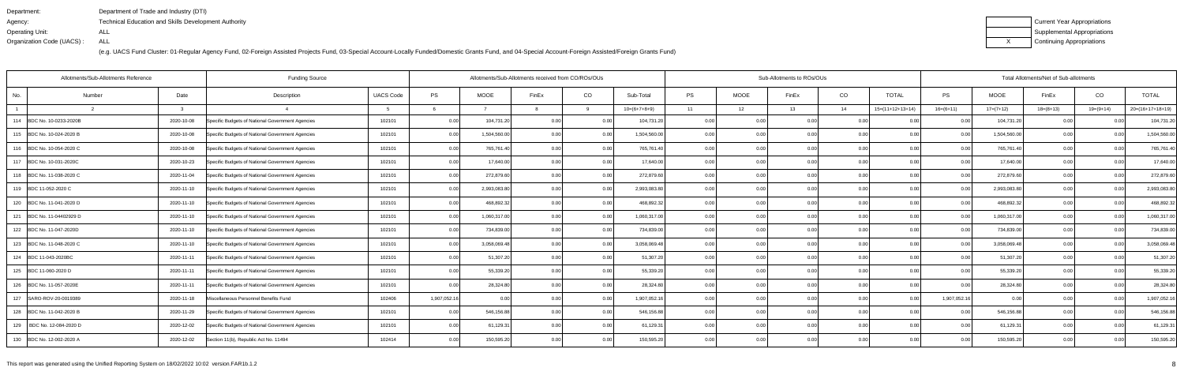| Department:               | Department of Trade and Industry (DTI)                      |
|---------------------------|-------------------------------------------------------------|
| Agency:                   | <b>Technical Education and Skills Development Authority</b> |
| Operating Unit:           | ALL                                                         |
| Organization Code (UACS): | ALL                                                         |

| Current Year Appropriations |
|-----------------------------|
| Supplemental Appropriations |
| Continuing Appropriations   |

| Allotments/Sub-Allotments Reference | Allotments/Sub-Allotments received from CO/ROs/OUs |                                                  |                  |              |              |       |      | Sub-Allotments to ROs/OUs |           | Total Allotments/Net of Sub-allotments |       |      |                    |                |              |             |             |                    |
|-------------------------------------|----------------------------------------------------|--------------------------------------------------|------------------|--------------|--------------|-------|------|---------------------------|-----------|----------------------------------------|-------|------|--------------------|----------------|--------------|-------------|-------------|--------------------|
| Number<br>No.                       | Date                                               | Description                                      | <b>UACS Code</b> | <b>PS</b>    | <b>MOOE</b>  | FinEx | CO   | Sub-Total                 | <b>PS</b> | <b>MOOE</b>                            | FinEx | CO   | <b>TOTAL</b>       | <b>PS</b>      | <b>MOOE</b>  | FinEx       | CO          | <b>TOTAL</b>       |
|                                     | $\Omega$                                           |                                                  |                  |              |              |       |      | $10=(6+7+8+9)$            | 11        | 12                                     | 13    | 14   | $15=(11+12+13+14)$ | $16= (6+11)$   | $17=(7+12)$  | $18=(8+13)$ | $19=(9+14)$ | $20=(16+17+18+19)$ |
| 114  BDC No. 10-0233-2020B          | 2020-10-08                                         | Specific Budgets of National Government Agencies | 102101           | 0.00         | 104,731.20   | 0.00  | 0.00 | 104,731.20                | 0.00      | 0.00                                   | 0.001 | 0.00 | 0.001              | 0.00           | 104,731.20   | 0.00        |             | 104,731.20         |
| 115 BDC No. 10-024-2020 B           | 2020-10-08                                         | Specific Budgets of National Government Agencies | 102101           | 0.00         | 1,504,560.00 | 0.00  | 0.00 | 1,504,560.00              | 0.00      | 0.00                                   | 0.00  | 0.00 | 0.00               | 0 <sub>0</sub> | 1,504,560.00 | 0.00        |             | 1,504,560.00       |
| 116 BDC No. 10-054-2020 C           | 2020-10-08                                         | Specific Budgets of National Government Agencies | 102101           | 0.00         | 765,761.40   | 0.00  | 0.00 | 765,761.40                | 0.00      | 0.00                                   | 0.00  | 0.00 | 0.00               | 0.00           | 765,761.40   | 0.00        | 0.00        | 765,761.40         |
| 117 BDC No. 10-031-2020C            | 2020-10-23                                         | Specific Budgets of National Government Agencies | 102101           | 0.00         | 17,640.00    | 0.00  | 0.00 | 17,640.00                 | 0.00      | 0.00                                   | 0.00  | 0.00 | 0.00               | 0.00           | 17,640.00    | 0.00        | 0.00        | 17,640.00          |
| 118 BDC No. 11-038-2020 C           | 2020-11-04                                         | Specific Budgets of National Government Agencies | 102101           | 0.00         | 272,879.60   | 0.00  | 0.00 | 272,879.60                | 0.00      | 0.00                                   | 0.00  | 0.00 | 0.00               | 0.0            | 272,879.60   | 0.0         | 0.00        | 272,879.60         |
| 119 BDC 11-052-2020 C               | 2020-11-10                                         | Specific Budgets of National Government Agencies | 102101           | 0.00         | 2,993,083.80 | 0.00  | 0.00 | 2,993,083.80              | 0.001     | 0.00                                   | 0.00  | 0.00 | 0.00               | 0.00           | 2,993,083.80 | 0.00        | 0.00        | 2,993,083.80       |
| 120 BDC No. 11-041-2020 D           | 2020-11-10                                         | Specific Budgets of National Government Agencies | 102101           | 0.00         | 468,892.32   | 0.00  | 0.00 | 468,892.32                | 0.00      | 0.00                                   | 0.001 | 0.00 | 0.00               | 0.00           | 468,892.32   | 0.00        | 0.00        | 468,892.32         |
| 121 BDC No. 11-04402929 D           | 2020-11-10                                         | Specific Budgets of National Government Agencies | 102101           | 0.00         | 1,060,317.00 | 0.00  | 0.00 | 1,060,317.00              | 0.00      | 0.00                                   | 0.00  | 0.00 | 0.00               | 0.00           | 1,060,317.00 | 0.00        | 0.00        | 1,060,317.00       |
| 122 BDC No. 11-047-2020D            | 2020-11-10                                         | Specific Budgets of National Government Agencies | 102101           | 0.00         | 734,839.00   | 0.00  | 0.00 | 734,839.00                | 0.001     | 0.00                                   | 0.00  | 0.00 | 0.00               | 0.00           | 734,839.00   | 0.00        | 0.00        | 734,839.00         |
| 123 BDC No. 11-048-2020 C           | 2020-11-10                                         | Specific Budgets of National Government Agencies | 102101           | 0.00         | 3,058,069.48 | 0.00  | 0.00 | 3,058,069.48              | 0.001     | 0.00                                   | 0.00  | 0.00 | 0.00               | 0.00           | 3,058,069.48 | 0.00        | 0.00        | 3,058,069.48       |
| 124 BDC 11-043-2020BC               | 2020-11-11                                         | Specific Budgets of National Government Agencies | 102101           | 0.00         | 51,307.20    | 0.00  | 0.00 | 51,307.20                 | 0.00      | 0.00                                   | 0.00  | 0.00 | 0.00               | 0.00           | 51,307.20    | 0.00        | 0.00        | 51,307.20          |
| 125 BDC 11-060-2020 D               | 2020-11-11                                         | Specific Budgets of National Government Agencies | 102101           | 0.00         | 55,339.20    | 0.00  | 0.00 | 55,339.20                 | 0.00      | 0.00                                   | 0.001 | 0.00 | 0.00               | 0 <sub>0</sub> | 55,339.20    | 0.00        | 0.00        | 55,339.20          |
| 126 BDC No. 11-057-2020E            | 2020-11-11                                         | Specific Budgets of National Government Agencies | 102101           | 0.00         | 28,324.80    | 0.00  | 0.00 | 28,324.80                 | 0.00      | 0.00                                   | 0.00  | 0.00 | 0.001              | 0 <sub>0</sub> | 28,324.80    | 0.00        | 0.00        | 28,324.80          |
| 127 SARO-ROV-20-0019389             | 2020-11-18                                         | Miscellaneous Personnel Benefits Fund            | 102406           | 1,907,052.16 | 0.00         | 0.00  | 0.00 | 1,907,052.16              | 0.00      | 0.00                                   | 0.00  | 0.00 | 0.00               | 1,907,052.16   | 0.00         | 0.00        | 0.00        | 1,907,052.16       |
| 128 BDC No. 11-042-2020 B           | 2020-11-29                                         | Specific Budgets of National Government Agencies | 102101           | 0.00         | 546,156.88   | 0.00  | 0.00 | 546,156.88                | 0.00      | 0.00                                   | 0.001 | 0.00 | 0.001              |                | 546,156.88   | 0.00        |             | 546,156.88         |
| 129<br>BDC No. 12-084-2020 D        | 2020-12-02                                         | Specific Budgets of National Government Agencies | 102101           | 0.00         | 61,129.31    | 0.OC  | 0.00 | 61,129.31                 | 0.00      | 0.00                                   |       | 0.00 | 0.00               |                | 61,129.31    | 0.00        |             | 61,129.31          |
| 130 BDC No. 12-002-2020 A           | 2020-12-02                                         | Section 11(b), Republic Act No. 11494            | 102414           | 0.00         | 150,595.20   | n nr  | 0.00 | 150,595.20                | 0.00      | 0.00                                   | 0.00  | 0.00 | 0.001              | 0.00           | 150,595.20   | 0.00        | በ በበ        | 150,595.20         |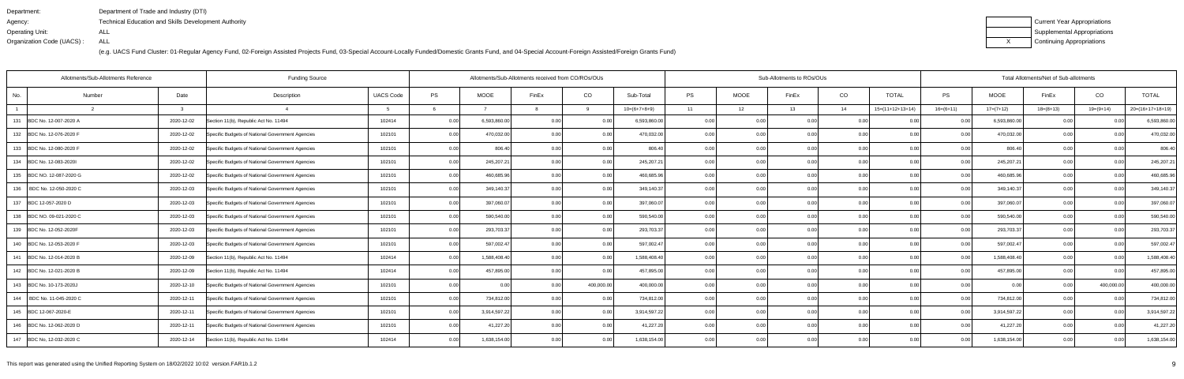| Department:               | Department of Trade and Industry (DTI)                      |
|---------------------------|-------------------------------------------------------------|
| Agency:                   | <b>Technical Education and Skills Development Authority</b> |
| Operating Unit:           | ALL                                                         |
| Organization Code (UACS): | ALL                                                         |

| Current Year Appropriations |
|-----------------------------|
| Supplemental Appropriations |
| Continuing Appropriations   |

| Allotments/Sub-Allotments Reference | Allotments/Sub-Allotments received from CO/ROs/OUs |                                                  |                  |           |              |       |            | Sub-Allotments to ROs/OUs |           | Total Allotments/Net of Sub-allotments |                   |      |                    |                |              |             |                |                    |
|-------------------------------------|----------------------------------------------------|--------------------------------------------------|------------------|-----------|--------------|-------|------------|---------------------------|-----------|----------------------------------------|-------------------|------|--------------------|----------------|--------------|-------------|----------------|--------------------|
| No.<br>Number                       | Date                                               | Description                                      | <b>UACS Code</b> | <b>PS</b> | <b>MOOE</b>  | FinEx | CO         | Sub-Total                 | <b>PS</b> | <b>MOOE</b>                            | FinEx             | CO   | <b>TOTAL</b>       | <b>PS</b>      | <b>MOOE</b>  | FinEx       | CO             | <b>TOTAL</b>       |
|                                     | $\mathbf{R}$                                       |                                                  |                  |           |              |       | $\alpha$   | $10=(6+7+8+9)$            | 11        | 12                                     | 13                | 14   | $15=(11+12+13+14)$ | $16=(6+11)$    | $17=(7+12)$  | $18=(8+13)$ | $19=(9+14)$    | $20=(16+17+18+19)$ |
| 131 BDC No. 12-007-2020 A           | 2020-12-02                                         | Section 11(b), Republic Act No. 11494            | 102414           | 0.00      | 6,593,860.00 | 0.00  | 0.00       | 6,593,860.00              | 0.00      | 0.00                                   | 0.00              | 0.00 | 0.00               | 0.00           | 6,593,860.00 | 0.00        |                | 6,593,860.00       |
| 132 BDC No. 12-076-2020 F           | 2020-12-02                                         | Specific Budgets of National Government Agencies | 102101           | 0.00      | 470,032.00   | 0.00  | 0.00       | 470,032.00                | 0.00      | 0.00                                   | 0.00              | 0.00 | 0.00               | 0.00           | 470,032.00   | 0.00        | 0.00           | 470,032.00         |
| 133 BDC No. 12-080-2020 F           | 2020-12-02                                         | Specific Budgets of National Government Agencies | 102101           | 0.00      | 806.40       | 0.00  | 0.00       | 806.40                    | 0.001     | 0.00                                   | 0.00              | 0.00 | 0.00               | 0.00           | 806.40       | 0.00        | 0.00           | 806.40             |
| 134 BDC No. 12-083-20201            | 2020-12-02                                         | Specific Budgets of National Government Agencies | 102101           | 0.00      | 245,207.21   | 0.00  | 0.00       | 245,207.21                | 0.00      | 0.00                                   | 0.00              | 0.00 | 0.00               | 0.00           | 245,207.21   | 0.00        | 0.00           | 245,207.21         |
| 135 BDC NO. 12-087-2020 G           | 2020-12-02                                         | Specific Budgets of National Government Agencies | 102101           | 0.00      | 460,685.96   | 0.00  | 0.00       | 460,685.96                | 0.00      | 0.00                                   | 0.00              | 0.00 | 0.00               | 0 Q            | 460,685.96   | 0.00        | 0 <sub>0</sub> | 460,685.96         |
| 136   BDC No. 12-050-2020 C         | 2020-12-03                                         | Specific Budgets of National Government Agencies | 102101           | 0.00      | 349,140.37   | 0.00  | 0.00       | 349,140.37                | 0.001     | 0.00                                   | 0.00              | 0.00 | 0.00               | 0.00           | 349,140.37   | 0.00        | 0.00           | 349,140.37         |
| 137 BDC 12-057-2020 D               | 2020-12-03                                         | Specific Budgets of National Government Agencies | 102101           | 0.00      | 397,060.07   | 0.00  | 0.00       | 397,060.07                | 0.00      | 0.00                                   | 0.00              | 0.00 | 0.00               | 0.00           | 397,060.07   | 0.00        | 0.00           | 397,060.07         |
| 138 BDC NO. 09-021-2020 C           | 2020-12-03                                         | Specific Budgets of National Government Agencies | 102101           | 0.00      | 590,540.00   | 0.00  | 0.00       | 590,540.00                | 0.00      | 0.00                                   | 0.00              | 0.00 | 0.00               | 0.00           | 590,540.00   | 0.00        |                | 590,540.00         |
| 139 BDC No. 12-052-2020F            | 2020-12-03                                         | Specific Budgets of National Government Agencies | 102101           | 0.00      | 293,703.37   | 0.00  | 0.00       | 293,703.37                | 0.001     | 0.00                                   | 0.00              | 0.00 | 0.001              | 0.00           | 293,703.37   | 0.00        | 0.00           | 293,703.37         |
| 140 BDC No. 12-053-2020 F           | 2020-12-03                                         | Specific Budgets of National Government Agencies | 102101           | 0.00      | 597,002.47   | 0.00  | 0.00       | 597,002.47                | 0.00      | 0.00                                   | 0.00              | 0.00 | 0.00               | 0.00           | 597,002.47   | 0.00        | 0.00           | 597,002.47         |
| 141 BDC No. 12-014-2020 B           | 2020-12-09                                         | Section 11(b), Republic Act No. 11494            | 102414           | 0.00      | 1,588,408.40 | 0.00  | 0.00       | 1,588,408.40              | 0.00      | 0.00                                   | 0.00              | 0.00 | 0.00               | 0 <sub>0</sub> | 1,588,408.40 | 0.00        |                | 1,588,408.40       |
| 142 BDC No. 12-021-2020 B           | 2020-12-09                                         | Section 11(b), Republic Act No. 11494            | 102414           | 0.00      | 457,895.00   | 0.00  | 0.00       | 457,895.00                | 0.00      | 0.00                                   | 0.00              | 0.00 | 0.00               |                | 457,895.00   | 0.0         | 0 <sub>0</sub> | 457,895.00         |
| 143 BDC No. 10-173-2020J            | 2020-12-10                                         | Specific Budgets of National Government Agencies | 102101           | 0.00      | 0.00         | 0.00  | 400,000.00 | 400,000.00                | 0.00      | 0.00                                   | 0.00              | 0.00 | 0.00               | 0.00           | 0.00         | 0.00        | 400,000.00     | 400,000.00         |
| 144   BDC No. 11-045-2020 C         | 2020-12-11                                         | Specific Budgets of National Government Agencies | 102101           | 0.00      | 734,812.00   | 0.OC  | 0.00       | 734,812.00                | 0.00      | 0.00                                   | 0.00              | 0.00 | 0.00               | 0.00           | 734,812.00   | 0.00        | 0.00           | 734,812.00         |
| 145 BDC 12-067-2020-E               | 2020-12-11                                         | Specific Budgets of National Government Agencies | 102101           | 0.00      | 3,914,597.22 | 0.00  | 0.00       | 3,914,597.22              | 0.00      | 0.00                                   | 0.001             | 0.00 | 0.00               | 0 <sub>0</sub> | 3,914,597.22 | 0.00        | 0 <sub>0</sub> | 3,914,597.22       |
| 146 BDC No. 12-062-2020 D           | 2020-12-11                                         | Specific Budgets of National Government Agencies | 102101           | 0.00      | 41,227.20    | 0.00  | 0.00       | 41,227.20                 | 0.00      | 0.00                                   |                   | 0.00 | 0.00               |                | 41,227.20    | 0.00        |                | 41,227.20          |
| 147 BDC No, 12-032-2020 C           | 2020-12-14                                         | Section 11(b), Republic Act No. 11494            | 102414           | 0.00      | 1,638,154.00 | n nr  | 0.00       | 1,638,154.00              | 0.00      | 0.00                                   | 0.00 <sub>1</sub> | 0.00 | 0.001              | 0 <sub>0</sub> | 1,638,154.00 | 0.00        | በ በበ           | 1,638,154.00       |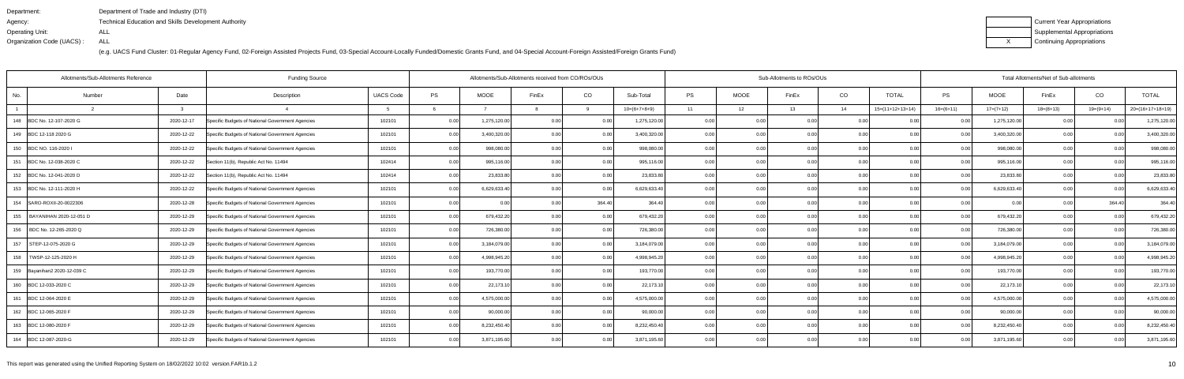| Department:               | Department of Trade and Industry (DTI)               |
|---------------------------|------------------------------------------------------|
| Agency:                   | Technical Education and Skills Development Authority |
| Operating Unit:           | ALL                                                  |
| Organization Code (UACS): | ALL                                                  |

| Current Year Appropriations |
|-----------------------------|
| Supplemental Appropriations |
| Continuing Appropriations   |

| Allotments/Sub-Allotments Reference | <b>Funding Source</b> |                                                  |                  | Allotments/Sub-Allotments received from CO/ROs/OUs |              |       |          |                | Sub-Allotments to ROs/OUs |             |       | Total Allotments/Net of Sub-allotments |                    |                |              |             |                   |                  |
|-------------------------------------|-----------------------|--------------------------------------------------|------------------|----------------------------------------------------|--------------|-------|----------|----------------|---------------------------|-------------|-------|----------------------------------------|--------------------|----------------|--------------|-------------|-------------------|------------------|
| Number<br>No.                       | Date                  | Description                                      | <b>UACS Code</b> | PS                                                 | <b>MOOE</b>  | FinEx | CO       | Sub-Total      | <b>PS</b>                 | <b>MOOE</b> | FinEx | CO                                     | <b>TOTAL</b>       | <b>PS</b>      | <b>MOOE</b>  | FinEx       | CO                | <b>TOTAL</b>     |
|                                     | $\mathbf{R}$          |                                                  |                  |                                                    |              |       | $\alpha$ | $10=(6+7+8+9)$ | 11                        | 12          | 13    | 14                                     | $15=(11+12+13+14)$ | $16=(6+11)$    | $17=(7+12)$  | $18=(8+13)$ | $19=(9+14)$       | 20=(16+17+18+19) |
| 148 BDC No. 12-107-2020 G           | 2020-12-17            | Specific Budgets of National Government Agencies | 102101           | 0.00                                               | 1,275,120.00 | 0.00  | 0.00     | 1,275,120.00   | 0.00                      | 0.00        | 0.00  | 0.00                                   |                    | 0.00           | 1,275,120.00 | 0.00        | 0.00              | 1,275,120.00     |
| 149 BDC 12-118 2020 G               | 2020-12-22            | Specific Budgets of National Government Agencies | 102101           | 0.00                                               | 3,400,320.00 | 0.00  | 0.00     | 3,400,320.00   | 0.00                      | 0.00        | 0.00  | 0.00                                   | 0.00               | 0.00           | 3,400,320.00 | 0.00        | 0.00              | 3,400,320.00     |
| 150 BDC NO. 116-2020                | 2020-12-22            | Specific Budgets of National Government Agencies | 102101           | 0.00                                               | 998,080.00   | 0.00  | 0.00     | 998,080.00     | 0.001                     | 0.00        | 0.001 | 0.00                                   | 0.00               | 0.00           | 998,080.00   | 0.00        | 0.00              | 998,080.00       |
| 151 BDC No. 12-038-2020 C           | 2020-12-22            | Section 11(b), Republic Act No. 11494            | 102414           | 0.00                                               | 995,116.00   | 0.00  | 0.00     | 995,116.00     | 0.001                     | 0.00        | 0.00  | 0.00                                   | 0.00               | 0.00           | 995,116.00   | 0.00        | 0.00              | 995,116.00       |
| 152 BDC No. 12-041-2020 D           | 2020-12-22            | Section 11(b), Republic Act No. 11494            | 102414           | 0.00                                               | 23,833.80    | 0.00  | 0.00     | 23,833.80      | 0.00                      | 0.00        | 0.00  | 0.00                                   | 0.00               | 0.00           | 23,833.80    | 0.00        | 0.00              | 23,833.80        |
| 153 BDC No. 12-111-2020 H           | 2020-12-22            | Specific Budgets of National Government Agencies | 102101           | 0.00                                               | 6,629,633.40 | 0.00  | 0.00     | 6,629,633.40   | 0.001                     | 0.00        | 0.00  | 0.00                                   | 0.00               | 0.OC           | 6,629,633.40 | 0.00        | 0.00              | 6,629,633.40     |
| 154   SARO-ROXII-20-0022306         | 2020-12-28            | Specific Budgets of National Government Agencies | 102101           | 0.00                                               | 0.00         | 0.00  | 364.40   | 364.40         | 0.00                      | 0.00        | 0.00  | 0.00                                   | 0.00               | 0.00           | 0.00         | 0.00        | 364.40            | 364.40           |
| 155<br>BAYANIHAN 2020-12-051 D      | 2020-12-29            | Specific Budgets of National Government Agencies | 102101           | 0.00                                               | 679,432.20   | 0.00  | 0.00     | 679,432.20     | 0.00                      | 0.00        | 0.00  | 0.00                                   | 0.00               | 0.00           | 679,432.20   | 0.00        | 0.00              | 679,432.20       |
| 156   BDC No. 12-265-2020 Q         | 2020-12-29            | Specific Budgets of National Government Agencies | 102101           | 0.00                                               | 726,380.00   | 0.00  | 0.00     | 726,380.00     | 0.001                     | 0.00        | 0.00  | 0.00                                   | 0.00               | 0 <sub>0</sub> | 726,380.00   | 0.00        | 0.00              | 726,380.00       |
| 157<br>STEP-12-075-2020 G           | 2020-12-29            | Specific Budgets of National Government Agencies | 102101           | 0.00                                               | 3,184,079.00 | 0.00  | 0.00     | 3,184,079.00   | 0.001                     | 0.00        | 0.00  | 0.00                                   | 0.00               | 0.00           | 3,184,079.00 | 0.00        | 0.00 <sub>1</sub> | 3,184,079.00     |
| 158   TWSP-12-125-2020 H            | 2020-12-29            | Specific Budgets of National Government Agencies | 102101           | 0.00                                               | 4,998,945.20 | 0.00  | 0.00     | 4,998,945.20   | 0.00                      | 0.00        | 0.00  | 0.00                                   | 0.00               | 0.00           | 4,998,945.20 | 0.00        | 0.00              | 4,998,945.20     |
| 159 Bayanihan2 2020-12-039 C        | 2020-12-29            | Specific Budgets of National Government Agencies | 102101           | 0.00                                               | 193,770.00   | 0.00  | 0.00     | 193,770.00     | 0.00                      | 0.00        | 0.00  | 0.00                                   | 0.00               | 0.00           | 193,770.00   | 0.00        | 0.00              | 193,770.00       |
| 160 BDC 12-033-2020 C               | 2020-12-29            | Specific Budgets of National Government Agencies | 102101           | 0.00                                               | 22,173.10    | 0.00  | 0.00     | 22,173.10      | 0.00                      | 0.00        | 0.00  | 0.00                                   | 0.00               | 0.00           | 22,173.10    | 0.00        | 0.00              | 22,173.10        |
| 161 BDC 12-064-2020 E               | 2020-12-29            | Specific Budgets of National Government Agencies | 102101           | 0.00                                               | 4,575,000.00 | 0.00  | 0.00     | 4,575,000.00   | 0.001                     | 0.00        | 0.00  | 0.00                                   | 0.00               | 0.00           | 4,575,000.00 | 0.00        | 0.00              | 4,575,000.00     |
| 162 BDC 12-065-2020 F               | 2020-12-29            | Specific Budgets of National Government Agencies | 102101           | 0.00                                               | 90,000.00    | 0.00  | 0.00     | 90,000.00      | 0.00                      | 0.00        | 0.00  | 0.00                                   | 0.00               | 0 <sub>0</sub> | 90,000.00    | 0.00        | 0.00              | 90,000.00        |
| 163 BDC 12-080-2020 B               | 2020-12-29            | Specific Budgets of National Government Agencies | 102101           | 0.00                                               | 8,232,450.40 | 0.00  | 0.00     | 8,232,450.40   | 0.00                      | 0.00        | 0.00  | 0.00                                   | 0.00               | 0 <sub>0</sub> | 8,232,450.40 | 0.00        | 0.00              | 8,232,450.40     |
| 164 BDC 12-087-2020-G               | 2020-12-29            | Specific Budgets of National Government Agencies | 102101           | 0.00                                               | 3,871,195.60 | 0.00  | 0.00     | 3,871,195.60   | 0.001                     | 0.00        | 0.00  | 0.00                                   | 0.00               | 0.00           | 3,871,195.60 | 0.00        | 0.00              | 3,871,195.60     |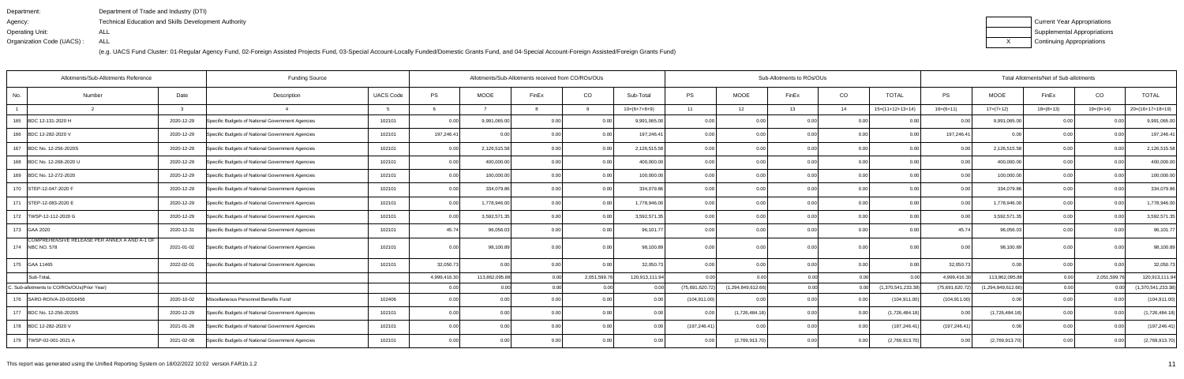| Department:               | Department of Trade and Industry (DTI)               |
|---------------------------|------------------------------------------------------|
| Agency:                   | Technical Education and Skills Development Authority |
| Operating Unit:           | ALL                                                  |
| Organization Code (UACS): | ALL                                                  |

| Current Year Appropriations |
|-----------------------------|
| Supplemental Appropriations |
| Continuing Appropriations   |

| Allotments/Sub-Allotments Reference<br><b>Funding Source</b> |                                                                 |              |                                                  |                  |              |                   | Allotments/Sub-Allotments received from CO/ROs/OUs |                   |                |                 |                    | Sub-Allotments to ROs/OUs |      |                    | Total Allotments/Net of Sub-allotments |                    |             |             |                    |  |
|--------------------------------------------------------------|-----------------------------------------------------------------|--------------|--------------------------------------------------|------------------|--------------|-------------------|----------------------------------------------------|-------------------|----------------|-----------------|--------------------|---------------------------|------|--------------------|----------------------------------------|--------------------|-------------|-------------|--------------------|--|
| No.                                                          | Number                                                          | Date         | Description                                      | <b>UACS Code</b> | PS           | <b>MOOE</b>       | FinEx                                              | CO                | Sub-Total      | <b>PS</b>       | <b>MOOE</b>        | FinEx                     | CO   | <b>TOTAL</b>       | PS                                     | <b>MOOE</b>        | FinEx       | CO          | <b>TOTAL</b>       |  |
|                                                              |                                                                 | $\mathbf{R}$ |                                                  |                  |              |                   |                                                    |                   | $10=(6+7+8+9)$ | 11              | 12                 | 13                        | 14   | $15=(11+12+13+14)$ | $16=(6+11)$                            | $17=(7+12)$        | $18=(8+13)$ | $19=(9+14)$ | $20=(16+17+18+19)$ |  |
| 165                                                          | BDC 12-131-2020 H                                               | 2020-12-29   | Specific Budgets of National Government Agencies | 102101           | 0.00         | 9,991,065.00      | 0.0                                                | 0.00              | 9,991,065.00   | 0.00            | 0.00               | 0.00                      | 0.00 | 0.00               | 0.00                                   | 9,991,065.00       | 0.00        |             | 9,991,065.00       |  |
|                                                              | 166 BDC 12-282-2020 V                                           | 2020-12-29   | Specific Budgets of National Government Agencies | 102101           | 197,246.41   |                   |                                                    | 0.00              | 197,246.4      | 0.00            | 0.00               | 0.00                      | 0.00 | 0.00               | 197,246.41                             | 0.00               | 0.00        |             | 197,246.41         |  |
|                                                              | 167 BDC No. 12-256-2020S                                        | 2020-12-29   | Specific Budgets of National Government Agencies | 102101           | 0.00         | 2,126,515.58      |                                                    | 0.00              | 2,126,515.58   | 0.00            | 0.00               | 0.00                      | 0.00 | 0.00               | 0.00                                   | 2,126,515.58       | 0.00        | 0.00        | 2,126,515.58       |  |
|                                                              | 168 BDC No. 12-268-2020 U                                       | 2020-12-29   | Specific Budgets of National Government Agencies | 102101           | 0.00         | 400,000.00        |                                                    | 0.00              | 400,000.00     | 0.00            | 0.00               | 0.00                      | 0.00 | 0.00               | 0.00                                   | 400,000.00         | 0.00        | n no        | 400,000.00         |  |
|                                                              | 169 BDC No. 12-272-2020                                         | 2020-12-29   | Specific Budgets of National Government Agencies | 102101           | 0.00         | 100,000.00        |                                                    | 0.00              | 100,000.00     | 0 <sub>0</sub>  | 0.0(               | 0.00                      | 0.00 | 0.00               | 0 <sub>0</sub>                         | 100,000.00         | 0.00        | $\Omega$    | 100,000.00         |  |
|                                                              | 170 STEP-12-047-2020 F                                          | 2020-12-29   | Specific Budgets of National Government Agencies | 102101           | 0.00         | 334,079.86        |                                                    | 0.00              | 334,079.86     |                 | 0.00               |                           | 0.00 | 0.00               | 0 <sub>0</sub>                         | 334,079.86         | 0.00        | 0.00        | 334,079.86         |  |
|                                                              | 171   STEP-12-083-2020 E                                        | 2020-12-29   | Specific Budgets of National Government Agencies | 102101           | 0.00         | 1,778,946.00      |                                                    | 0.00              | 1,778,946.00   | 0.00            | 0.00               | 0.00                      | 0.00 | 0.00               | 0.00                                   | 1,778,946.00       | 0.00        | 0.00        | 1,778,946.00       |  |
|                                                              | 172   TWSP-12-112-2020 G                                        | 2020-12-29   | Specific Budgets of National Government Agencies | 102101           | 0.00         | 3,592,571.3       |                                                    | 0.00              | 3,592,571.35   |                 | 0.00               | ი იი                      |      | 0.00               | n nr                                   | 3,592,571.3        | 0.00        |             | 3,592,571.35       |  |
|                                                              | 173 GAA 2020                                                    | 2020-12-31   | Specific Budgets of National Government Agencies | 102101           | 45.74        | 96,056.0          |                                                    | 0.00              | 96,101.7       |                 | 0.00               |                           | 0.00 | 0.00               | 45.74                                  | 96,056.03          | 0.00        |             | 96,101.77          |  |
|                                                              | COMPREHENSIVE RELEASE PER ANNEX A AND A-1 OF<br>174 NBC NO. 578 | 2021-01-02   | Specific Budgets of National Government Agencies | 102101           | 0.00         | 98,100.89         |                                                    | 0.00 <sub>1</sub> | 98,100.89      | 0 <sub>0</sub>  | 0.00               | ስ ስስ                      | 0.00 | 0.00               | n nr                                   | 98,100.89          | 0.00        |             | 98,100.89          |  |
|                                                              | 175 GAA 11465                                                   | 2022-02-01   | Specific Budgets of National Government Agencies | 102101           | 32,050.73    | 0.00              | 0.0                                                | 0.00              | 32,050.73      | 0.00            | 0.00 <sub>1</sub>  | 0.00                      | 0.00 | 0.00               | 32,050.73                              | 0.00               | 0.00        | 0.00        | 32,050.73          |  |
|                                                              | Sub-TotaL                                                       |              |                                                  |                  | 4,999,416.30 | 113,862,095.88    |                                                    | 2,051,599.76      | 120,913,111.94 |                 |                    | 0.00                      | 0.00 |                    | 4,999,416.30                           | 113,862,095.88     | 0.001       | 2,051,599.  | 120,913,111.94     |  |
|                                                              | C. Sub-allotments to CO/ROs/OUs(Prior Year)                     |              |                                                  |                  | 0.00         | 0.00              |                                                    | 0.00              | 0.00           | (75,691,620.72) | (1,294,849,612.66) | 0.00                      | 0.00 | (1,370,541,233.38) | (75,691,620.72)                        | (1,294,849,612.66) | 0.00        |             | (1,370,541,233.38) |  |
|                                                              | 176 SARO-ROIVA-20-0016456                                       | 2020-10-02   | Miscellaneous Personnel Benefits Fund            | 102406           | 0.00         | 0.00 <sub>l</sub> | 0.00                                               | 0.00              | 0.00           | (104, 911.00)   | 0.00               | 0.00                      | 0.00 | (104, 911.00)      | (104, 911.00)                          | 0.00               | 0.00        | 0.00        | (104, 911.00)      |  |
|                                                              | 177 BDC No. 12-256-2020S                                        | 2020-12-29   | Specific Budgets of National Government Agencies | 102101           | 0.00         | 0.00              | 0 <sub>0</sub>                                     | 0.00              | 0.00           |                 | (1,726,484.18)     | 0.00                      |      | (1,726,484.18)     | 0.00                                   | (1,726,484.18)     | 0.00        |             | (1,726,484.18)     |  |
|                                                              | 178 BDC 12-282-2020 V                                           | 2021-01-26   | Specific Budgets of National Government Agencies | 102101           | 0.00         | 0.00              |                                                    | 0.00              | 0.00           | (197, 246.41)   | 0 <sub>0</sub>     | 0.00                      | 0.00 | (197,246.41        | (197, 246.41)                          | 0.00               | 0.00        |             | (197, 246.41)      |  |
|                                                              | 179   TWSP-02-001-2021 A                                        | 2021-02-08   | Specific Budgets of National Government Agencies | 102101           | 0.00         | 0.00 <sub>1</sub> | 0.00                                               | 0.00              | 0.001          | 0.00            | (2,769,913.70)     | 0.00                      | 0.00 | (2,769,913.70)     | 0.00                                   | (2,769,913.70)     | 0.00        | 0.00        | (2,769,913.70)     |  |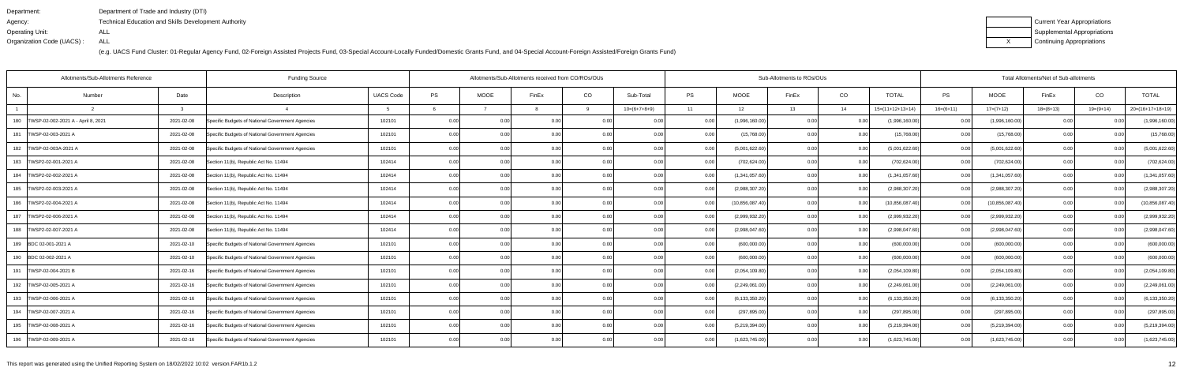| Department:               | Department of Trade and Industry (DTI)                      |
|---------------------------|-------------------------------------------------------------|
| Agency:                   | <b>Technical Education and Skills Development Authority</b> |
| Operating Unit:           | ALL                                                         |
| Organization Code (UACS): | ALL                                                         |

| Current Year Appropriations |
|-----------------------------|
| Supplemental Appropriations |
| Continuing Appropriations   |

| Allotments/Sub-Allotments Reference<br><b>Funding Source</b> |            |                                                  |                  |      | Allotments/Sub-Allotments received from CO/ROs/OUs |       |          |                |       |                  | Sub-Allotments to ROs/OUs |      |                    | Total Allotments/Net of Sub-allotments |                   |             |                |                   |  |
|--------------------------------------------------------------|------------|--------------------------------------------------|------------------|------|----------------------------------------------------|-------|----------|----------------|-------|------------------|---------------------------|------|--------------------|----------------------------------------|-------------------|-------------|----------------|-------------------|--|
| No.<br>Number                                                | Date       | Description                                      | <b>UACS Code</b> | PS   | <b>MOOE</b>                                        | FinEx | CO       | Sub-Total      | PS    | <b>MOOE</b>      | FinEx                     | CO   | <b>TOTAL</b>       | PS                                     | <b>MOOE</b>       | FinEx       | CO             | <b>TOTAL</b>      |  |
|                                                              | ્વ         |                                                  |                  |      |                                                    |       | <b>Q</b> | $10=(6+7+8+9)$ | 11    | 12               | 13                        | 14   | $15=(11+12+13+14)$ | $16=(6+11)$                            | $17=(7+12)$       | $18=(8+13)$ | $19=(9+14)$    | 20=(16+17+18+19)  |  |
| 180   TWSP-02-002-2021 A - April 8, 2021                     | 2021-02-08 | Specific Budgets of National Government Agencies | 102101           | 0.00 |                                                    | 0.00  |          |                |       | (1,996,160.00)   | 0.00                      |      | (1,996,160.00)     | 0.00                                   | (1,996,160.00)    |             |                | (1,996,160.00)    |  |
| 181   TWSP-02-003-2021 A                                     | 2021-02-08 | Specific Budgets of National Government Agencies | 102101           | 0.00 | 0.00                                               | 0.00  | 0.001    | 0.00           | 0.00  | (15,768.00)      | 0.00                      | 0.00 | (15,768.00)        | 0.001                                  | (15,768.00)       | 0.00        | 0 <sub>0</sub> | (15,768.00)       |  |
| 182   TWSP-02-003A-2021 A                                    | 2021-02-08 | Specific Budgets of National Government Agencies | 102101           | 0.00 | 0.00                                               | 0.00  | 0.00     | 0.00           | 0.00  | (5,001,622.60)   | 0.00                      | 0.00 | (5,001,622.60)     | 0.00                                   | (5,001,622.60)    | 0.00        | 0.00           | (5,001,622.60)    |  |
| 183   TWSP2-02-001-2021 A                                    | 2021-02-08 | Section 11(b), Republic Act No. 11494            | 102414           | 0.00 | 0.00                                               | 0.00  | 0.00     | 0.00           | 0.00  | (702, 624.00)    | 0.00                      | 0.00 | (702, 624.00)      | 0.001                                  | (702, 624.00)     | 0.00        | 0.00           | (702, 624.00)     |  |
| 184   TWSP2-02-002-2021 A                                    | 2021-02-08 | Section 11(b), Republic Act No. 11494            | 102414           | 0.00 | 0.00                                               | 0.00  | 0.00     | 0.00           | 0.001 | (1,341,057.60)   | 0.00                      | 0.00 | (1,341,057.60)     | 0.00                                   | (1,341,057.60)    | 0.00        | 0 <sub>0</sub> | (1,341,057.60)    |  |
| 185   TWSP2-02-003-2021 A                                    | 2021-02-08 | Section 11(b), Republic Act No. 11494            | 102414           | 0.00 | 0.00                                               | 0.00  | 0.001    | 0.00           | 0.00  | (2,988,307.20)   | 0.00                      | 0.00 | (2,988,307.20)     | 0.001                                  | (2,988,307.20)    | 0.00        | 0.00           | (2,988,307.20)    |  |
| 186   TWSP2-02-004-2021 A                                    | 2021-02-08 | Section 11(b), Republic Act No. 11494            | 102414           | 0.00 | 0.00                                               | 0.00  | 0.00     | 0.00           | 0.001 | (10,856,087.40)  | 0.00                      | 0.00 | (10,856,087.40)    | 0.00                                   | (10, 856, 087.40) | 0.00        | 0.00           | (10, 856, 087.40) |  |
| 187   TWSP2-02-006-2021 A                                    | 2021-02-08 | Section 11(b), Republic Act No. 11494            | 102414           | 0.00 | 0.00                                               | 0.00  | 0.00     | 0.00           |       | (2,999,932.20)   | 0.00                      | 0.0  | (2,999,932.20)     | 0.00                                   | (2,999,932.20)    | 0.00        | 0 <sub>0</sub> | (2,999,932.20)    |  |
| 188   TWSP2-02-007-2021 A                                    | 2021-02-08 | Section 11(b), Republic Act No. 11494            | 102414           | 0.00 | 0.00                                               | 0.00  | 0.001    | 0.00           | 0.00  | (2,998,047.60)   | 0.00                      | 0.00 | (2,998,047.60)     | 0.00 <sub>l</sub>                      | (2,998,047.60)    | 0.00        | 0.00           | (2,998,047.60)    |  |
| 189 BDC 02-001-2021 A                                        | 2021-02-10 | Specific Budgets of National Government Agencies | 102101           | 0.00 | 0.00                                               | 0.00  | 0.00     | 0.00           | 0.00  | (600,000.00)     | 0.00                      | 0.00 | (600,000.00)       | 0.001                                  | (600,000.00)      | 0.00        | 0.00           | (600,000.00)      |  |
| 190 BDC 02-002-2021 A                                        | 2021-02-10 | Specific Budgets of National Government Agencies | 102101           | 0.00 | 0.00                                               | 0.00  | 0.00     | 0.00           | 0.00  | (600,000.00)     | 0.00                      | 0.00 | (600,000.00)       | 0.00 <sub>l</sub>                      | (600,000.00)      | 0.00        | 0 <sub>0</sub> | (600,000.00)      |  |
| 191   TWSP-02-004-2021 B                                     | 2021-02-16 | Specific Budgets of National Government Agencies | 102101           | 0.00 | 0.00                                               | 0.00  | 0.00     | 0.00           | 0.001 | (2,054,109.80)   | 0.00                      | 0.00 | (2,054,109.80)     | 0.00                                   | (2,054,109.80)    | 0.00        | 0 <sub>0</sub> | (2,054,109.80)    |  |
| 192   TWSP-02-005-2021 A                                     | 2021-02-16 | Specific Budgets of National Government Agencies | 102101           | 0.00 | 0.00                                               | 0.00  | 0.00     | 0.00           | 0.001 | (2,249,061.00)   | 0.00                      | 0.00 | (2,249,061.00)     | 0.00                                   | (2,249,061.00)    | 0.00        | 0.00           | (2,249,061.00)    |  |
| 193   TWSP-02-006-2021 A                                     | 2021-02-16 | Specific Budgets of National Government Agencies | 102101           | 0.00 | 0.00                                               | 0.00  | 0.001    | 0.00           | 0.00  | (6, 133, 350.20) | 0.00                      | 0.00 | (6, 133, 350.20)   | 0.001                                  | (6, 133, 350.20)  | 0.00        | 0.00           | (6, 133, 350.20)  |  |
| 194   TWSP-02-007-2021 A                                     | 2021-02-16 | Specific Budgets of National Government Agencies | 102101           | 0.00 | 0.00                                               | 0.00  | 0.00     | 0.00           | 0.00  | (297, 895.00)    | 0.00                      | 0.00 | (297, 895.00)      | 0.00                                   | (297, 895.00)     | 0.00        | $\Omega$       | (297, 895.00)     |  |
| 195   TWSP-02-008-2021 A                                     | 2021-02-16 | Specific Budgets of National Government Agencies | 102101           | 0.00 | 0.00                                               | 0.00  | 0.001    | 0.00           | 0.00  | (5,219,394.00)   | 0.00                      | 0.00 | (5,219,394.00)     | 0.001                                  | (5,219,394.00)    | 0.00        | 0 <sub>0</sub> | (5,219,394.00)    |  |
| 196   TWSP-02-009-2021 A                                     | 2021-02-16 | Specific Budgets of National Government Agencies | 102101           | 0.00 | 0.00                                               | 0.001 | 0.00     | 0.00           | 0.00  | (1,623,745.00)   | 0.00                      | 0.00 | (1,623,745.00)     | 0.00                                   | (1,623,745.00)    | 0.00        | 0.00           | (1,623,745.00)    |  |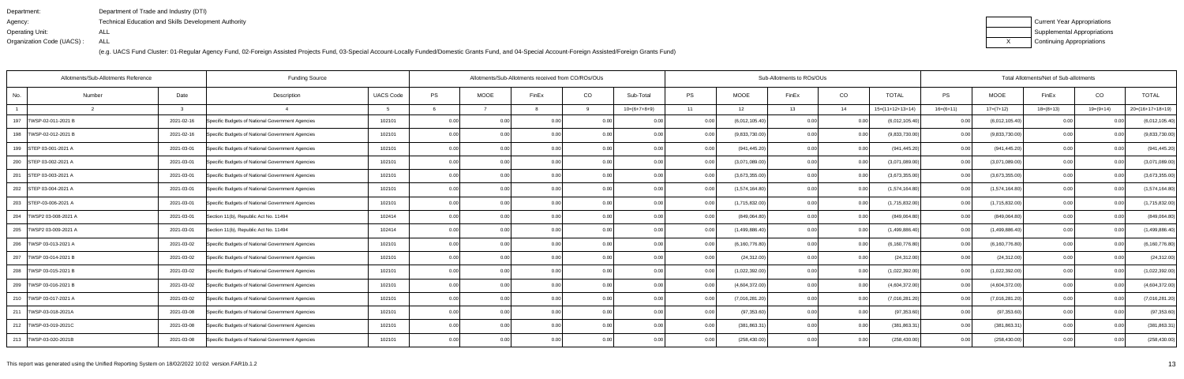| Department:               | Department of Trade and Industry (DTI)                      |
|---------------------------|-------------------------------------------------------------|
| Agency:                   | <b>Technical Education and Skills Development Authority</b> |
| Operating Unit:           | ALL                                                         |
| Organization Code (UACS): | ALL                                                         |

| Current Year Appropriations |
|-----------------------------|
| Supplemental Appropriations |
| Continuing Appropriations   |

| Allotments/Sub-Allotments Reference |        |            | <b>Funding Source</b>                            |                  | Allotments/Sub-Allotments received from CO/ROs/OUs |             |                |      |                |      | Sub-Allotments to ROs/OUs |       | Total Allotments/Net of Sub-allotments |                    |             |                  |                   |                |                    |
|-------------------------------------|--------|------------|--------------------------------------------------|------------------|----------------------------------------------------|-------------|----------------|------|----------------|------|---------------------------|-------|----------------------------------------|--------------------|-------------|------------------|-------------------|----------------|--------------------|
| No.                                 | Number | Date       | Description                                      | <b>UACS Code</b> | PS                                                 | <b>MOOE</b> | FinEx          | CO   | Sub-Total      | PS   | <b>MOOE</b>               | FinEx | CO                                     | <b>TOTAL</b>       | <b>PS</b>   | <b>MOOE</b>      | FinEx             | CO             | <b>TOTAL</b>       |
|                                     |        | -3         |                                                  |                  |                                                    |             |                | q    | $10=(6+7+8+9)$ | 11   | 12                        | 13    | 14                                     | $15=(11+12+13+14)$ | $16=(6+11)$ | $17=(7+12)$      | $18=(8+13)$       | $19=(9+14)$    | $20=(16+17+18+19)$ |
| 197<br>TWSP-02-011-2021 B           |        | 2021-02-16 | Specific Budgets of National Government Agencies | 102101           | 0.00                                               |             | 0.0(           |      |                |      | (6,012,105.40)            | 0.00  |                                        | (6,012,105.40)     | 0.00        | (6,012,105.40)   |                   |                | (6,012,105.40)     |
| 198   TWSP-02-012-2021 B            |        | 2021-02-16 | Specific Budgets of National Government Agencies | 102101           | 0.00                                               | 0.00        | 0.0(           | 0.00 | 0.00           | 0.00 | (9,833,730.00)            | 0.00  | 0.00                                   | (9,833,730.00)     | 0.001       | (9,833,730.00)   | 0.00              | 0.0(           | (9,833,730.00)     |
| 199 STEP 03-001-2021 A              |        | 2021-03-01 | Specific Budgets of National Government Agencies | 102101           | 0.00                                               | 0.00        | 0.00           | 0.00 | 0.00           | 0.00 | (941, 445.20)             | 0.00  | 0.00                                   | (941, 445.20)      | 0.001       | (941, 445.20)    | 0.00              | 0.00           | (941, 445.20)      |
| 200 STEP 03-002-2021 A              |        | 2021-03-01 | Specific Budgets of National Government Agencies | 102101           | 0.00                                               | 0.00        | 0.00           | 0.00 | 0.00           | 0.00 | (3,071,089.00)            | 0.00  | 0.00                                   | (3,071,089.00)     | 0.00        | (3,071,089.00)   | 0.00              | 0.00           | (3,071,089.00)     |
| 201 STEP 03-003-2021 A              |        | 2021-03-01 | Specific Budgets of National Government Agencies | 102101           | 0.00                                               | 0.00        | 0 <sub>0</sub> | 0.00 | 0.00           | 0.00 | (3,673,355.00)            | 0.00  | 0.00                                   | (3,673,355.00)     | 0.00        | (3,673,355.00)   | 0.00              | 0.0(           | (3,673,355.00)     |
| 202 STEP 03-004-2021 A              |        | 2021-03-01 | Specific Budgets of National Government Agencies | 102101           | 0.00                                               | 0.00        | 0.00           | 0.00 | 0.00           | 0.00 | (1,574,164.80)            | 0.00  | 0.00                                   | (1,574,164.80)     | 0.00        | (1,574,164.80)   | 0.00              | 0.00           | (1,574,164.80)     |
| 203 STEP-03-006-2021 A              |        | 2021-03-01 | Specific Budgets of National Government Agencies | 102101           | 0.00                                               | 0.00        | 0.00           | 0.00 | 0.00           | 0.00 | (1,715,832.00)            | 0.00  | 0.00                                   | (1,715,832.00)     | 0.001       | (1,715,832.00)   | 0.00              | 0.00           | (1,715,832.00)     |
| 204   TWSP2 03-008-2021 A           |        | 2021-03-01 | Section 11(b), Republic Act No. 11494            | 102414           | 0.00                                               | 0.00        | 0 <sub>0</sub> | 0.00 | 0.00           | 0.00 | (849,064.80               | 0.00  | 0.00                                   | (849,064.80)       | 0.00        | (849,064.80)     | 0.00              |                | (849,064.80)       |
| 205   TWSP2 03-009-2021 A           |        | 2021-03-01 | Section 11(b), Republic Act No. 11494            | 102414           | 0.00                                               | 0.00        | 0 <sub>0</sub> | 0.00 | 0.00           | 0.00 | (1,499,886.40)            | 0.00  | 0.00                                   | (1,499,886.40)     | 0.00        | (1,499,886.40)   | 0.00              | 0 <sub>0</sub> | (1,499,886.40)     |
| 206   TWSP 03-013-2021 A            |        | 2021-03-02 | Specific Budgets of National Government Agencies | 102101           | 0.00                                               | 0.00        | 0.00           | 0.00 | 0.00           | 0.00 | (6, 160, 776.80)          | 0.00  | 0.00                                   | (6, 160, 776.80)   | 0.001       | (6, 160, 776.80) | 0.00              | 0.00           | (6, 160, 776.80)   |
| 207<br>TWSP 03-014-2021 B           |        | 2021-03-02 | Specific Budgets of National Government Agencies | 102101           | 0.00                                               |             |                | 0.00 | 0.00           |      | (24, 312.00)              | 0.00  | 0.00                                   | (24, 312.00)       | 0.00        | (24, 312.00)     | 0.00              |                | (24, 312.00)       |
| 208   TWSP 03-015-2021 B            |        | 2021-03-02 | Specific Budgets of National Government Agencies | 102101           | 0.00                                               | 0.00        |                | 0.00 |                | 0.00 | (1,022,392.00)            | 0.OC  | 0.00                                   | (1,022,392.00)     | 0.00        | (1,022,392.00)   | 0.00              |                | (1,022,392.00)     |
| 209   TWSP 03-016-2021 B            |        | 2021-03-02 | Specific Budgets of National Government Agencies | 102101           | 0.00                                               | 0.00        | 0.0(           | 0.00 | 0.00           | 0.00 | (4,604,372.00)            | 0.00  | 0.00                                   | (4,604,372.00)     | 0.00        | (4,604,372.00)   | 0.00              | 0.00           | (4,604,372.00)     |
| 210   TWSP 03-017-2021 A            |        | 2021-03-02 | Specific Budgets of National Government Agencies | 102101           | 0.00                                               | 0.00        | 0.0(           | 0.00 |                |      | (7,016,281.20)            | 0.00  | 0.0                                    | (7,016,281.20)     | 0.00        | (7,016,281.20)   | 0.00              |                | (7,016,281.20)     |
| 211   TWSP-03-018-2021A             |        | 2021-03-08 | Specific Budgets of National Government Agencies | 102101           | 0.00                                               | 0.00        | 0 <sub>0</sub> | 0.00 | 0.00           |      | (97, 353.60)              | 0.00  | 0.00                                   | (97, 353.60)       | 0.00        | (97, 353.60)     | 0.00 <sub>l</sub> |                | (97, 353.60)       |
| 212   TWSP-03-019-2021C             |        | 2021-03-08 | Specific Budgets of National Government Agencies | 102101           | 0.00                                               | 0.00        |                | 0.00 | 0.00           | 0.00 | (381, 863.31)             | 0.00  | 0.00                                   | (381,863.31        | 0.00        | (381, 863.31)    | 0.00              |                | (381, 863.31)      |
| 213   TWSP-03-020-2021B             |        | 2021-03-08 | Specific Budgets of National Government Agencies | 102101           | 0.00                                               | 0.00        |                | 0.00 | 0.00           |      | (258, 430.00)             | 0.00  |                                        | (258, 430.00)      | 0.001       | (258, 430.00)    | 0.00              |                | (258, 430.00)      |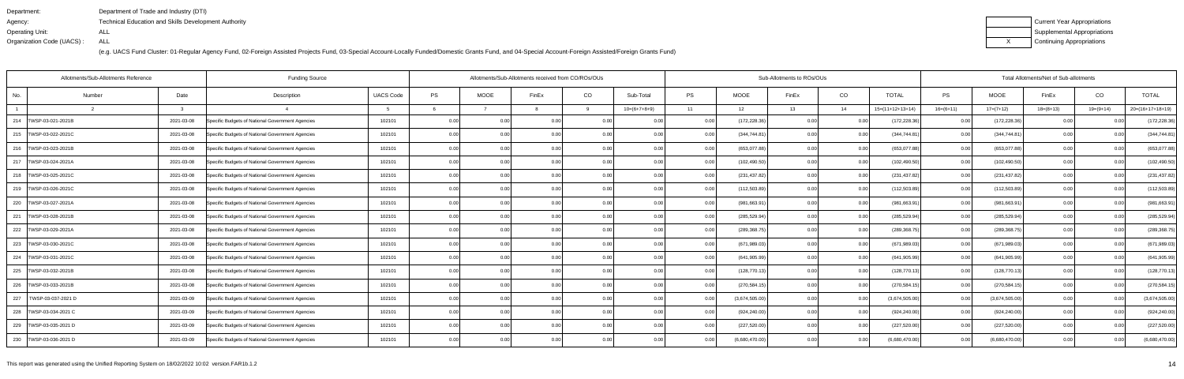| Department:               | Department of Trade and Industry (DTI)                      |
|---------------------------|-------------------------------------------------------------|
| Agency:                   | <b>Technical Education and Skills Development Authority</b> |
| Operating Unit:           | ALL                                                         |
| Organization Code (UACS): | ALL                                                         |

| Current Year Appropriations |
|-----------------------------|
| Supplemental Appropriations |
| Continuing Appropriations   |

|                           | Allotments/Sub-Allotments Reference | <b>Funding Source</b>                            |                  | Allotments/Sub-Allotments received from CO/ROs/OUs |             |                |      |                |       | Sub-Allotments to ROs/OUs |       |      | Total Allotments/Net of Sub-allotments |             |                |             |                |                    |
|---------------------------|-------------------------------------|--------------------------------------------------|------------------|----------------------------------------------------|-------------|----------------|------|----------------|-------|---------------------------|-------|------|----------------------------------------|-------------|----------------|-------------|----------------|--------------------|
| No.                       | Date<br>Number                      | Description                                      | <b>UACS Code</b> | PS                                                 | <b>MOOE</b> | FinEx          | CO   | Sub-Total      | PS    | <b>MOOE</b>               | FinEx | CO   | <b>TOTAL</b>                           | <b>PS</b>   | <b>MOOE</b>    | FinEx       | CO             | <b>TOTAL</b>       |
|                           | -3                                  |                                                  |                  |                                                    |             |                | q    | $10=(6+7+8+9)$ | 11    | 12                        | 13    | 14   | $15=(11+12+13+14)$                     | $16=(6+11)$ | $17=(7+12)$    | $18=(8+13)$ | $19=(9+14)$    | $20=(16+17+18+19)$ |
| 214   TWSP-03-021-2021B   | 2021-03-08                          | Specific Budgets of National Government Agencies | 102101           | 0.00                                               |             | 0.0            |      |                |       | (172, 228.36)             | 0.00  |      | (172, 228.36)                          | 0.00        | (172, 228.36)  |             |                | (172, 228.36)      |
| 215   TWSP-03-022-2021C   | 2021-03-08                          | Specific Budgets of National Government Agencies | 102101           | 0.00                                               | 0.00        | 0 <sub>0</sub> | 0.00 | 0.00           | 0.00  | (344,744.81               | 0.00  | 0.00 | (344,744.81                            | 0.001       | (344, 744.81)  | 0.00        | $\Omega$       | (344, 744.81)      |
| 216   TWSP-03-023-2021B   | 2021-03-08                          | Specific Budgets of National Government Agencies | 102101           | 0.00                                               | 0.00        | 0.00           | 0.00 | 0.00           | 0.00  | (653,077.88)              | 0.00  | 0.00 | (653,077.88)                           | 0.00        | (653,077.88)   | 0.00        | 0.00           | (653,077.88)       |
| 217   TWSP-03-024-2021A   | 2021-03-08                          | Specific Budgets of National Government Agencies | 102101           | 0.00                                               | 0.00        | 0.00           | 0.00 | 0.00           | 0.00  | (102, 490.50)             | 0.00  | 0.00 | (102, 490.50)                          | 0.001       | (102, 490.50)  | 0.00        | 0.00           | (102, 490.50)      |
| 218   TWSP-03-025-2021C   | 2021-03-08                          | Specific Budgets of National Government Agencies | 102101           | 0.00                                               | 0.00        | 0.0            | 0.00 | 0.00           | 0.00  | (231, 437.82)             | 0.00  | 0.00 | (231, 437.82)                          | 0.00        | (231, 437.82)  | 0.00        | 0.0(           | (231, 437.82)      |
| 219   TWSP-03-026-2021C   | 2021-03-08                          | Specific Budgets of National Government Agencies | 102101           | 0.00                                               | 0.00        | 0.00           | 0.00 | 0.00           | 0.00  | (112, 503.89)             | 0.00  | 0.00 | (112,503.89)                           | 0.001       | (112,503.89)   | 0.00        | 0.00           | (112, 503.89)      |
| 220 TWSP-03-027-2021A     | 2021-03-08                          | Specific Budgets of National Government Agencies | 102101           | 0.00                                               | 0.00        | 0.00           | 0.00 | 0.00           | 0.001 | (981,663.91               | 0.00  | 0.00 | (981, 663.91)                          | 0.00        | (981, 663.91)  | 0.00        | 0.00           | (981, 663.91)      |
| 221   TWSP-03-028-2021B   | 2021-03-08                          | Specific Budgets of National Government Agencies | 102101           | 0.00                                               | 0.00        | 0.0(           | 0.00 | 0.00           | 0.00  | (285, 529.94)             | 0.00  | 0.00 | (285, 529.94)                          | 0.00        | (285, 529.94)  | 0.00        | 0 <sub>0</sub> | (285, 529.94)      |
| 222   TWSP-03-029-2021A   | 2021-03-08                          | Specific Budgets of National Government Agencies | 102101           | 0.00                                               | 0.00        | 0.00           | 0.00 | 0.00           | 0.00  | (289, 368.75)             | 0.00  | 0.00 | (289,368.75                            | 0.00        | (289, 368.75)  | 0.00        | 0 <sub>0</sub> | (289, 368.75)      |
| 223   TWSP-03-030-2021C   | 2021-03-08                          | Specific Budgets of National Government Agencies | 102101           | 0.00                                               | 0.00        | 0.00           | 0.00 | 0.00           | 0.00  | (671, 989.03)             | 0.00  | 0.00 | (671, 989.03)                          | 0.00        | (671, 989.03)  | 0.00        | 0.00           | (671, 989.03)      |
| 224<br>TWSP-03-031-2021C  | 2021-03-08                          | Specific Budgets of National Government Agencies | 102101           | 0.00                                               | 0.00        | 0.0(           | 0.00 | 0.00           | 0.00  | (641, 905.99)             | 0.00  | 0.00 | (641, 905.99)                          | 0.00        | (641, 905.99)  | 0.00        | 0 <sub>0</sub> | (641, 905.99)      |
| 225   TWSP-03-032-2021B   | 2021-03-08                          | Specific Budgets of National Government Agencies | 102101           | 0.00                                               | 0.00        | 0 <sub>0</sub> | 0.00 | 0.00           | 0.00  | (128, 770.13)             | 0.00  | 0.00 | (128, 770.13)                          | 0.00        | (128, 770.13)  | 0.00        | 0 <sub>0</sub> | (128, 770.13)      |
| 226   TWSP-03-033-2021B   | 2021-03-08                          | Specific Budgets of National Government Agencies | 102101           | 0.00                                               | 0.00        | 0.00           | 0.00 | 0.00           | 0.00  | (270, 584.15)             | 0.00  | 0.00 | (270, 584.15)                          | 0.00        | (270, 584.15)  | 0.00        | 0.00           | (270, 584.15)      |
| 227<br>TWSP-03-037-2021 D | 2021-03-09                          | Specific Budgets of National Government Agencies | 102101           | 0.00                                               | 0.00        | 0.00           | 0.00 | 0.00           |       | (3,674,505.00)            | 0.00  | 0.00 | (3,674,505.00)                         | 0.001       | (3,674,505.00) | 0.00        | 0.0(           | (3,674,505.00)     |
| 228   TWSP-03-034-2021 C  | 2021-03-09                          | Specific Budgets of National Government Agencies | 102101           | 0.00                                               | 0.00        | 0 <sub>0</sub> | 0.00 | 0.00           | 0.00  | (924, 240.00)             | 0.00  | 0.00 | (924, 240.00)                          | 0.00        | (924, 240.00)  | 0.00        |                | (924, 240.00)      |
| 229   TWSP-03-035-2021 D  | 2021-03-09                          | Specific Budgets of National Government Agencies | 102101           | 0.00                                               | 0.00        | 0 <sub>0</sub> | 0.00 | 0.00           | 0.00  | (227, 520.00)             | 0.OC  | 0.00 | (227, 520.00)                          | 0.001       | (227, 520.00)  | 0.00        |                | (227, 520.00)      |
| 230   TWSP-03-036-2021 D  | 2021-03-09                          | Specific Budgets of National Government Agencies | 102101           | 0.00                                               | 0.00        | 0.00           | 0.00 | 0.00           | 0.001 | (6,680,470.00)            | 0.00  | 0.00 | (6,680,470.00)                         | 0.001       | (6,680,470.00) | 0.00        |                | (6,680,470.00)     |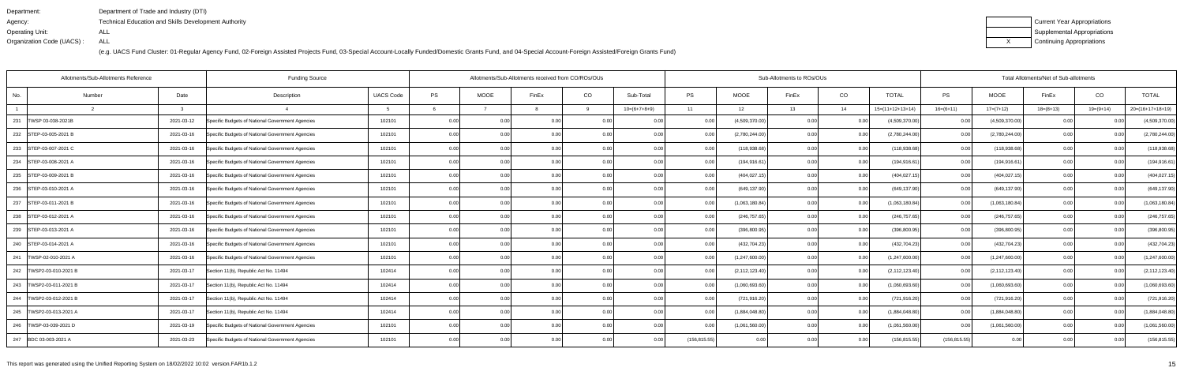| Department:               | Department of Trade and Industry (DTI)               |
|---------------------------|------------------------------------------------------|
| Agency:                   | Technical Education and Skills Development Authority |
| Operating Unit:           | ALL                                                  |
| Organization Code (UACS): | ALL                                                  |

| Current Year Appropriations |
|-----------------------------|
| Supplemental Appropriations |
| Continuing Appropriations   |

| Allotments/Sub-Allotments Reference     | <b>Funding Source</b>                            |                  |      |                   | Allotments/Sub-Allotments received from CO/ROs/OUs |          |                |               |                  | Sub-Allotments to ROs/OUs |      | Total Allotments/Net of Sub-allotments |               |                  |             |                |                    |
|-----------------------------------------|--------------------------------------------------|------------------|------|-------------------|----------------------------------------------------|----------|----------------|---------------|------------------|---------------------------|------|----------------------------------------|---------------|------------------|-------------|----------------|--------------------|
| Date<br>No.<br>Number                   | Description                                      | <b>UACS Code</b> | PS   | <b>MOOE</b>       | FinEx                                              | CO       | Sub-Total      | <b>PS</b>     | <b>MOOE</b>      | FinEx                     | CO   | <b>TOTAL</b>                           | PS            | <b>MOOE</b>      | FinEx       | CO             | <b>TOTAL</b>       |
| 3                                       |                                                  |                  |      |                   |                                                    | <b>Q</b> | $10=(6+7+8+9)$ | 11            | 12               | 13                        | 14   | $15=(11+12+13+14)$                     | $16=(6+11)$   | $17=(7+12)$      | $18=(8+13)$ | 19=(9+14)      | $20=(16+17+18+19)$ |
| 231<br>TWSP 03-038-2021B<br>2021-03-12  | Specific Budgets of National Government Agencies | 102101           | 0.00 |                   | 0.0                                                |          |                |               | (4,509,370.00)   | 0.00                      |      | (4,509,370.00)                         | 0.00          | (4,509,370.00)   |             |                | (4,509,370.00)     |
| 2021-03-16<br>232 STEP-03-005-2021 B    | Specific Budgets of National Government Agencies | 102101           | 0.00 | 0.00              | 0 <sub>0</sub>                                     | 0.00     | 0.00           | 0.00          | (2,780,244.00)   | 0.00                      | 0.00 | (2,780,244.00)                         | 0.00          | (2,780,244.00)   | 0.00        |                | (2,780,244.00)     |
| 2021-03-16<br>233 STEP-03-007-2021 C    | Specific Budgets of National Government Agencies | 102101           | 0.00 | 0.00              | 0.00                                               | 0.00     | 0.00           | 0.00          | (118,938.68)     | 0.00                      | 0.00 | (118,938.68)                           | 0.00          | (118,938.68)     | 0.00        | 0.00           | (118,938.68)       |
| 234 STEP-03-008-2021 A<br>2021-03-16    | Specific Budgets of National Government Agencies | 102101           | 0.00 | 0.00              | 0.0(                                               | 0.00     | 0.00           | 0.00          | (194, 916.61)    | 0.00                      | 0.00 | (194, 916.61)                          | 0.00          | (194, 916.61)    | 0.00        | 0.00           | (194, 916.61)      |
| 235 STEP-03-009-2021 B<br>2021-03-16    | Specific Budgets of National Government Agencies | 102101           | 0.00 | 0.00              | 0 <sub>0</sub>                                     | 0.00     | 0.00           | 0.00          | (404, 027.15)    | 0.00                      | 0.00 | (404, 027.15)                          | 0.00          | (404, 027.15)    | 0.00        | 0 <sub>0</sub> | (404, 027.15)      |
| 236 STEP-03-010-2021 A<br>2021-03-16    | Specific Budgets of National Government Agencies | 102101           | 0.00 | 0.00 <sub>1</sub> | 0 <sub>0</sub>                                     | 0.00     | 0.00           | 0.00          | (649, 137.90)    | 0.00                      | 0.00 | (649, 137.90)                          | 0.00          | (649, 137.90)    | 0.00        | 0.00           | (649, 137.90)      |
| 237 STEP-03-011-2021 B<br>2021-03-16    | Specific Budgets of National Government Agencies | 102101           | 0.00 | 0.00 <sub>1</sub> | 0.00                                               | 0.00     | 0.00           | 0.00          | (1,063,180.84)   | 0.00                      | 0.00 | (1,063,180.84)                         | 0.00          | (1,063,180.84)   | 0.00        | 0.00           | (1,063,180.84)     |
| 238 STEP-03-012-2021 A<br>2021-03-16    | Specific Budgets of National Government Agencies | 102101           | 0.00 | 0.00              | 0 <sub>0</sub>                                     | 0.00     | 0.00           |               | (246,757.65      | 0.00                      | 0.00 | (246, 757.65)                          | 0.00          | (246, 757.65)    | 0.00        |                | (246, 757.65)      |
| 239 STEP-03-013-2021 A<br>2021-03-16    | Specific Budgets of National Government Agencies | 102101           | 0.00 | 0.00              | 0 <sub>0</sub>                                     | 0.00     | 0.00           | 0.00          | (396, 800.95)    | 0.00                      | 0.00 | (396, 800.95)                          | 0.00          | (396, 800.95)    | 0.00        | -0.00          | (396, 800.95)      |
| 2021-03-16<br>240 STEP-03-014-2021 A    | Specific Budgets of National Government Agencies | 102101           | 0.00 | 0.00 <sub>1</sub> | 0.00                                               | 0.00     | 0.00           | 0.00          | (432, 704.23)    | 0.00                      | 0.00 | (432, 704.23)                          | 0.00          | (432, 704.23)    | 0.00        | 0.00           | (432, 704.23)      |
| 241   TWSP-02-010-2021 A<br>2021-03-16  | Specific Budgets of National Government Agencies | 102101           | 0.00 | 0.00              | 0 <sub>0</sub>                                     | 0.00     | 0.00           |               | (1,247,600.00)   | 0.00                      | 0.00 | (1,247,600.00)                         | 0.00          | (1,247,600.00)   | 0.00        | 0.00           | (1,247,600.00)     |
| 242   TWSP2-03-010-2021 B<br>2021-03-17 | Section 11(b), Republic Act No. 11494            | 102414           | 0.00 | 0.00              | 0 <sub>0</sub>                                     | 0.00     | 0.00           | 0.00          | (2, 112, 123.40) | 0.00                      | 0.00 | (2, 112, 123.40)                       | 0.00          | (2, 112, 123.40) | 0.00        | 0.00           | (2, 112, 123.40)   |
| 243   TWSP2-03-011-2021 B<br>2021-03-17 | Section 11(b), Republic Act No. 11494            | 102414           | 0.00 | 0.00              | 0 <sub>0</sub>                                     | 0.00     | 0.00           | 0.00          | (1,060,693.60)   | 0.00                      | 0.00 | (1,060,693.60)                         | 0.00          | (1,060,693.60)   | 0.00        | 0.00           | (1,060,693.60)     |
| 244   TWSP2-03-012-2021 B<br>2021-03-17 | Section 11(b), Republic Act No. 11494            | 102414           | 0.00 | 0.00 <sub>1</sub> | 0.00                                               | 0.00     | 0.00           | 0.00          | (721, 916.20)    | 0.00                      | 0.00 | (721, 916.20)                          | 0.00          | (721, 916.20)    | 0.00        | 0.00           | (721, 916.20)      |
| 245   TWSP2-03-013-2021 A<br>2021-03-17 | Section 11(b), Republic Act No. 11494            | 102414           | 0.00 | 0.00              | 0.0(                                               | 0.00     | 0.00           |               | (1,884,048.80)   | 0.00                      | 0.00 | (1,884,048.80)                         | 0.00          | (1,884,048.80)   | 0.00        | -0.00          | (1,884,048.80)     |
| 246   TWSP-03-039-2021 D<br>2021-03-19  | Specific Budgets of National Government Agencies | 102101           | 0.00 | 0.00              | 0 <sub>0</sub>                                     | 0.00     | 0.00           |               | (1,061,560.00)   | 0.00                      | 0.00 | (1,061,560.00)                         | 0.00          | (1,061,560.00)   | 0.00        |                | (1,061,560.00)     |
| 247 BDC 03-003-2021 A<br>2021-03-23     | Specific Budgets of National Government Agencies | 102101           | 0.00 | 0.00              | 0.00                                               | 0.00     | 0.00           | (156, 815.55) | 0.00             | 0.00                      | 0.00 | (156, 815.55)                          | (156, 815.55) | 0.00             | 0.00        | 0.00           | (156, 815.55)      |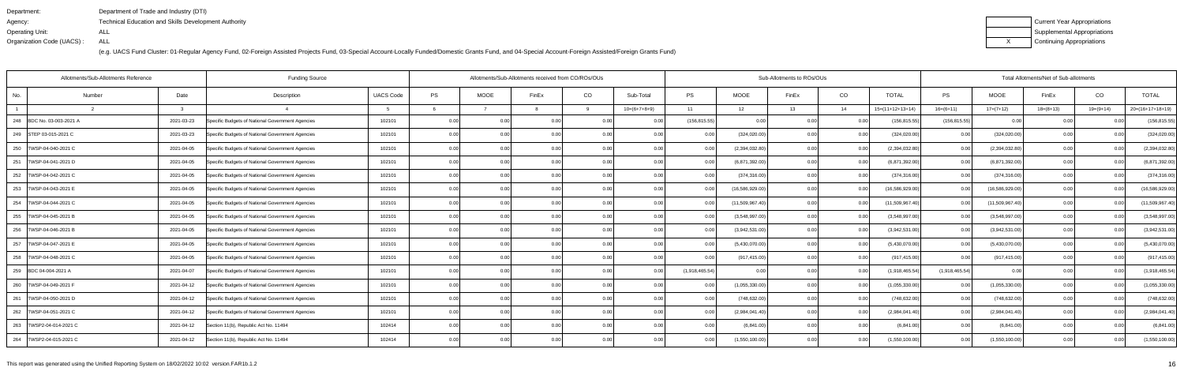| Department:               | Department of Trade and Industry (DTI)               |
|---------------------------|------------------------------------------------------|
| Agency:                   | Technical Education and Skills Development Authority |
| Operating Unit:           | ALL                                                  |
| Organization Code (UACS): | ALL                                                  |

| Current Year Appropriations |
|-----------------------------|
| Supplemental Appropriations |
| Continuing Appropriations   |

|                           | Allotments/Sub-Allotments Reference |            | <b>Funding Source</b>                            |                  | Allotments/Sub-Allotments received from CO/ROs/OUs |             |                |          |                |                | Sub-Allotments to ROs/OUs |       |       | Total Allotments/Net of Sub-allotments |                   |                 |             |                |                  |
|---------------------------|-------------------------------------|------------|--------------------------------------------------|------------------|----------------------------------------------------|-------------|----------------|----------|----------------|----------------|---------------------------|-------|-------|----------------------------------------|-------------------|-----------------|-------------|----------------|------------------|
| No.                       | Number                              | Date       | Description                                      | <b>UACS Code</b> | PS                                                 | <b>MOOE</b> | FinEx          | CO       | Sub-Total      | PS             | <b>MOOE</b>               | FinEx | CO    | <b>TOTAL</b>                           | PS                | MOOE            | FinEx       | CO             | <b>TOTAL</b>     |
|                           |                                     | ્વ         |                                                  |                  |                                                    |             |                | <b>Q</b> | $10=(6+7+8+9)$ | 11             | 12                        | 13    | 14    | $15=(11+12+13+14)$                     | $16=(6+11)$       | $17=(7+12)$     | $18=(8+13)$ | $19=(9+14)$    | 20=(16+17+18+19) |
| 248 BDC No. 03-003-2021 A |                                     | 2021-03-23 | Specific Budgets of National Government Agencies | 102101           | 0.00                                               |             | 0.00           |          | 0 <sub>0</sub> | (156, 815.55)  |                           | 0.OC  |       | (156, 815.55)                          | (156, 815.55)     | 0.00            |             |                | (156, 815.55)    |
| 249 STEP 03-015-2021 C    |                                     | 2021-03-23 | Specific Budgets of National Government Agencies | 102101           | 0.00                                               | 0.00        | 0.00           | 0.001    | 0.00           | 0.00           | (324, 020.00)             | 0.00  | 0.00  | (324, 020.00)                          | 0.001             | (324, 020.00)   | 0.00        | 0.00           | (324, 020.00)    |
| 250   TWSP-04-040-2021 C  |                                     | 2021-04-05 | Specific Budgets of National Government Agencies | 102101           | 0.00                                               | 0.00        | 0.00           | 0.00     | 0.00           | 0.00           | (2,394,032.80)            | 0.00  | 0.00  | (2,394,032.80)                         | 0.00              | (2,394,032.80)  | 0.00        | 0.00           | (2,394,032.80)   |
| 251<br>TWSP-04-041-2021 D |                                     | 2021-04-05 | Specific Budgets of National Government Agencies | 102101           | 0.00                                               | 0.00        | 0.00           | 0.00     | 0.00           | 0.00           | (6,871,392.00)            | 0.00  | 0.0   | (6,871,392.00)                         | 0.00              | (6,871,392.00)  | 0.00        | 0.00           | (6,871,392.00)   |
| 252   TWSP-04-042-2021 C  |                                     | 2021-04-05 | Specific Budgets of National Government Agencies | 102101           | 0.00                                               | 0.00        | 0 <sub>0</sub> | 0.00     | 0.00           | 0.00           | (374, 316.00)             | 0.00  | 0.00  | (374, 316.00)                          | 0.00 <sub>l</sub> | (374, 316.00)   | 0.00        | 0.0(           | (374, 316.00)    |
| 253   TWSP-04-043-2021 E  |                                     | 2021-04-05 | Specific Budgets of National Government Agencies | 102101           | 0.00                                               | 0.00        | 0.00           | 0.00     | 0.00           | 0.00           | (16,586,929.00)           | 0.00  | 0.00  | (16, 586, 929.00)                      | 0.001             | (16,586,929.00) | 0.00        | 0.00           | (16,586,929.00)  |
| 254   TWSP-04-044-2021 C  |                                     | 2021-04-05 | Specific Budgets of National Government Agencies | 102101           | 0.00                                               | 0.00        | 0.00           | 0.001    | 0.00           | 0.00           | (11,509,967.40)           | 0.00  | 0.00  | (11,509,967.40)                        | 0.00              | (11,509,967.40) | 0.00        | 0.00           | (11,509,967.40)  |
| 255   TWSP-04-045-2021 B  |                                     | 2021-04-05 | Specific Budgets of National Government Agencies | 102101           | 0.00                                               | 0.00        | 0.00           | 0.00     | 0.00           | 0.00           | (3,548,997.00)            | 0.00  | 0.0   | (3,548,997.00)                         | 0.00              | (3,548,997.00)  | 0.00        | 0.00           | (3,548,997.00)   |
| 256   TWSP-04-046-2021 B  |                                     | 2021-04-05 | Specific Budgets of National Government Agencies | 102101           | 0.00                                               | 0.00        | 0.00           | 0.00     | 0.00           | 0.00           | (3,942,531.00)            | 0.00  | 0.0   | (3,942,531.00)                         | 0.00 <sub>l</sub> | (3,942,531.00)  | 0.00        | 0.00           | (3,942,531.00)   |
| 257   TWSP-04-047-2021 E  |                                     | 2021-04-05 | Specific Budgets of National Government Agencies | 102101           | 0.00                                               | 0.00        | 0.00           | 0.001    | 0.00           | 0.00           | (5,430,070.00)            | 0.00  | 0.00  | (5,430,070.00)                         | 0.00              | (5,430,070.00)  | 0.00        | 0.00           | (5,430,070.00)   |
| 258   TWSP-04-048-2021 C  |                                     | 2021-04-05 | Specific Budgets of National Government Agencies | 102101           | 0.00                                               |             | 0 <sub>0</sub> |          | 0.00           |                | (917, 415.00)             | 0.00  | 0.0   | (917, 415.00)                          | 0.00              | (917, 415.00)   | 0.00        | 0 <sub>0</sub> | (917, 415.00)    |
| 259 BDC 04-004-2021 A     |                                     | 2021-04-07 | Specific Budgets of National Government Agencies | 102101           | 0.00                                               | 0.00        |                | 0.00     | 0 <sub>0</sub> | (1,918,465.54) | 0 <sub>0</sub>            | n nr  | 0.0   | (1,918,465.54)                         | (1,918,465.54)    | 0.00            | 0.00        |                | (1,918,465.54)   |
| 260   TWSP-04-049-2021 F  |                                     | 2021-04-12 | Specific Budgets of National Government Agencies | 102101           | 0.00                                               | 0.00        | 0.00           | 0.00     | 0.00           | 0.00           | (1,055,330.00)            | 0.00  | 0.00  | (1,055,330.00)                         | 0.00              | (1,055,330.00)  | 0.00        | 0.00           | (1,055,330.00)   |
| 261   TWSP-04-050-2021 D  |                                     | 2021-04-12 | Specific Budgets of National Government Agencies | 102101           | 0.00                                               | 0.00        | 0.00           | 0.00     |                | 0.00           | (748, 632.00)             | 0.00  | 0.0   | (748,632.00                            | 0.00              | (748, 632.00)   | 0.00        | 0 <sub>0</sub> | (748, 632.00)    |
| 262   TWSP-04-051-2021 C  |                                     | 2021-04-12 | Specific Budgets of National Government Agencies | 102101           | 0.00                                               | 0.00        | 0 <sub>0</sub> | 0.00     | -0.00          |                | (2,984,041.40)            | 0.00  | 0.0   | (2,984,041.40)                         | 0.00              | (2,984,041.40)  | 0.00        |                | (2,984,041.40)   |
| 263   TWSP2-04-014-2021 C |                                     | 2021-04-12 | Section 11(b), Republic Act No. 11494            | 102414           | 0.00                                               | 0.00        |                | 0.00     | 0 <sub>0</sub> |                | (6,841.00)                | n nr  | 0.00  | (6,841.00)                             | 0.00              | (6,841.00)      | 0.00        |                | (6,841.00)       |
| 264   TWSP2-04-015-2021 C |                                     | 2021-04-12 | Section 11(b), Republic Act No. 11494            | 102414           | 0.00                                               | 0.00        |                | 0.001    | 0.00           |                | (1,550,100.00)            | 0.00  | . 0.0 | (1,550,100.00)                         | 0.00              | (1,550,100.00)  | 0.00        | 0.00           | (1,550,100.00)   |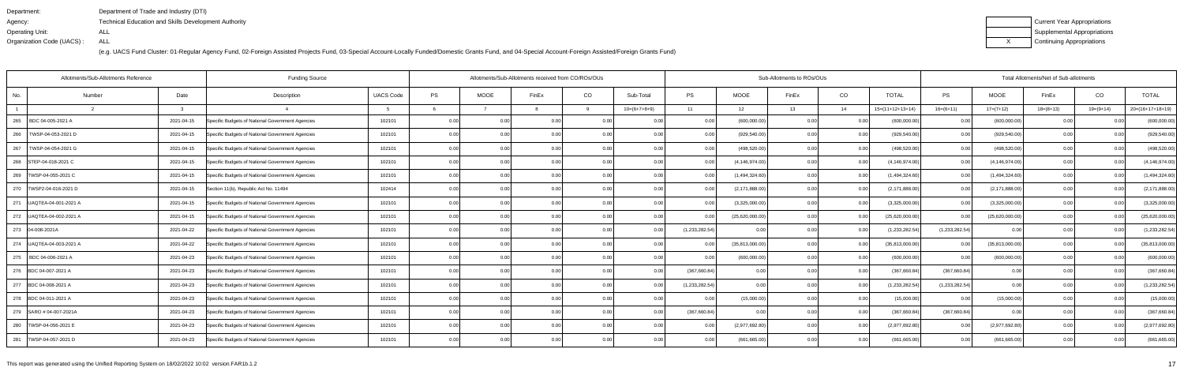| Department:               | Department of Trade and Industry (DTI)                      |
|---------------------------|-------------------------------------------------------------|
| Agency:                   | <b>Technical Education and Skills Development Authority</b> |
| Operating Unit:           | ALL                                                         |
| Organization Code (UACS): | ALL                                                         |

| Current Year Appropriations |
|-----------------------------|
| Supplemental Appropriations |
| Continuing Appropriations   |

|                            | Allotments/Sub-Allotments Reference | <b>Funding Source</b>                            |                  |      |                   | Allotments/Sub-Allotments received from CO/ROs/OUs |      |                |                |                  | Sub-Allotments to ROs/OUs |      | Total Allotments/Net of Sub-allotments |                |                  |             |                |                    |
|----------------------------|-------------------------------------|--------------------------------------------------|------------------|------|-------------------|----------------------------------------------------|------|----------------|----------------|------------------|---------------------------|------|----------------------------------------|----------------|------------------|-------------|----------------|--------------------|
| No                         | Date<br>Number                      | Description                                      | <b>UACS Code</b> | PS   | <b>MOOE</b>       | FinEx                                              | CO   | Sub-Total      | <b>PS</b>      | <b>MOOE</b>      | FinEx                     | CO   | <b>TOTAL</b>                           | PS             | <b>MOOE</b>      | FinEx       | CO             | <b>TOTAL</b>       |
|                            | 3                                   |                                                  |                  |      |                   |                                                    | Q    | $10=(6+7+8+9)$ | 11             | 12               | 13                        | 14   | $15=(11+12+13+14)$                     | $16=(6+11)$    | $17=(7+12)$      | $18=(8+13)$ | $19=(9+14)$    | $20=(16+17+18+19)$ |
| 265<br>BDC 04-005-2021 A   | 2021-04-15                          | Specific Budgets of National Government Agencies | 102101           | 0.00 |                   | 0.0                                                |      |                |                | (600,000.00)     | 0.00                      |      | (600,000.00)                           | 0.00           | (600,000.00)     |             |                | (600,000.00)       |
| 266<br>TWSP-04-053-2021 D  | 2021-04-15                          | Specific Budgets of National Government Agencies | 102101           | 0.00 | 0.00              | 0 <sub>0</sub>                                     | 0.00 | 0.00           | 0.00           | (929, 540.00)    | 0.00                      | 0.00 | (929, 540.00)                          | 0.00           | (929, 540.00)    | 0.00        | 0 <sub>0</sub> | (929, 540.00)      |
| 267<br>TWSP-04-054-2021 G  | 2021-04-15                          | Specific Budgets of National Government Agencies | 102101           | 0.00 | 0.00              | 0.00                                               | 0.00 | 0.00           | 0.00           | (498, 520.00)    | 0.00                      | 0.00 | (498, 520.00)                          | 0.00           | (498, 520.00)    | 0.00        | 0.00           | (498, 520.00)      |
| 268 STEP-04-018-2021 C     | 2021-04-15                          | Specific Budgets of National Government Agencies | 102101           | 0.00 | 0.00              | 0.0(                                               | 0.00 | 0.00           |                | (4, 146, 974.00) | 0.00                      | 0.00 | (4, 146, 974.00)                       | 0.00           | (4, 146, 974.00) | 0.00        | 0.00           | (4, 146, 974.00)   |
| 269   TWSP-04-055-2021 C   | 2021-04-15                          | Specific Budgets of National Government Agencies | 102101           | 0.00 | 0.00              | 0 <sub>0</sub>                                     | 0.00 | 0.00           | 0.00           | (1,494,324.60)   | 0.00                      | 0.00 | (1,494,324.60)                         | 0.00           | (1,494,324.60)   | 0.00        | 0.00           | (1,494,324.60)     |
| 270   TWSP2-04-016-2021 D  | 2021-04-15                          | Section 11(b), Republic Act No. 11494            | 102414           | 0.00 | 0.00 <sub>1</sub> | 0.0                                                | 0.00 | 0.00           | 0.00           | (2, 171, 888.00) | 0.00                      | 0.00 | (2, 171, 888.00)                       | 0.00           | (2, 171, 888.00) | 0.00        | 0.00           | (2, 171, 888.00)   |
| 271 UAQTEA-04-001-2021 A   | 2021-04-15                          | Specific Budgets of National Government Agencies | 102101           | 0.00 | 0.00 <sub>1</sub> | 0.00                                               | 0.00 | 0.00           | 0.00           | (3,325,000.00)   | 0.00                      | 0.00 | (3,325,000.00)                         | 0.001          | (3,325,000.00)   | 0.00        | 0.00           | (3,325,000.00)     |
| 272   UAQTEA-04-002-2021 A | 2021-04-15                          | Specific Budgets of National Government Agencies | 102101           | 0.00 | 0.00              | 0 <sub>0</sub>                                     | 0.00 | 0.00           |                | (25,620,000.00)  | 0.00                      | 0.00 | (25,620,000.00)                        | 0.00           | (25,620,000.00)  | 0.00        | 0 <sub>0</sub> | (25,620,000.00)    |
| 273 04-008-2021A           | 2021-04-22                          | Specific Budgets of National Government Agencies | 102101           | 0.00 | 0.00              | 0 <sub>0</sub>                                     | 0.00 | 0.00           | (1,233,282.54) |                  | 0.00                      | 0.00 | (1,233,282.54)                         | (1,233,282.54) | 0.00             | 0.00        |                | (1,233,282.54)     |
| 274   UAQTEA-04-003-2021 A | 2021-04-22                          | Specific Budgets of National Government Agencies | 102101           | 0.00 | 0.00              | 0.00                                               | 0.00 | 0.00           | 0.00           | (35,813,000.00)  | 0.00                      | 0.00 | (35,813,000.00)                        | 0.00           | (35,813,000.00)  | 0.00        | 0.00           | (35,813,000.00)    |
| 275   BDC 04-006-2021 A    | 2021-04-23                          | Specific Budgets of National Government Agencies | 102101           | 0.00 | 0.00              | 0 <sub>0</sub>                                     | 0.00 | 0.00           |                | (600,000.00)     | 0.00                      | 0.00 | (600,000.00)                           | 0.00           | (600,000.00)     | 0.00        | 0 <sub>0</sub> | (600,000.00)       |
| 276 BDC 04-007-2021 A      | 2021-04-23                          | Specific Budgets of National Government Agencies | 102101           | 0.00 | 0.00              | 0 <sub>0</sub>                                     | 0.00 | 0.00           | (367,660.84)   | 0.00             | 0 <sub>0</sub>            | 0.00 | (367,660.84)                           | (367,660.84)   | 0.00             | 0.00        | -0.00          | (367,660.84)       |
| 277 BDC 04-008-2021 A      | 2021-04-23                          | Specific Budgets of National Government Agencies | 102101           | 0.00 | 0.00              | 0 <sub>0</sub>                                     | 0.00 | 0.00           | (1,233,282.54) | 0.00             | 0.00                      | 0.00 | (1,233,282.54)                         | (1,233,282.54) | 0.00             | 0.00        | 0.00           | (1,233,282.54)     |
| 278 BDC 04-011-2021 A      | 2021-04-23                          | Specific Budgets of National Government Agencies | 102101           | 0.00 | 0.001             | 0.00                                               | 0.00 | 0.00           | 0.00           | (15,000.00)      | 0.00                      | 0.00 | (15,000.00)                            | 0.00           | (15,000.00)      | 0.00        | 0.00           | (15,000.00)        |
| 279 SARO # 04-007-2021A    | 2021-04-23                          | Specific Budgets of National Government Agencies | 102101           | 0.00 | 0.00              | 0 <sub>0</sub>                                     | 0.00 | 0.00           | (367,660.84)   | 0 <sub>0</sub>   | 0.00                      | 0.00 | (367, 660.84)                          | (367,660.84)   | 0.00             | 0.00        | -0.00          | (367,660.84)       |
| 280   TWSP-04-056-2021 E   | 2021-04-23                          | Specific Budgets of National Government Agencies | 102101           | 0.00 | 0.00              | 0 <sub>0</sub>                                     | 0.00 | 0.00           |                | (2,977,692.80)   | 0.00                      | 0.00 | (2,977,692.80)                         | 0.00           | (2,977,692.80)   | 0.00        |                | (2,977,692.80)     |
| 281   TWSP-04-057-2021 D   | 2021-04-23                          | Specific Budgets of National Government Agencies | 102101           | 0.00 | 0.00              | 0.00                                               | 0.00 | 0.00           | 0.00           | (661, 665.00)    | 0.00                      | 0.00 | (661, 665.00)                          | 0.001          | (661, 665.00)    | 0.00        | 0 <sub>0</sub> | (661, 665.00)      |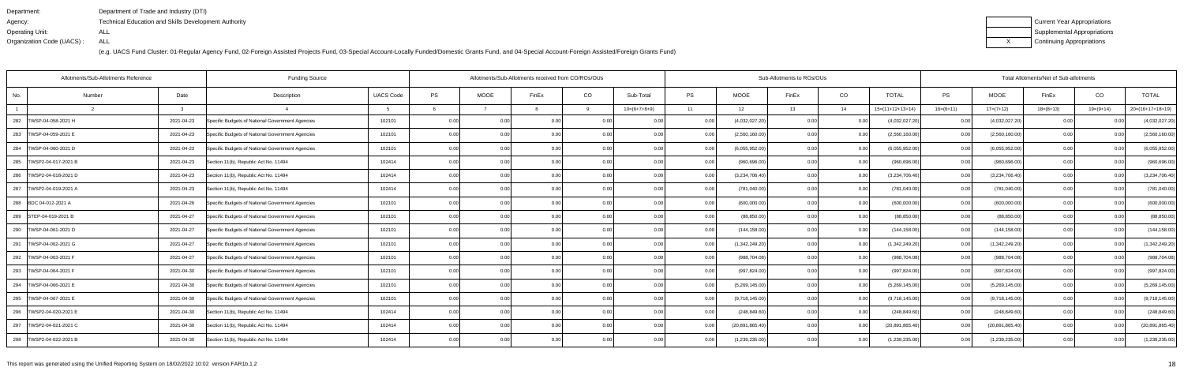| Department:               | Department of Trade and Industry (DTI)                      |
|---------------------------|-------------------------------------------------------------|
| Agency:                   | <b>Technical Education and Skills Development Authority</b> |
| Operating Unit:           | ALL                                                         |
| Organization Code (UACS): | ALL                                                         |

| Current Year Appropriations |
|-----------------------------|
| Supplemental Appropriations |
| Continuing Appropriations   |

|                            | Allotments/Sub-Allotments Reference |            | <b>Funding Source</b>                            |                  |      |                   | Allotments/Sub-Allotments received from CO/ROs/OUs |          |                |           |                   | Sub-Allotments to ROs/OUs |      | Total Allotments/Net of Sub-allotments |             |                   |             |           |                    |
|----------------------------|-------------------------------------|------------|--------------------------------------------------|------------------|------|-------------------|----------------------------------------------------|----------|----------------|-----------|-------------------|---------------------------|------|----------------------------------------|-------------|-------------------|-------------|-----------|--------------------|
| No.                        | Number                              | Date       | Description                                      | <b>UACS Code</b> | PS   | <b>MOOE</b>       | FinEx                                              | CO       | Sub-Total      | <b>PS</b> | <b>MOOE</b>       | FinEx                     | CO   | <b>TOTAL</b>                           | PS          | <b>MOOE</b>       | FinEx       | CO        | <b>TOTAL</b>       |
|                            |                                     | 3          |                                                  |                  |      |                   |                                                    | <b>Q</b> | $10=(6+7+8+9)$ | 11        | 12                | 13                        | 14   | $15=(11+12+13+14)$                     | $16=(6+11)$ | $17=(7+12)$       | $18=(8+13)$ | 19=(9+14) | $20=(16+17+18+19)$ |
| 282<br>TWSP-04-058-2021 H  |                                     | 2021-04-23 | Specific Budgets of National Government Agencies | 102101           | 0.00 |                   | 0.0(                                               |          |                |           | (4,032,027.20)    | 0.00                      |      | (4,032,027.20)                         | 0.00        | (4,032,027.20)    |             |           | (4,032,027.20)     |
| 283   TWSP-04-059-2021 E   |                                     | 2021-04-23 | Specific Budgets of National Government Agencies | 102101           | 0.00 | 0.00              | 0 <sub>0</sub>                                     | 0.00     | 0.00           | 0.00      | (2,560,160.00)    | 0.00                      | 0.00 | (2,560,160.00)                         | 0.00        | (2,560,160.00)    | 0.00        |           | (2,560,160.00)     |
| 284   TWSP-04-060-2021 D   |                                     | 2021-04-23 | Specific Budgets of National Government Agencies | 102101           | 0.00 | 0.00              | 0.00                                               | 0.00     | 0.00           | 0.00      | (6,055,952.00)    | 0.00                      | 0.00 | (6,055,952.00)                         | 0.00        | (6,055,952.00)    | 0.00        | 0.00      | (6,055,952.00)     |
| 285   TWSP2-04-017-2021 B  |                                     | 2021-04-23 | Section 11(b), Republic Act No. 11494            | 102414           | 0.00 | 0.00              | 0.00                                               | 0.00     | 0.00           |           | (960, 696.00)     | 0.00                      | 0.00 | (960, 696.00)                          | 0.00        | (960, 696.00)     | 0.00        | 0.00      | (960, 696.00)      |
| 286   TWSP2-04-018-2021 D  |                                     | 2021-04-23 | Section 11(b), Republic Act No. 11494            | 102414           | 0.00 | 0.00              | 0 <sub>0</sub>                                     | 0.00     | 0.00           | 0.00      | (3,234,706.40)    | 0.00                      | 0.00 | (3,234,706.40)                         | 0.00        | (3,234,706.40)    | 0.00        | 0.00      | (3,234,706.40)     |
| 287<br>TWSP2-04-019-2021 A |                                     | 2021-04-23 | Section 11(b), Republic Act No. 11494            | 102414           | 0.00 | 0.00 <sub>1</sub> | 0 <sub>0</sub>                                     | 0.00     | 0.00           | 0.00      | (781,040.00)      | 0.00                      | 0.00 | (781, 040.00)                          | 0.00        | (781, 040.00)     | 0.00        | 0.00      | (781, 040.00)      |
| 288 BDC 04-012-2021 A      |                                     | 2021-04-26 | Specific Budgets of National Government Agencies | 102101           | 0.00 | 0.00 <sub>1</sub> | 0.00                                               | 0.00     | 0.00           | 0.00      | (600,000.00)      | 0.00                      | 0.00 | (600,000.00)                           | 0.00        | (600,000.00)      | 0.00        | 0.00      | (600,000.00)       |
| 289   STEP-04-019-2021 B   |                                     | 2021-04-27 | Specific Budgets of National Government Agencies | 102101           | 0.00 | 0.00              | 0 <sub>0</sub>                                     | 0.00     | 0.00           |           | (88, 850.00)      | 0.00                      | 0.00 | (88, 850.00)                           | 0.00        | (88, 850.00)      | 0.00        | 0.00      | (88, 850.00)       |
| 290   TWSP-04-061-2021 D   |                                     | 2021-04-27 | Specific Budgets of National Government Agencies | 102101           | 0.00 | 0.00              | 0 <sub>0</sub>                                     | 0.00     | 0.00           | 0.00      | (144, 158.00)     | 0.00                      | 0.00 | (144, 158.00)                          | 0.00        | (144, 158.00)     | 0.00        | 0.00      | (144, 158.00)      |
| 291   TWSP-04-062-2021 G   |                                     | 2021-04-27 | Specific Budgets of National Government Agencies | 102101           | 0.00 | 0.00              | 0.00                                               | 0.00     | 0.00           | 0.00      | (1,342,249.20)    | 0.00                      | 0.00 | (1,342,249.20)                         | 0.00        | (1,342,249.20)    | 0.00        | 0.00      | (1,342,249.20)     |
| 292   TWSP-04-063-2021 F   |                                     | 2021-04-27 | Specific Budgets of National Government Agencies | 102101           | 0.00 | 0.00              | 0 <sub>0</sub>                                     | 0.00     | 0.00           |           | (988, 704.08)     | 0.00                      | 0.00 | (988, 704.08)                          | 0.00        | (988, 704.08)     | 0.00        | $\Omega$  | (988, 704.08)      |
| 293   TWSP-04-064-2021 F   |                                     | 2021-04-30 | Specific Budgets of National Government Agencies | 102101           | 0.00 | 0.00              | 0 <sub>0</sub>                                     | 0.00     | 0.00           | 0.00      | (997, 824.00)     | 0.00                      | 0.00 | (997, 824.00)                          | 0.00        | (997, 824.00)     | 0.00        | -0.00     | (997, 824.00)      |
| 294   TWSP-04-066-2021 E   |                                     | 2021-04-30 | Specific Budgets of National Government Agencies | 102101           | 0.00 | 0.00              | 0 <sub>0</sub>                                     | 0.00     | 0.00           | 0.00      | (5,269,145.00)    | 0.00                      | 0.00 | (5,269,145.00)                         | 0.00        | (5,269,145.00)    | 0.00        | 0.00      | (5,269,145.00)     |
| 295   TWSP-04-067-2021 E   |                                     | 2021-04-30 | Specific Budgets of National Government Agencies | 102101           | 0.00 | 0.00 <sub>1</sub> | 0.00                                               | 0.00     | 0.00           |           | (9,718,145.00)    | 0.00                      | 0.00 | (9,718,145.00)                         | 0.001       | (9,718,145.00)    | 0.00        | 0.00      | (9,718,145.00)     |
| 296   TWSP2-04-020-2021 E  |                                     | 2021-04-30 | Section 11(b), Republic Act No. 11494            | 102414           | 0.00 | 0.00              | 0 <sub>0</sub>                                     | 0.00     | 0.00           | n nr      | (248, 849.60)     | 0.00                      | 0.00 | (248, 849.60)                          | 0.00        | (248, 849.60)     | 0.00        | -0.00     | (248, 849.60)      |
| 297   TWSP2-04-021-2021 C  |                                     | 2021-04-30 | Section 11(b), Republic Act No. 11494            | 102414           | 0.00 | 0.00              | 0 <sub>0</sub>                                     | 0.001    | 0.00           |           | (20, 891, 865.40) | 0.00                      | 0.00 | (20, 891, 865.40)                      | 0.001       | (20, 891, 865.40) | 0.00        |           | (20, 891, 865.40)  |
| 298   TWSP2-04-022-2021 B  |                                     | 2021-04-30 | Section 11(b), Republic Act No. 11494            | 102414           | 0.00 | 0.00              | 0.00                                               | 0.00     | 0.00           | 0.00      | (1,239,235.00)    | 0.00                      | 0.00 | (1,239,235.00)                         | 0.00        | (1,239,235.00)    | 0.00        | 0.00      | (1,239,235.00)     |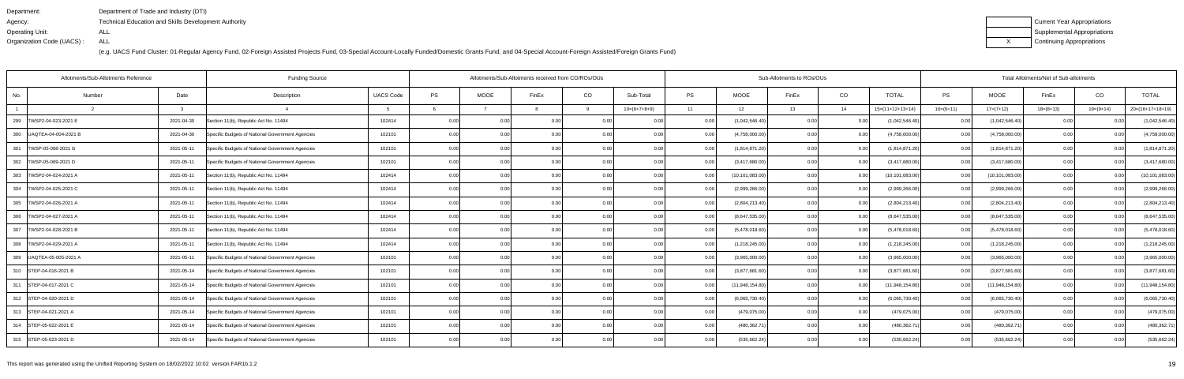| Department:               | Department of Trade and Industry (DTI)                      |
|---------------------------|-------------------------------------------------------------|
| Agency:                   | <b>Technical Education and Skills Development Authority</b> |
| Operating Unit:           | ALL                                                         |
| Organization Code (UACS): | ALL                                                         |

| Current Year Appropriations |
|-----------------------------|
| Supplemental Appropriations |
| Continuing Appropriations   |

|                            | Allotments/Sub-Allotments Reference |               | <b>Funding Source</b>                            |                  |      |             | Allotments/Sub-Allotments received from CO/ROs/OUs |          |                |           |                   | Sub-Allotments to ROs/OUs |        | Total Allotments/Net of Sub-allotments |             |                   |             |             |                    |
|----------------------------|-------------------------------------|---------------|--------------------------------------------------|------------------|------|-------------|----------------------------------------------------|----------|----------------|-----------|-------------------|---------------------------|--------|----------------------------------------|-------------|-------------------|-------------|-------------|--------------------|
| No.                        | Number                              | Date          | Description                                      | <b>UACS Code</b> | PS   | <b>MOOE</b> | FinEx                                              | CO       | Sub-Total      | <b>PS</b> | <b>MOOE</b>       | FinEx                     | CO     | <b>TOTAL</b>                           | PS          | <b>MOOE</b>       | FinEx       | CO          | <b>TOTAL</b>       |
|                            |                                     | $\mathcal{R}$ |                                                  |                  |      |             |                                                    | <b>q</b> | $10=(6+7+8+9)$ | 11        | 12                | 13                        | 14     | $15=(11+12+13+14)$                     | $16=(6+11)$ | $17=(7+12)$       | $18=(8+13)$ | $19=(9+14)$ | $20=(16+17+18+19)$ |
| 299   TWSP2-04-023-2021 E  |                                     | 2021-04-30    | Section 11(b), Republic Act No. 11494            | 102414           | 0.00 | 0.00        | 0.0(                                               |          | 0.00           |           | (1,042,546.40)    | 0.00                      |        | (1,042,546.40)                         | 0.00        | (1,042,546.40)    |             |             | (1,042,546.40)     |
| 300   UAQTEA-04-004-2021 B |                                     | 2021-04-30    | Specific Budgets of National Government Agencies | 102101           | 0.00 | 0.00        | 0.0(                                               | 0.00     | 0.00           | 0.00      | (4,758,000.00)    | 0.00                      | 0.00   | (4,758,000.00)                         | 0.001       | (4,758,000.00)    | 0.00        | 0.00        | (4,758,000.00)     |
| 301   TWSP-05-068-2021 G   |                                     | 2021-05-11    | Specific Budgets of National Government Agencies | 102101           | 0.00 | 0.00        | 0.00                                               | 0.00     | 0.00           | 0.00      | (1,814,871.20)    | 0.00                      | 0.00   | (1,814,871.20)                         | 0.00        | (1,814,871.20)    | 0.00        | 0.00        | (1,814,871.20)     |
| 302   TWSP-05-069-2021 D   |                                     | 2021-05-11    | Specific Budgets of National Government Agencies | 102101           | 0.00 | 0.00        | 0.00                                               | 0.00     | 0.00           |           | (3,417,680.00)    | 0.00                      | 0.00   | (3,417,680.00)                         | 0.00        | (3,417,680.00)    | 0.00        | 0.00        | (3,417,680.00)     |
| 303   TWSP2-04-024-2021 A  |                                     | 2021-05-11    | Section 11(b), Republic Act No. 11494            | 102414           | 0.00 | 0.00        | 0 <sub>0</sub>                                     | 0.00     | 0.00           | 0.00      | (10, 101, 083.00) | 0.00                      | 0.00   | (10, 101, 083.00)                      | 0.00        | (10, 101, 083.00) | 0.00        | 0.00        | (10, 101, 083.00)  |
| 304   TWSP2-04-025-2021 C  |                                     | 2021-05-11    | Section 11(b), Republic Act No. 11494            | 102414           | 0.00 | 0.00        | 0 <sub>0</sub>                                     | 0.00     | 0.00           | 0.00      | (2,999,266.00)    | 0.00                      | 0.00   | (2,999,266.00)                         | 0.00        | (2,999,266.00)    | 0.00        | 0.00        | (2,999,266.00)     |
| 305   TWSP2-04-026-2021 A  |                                     | 2021-05-11    | Section 11(b), Republic Act No. 11494            | 102414           | 0.00 | 0.00        | 0.00                                               | 0.00     | 0.00           |           | (2,804,213.40)    | 0.00                      | 0.00   | (2,804,213.40)                         | 0.00        | (2,804,213.40)    | 0.00        | 0.00        | (2,804,213.40)     |
| 306   TWSP2-04-027-2021 A  |                                     | 2021-05-11    | Section 11(b), Republic Act No. 11494            | 102414           | 0.00 | 0.00        | 0 <sub>0</sub>                                     | 0.00     | 0.00           |           | (8,647,535.00)    | 0.00                      | 0.00   | (8,647,535.00)                         | 0.00        | (8,647,535.00)    | 0.00        |             | (8,647,535.00)     |
| 307   TWSP2-04-028-2021 B  |                                     | 2021-05-11    | Section 11(b), Republic Act No. 11494            | 102414           | 0.00 | 0.00        | 0 <sub>0</sub>                                     | 0.00     | 0.00           |           | (5,478,018.60)    | 0.00                      | 0.00   | (5,478,018.60)                         | 0.00        | (5,478,018.60)    | 0.00        |             | (5,478,018.60)     |
| 308   TWSP2-04-029-2021 A  |                                     | 2021-05-11    | Section 11(b), Republic Act No. 11494            | 102414           | 0.00 | 0.00        | 0.00                                               | 0.00     | 0.00           | 0.00      | (1,218,245.00)    | 0.00                      | 0.00   | (1,218,245.00)                         | 0.00        | (1,218,245.00)    | 0.00        | 0.00        | (1,218,245.00)     |
| 309   UAQTEA-05-005-2021 A |                                     | 2021-05-11    | Specific Budgets of National Government Agencies | 102101           | 0.00 |             |                                                    | 0.00     | 0.00           |           | (3,965,000.00)    | 0.00                      |        | (3,965,000.00)                         | 0.00        | (3,965,000.00)    | 0.00        |             | (3,965,000.00)     |
| 310 STEP-04-016-2021 B     |                                     | 2021-05-14    | Specific Budgets of National Government Agencies | 102101           | 0.00 | 0.00        |                                                    | 0.00     | 0.00           |           | (3,877,681.60)    | 0 <sub>0</sub>            | 0.00   | (3,877,681.60)                         | 0.00        | (3,877,681.60)    | 0.00        |             | (3,877,681.60)     |
| 311 STEP-04-017-2021 C     |                                     | 2021-05-14    | Specific Budgets of National Government Agencies | 102101           | 0.00 | 0.00        | 0 <sub>0</sub>                                     | 0.00     | 0.00           |           | (11,948,154.80)   | 0.00                      | 0.00   | (11,948,154.80)                        | 0.00        | (11,948,154.80)   | 0.00        | 0.00        | (11,948,154.80)    |
| 312 STEP-04-020-2021 D     |                                     | 2021-05-14    | Specific Budgets of National Government Agencies | 102101           | 0.00 | 0.00        |                                                    | 0.00     | 0.00           |           | (6,065,730.40)    | 0.00                      |        | (6,065,730.40)                         | 0.00        | (6,065,730.40)    | 0.00        |             | (6,065,730.40)     |
| 313 STEP-04-021-2021 A     |                                     | 2021-05-14    | Specific Budgets of National Government Agencies | 102101           | 0.00 | 0.00        |                                                    | 0.00     | 0.00           |           | (479, 075.00)     | 0.00                      | . O OO | (479, 075.00)                          | 0.00        | (479, 075.00)     | 0.00        |             | (479, 075.00)      |
| 314 STEP-05-022-2021 E     |                                     | 2021-05-14    | Specific Budgets of National Government Agencies | 102101           | 0.00 | 0.00        |                                                    | 0.00     | 0.00           |           | (480,362.71       | 0.00                      | 0.00   | (480,362.71                            | 0.00        | (480,362.71       | 0.00        |             | (480, 362.71)      |
| 315 STEP-05-023-2021 D     |                                     | 2021-05-14    | Specific Budgets of National Government Agencies | 102101           | 0.00 | 0.00        |                                                    | 0.00     | 0.00           |           | (535, 662.24)     | 0.00                      |        | (535, 662.24)                          | 0.00        | (535, 662.24)     | 0.00        |             | (535, 662.24)      |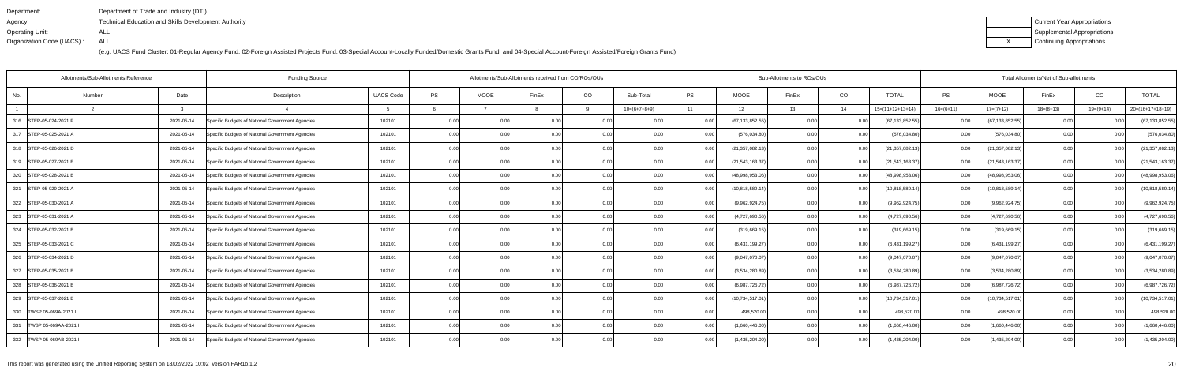| Department:               | Department of Trade and Industry (DTI)                      |
|---------------------------|-------------------------------------------------------------|
| Agency:                   | <b>Technical Education and Skills Development Authority</b> |
| Operating Unit:           | ALL                                                         |
| Organization Code (UACS): | ALL                                                         |

| Current Year Appropriations |
|-----------------------------|
| Supplemental Appropriations |
| Continuing Appropriations   |

|                            | Allotments/Sub-Allotments Reference | <b>Funding Source</b>                            |                  |      | Allotments/Sub-Allotments received from CO/ROs/OUs |                |      |                |           |                   | Sub-Allotments to ROs/OUs |       | Total Allotments/Net of Sub-allotments |             |                   |                   |                |                    |
|----------------------------|-------------------------------------|--------------------------------------------------|------------------|------|----------------------------------------------------|----------------|------|----------------|-----------|-------------------|---------------------------|-------|----------------------------------------|-------------|-------------------|-------------------|----------------|--------------------|
| No.                        | Date<br>Number                      | Description                                      | <b>UACS Code</b> | PS   | <b>MOOE</b>                                        | FinEx          | CO   | Sub-Total      | <b>PS</b> | MOOE              | FinEx                     | CO    | <b>TOTAL</b>                           | <b>PS</b>   | <b>MOOE</b>       | FinEx             | CO             | <b>TOTAL</b>       |
|                            | $\mathbf{r}$                        |                                                  |                  |      |                                                    |                |      | $10=(6+7+8+9)$ | 11        | 12                | 13                        | 14    | $15=(11+12+13+14)$                     | $16=(6+11)$ | $17=(7+12)$       | $18=(8+13)$       | $19=(9+14)$    | $20=(16+17+18+19)$ |
| 316 STEP-05-024-2021 F     | 2021-05-14                          | Specific Budgets of National Government Agencies | 102101           | 0.00 | 0.00                                               | 0.0(           | 0.00 | 0.00           |           | (67,133,852.55    | 0.00                      | 0.0   | (67, 133, 852.55)                      | 0.00        | (67, 133, 852.55) | 0.00              |                | (67, 133, 852.55)  |
| 317 STEP-05-025-2021 A     | 2021-05-14                          | Specific Budgets of National Government Agencies | 102101           | 0.00 | 0.00                                               |                | 0.00 | 0.00           | 0.00      | (576, 034.80)     | 0.00                      | 0.00  | (576, 034.80)                          | 0.00        | (576, 034.80)     | 0.00              |                | (576, 034.80)      |
| 318 STEP-05-026-2021 D     | 2021-05-14                          | Specific Budgets of National Government Agencies | 102101           | 0.00 | 0.00                                               | 0 <sub>0</sub> | 0.00 | 0.00           |           | (21,357,082.13    | 0.00                      | 0.00  | (21, 357, 082.13)                      | 0.001       | (21, 357, 082.13) | 0.00              | 0 <sub>0</sub> | (21, 357, 082.13)  |
| 319 STEP-05-027-2021 E     | 2021-05-14                          | Specific Budgets of National Government Agencies | 102101           | 0.00 | 0.00                                               | 0 <sub>0</sub> | 0.00 | 0.00           |           | (21, 543, 163.37) | 0.00                      | 0.00  | (21,543,163.37                         | 0.001       | (21, 543, 163.37) | 0.00              |                | (21, 543, 163.37)  |
| 320 STEP-05-028-2021 B     | 2021-05-14                          | Specific Budgets of National Government Agencies | 102101           | 0.00 | 0.00                                               | 0 <sub>0</sub> | 0.00 | 0.00           |           | (48,998,953.06)   | 0.00                      | 0.00  | (48,998,953.06                         | 0.00        | (48,998,953.06)   | 0.00              |                | (48,998,953.06)    |
| 321 STEP-05-029-2021 A     | 2021-05-14                          | Specific Budgets of National Government Agencies | 102101           | 0.00 | 0.00                                               |                | 0.00 | 0.00           |           | (10,818,589.14    | 0.00                      | 0.00  | (10, 818, 589.14)                      | 0.00        | (10,818,589.14)   | 0.00              |                | (10, 818, 589.14)  |
| 322   STEP-05-030-2021 A   | 2021-05-14                          | Specific Budgets of National Government Agencies | 102101           | 0.00 | 0.00                                               | 0.00           | 0.00 | 0.00           | 0.00      | (9,962,924.75     | 0.00                      | 0.00  | (9,962,924.75)                         | 0.001       | (9,962,924.75)    | 0.00              | 0.00           | (9,962,924.75)     |
| 323 STEP-05-031-2021 A     | 2021-05-14                          | Specific Budgets of National Government Agencies | 102101           | 0.00 |                                                    |                | 0.00 |                |           | (4,727,690.56)    | 0.00                      | 0.00  | (4,727,690.56)                         | 0.00        | (4,727,690.56)    | 0.00              |                | (4,727,690.56)     |
| 324 STEP-05-032-2021 B     | 2021-05-14                          | Specific Budgets of National Government Agencies | 102101           | 0.00 | 0.00                                               |                | 0.00 | 0.00           |           | (319, 669.19)     | 0.00                      | 0.00  | (319, 669.15)                          | 0.00        | (319,669.15       | 0.00              |                | (319, 669.15)      |
| 325 STEP-05-033-2021 C     | 2021-05-14                          | Specific Budgets of National Government Agencies | 102101           | 0.00 | 0.00                                               | 0.00           | 0.00 | 0.00           | 0.001     | (6,431,199.27)    | 0.00                      | 0.00  | (6,431,199.27)                         | 0.001       | (6,431,199.27)    | 0.00              | 0.00           | (6,431,199.27)     |
| 326 STEP-05-034-2021 D     | 2021-05-14                          | Specific Budgets of National Government Agencies | 102101           | 0.00 |                                                    |                |      |                |           | (9,047,070.07)    | 0.00                      | 0.0   | (9,047,070.07)                         | 0.00        | (9,047,070.07)    | 0.00              |                | (9,047,070.07)     |
| 327<br>STEP-05-035-2021 B  | 2021-05-14                          | Specific Budgets of National Government Agencies | 102101           | 0.00 | 0.00                                               |                | 0.00 |                | 0.00      | (3,534,280.89)    | 0.OC                      | 0.0   | (3,534,280.89)                         | 0.00        | (3,534,280.89)    | 0.00              |                | (3,534,280.89)     |
| 328 STEP-05-036-2021 B     | 2021-05-14                          | Specific Budgets of National Government Agencies | 102101           | 0.00 | 0.00                                               | 0.00           | 0.00 | 0.00           | 0.00      | (6,987,726.72)    | 0.00                      | 0.00  | (6,987,726.72)                         | 0.00        | (6,987,726.72)    | 0.00              | 0.00           | (6,987,726.72)     |
| 329 STEP-05-037-2021 B     | 2021-05-14                          | Specific Budgets of National Government Agencies | 102101           | 0.00 | 0.00                                               | 0.0            | 0.00 | 0.00           |           | (10,734,517.01    | 0.00                      | . 0.0 | (10, 734, 517.01)                      | 0.00        | (10, 734, 517.01) | 0.00              |                | (10, 734, 517.01)  |
| 330   TWSP 05-069A-2021 L  | 2021-05-14                          | Specific Budgets of National Government Agencies | 102101           | 0.00 | 0.00                                               |                | 0.00 | 0.00           |           | 498,520.0         | 0.00                      | . O O | 498,520.00                             | 0.00        | 498,520.00        | 0.00 <sub>l</sub> |                | 498,520.00         |
| 331   TWSP 05-069AA-2021   | 2021-05-14                          | Specific Budgets of National Government Agencies | 102101           | 0.00 | 0.00                                               |                | 0.00 |                |           | (1,660,446.00)    | 0.00                      | 0.00  | (1,660,446.00)                         | 0.00        | (1,660,446.00)    | 0.00              |                | (1,660,446.00)     |
| 332   TWSP 05-069AB-2021 I | 2021-05-14                          | Specific Budgets of National Government Agencies | 102101           | 0.00 | 0.00                                               | 0 <sub>0</sub> | 0.00 | 0.00           |           | (1,435,204.00)    | 0.00                      | 0.00  | (1,435,204.00)                         | 0.00        | (1,435,204.00)    | 0.00              |                | (1,435,204.00)     |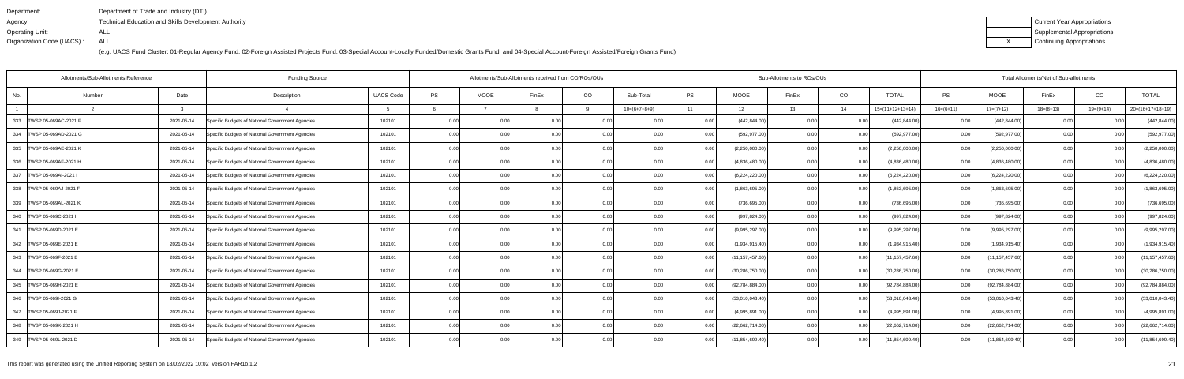| Department:               | Department of Trade and Industry (DTI)                      |
|---------------------------|-------------------------------------------------------------|
| Agency:                   | <b>Technical Education and Skills Development Authority</b> |
| Operating Unit:           | ALL                                                         |
| Organization Code (UACS): | ALL                                                         |

| Current Year Appropriations |
|-----------------------------|
| Supplemental Appropriations |
| Continuing Appropriations   |

| Allotments/Sub-Allotments Reference |            | Allotments/Sub-Allotments received from CO/ROs/OUs |                  |      |             |                |                | Sub-Allotments to ROs/OUs |           | Total Allotments/Net of Sub-allotments |       |      |                    |                   |                   |             |             |                    |
|-------------------------------------|------------|----------------------------------------------------|------------------|------|-------------|----------------|----------------|---------------------------|-----------|----------------------------------------|-------|------|--------------------|-------------------|-------------------|-------------|-------------|--------------------|
| No.<br>Number                       | Date       | Description                                        | <b>UACS Code</b> | PS   | <b>MOOE</b> | FinEx          | CO             | Sub-Total                 | <b>PS</b> | <b>MOOE</b>                            | FinEx | CO   | <b>TOTAL</b>       | PS                | <b>MOOE</b>       | FinEx       | CO          | <b>TOTAL</b>       |
|                                     | ્વ         |                                                    |                  |      |             |                | <b>Q</b>       | $10=(6+7+8+9)$            | 11        | 12                                     | 13    | 14   | $15=(11+12+13+14)$ | $16=(6+11)$       | $17=(7+12)$       | $18=(8+13)$ | $19=(9+14)$ | $20=(16+17+18+19)$ |
| 333<br>TWSP 05-069AC-2021 F         | 2021-05-14 | Specific Budgets of National Government Agencies   | 102101           | 0.00 | 0.00        | 0.00           |                |                           | 0.00      | (442, 844.00)                          | 0.00  |      | (442, 844.00)      | 0.00              | (442, 844.00)     |             |             | (442, 844.00)      |
| 334   TWSP 05-069AD-2021 G          | 2021-05-14 | Specific Budgets of National Government Agencies   | 102101           | 0.00 | 0.00        | 0 <sub>0</sub> | 0.00           | 0.00                      | 0.00      | (592, 977.00)                          | 0.00  | 0.00 | (592, 977.00)      | 0.00              | (592, 977.00)     | 0.001       |             | (592, 977.00)      |
| 335<br>TWSP 05-069AE-2021 K         | 2021-05-14 | Specific Budgets of National Government Agencies   | 102101           | 0.00 | 0.00        | 0.00           | 0.00           | 0.00                      | 0.001     | (2,250,000.00)                         | 0.00  | 0.00 | (2,250,000.00)     | 0.00              | (2,250,000.00)    | 0.00        | 0.00        | (2,250,000.00)     |
| 336 TWSP 05-069AF-2021 H            | 2021-05-14 | Specific Budgets of National Government Agencies   | 102101           | 0.00 | 0.00        | 0.00           | 0.00           | 0.00                      | 0.00      | (4,836,480.00)                         | 0.00  | 0.00 | (4,836,480.00)     | 0.00              | (4,836,480.00)    | 0.001       | -0.00       | (4,836,480.00)     |
| 337 TWSP 05-069AI-2021 I            | 2021-05-14 | Specific Budgets of National Government Agencies   | 102101           | 0.00 | 0.00        | 0.00           | 0 <sub>0</sub> | 0.00                      | 0.00      | (6,224,220.00)                         | 0.00  | 0.00 | (6,224,220.00)     | 0.00              | (6,224,220.00)    | 0.00        | 0.00        | (6,224,220.00)     |
| 338 TWSP 05-069AJ-2021 F            | 2021-05-14 | Specific Budgets of National Government Agencies   | 102101           | 0.00 | 0.00        | 0.00           | 0.00           | 0.00                      | 0.00      | (1,863,695.00)                         | 0.00  | 0.00 | (1,863,695.00)     | 0.00              | (1,863,695.00)    | 0.00        | 0.00        | (1,863,695.00)     |
| 339 TWSP 05-069AL-2021 K            | 2021-05-14 | Specific Budgets of National Government Agencies   | 102101           | 0.00 | 0.00        | 0.00           | 0.001          | 0.00                      | 0.00      | (736, 695.00)                          | 0.00  | 0.00 | (736, 695.00)      | 0.00 <sub>l</sub> | (736, 695.00)     | 0.00        | 0.00        | (736, 695.00)      |
| 340 TWSP 05-069C-2021               | 2021-05-14 | Specific Budgets of National Government Agencies   | 102101           | 0.00 | 0.00        | 0.00           |                | 0.00                      |           | (997, 824.00)                          | 0.00  | 0.00 | (997, 824.00)      | 0.00              | (997, 824.00)     | 0.0         |             | (997, 824.00)      |
| 341   TWSP 05-069D-2021 E           | 2021-05-14 | Specific Budgets of National Government Agencies   | 102101           | 0.00 | 0.00        | 0.00           | 0.00           | 0.00                      | 0.00      | (9,995,297.00)                         | 0.00  | 0.00 | (9,995,297.00)     | 0.00              | (9,995,297.00)    | 0.00        | 0.00        | (9,995,297.00)     |
| 342   TWSP 05-069E-2021 E           | 2021-05-14 | Specific Budgets of National Government Agencies   | 102101           | 0.00 | 0.00        | 0.00           | 0.00           | 0.00                      | 0.00      | (1,934,915.40)                         | 0.00  | 0.00 | (1,934,915.40)     | 0.00              | (1,934,915.40)    | 0.00        | 0.00        | (1,934,915.40)     |
| 343   TWSP 05-069F-2021 E           | 2021-05-14 | Specific Budgets of National Government Agencies   | 102101           | 0.00 | 0.00        | 0.00           | 0.00           | 0.00                      |           | (11, 157, 457.60)                      | 0.00  | 0.00 | (11, 157, 457.60)  | 0.00              | (11, 157, 457.60) | 0.00        | 0.00        | (11, 157, 457.60)  |
| 344   TWSP 05-069G-2021 E           | 2021-05-14 | Specific Budgets of National Government Agencies   | 102101           | 0.00 | 0.00        | 0.00           | 0.00           | 0.00                      | 0.00      | (30, 286, 750.00)                      | 0.00  | 0.00 | (30, 286, 750.00)  | 0.00              | (30, 286, 750.00) | 0.00        | 0.00        | (30, 286, 750.00)  |
| 345<br>TWSP 05-069H-2021 E          | 2021-05-14 | Specific Budgets of National Government Agencies   | 102101           | 0.00 | 0.00        | 0.00           | 0.00           | 0.00                      | 0.00      | (92, 784, 884.00)                      | 0.00  | 0.00 | (92, 784, 884.00)  | 0.00              | (92, 784, 884.00) | 0.00        | 0.00        | (92, 784, 884.00)  |
| 346   TWSP 05-069I-2021 G           | 2021-05-14 | Specific Budgets of National Government Agencies   | 102101           | 0.00 | 0.00        | 0.00           | 0.001          | 0.00                      | 0.00      | (53,010,043.40)                        | 0.00  | 0.00 | (53,010,043.40)    | 0.00              | (53,010,043.40)   | 0.00        | 0.00        | (53,010,043.40)    |
| 347   TWSP 05-069J-2021 F           | 2021-05-14 | Specific Budgets of National Government Agencies   | 102101           | 0.00 | 0.00        | 0.00           | 0.00           | 0.00                      | 0.00      | (4,995,891.00)                         | 0.00  | 0.00 | (4,995,891.00)     | 0.001             | (4,995,891.00)    | 0.00        | 0.00        | (4,995,891.00)     |
| 348   TWSP 05-069K-2021 H           | 2021-05-14 | Specific Budgets of National Government Agencies   | 102101           | 0.00 | 0.00        | 0.00           | 0.00           | 0.00                      | 0.00      | (22,662,714.00)                        | 0.00  | 0.00 | (22,662,714.00)    | 0.001             | (22,662,714.00)   | 0.00        |             | (22,662,714.00)    |
| 349 TWSP 05-069L-2021 D             | 2021-05-14 | Specific Budgets of National Government Agencies   | 102101           | 0.00 | 0.00        | 0.00           | 0.00           | 0.00                      | 0.001     | (11, 854, 699.40)                      | 0.00  | 0.00 | (11, 854, 699.40)  | 0.001             | (11, 854, 699.40) | 0.00        | 0.00        | (11, 854, 699.40)  |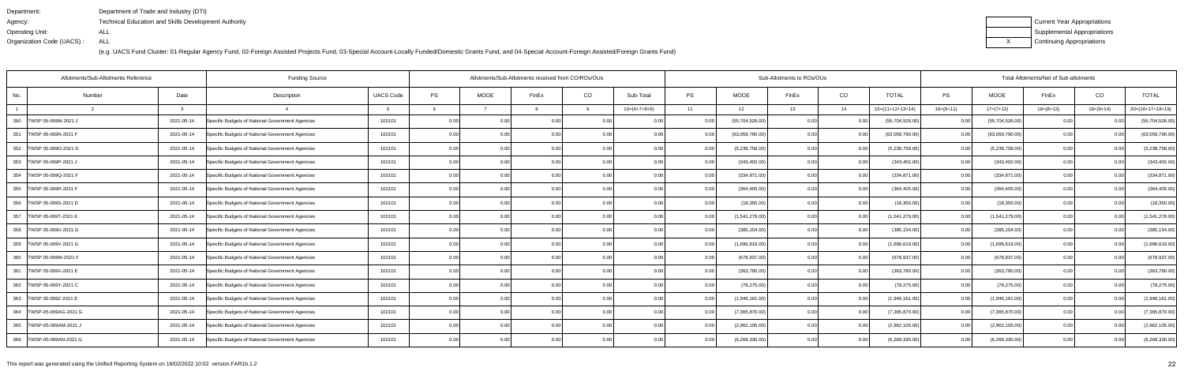| Department:               | Department of Trade and Industry (DTI)                      |
|---------------------------|-------------------------------------------------------------|
| Agency:                   | <b>Technical Education and Skills Development Authority</b> |
| Operating Unit:           | ALL                                                         |
| Organization Code (UACS): | ALL                                                         |

| Current Year Appropriations |
|-----------------------------|
| Supplemental Appropriations |
| Continuing Appropriations   |

|                            | Allotments/Sub-Allotments Reference | <b>Funding Source</b>                            |                  |      |                   | Allotments/Sub-Allotments received from CO/ROs/OUs |       |                |           |                 | Sub-Allotments to ROs/OUs |       | Total Allotments/Net of Sub-allotments |                |                 |             |                |                    |
|----------------------------|-------------------------------------|--------------------------------------------------|------------------|------|-------------------|----------------------------------------------------|-------|----------------|-----------|-----------------|---------------------------|-------|----------------------------------------|----------------|-----------------|-------------|----------------|--------------------|
| No.                        | Date<br>Number                      | Description                                      | <b>UACS Code</b> | PS   | <b>MOOE</b>       | FinEx                                              | CO    | Sub-Total      | <b>PS</b> | <b>MOOE</b>     | FinEx                     | CO    | <b>TOTAL</b>                           | PS             | <b>MOOE</b>     | FinEx       | CO             | <b>TOTAL</b>       |
|                            | 3                                   |                                                  |                  |      |                   |                                                    | Q     | $10=(6+7+8+9)$ | 11        | 12              | 13                        | 14    | $15=(11+12+13+14)$                     | $16=(6+11)$    | $17=(7+12)$     | $18=(8+13)$ | 19=(9+14)      | $20=(16+17+18+19)$ |
| 350 TWSP 05-069M-2021 J    | 2021-05-14                          | Specific Budgets of National Government Agencies | 102101           | 0.00 |                   | 0.0                                                |       |                |           | (55,704,526.00) | 0.00                      |       | (55,704,526.00)                        | 0 <sub>0</sub> | (55,704,526.00) |             |                | (55,704,526.00)    |
| 351   TWSP 05-069N-2021 F  | 2021-05-14                          | Specific Budgets of National Government Agencies | 102101           | 0.00 | 0.00              | 0 <sub>0</sub>                                     | 0.001 | 0.00           |           | (63,059,790.00) | 0.00                      | 0.00  | (63,059,790.00)                        | 0.00           | (63,059,790.00) | 0.00        |                | (63,059,790.00)    |
| 352   TWSP 05-069O-2021 D  | 2021-05-14                          | Specific Budgets of National Government Agencies | 102101           | 0.00 | 0.00              | 0.00                                               | 0.00  | 0.00           | 0.00      | (5,238,758.00)  | 0.00                      | 0.00  | (5,238,758.00)                         | 0.00           | (5,238,758.00)  | 0.00        | 0.00           | (5,238,758.00)     |
| 353   TWSP 05-069P-2021 J  | 2021-05-14                          | Specific Budgets of National Government Agencies | 102101           | 0.00 | 0.00              | 0.00                                               | 0.00  | 0.00           | 0.00      | (343, 402.00)   | 0.00                      | 0.00  | (343, 402.00)                          | 0.00           | (343, 402.00)   | 0.00        | 0.00           | (343, 402.00)      |
| 354 TWSP 05-069Q-2021 F    | 2021-05-14                          | Specific Budgets of National Government Agencies | 102101           | 0.00 | 0.00              | 0 <sub>0</sub>                                     | 0.00  | 0.00           | 0.00      | (334, 871.00)   | 0.00                      | 0.00  | (334, 871.00)                          | 0.00           | (334, 871.00)   | 0.00        | 0 <sub>0</sub> | (334, 871.00)      |
| 355 TWSP 05-069R-2021 F    | 2021-05-14                          | Specific Budgets of National Government Agencies | 102101           | 0.00 | 0.00 <sub>1</sub> | 0 <sub>0</sub>                                     | 0.00  | 0.00           | 0.00      | (364, 405.00)   | 0.00                      | 0.00  | (364, 405.00)                          | 0.00           | (364, 405.00)   | 0.00        | 0.00           | (364, 405.00)      |
| 356   TWSP 05-069S-2021 D  | 2021-05-14                          | Specific Budgets of National Government Agencies | 102101           | 0.00 | 0.00 <sub>1</sub> | 0.00                                               | 0.00  | 0.00           | 0.00      | (18,350.00)     | 0.00                      | 0.00  | (18,350.00)                            | 0.00           | (18, 350.00)    | 0.00        | 0.00           | (18, 350.00)       |
| 357 TWSP 05-069T-2021 K    | 2021-05-14                          | Specific Budgets of National Government Agencies | 102101           | 0.00 | 0.00              | 0 <sub>0</sub>                                     | 0.00  | 0.00           |           | (1,541,279.00)  | 0.00                      | 0.00  | (1,541,279.00)                         | 0.00           | (1,541,279.00)  | 0.00        | 0 <sub>0</sub> | (1,541,279.00)     |
| 358   TWSP 05-069U-2021 G  | 2021-05-14                          | Specific Budgets of National Government Agencies | 102101           | 0.00 | 0.00              | 0 <sub>0</sub>                                     | 0.00  | 0.00           | 0.00      | (385, 154.00)   | 0.00                      | 0.00  | (385, 154.00)                          | 0.001          | (385, 154.00)   | 0.00        | -0.00          | (385, 154.00)      |
| 359   TWSP 05-069V-2021 G  | 2021-05-14                          | Specific Budgets of National Government Agencies | 102101           | 0.00 | 0.00              | 0.00                                               | 0.00  | 0.00           | 0.00      | (1,696,619.00)  | 0.00                      | 0.00  | (1,696,619.00)                         | 0.00           | (1,696,619.00)  | 0.00        | 0.00           | (1,696,619.00)     |
| 360   TWSP 05-069W-2021 F  | 2021-05-14                          | Specific Budgets of National Government Agencies | 102101           | 0.00 | 0.00              | 0 <sub>0</sub>                                     | 0.00  | 0.00           |           | (678, 937.00)   | 0.00                      | 0.00  | (678, 937.00)                          | 0.00           | (678, 937.00)   | 0.00        | 0.00           | (678, 937.00)      |
| 361   TWSP 05-069X-2021 E  | 2021-05-14                          | Specific Budgets of National Government Agencies | 102101           | 0.00 | 0.00              | 0 <sub>0</sub>                                     | 0.00  | 0.00           | 0.00      | (363,780.00)    | 0.00                      | 0.00  | (363,780.00)                           | 0.00           | (363,780.00)    | 0.00        | 0.00           | (363,780.00)       |
| 362   TWSP 05-069Y-2021 C  | 2021-05-14                          | Specific Budgets of National Government Agencies | 102101           | 0.00 | 0.00              | 0 <sub>0</sub>                                     | 0.00  | 0.00           | 0.00      | (78, 275.00)    | 0.00                      | 0.00  | (78, 275.00)                           | 0.00           | (78, 275.00)    | 0.00        | 0.00           | (78, 275.00)       |
| 363   TWSP 05-069Z-2021 E  | 2021-05-14                          | Specific Budgets of National Government Agencies | 102101           | 0.00 | 0.00              | 0.00                                               | 0.00  | 0.00           |           | (1,946,161.00)  | 0.00                      | 0.00  | (1,946,161.00)                         | 0.00           | (1,946,161.00)  | 0.00        | 0.00           | (1,946,161.00)     |
| 364   TWSP-05-069AG-2021 G | 2021-05-14                          | Specific Budgets of National Government Agencies | 102101           | 0.00 | 0.00              | 0.0(                                               | 0.00  | 0.00           |           | (7,365,870.00)  | 0.00                      | 0.00  | (7,365,870.00)                         | 0.00           | (7,365,870.00)  | 0.00        |                | (7,365,870.00)     |
| 365   TWSP-05-069AM-2021 J | 2021-05-14                          | Specific Budgets of National Government Agencies | 102101           | 0.00 | 0.00              | 0 <sub>0</sub>                                     | 0.001 | 0.00           |           | (2,962,105.00)  | 0.00                      | 0.00  | (2,962,105.00)                         | 0.00           | (2,962,105.00)  | 0.00        |                | (2,962,105.00)     |
| 366   TWSP-05-069AN-2021 G | 2021-05-14                          | Specific Budgets of National Government Agencies | 102101           | 0.00 | 0.00              | 0.00                                               | 0.00  | 0.00           | 0.00      | (6,269,330.00)  | 0.00                      | 0.001 | (6,269,330.00)                         | 0.001          | (6,269,330.00)  | 0.00        | 0.00           | (6,269,330.00)     |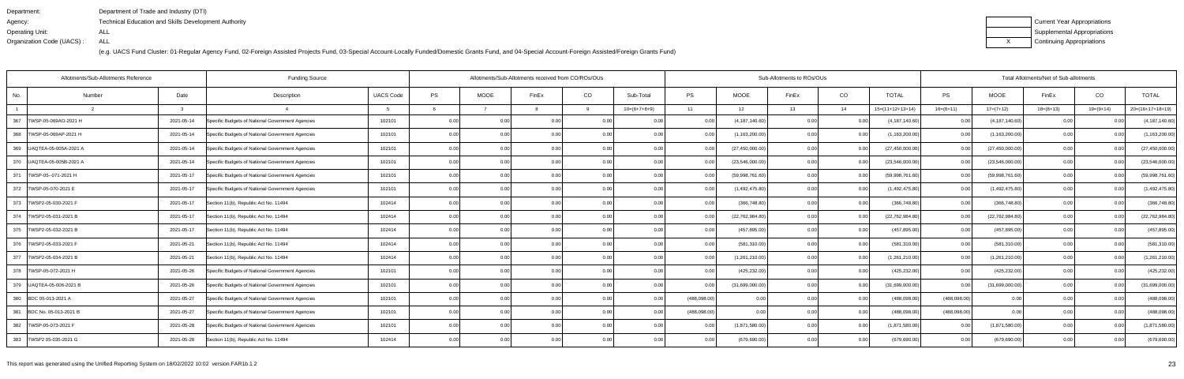| Department:               | Department of Trade and Industry (DTI)                      |
|---------------------------|-------------------------------------------------------------|
| Agency:                   | <b>Technical Education and Skills Development Authority</b> |
| Operating Unit:           | ALL                                                         |
| Organization Code (UACS): | ALL                                                         |

| Current Year Appropriations |
|-----------------------------|
| Supplemental Appropriations |
| Continuing Appropriations   |

|                             | Allotments/Sub-Allotments Reference |              | <b>Funding Source</b>                            |                  | Allotments/Sub-Allotments received from CO/ROs/OUs |                |                |       |                |             | Sub-Allotments to ROs/OUs |       | Total Allotments/Net of Sub-allotments |                    |                   |                   |             |                |                    |
|-----------------------------|-------------------------------------|--------------|--------------------------------------------------|------------------|----------------------------------------------------|----------------|----------------|-------|----------------|-------------|---------------------------|-------|----------------------------------------|--------------------|-------------------|-------------------|-------------|----------------|--------------------|
| No.                         | Number                              | Date         | Description                                      | <b>UACS Code</b> | <b>PS</b>                                          | <b>MOOE</b>    | FinEx          | CO    | Sub-Total      | <b>PS</b>   | <b>MOOE</b>               | FinEx | CO                                     | <b>TOTAL</b>       | PS                | MOOE              | FinEx       | CO             | <b>TOTAL</b>       |
|                             |                                     | $\mathbf{r}$ |                                                  |                  |                                                    |                |                | a     | $10=(6+7+8+9)$ | 11          | 12                        | 13    | 14                                     | $15=(11+12+13+14)$ | $16=(6+11)$       | $17=(7+12)$       | $18=(8+13)$ | $19=(9+14)$    | $20=(16+17+18+19)$ |
| 367<br>TWSP-05-069AO-2021 H |                                     | 2021-05-14   | Specific Budgets of National Government Agencies | 102101           | 0.00                                               | 0.00           | 0.00           | 0.00  | 0.00           | 0.00        | (4, 187, 140.60)          | 0.00  | 0.0                                    | (4, 187, 140.60)   | 0.00              | (4, 187, 140.60)  | 0.00        |                | (4, 187, 140.60)   |
| 368   TWSP-05-069AP-2021 H  |                                     | 2021-05-14   | Specific Budgets of National Government Agencies | 102101           | 0.00                                               | 0.00           | 0 <sub>0</sub> | 0.00  | 0.00           | 0.00        | (1, 163, 200.00)          | 0.00  | 0.0                                    | (1, 163, 200.00)   | 0.00 <sub>l</sub> | (1, 163, 200.00)  | 0.00        | 0 <sub>0</sub> | (1, 163, 200.00)   |
| 369   UAQTEA-05-005A-2021 / |                                     | 2021-05-14   | Specific Budgets of National Government Agencies | 102101           | 0.00                                               | 0.00           | 0 <sub>0</sub> | 0.00  | 0.00           | 0.00        | (27, 450, 000.00)         | 0.00  | 0.00                                   | (27, 450, 000.00)  | 0.00              | (27, 450, 000.00) | 0.00        | 0.00           | (27, 450, 000.00)  |
| 370   UAQTEA-05-005B-2021 A |                                     | 2021-05-14   | Specific Budgets of National Government Agencies | 102101           | 0.00                                               | 0.00           | 0.00           | 0.00  | 0.00           |             | (23,546,000.00)           | 0.00  | 0.0                                    | (23,546,000.00     | 0.00              | (23,546,000.00)   | 0.00        | 0 <sub>0</sub> | (23,546,000.00)    |
| 371   TWSP-05--071-2021 H   |                                     | 2021-05-17   | Specific Budgets of National Government Agencies | 102101           | 0.00                                               | 0 <sub>0</sub> |                | 0.00  | 0.00           |             | (59,998,761.60)           | 0.OC  | 0.0                                    | (59,998,761.60     | 0.00              | (59,998,761.60)   | 0.00        |                | (59,998,761.60)    |
| 372   TWSP-05-070-2021 E    |                                     | 2021-05-17   | Specific Budgets of National Government Agencies | 102101           | 0.00                                               | 0 <sub>0</sub> |                | 0.00  | 0.00           |             | (1,492,475.80)            | 0.OC  | 0.00                                   | (1,492,475.80)     | 0.00              | (1,492,475.80)    | 0.00        | 0.00           | (1,492,475.80)     |
| 373   TWSP2-05-030-2021 F   |                                     | 2021-05-17   | Section 11(b), Republic Act No. 11494            | 102414           | 0.00                                               | 0.00           | 0.00           | 0.001 | 0.00           | 0.00        | (366, 748.80)             | 0.00  | 0.00                                   | (366, 748.80)      | 0.00              | (366, 748.80)     | 0.00        | 0.00           | (366, 748.80)      |
| 374   TWSP2-05-031-2021 B   |                                     | 2021-05-17   | Section 11(b), Republic Act No. 11494            | 102414           | 0.00                                               | 0 <sub>0</sub> |                | 0.00  | 0.00           |             | (22, 762, 984.80)         | n nr  | 0.0                                    | (22, 762, 984.80)  | 0.00              | (22,762,984.80)   | 0.00        |                | (22, 762, 984.80)  |
| 375  TWSP2-05-032-2021 B    |                                     | 2021-05-17   | Section 11(b), Republic Act No. 11494            | 102414           | 0.00                                               | 0.00           |                | 0.00  | 0.00           | 0.00        | (457, 895.00)             | 0.OC  | 0.00                                   | (457,895.00        | 0.001             | (457, 895.00)     | 0.00        |                | (457, 895.00)      |
| 376   TWSP2-05-033-2021 F   |                                     | 2021-05-21   | Section 11(b), Republic Act No. 11494            | 102414           | 0.00                                               | 0.00           | 0.00           | 0.00  | 0.00           | 0.001       | (581, 310.00)             | 0.00  | 0.00                                   | (581, 310.00)      | 0.00 <sub>l</sub> | (581, 310.00)     | 0.00        | 0.00           | (581, 310.00)      |
| 377   TWSP2-05-034-2021 B   |                                     | 2021-05-21   | Section 11(b), Republic Act No. 11494            | 102414           | 0.00                                               |                |                |       |                |             | (1,261,210.00)            | 0.00  | 0.0                                    | (1,261,210.00)     | 0.00              | (1,261,210.00)    | 0.00        | 0 <sub>0</sub> | (1,261,210.00)     |
| 378   TWSP-05-072-2021 H    |                                     | 2021-05-26   | Specific Budgets of National Government Agencies | 102101           | 0.00                                               | 0.00           |                | 0.00  |                | 0.00        | (425, 232.00)             | n nr  | 0.0                                    | (425, 232.00)      | 0.00              | (425, 232.00)     | 0.00        |                | (425, 232.00)      |
| 379   UAQTEA-05-006-2021 B  |                                     | 2021-05-26   | Specific Budgets of National Government Agencies | 102101           | 0.00                                               | 0.00           | 0.00           | 0.00  | 0.00           | 0.00        | (31,699,000.00)           | 0.OC  | 0.00                                   | (31,699,000.00)    | 0.00              | (31,699,000.00)   | 0.00        | 0.00           | (31,699,000.00)    |
| 380 BDC 05-013-2021 A       |                                     | 2021-05-27   | Specific Budgets of National Government Agencies | 102101           | 0.00                                               | 0.00           | 0.00           | 0.00  | 0.00           | (488,098.00 | 0.0                       | 0.OC  | . O O                                  | (488,098.00        | (488,098.00)      | 0.00              | 0.00        |                | (488,098.00)       |
| 381 BDC No. 05-013-2021 B   |                                     | 2021-05-27   | Specific Budgets of National Government Agencies | 102101           | 0.00                                               | 0.00           |                | 0.00  |                | (488,098.00 | 0.00                      | n nr  | 0.0                                    | (488,098.00        | (488,098.00)      | 0.00              | 0.00        |                | (488,098.00)       |
| 382   TWSP-05-073-2021 F    |                                     | 2021-05-28   | Specific Budgets of National Government Agencies | 102101           | 0.00                                               | 0.00           |                | 0.00  |                | 0.00        | (1,871,580.00)            | n nc  | 0.00                                   | (1,871,580.00)     | 0.00              | (1,871,580.00)    | 0.00        | 0 <sub>0</sub> | (1,871,580.00)     |
| 383   TWSP2 05-035-2021 G   |                                     | 2021-05-28   | Section 11(b), Republic Act No. 11494            | 102414           | 0.00                                               | 0.00           | 0.00           | 0.001 | 0.00           | 0.00        | (679, 690.00)             | 0.00  |                                        | (679, 690.00)      | 0.001             | (679, 690.00)     | 0.00        | 0 <sub>0</sub> | (679, 690.00)      |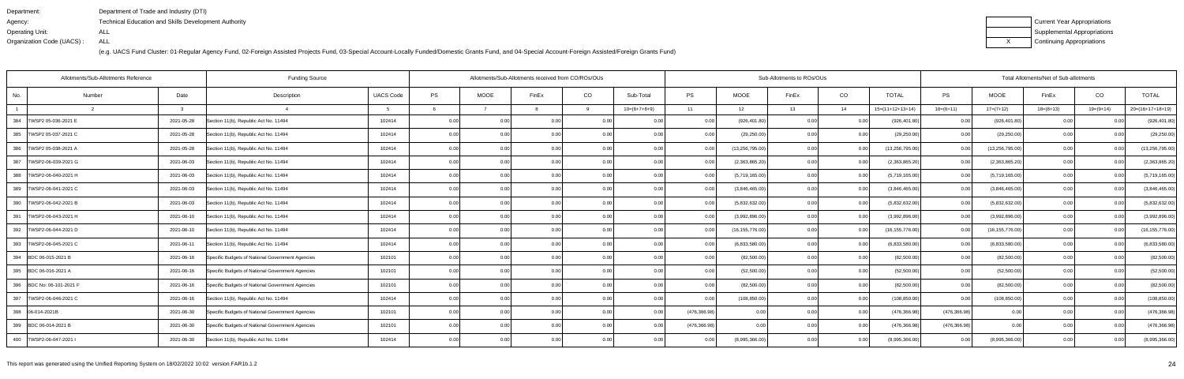| Department:               | Department of Trade and Industry (DTI)               |
|---------------------------|------------------------------------------------------|
| Agency:                   | Technical Education and Skills Development Authority |
| Operating Unit:           | ALL                                                  |
| Organization Code (UACS): | ALL                                                  |

| Current Year Appropriations |
|-----------------------------|
| Supplemental Appropriations |
| Continuing Appropriations   |

| Allotments/Sub-Allotments Reference |        | Allotments/Sub-Allotments received from CO/ROs/OUs |                                                  |                  |      |                | Sub-Allotments to ROs/OUs |       | Total Allotments/Net of Sub-allotments |               |                   |       |          |                    |                   |                   |                |                |                    |
|-------------------------------------|--------|----------------------------------------------------|--------------------------------------------------|------------------|------|----------------|---------------------------|-------|----------------------------------------|---------------|-------------------|-------|----------|--------------------|-------------------|-------------------|----------------|----------------|--------------------|
| No.                                 | Number | Date                                               | Description                                      | <b>UACS Code</b> | PS   | <b>MOOE</b>    | FinEx                     | CO    | Sub-Total                              | PS            | MOOE              | FinEx | CO       | <b>TOTAL</b>       | PS                | MOOE              | FinEx          | CO             | <b>TOTAL</b>       |
|                                     |        | $\mathcal{R}$                                      |                                                  |                  |      |                |                           | 9     | $10=(6+7+8+9)$                         | 11            | 12                | 13    | 14       | $15=(11+12+13+14)$ | $16=(6+11)$       | $17=(7+12)$       | $18=(8+13)$    | $19=(9+14)$    | $20=(16+17+18+19)$ |
| 384<br>TWSP2 05-036-2021 E          |        | 2021-05-28                                         | Section 11(b), Republic Act No. 11494            | 102414           | 0.00 | 0 <sub>0</sub> | 0 <sub>0</sub>            |       | 0 Q                                    | 0.00          | (926, 401.80)     | 0.00  | $\Omega$ | (926,401.80)       | 0.00 <sub>l</sub> | (926, 401.80)     | 0 <sub>0</sub> |                | (926, 401.80)      |
| 385   TWSP2 05-037-2021 C           |        | 2021-05-28                                         | Section 11(b), Republic Act No. 11494            | 102414           | 0.00 | 0.00           | 0.00                      | 0.001 | 0.00                                   | 0.00          | (29, 250.00)      | 0.00  | 0.00     | (29, 250.00)       | 0.001             | (29, 250.00)      | 0.00           | 0.00           | (29, 250.00)       |
| 386   TWSP2 05-038-2021 A           |        | 2021-05-28                                         | Section 11(b), Republic Act No. 11494            | 102414           | 0.00 | 0.00           | 0.00 <sub>l</sub>         | 0.00  | 0.00                                   | 0.00          | (13, 256, 795.00) | 0.00  | 0.00     | (13, 256, 795.00)  | 0.00              | (13, 256, 795.00) | 0.00           | 0.00           | (13, 256, 795.00)  |
| 387<br>TWSP2-06-039-2021 G          |        | 2021-06-03                                         | Section 11(b), Republic Act No. 11494            | 102414           | 0.00 | 0.00           | 0.00                      | 0.00  | 0.00                                   | 0.00          | (2,363,865.20)    | 0.00  | 0.0      | (2,363,865.20)     | 0.00              | (2,363,865.20)    | 0.00           | 0.00           | (2,363,865.20)     |
| 388   TWSP2-06-040-2021 H           |        | 2021-06-03                                         | Section 11(b), Republic Act No. 11494            | 102414           | 0.00 | 0.00           | 0.00                      | 0.00  | 0.00                                   | 0.00          | (5,719,165.00)    | 0.00  | 0.00     | (5,719,165.00)     | 0.00 <sub>l</sub> | (5,719,165.00)    | 0.00           | 0.00           | (5,719,165.00)     |
| 389   TWSP2-06-041-2021 C           |        | 2021-06-03                                         | Section 11(b), Republic Act No. 11494            | 102414           | 0.00 | 0.00           | 0.00                      | 0.00  | 0.00                                   | 0.00          | (3,846,465.00)    | 0.00  | 0.00     | (3,846,465.00)     | 0.00              | (3,846,465.00)    | 0.00           | 0.00           | (3,846,465.00)     |
| 390   TWSP2-06-042-2021 B           |        | 2021-06-03                                         | Section 11(b), Republic Act No. 11494            | 102414           | 0.00 | 0.00           | 0.00                      | 0.001 | 0.00                                   | 0.00          | (5,832,632.00)    | 0.00  | 0.00     | (5,832,632.00)     | 0.00              | (5,832,632.00)    | 0.00           | 0.00           | (5,832,632.00)     |
| 391<br>TWSP2-06-043-2021 H          |        | 2021-06-10                                         | Section 11(b), Republic Act No. 11494            | 102414           | 0.00 | 0.00           | 0.00                      | 0.00  | 0.00                                   | 0.00          | (3,992,896.00)    | 0.00  | 0.0      | (3,992,896.00)     | 0.00              | (3,992,896.00)    | 0.00           | 0.00           | (3,992,896.00)     |
| 392<br>TWSP2-06-044-2021 D          |        | 2021-06-10                                         | Section 11(b), Republic Act No. 11494            | 102414           | 0.00 | 0.00           | 0.00                      | 0.00  | 0.00                                   | 0.00          | (16, 155, 776.00) | 0.00  | 0.00     | (16, 155, 776.00)  | 0.00 <sub>1</sub> | (16, 155, 776.00) | 0.00           | 0.00           | (16, 155, 776.00)  |
| 393   TWSP2-06-045-2021 C           |        | 2021-06-11                                         | Section 11(b), Republic Act No. 11494            | 102414           | 0.00 | 0.00           | 0.00                      | 0.00  | 0.00                                   | 0.00          | (6,833,580.00)    | 0.00  | 0.00     | (6,833,580.00)     | 0.00              | (6,833,580.00)    | 0.00           | 0.00           | (6,833,580.00)     |
| 394 BDC 06-015-2021 B               |        | 2021-06-16                                         | Specific Budgets of National Government Agencies | 102101           | 0.00 | 0.00           |                           |       | 0.00                                   |               | (82,500.00)       | 0.00  | 0.0      | (82,500.00)        | 0.00              | (82,500.00)       | 0.00           | 0 <sub>0</sub> | (82,500.00)        |
| 395 BDC 06-016-2021 A               |        | 2021-06-16                                         | Specific Budgets of National Government Agencies | 102101           | 0.00 | 0.00           |                           | 0.00  | 0.00                                   | 0.00          | (52,500.00)       | n nn  | 0.00     | (52,500.00)        | 0.00              | (52,500.00)       | 0.00           | 0 <sub>0</sub> | (52,500.00)        |
| 396 BDC No: 06-101-2021 F           |        | 2021-06-16                                         | Specific Budgets of National Government Agencies | 102101           | 0.00 | 0.00           | 0.00                      | 0.00  | 0.00                                   | 0.00          | (82,500.00)       | 0.00  | 0.00     | (82,500.00)        | 0.00              | (82,500.00)       | 0.00           | 0.00           | (82,500.00)        |
| 397<br>TWSP2-06-046-2021 C          |        | 2021-06-16                                         | Section 11(b), Republic Act No. 11494            | 102414           | 0.00 | 0 <sub>0</sub> | 0 <sub>0</sub>            | 0.00  | 0.00                                   |               | (108, 850.00)     | ი იი  | 0.0      | (108, 850.00)      | 0.00              | (108, 850.00)     | 0.00           | 0.00           | (108, 850.00)      |
| 398 06-014-2021B                    |        | 2021-06-30                                         | Specific Budgets of National Government Agencies | 102101           | 0.00 | 0.00           | $\cap$ $\cap$             | 0.00  | 0 <sub>0</sub>                         | (476, 366.98) | 0.00              | n nn  | 0.0      | (476,366.98        | (476, 366.98)     | 0.00              | 0.00           |                | (476, 366.98)      |
| 399 BDC 06-014-2021 B               |        | 2021-06-30                                         | Specific Budgets of National Government Agencies | 102101           | 0.00 | 0.00           |                           | 0.00  | 0 <sub>0</sub>                         | (476, 366.98) | 0.00              | ስ ስበ  | 0.00     | (476, 366.98)      | (476, 366.98)     | 0.00              | 0.00           |                | (476, 366.98)      |
| 400   TWSP2-06-047-2021             |        | 2021-06-30                                         | Section 11(b), Republic Act No. 11494            | 102414           | 0.00 | 0.00           |                           | 0.00  | 0.00                                   |               | (8,995,366.00)    | 0.00  | 0.00     | (8,995,366.00)     | 0.001             | (8,995,366.00)    | 0.00           | 0.00           | (8,995,366.00)     |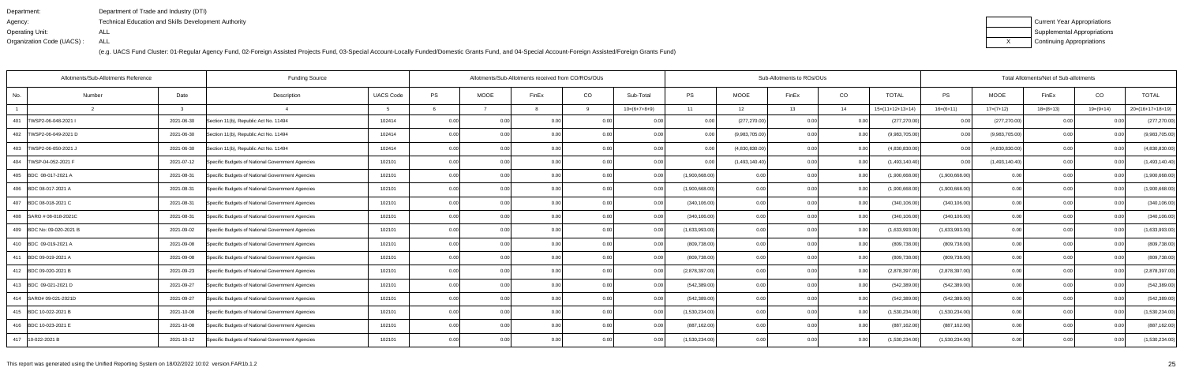| Department:               | Department of Trade and Industry (DTI)                      |
|---------------------------|-------------------------------------------------------------|
| Agency:                   | <b>Technical Education and Skills Development Authority</b> |
| Operating Unit:           | ALL                                                         |
| Organization Code (UACS): | ALL                                                         |

| Current Year Appropriations |
|-----------------------------|
| Supplemental Appropriations |
| Continuing Appropriations   |

|                            | Allotments/Sub-Allotments Reference |            | <b>Funding Source</b>                            |                  | Allotments/Sub-Allotments received from CO/ROs/OUs |             |                |       |                |                | Sub-Allotments to ROs/OUs |       |      | Total Allotments/Net of Sub-allotments |                |                |             |                |                    |  |
|----------------------------|-------------------------------------|------------|--------------------------------------------------|------------------|----------------------------------------------------|-------------|----------------|-------|----------------|----------------|---------------------------|-------|------|----------------------------------------|----------------|----------------|-------------|----------------|--------------------|--|
| No.                        | Number                              | Date       | Description                                      | <b>UACS Code</b> | PS                                                 | <b>MOOE</b> | FinEx          | CO    | Sub-Total      | <b>PS</b>      | <b>MOOE</b>               | FinEx | CO   | <b>TOTAL</b>                           | PS             | MOOE           | FinEx       | CO             | <b>TOTAL</b>       |  |
|                            |                                     |            |                                                  |                  |                                                    |             |                | q     | $10=(6+7+8+9)$ | 11             | 12                        | 13    | 14   | $15=(11+12+13+14)$                     | $16=(6+11)$    | $17=(7+12)$    | $18=(8+13)$ | $19=(9+14)$    | $20=(16+17+18+19)$ |  |
| 401<br>TWSP2-06-048-2021   |                                     | 2021-06-30 | Section 11(b), Republic Act No. 11494            | 102414           | 0.00                                               | 0.00        | 0.00           | 0.00  | 0.00           | 0.00           | (277, 270.00)             | 0.00  | 0.0  | (277, 270.00)                          | 0.00           | (277, 270.00)  | 0.00        | 0.0(           | (277, 270.00)      |  |
| 402<br>TWSP2-06-049-2021 D |                                     | 2021-06-30 | Section 11(b), Republic Act No. 11494            | 102414           | 0.00                                               | 0.00        | 0 <sub>0</sub> | 0.00  | 0.00           | 0.00           | (9,983,705.00)            | 0.00  | 0.0  | (9,983,705.00)                         | 0.00           | (9,983,705.00) | 0.00        | 0 <sub>0</sub> | (9,983,705.00)     |  |
| 403<br>TWSP2-06-050-2021   |                                     | 2021-06-30 | Section 11(b), Republic Act No. 11494            | 102414           | 0.00                                               | 0.00        | 0 <sup>0</sup> | 0.00  | 0.00           | 0.00           | (4,830,830.00)            | ი იი  | 0.00 | (4,830,830.00)                         | 0.00           | (4,830,830.00) | 0.00        | 0.00           | (4,830,830.00)     |  |
| 404   TWSP-04-052-2021 F   |                                     | 2021-07-12 | Specific Budgets of National Government Agencies | 102101           | 0.00                                               | 0.00        | 0.00           | 0.00  | 0.00           | 0.00           | (1,493,140.40)            | 0.00  | 0.00 | (1,493,140.40)                         | 0.00           | (1,493,140.40) | 0.00        | 0.00           | (1,493,140.40)     |  |
| 405 BDC 08-017-2021 A      |                                     | 2021-08-31 | Specific Budgets of National Government Agencies | 102101           | 0.00                                               | 0.00        |                | 0.0(  | 0.00           | (1,900,668.00) | 0.00                      | ስ በ(  | 0.0  | (1,900,668.00)                         | (1,900,668.00) | 0.00           | 0.00        | 0 <sub>0</sub> | (1,900,668.00)     |  |
| 406 BDC 08-017-2021 A      |                                     | 2021-08-31 | Specific Budgets of National Government Agencies | 102101           | 0.00                                               | 0.00        |                |       | 0.00           | (1,900,668.00) | 0.00                      | n nr  | 0.0  | (1,900,668.00)                         | (1,900,668.00) | 0.00           | 0.00        | 0.0(           | (1,900,668.00)     |  |
| 407 BDC 08-018-2021 C      |                                     | 2021-08-31 | Specific Budgets of National Government Agencies | 102101           | 0.00                                               | 0.00        | 0.00           | 0.001 | 0.00           | (340, 106.00)  | 0.00                      | 0.00  | 0.00 | (340, 106.00)                          | (340, 106.00)  | 0.00           | 0.00        | 0.00           | (340, 106.00)      |  |
| 408 SARO # 08-018-2021C    |                                     | 2021-08-31 | Specific Budgets of National Government Agencies | 102101           | 0.00                                               | 0.00        |                |       | <u>ሰሰ</u>      | (340, 106.00)  | 0.00                      |       | 0.0  | (340, 106.00)                          | (340, 106.00)  | 0.00           | 0.00        |                | (340, 106.00)      |  |
| 409 BDC No: 09-020-2021 B  |                                     | 2021-09-02 | Specific Budgets of National Government Agencies | 102101           | 0.00                                               | 0.00        |                | 0.00  | 0 Q            | (1,633,993.00) | 0.00                      | ስ በ(  | 0.0  | (1,633,993.00)                         | (1,633,993.00) | 0.00           | 0.00        | 0 <sub>0</sub> | (1,633,993.00)     |  |
| 410 BDC 09-019-2021 A      |                                     | 2021-09-08 | Specific Budgets of National Government Agencies | 102101           | 0.00                                               | 0.00        | 0.00           | 0.00  | 0.00           | (809, 738.00)  | 0.00                      | 0.00  | 0.00 | (809,738.00)                           | (809, 738.00)  | 0.00           | 0.00        | 0.00           | (809, 738.00)      |  |
| 411 BDC 09-019-2021 A      |                                     | 2021-09-08 | Specific Budgets of National Government Agencies | 102101           | 0.00                                               | 0.00        |                |       | 0 <sub>0</sub> | (809, 738.00)  | 0.00                      |       | 0.0  | (809,738.00                            | (809, 738.00)  | 0.00           |             | 0 <sub>0</sub> | (809, 738.00)      |  |
| 412 BDC 09-020-2021 B      |                                     | 2021-09-23 | Specific Budgets of National Government Agencies | 102101           | 0.00                                               | 0.00        |                | 0.00  | 0 <sub>0</sub> | (2,878,397.00) | 0.00                      |       | 0.0  | (2,878,397.00)                         | (2,878,397.00) | 0.00           | 0.00        | 0 <sub>0</sub> | (2,878,397.00)     |  |
| 413 BDC 09-021-2021 D      |                                     | 2021-09-27 | Specific Budgets of National Government Agencies | 102101           | 0.00                                               | 0.00        | 0.00           | 0.00  | 0.00           | (542, 389.00)  | 0.00                      | 0 Q   | 0.00 | (542,389.00)                           | (542, 389.00)  | 0.00           | 0.00        | 0.00           | (542, 389.00)      |  |
| 414 SARO# 09-021-2021D     |                                     | 2021-09-27 | Specific Budgets of National Government Agencies | 102101           | 0.00                                               | 0.00        |                | 0.00  | 0 Q            | (542, 389.00)  | 0.00                      |       | 0.0  | (542, 389.00)                          | (542, 389.00)  | 0.00           | 0.00        | 0 <sub>0</sub> | (542, 389.00)      |  |
| 415 BDC 10-022-2021 B      |                                     | 2021-10-08 | Specific Budgets of National Government Agencies | 102101           | 0.00                                               | 0.00        |                | 0.00  | 0 <sub>0</sub> | (1,530,234.00) | 0.00                      | n nn  | 0.0  | (1,530,234.00)                         | (1,530,234.00) | 0.00           | 0.00        |                | (1,530,234.00)     |  |
| 416 BDC 10-023-2021 E      |                                     | 2021-10-08 | Specific Budgets of National Government Agencies | 102101           | 0.00                                               | 0.00        |                | 0.00  |                | (887, 162.00)  | 0.00                      | ስ በ(  | 0.00 | (887,162.00)                           | (887, 162.00)  | 0.00           | 0.00        |                | (887, 162.00)      |  |
| 417 10-022-2021 B          |                                     | 2021-10-12 | Specific Budgets of National Government Agencies | 102101           | 0.00                                               | 0.00        | 0 <sub>0</sub> | 0.00  | 0.00           | (1,530,234.00) | 0.00                      | ი იი  | 0.00 | (1,530,234.00)                         | (1,530,234.00) | 0.00           | 0.00        | 0.00           | (1,530,234.00)     |  |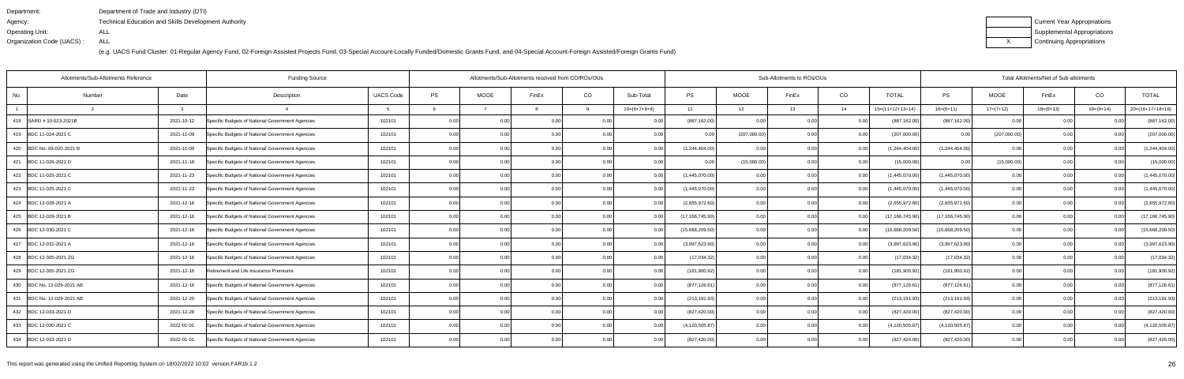| Department:               | Department of Trade and Industry (DTI)                      |
|---------------------------|-------------------------------------------------------------|
| Agency:                   | <b>Technical Education and Skills Development Authority</b> |
| Operating Unit:           | ALL                                                         |
| Organization Code (UACS): | ALL                                                         |

| Current Year Appropriations |
|-----------------------------|
| Supplemental Appropriations |
| Continuing Appropriations   |

|                            | Allotments/Sub-Allotments Reference |            | <b>Funding Source</b>                            |                  | Allotments/Sub-Allotments received from CO/ROs/OUs |                |                |       |                |                   | Sub-Allotments to ROs/OUs |       |      | Total Allotments/Net of Sub-allotments |                   |              |                |                |                    |  |
|----------------------------|-------------------------------------|------------|--------------------------------------------------|------------------|----------------------------------------------------|----------------|----------------|-------|----------------|-------------------|---------------------------|-------|------|----------------------------------------|-------------------|--------------|----------------|----------------|--------------------|--|
| No.                        | Number                              | Date       | Description                                      | <b>UACS Code</b> | PS                                                 | <b>MOOE</b>    | FinEx          | CO    | Sub-Total      | <b>PS</b>         | MOOE                      | FinEx | CO   | <b>TOTAL</b>                           | PS                | <b>MOOE</b>  | FinEx          | CO             | <b>TOTAL</b>       |  |
|                            |                                     |            |                                                  |                  |                                                    |                |                | q     | $10=(6+7+8+9)$ | 11                | 12                        | 13    | 14   | $15=(11+12+13+14)$                     | $16=(6+11)$       | $17=(7+12)$  | $18=(8+13)$    | $19=(9+14)$    | $20=(16+17+18+19)$ |  |
| 418   SARO # 10-023-2021B  |                                     | 2021-10-12 | Specific Budgets of National Government Agencies | 102101           | 0.00                                               | 0.00           | 0.00           |       | 0 <sub>0</sub> | (887, 162.00)     |                           | ი იი  | 0.0  | (887, 162.00                           | (887, 162.00)     | 0.00         | 0 <sub>0</sub> |                | (887, 162.00)      |  |
| 419 BDC 11-024-2021 C      |                                     | 2021-11-09 | Specific Budgets of National Government Agencies | 102101           | 0.00                                               | 0.00           |                | 0.00  | 0.00           | 0 <sup>0</sup>    | (207,000.00)              |       | 0.00 | (207,000.00)                           |                   | (207,000.00) | 0.00           |                | (207,000.00)       |  |
| 420 BDC No: 09-020-2021 B  |                                     | 2021-11-09 | Specific Budgets of National Government Agencies | 102101           | 0.00                                               | 0.00           |                |       | 0.00           | (1,244,404.00)    | 0.00                      |       | 0.00 | (1,244,404.00)                         | (1,244,404.00)    | 0.00         | 0.00           | 0 <sub>0</sub> | (1,244,404.00)     |  |
| 421 BDC 11-026-2021 D      |                                     | 2021-11-18 | Specific Budgets of National Government Agencies | 102101           | 0.00                                               | 0.00           | 0.00           | 0.00  | 0.00           | 0.00              | (15,000.00)               | 0.00  | 0.00 | (15,000.00)                            | 0.00              | (15,000.00)  | 0.00           |                | (15,000.00)        |  |
| 422 BDC 11-025-2021 C      |                                     | 2021-11-23 | Specific Budgets of National Government Agencies | 102101           | 0.00                                               | 0 <sub>0</sub> |                |       | 0.00           | (1,445,070.00)    | 0.00                      |       | 0.00 | (1,445,070.00)                         | (1,445,070.00)    | 0.00         | 0.00           | 0 <sub>0</sub> | (1,445,070.00)     |  |
| 423 BDC 11-025-2021 C      |                                     | 2021-11-23 | Specific Budgets of National Government Agencies | 102101           | 0.00                                               | 0.00           |                |       | 0.00           | (1,445,070.00)    | 0.00                      |       | 0.00 | (1,445,070.00)                         | (1,445,070.00)    | 0.00         | 0.00           | 0 <sub>0</sub> | (1,445,070.00)     |  |
| 424 BDC 12-028-2021 A      |                                     | 2021-12-16 | Specific Budgets of National Government Agencies | 102101           | 0.00                                               | 0.00           | 0.00           | 0.00  | 0.00           | (2,655,972.60)    | 0.00                      | 0.00  | 0.00 | (2,655,972.60)                         | (2,655,972.60)    | 0.00         | 0.00           | 0.00           | (2,655,972.60)     |  |
| 425 BDC 12-029-2021 B      |                                     | 2021-12-16 | Specific Budgets of National Government Agencies | 102101           | 0.00                                               | 0 <sub>0</sub> |                |       | 0 <sub>0</sub> | (17, 166, 745.90) | 0.00                      |       | 0.00 | (17,166,745.90                         | (17, 166, 745.90) | 0.00         | 0.00           |                | (17, 166, 745.90)  |  |
| 426 BDC 12-030-2021 C      |                                     | 2021-12-16 | Specific Budgets of National Government Agencies | 102101           | 0.00                                               | 0.00           | $\cap$ $\cap$  | 0.00  | 0.00           | (15,668,209.50)   | 0.00                      | n nn  | 0.00 | (15,668,209.50)                        | (15,668,209.50)   | 0.00         | 0.00           |                | (15,668,209.50)    |  |
| 427 BDC 12-031-2021 A      |                                     | 2021-12-16 | Specific Budgets of National Government Agencies | 102101           | 0.00                                               | 0.00           | 0.00           | 0.00  | 0.00           | (3,997,623.90)    | 0.00                      | ი იი  | 0.00 | (3,997,623.90)                         | (3,997,623.90)    | 0.00         | 0.00           | 0.00           | (3,997,623.90)     |  |
| 428 BDC 12-305-2021 ZG     |                                     | 2021-12-16 | Specific Budgets of National Government Agencies | 102101           | 0.00                                               | 0.00           | 0.00           | 0.00  | 0.00           | (17,034.32)       | 0.00                      | 0.00  | 0.00 | (17,034.32)                            | (17,034.32)       | 0.00         | 0.00           | 0.00           | (17,034.32)        |  |
| 429 BDC 12-305-2021 ZG     |                                     | 2021-12-16 | Retirement and Life Insurance Premiums           | 102102           | 0.00                                               | 0.00           | 0.00           | 0.00  | 0.00           | (181,900.92)      | 0.00                      | 0 Q   | 0.00 | (181,900.92)                           | (181,900.92)      | 0.00         | 0.00           | 0.00           | (181,900.92)       |  |
| 430 BDC No. 12-029-2021 AB |                                     | 2021-12-16 | Specific Budgets of National Government Agencies | 102101           | 0.00                                               | 0.00           | 0.00           |       | 0.0            | (877, 126.61)     | 0.00                      | 0 Q   | 0.00 | (877,126.61)                           | (877, 126.61)     | 0.00         | 0.00           | 0.00           | (877, 126.61)      |  |
| 431 BDC No. 12-029-2021 AB |                                     | 2021-12-20 | Specific Budgets of National Government Agencies | 102101           | 0.00                                               | 0.00           | 0.00           | 0.00  | 0.00           | (213, 191.93)     | 0.00                      | 0.00  | 0.00 | (213,191.93)                           | (213, 191.93)     | 0.00         | 0.00           | 0.00           | (213, 191.93)      |  |
| 432 BDC 12-033-2021 D      |                                     | 2021-12-28 | Specific Budgets of National Government Agencies | 102101           | 0.00                                               | 0.00           | 0.00           | 0.00  | 0 <sub>0</sub> | (827, 420.00)     | 0.00                      | ი იი  | 0.00 | (827,420.00                            | (827, 420.00)     | 0.00         | 0.00           | 0.00           | (827, 420.00)      |  |
| 433 BDC 12-030-2021 C      |                                     | 2022-01-01 | Specific Budgets of National Government Agencies | 102101           | 0.00                                               | 0.00           | 0 <sub>0</sub> | 0.00  | 0 <sub>0</sub> | (4, 120, 505.87)  | 0.00                      | በ በበ  | 0.00 | (4, 120, 505.87)                       | (4, 120, 505.87)  | 0.00         | 0.00           | 0.00           | (4, 120, 505.87)   |  |
| 434 BDC 12-033-2021 D      |                                     | 2022-01-01 | Specific Budgets of National Government Agencies | 102101           | 0.00                                               | 0.00           | 0.00           | 0.001 | 0.00           | (827, 420.00)     | 0.00                      | 0.00  | 0.00 | (827,420.00)                           | (827, 420.00)     | 0.00         | 0.00           | 0.00           | (827, 420.00)      |  |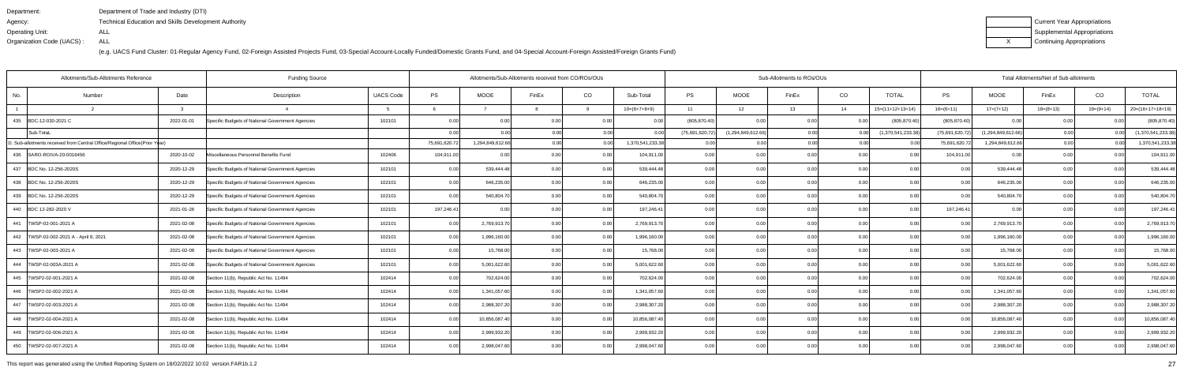| Department:               | Department of Trade and Industry (DTI)                      |
|---------------------------|-------------------------------------------------------------|
| Agency:                   | <b>Technical Education and Skills Development Authority</b> |
| Operating Unit:           | ALL                                                         |
| Organization Code (UACS): | ALL                                                         |

| Current Year Appropriations |
|-----------------------------|
| Supplemental Appropriations |
| Continuing Appropriations   |

|     | Allotments/Sub-Allotments Reference                                        |            | <b>Funding Source</b>                            |                  | Allotments/Sub-Allotments received from CO/ROs/OUs |                  |                |      |                  | Sub-Allotments to ROs/OUs |                    |       | Total Allotments/Net of Sub-allotments |                    |                 |                    |                |                |                    |
|-----|----------------------------------------------------------------------------|------------|--------------------------------------------------|------------------|----------------------------------------------------|------------------|----------------|------|------------------|---------------------------|--------------------|-------|----------------------------------------|--------------------|-----------------|--------------------|----------------|----------------|--------------------|
| No. | Number                                                                     | Date       | Description                                      | <b>UACS Code</b> | PS                                                 | <b>MOOE</b>      | FinEx          | CO   | Sub-Total        | <b>PS</b>                 | MOOE               | FinEx | CO                                     | <b>TOTAL</b>       | PS              | MOOE               | FinEx          | CO             | <b>TOTAL</b>       |
|     |                                                                            | -3         |                                                  |                  |                                                    |                  |                |      | $10=(6+7+8+9)$   | 11                        | 12                 | 13    | 14                                     | $15=(11+12+13+14)$ | $16=(6+11)$     | $17=(7+12)$        | $18=(8+13)$    | $19=(9+14)$    | $20=(16+17+18+19)$ |
|     | 435 BDC-12-030-2021 C                                                      | 2022-01-01 | Specific Budgets of National Government Agencies | 102101           | 0.00                                               | 0.00             | 0 <sub>0</sub> | 0.00 | 0.00             | (805, 870.40)             | 0.OC               | 0.00  | . O O                                  | (805, 870.40)      | (805, 870.40)   | 0.00               | 0 <sub>0</sub> | 0 <sub>0</sub> | (805, 870.40)      |
|     | Sub-TotaL                                                                  |            |                                                  |                  | 0.00                                               | 0.001            | 0.00           | 0.00 | 0.00             | (75,691,620.72)           | (1,294,849,612.66) | 0.00  | 0.00                                   | (1,370,541,233.38) | (75,691,620.72) | (1,294,849,612.66) | 0.00           | 0.00           | (1,370,541,233.38) |
|     | D. Sub-allotments received from Central Office/Regional Office(Prior Year) |            |                                                  |                  | 75,691,620.72                                      | 1,294,849,612.66 | 0.00           | 0.00 | 1,370,541,233.38 | 0.001                     | 0.00               | 0.00  | 0.00                                   | 0 OC               | 75,691,620.72   | 1,294,849,612.66   | 0.00           |                | 1,370,541,233.38   |
|     | 436 SARO-ROIVA-20-0016456                                                  | 2020-10-02 | Miscellaneous Personnel Benefits Fund            | 102406           | 104,911.00                                         | 0.00             | 0 <sub>0</sub> | 0.00 | 104,911.00       | 0.001                     | 0.00               | 0.00  | 0.00                                   | ი იი               | 104,911.00      | 0.00               | 0.00           | 0.0(           | 104,911.00         |
|     | 437 BDC No. 12-256-2020S                                                   | 2020-12-29 | Specific Budgets of National Government Agencies | 102101           | 0.00                                               | 539,444.48       | 0.00           | 0.00 | 539,444.48       | 0.00                      | 0.00               | 0.00  | 0.00                                   | 0.00               | 0.00            | 539,444.48         | 0.00           | 0.00           | 539,444.48         |
|     | 438 BDC No. 12-256-2020S                                                   | 2020-12-29 | Specific Budgets of National Government Agencies | 102101           | 0.00                                               | 646,235.00       | 0.00           | 0.00 | 646,235.00       | 0.001                     | 0.00               | 0.00  | 0.00                                   | 0.00               | 0.00            | 646,235.00         | 0.00           | 0.00           | 646,235.00         |
|     | 439 BDC No. 12-256-2020S                                                   | 2020-12-29 | Specific Budgets of National Government Agencies | 102101           | 0.00                                               | 540,804.70       |                | 0.00 | 540,804.70       | 0.00                      | 0.00               | 0.00  | 0.00                                   | 0.00               | 0.00            | 540,804.70         | 0.00           | 0 <sub>0</sub> | 540,804.70         |
|     | 440 BDC 12-282-2020 V                                                      | 2021-01-26 | Specific Budgets of National Government Agencies | 102101           | 197,246.41                                         | 0.00             | 0 <sub>0</sub> | 0.00 | 197,246.41       | 0.001                     | 0.00               | 0.00  | 0.00                                   | 0.00               | 197,246.41      | 0.00               | 0.00           | 0.00           | 197,246.41         |
|     | 441   TWSP-02-001-2021 A                                                   | 2021-02-08 | Specific Budgets of National Government Agencies | 102101           | 0.00                                               | 2,769,913.70     | 0 <sub>0</sub> | 0.00 | 2,769,913.70     | 0.001                     | 0.00               | 0.OC  | 0.00                                   | 0.00               | 0.00            | 2,769,913.70       | 0.00           | 0 <sub>0</sub> | 2,769,913.70       |
|     | 442   TWSP-02-002-2021 A - April 8, 2021                                   | 2021-02-08 | Specific Budgets of National Government Agencies | 102101           | 0.00                                               | 1,996,160.00     | 0 <sub>0</sub> | 0.00 | 1,996,160.00     | 0.001                     | 0.00               | 0.OC  | 0.00                                   | 0.00               | 0.00            | 1,996,160.00       | 0.00           | 0.00           | 1,996,160.00       |
|     | 443   TWSP-02-003-2021 A                                                   | 2021-02-08 | Specific Budgets of National Government Agencies | 102101           | 0.00                                               | 15,768.00        |                | 0.00 | 15,768.00        | 0.00                      | 0.00               | 0.00  | 0.0                                    | 0.00               | 0.00            | 15,768.00          | 0.00           | 0 <sub>0</sub> | 15,768.00          |
|     | 444   TWSP-02-003A-2021 A                                                  | 2021-02-08 | Specific Budgets of National Government Agencies | 102101           | 0.00                                               | 5,001,622.60     |                | 0.00 | 5,001,622.60     | 0.00                      | 0.00               | 0.OC  | 0.00                                   | 0.00               | 0.00            | 5,001,622.60       | 0.00           | 0 <sub>0</sub> | 5,001,622.60       |
|     | 445   TWSP2-02-001-2021 A                                                  | 2021-02-08 | Section 11(b), Republic Act No. 11494            | 102414           | 0.00                                               | 702,624.00       | 0 <sub>0</sub> | 0.00 | 702,624.00       | 0.001                     | 0.00               | 0.00  | 0.00                                   | 0.00               | 0.00            | 702,624.00         | 0.00           | 0 <sub>0</sub> | 702,624.00         |
| 446 | TWSP2-02-002-2021 A                                                        | 2021-02-08 | Section 11(b), Republic Act No. 11494            | 102414           | 0.00                                               | 1,341,057.60     |                | 0.00 | 1,341,057.60     | 0.001                     | 0.00               | 0.OC  | 0 <sub>0</sub>                         | 0.00               | 0.00            | 1,341,057.60       | 0.00           |                | 1,341,057.60       |
|     | 447   TWSP2-02-003-2021 A                                                  | 2021-02-08 | Section 11(b), Republic Act No. 11494            | 102414           | 0.00                                               | 2,988,307.20     | 0 <sub>0</sub> | 0.00 | 2,988,307.20     | 0.001                     | 0.00               | 0.00  | 0.00                                   | 0.00               | 0.00            | 2,988,307.20       | 0.00           | 0.00           | 2,988,307.20       |
|     | 448   TWSP2-02-004-2021 A                                                  | 2021-02-08 | Section 11(b), Republic Act No. 11494            | 102414           | 0.00                                               | 10,856,087.40    |                | 0.00 | 10,856,087.40    | 0.00                      | 0.00               | 0.OC  | 0 <sub>0</sub>                         | 0.00               |                 | 10,856,087.40      | 0.00           |                | 10,856,087.40      |
|     | 449   TWSP2-02-006-2021 A                                                  | 2021-02-08 | Section 11(b), Republic Act No. 11494            | 102414           | 0.00                                               | 2,999,932.20     |                | 0.00 | 2,999,932.20     | 0.00                      | 0.00               | n nr  | 0.00                                   | 0.00               | 0.00            | 2,999,932.20       | 0.00           | 0 <sub>0</sub> | 2,999,932.20       |
|     | 450   TWSP2-02-007-2021 A                                                  | 2021-02-08 | Section 11(b), Republic Act No. 11494            | 102414           | 0.00                                               | 2,998,047.60     | 0 <sub>0</sub> | 0.00 | 2,998,047.60     | 0.001                     | 0.00               | 0.00  | 0.00                                   | 0.00               | 0.00            | 2,998,047.60       | 0.00           | 0.00           | 2,998,047.60       |

This report was generated using the Unified Reporting System on 18/02/2022 10:02 version.FAR1b.1.2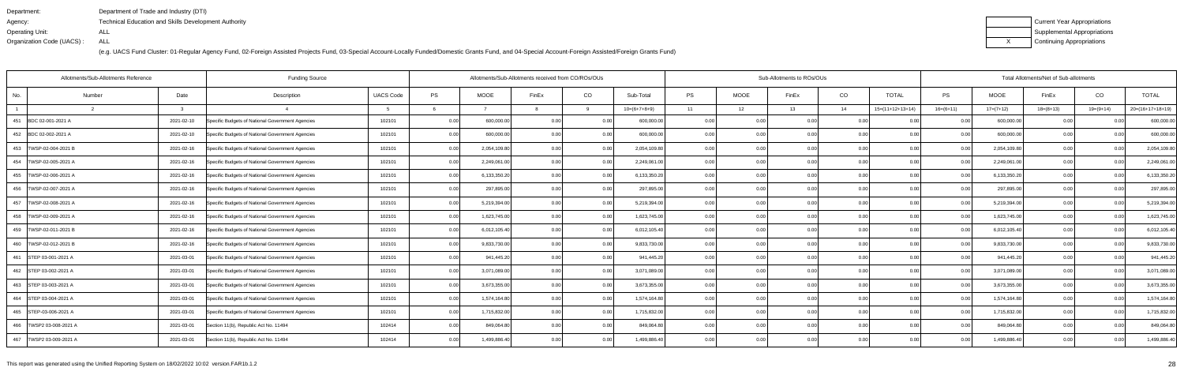| Department:               | Department of Trade and Industry (DTI)               |
|---------------------------|------------------------------------------------------|
| Agency:                   | Technical Education and Skills Development Authority |
| Operating Unit:           | ALL                                                  |
| Organization Code (UACS): | ALL                                                  |

| Current Year Appropriations |
|-----------------------------|
| Supplemental Appropriations |
| Continuing Appropriations   |

|                           | Allotments/Sub-Allotments Reference |            |                                                  | Allotments/Sub-Allotments received from CO/ROs/OUs |           |              |                |      |                | Sub-Allotments to ROs/OUs |             |       | Total Allotments/Net of Sub-allotments |                    |             |              |             |                |                    |
|---------------------------|-------------------------------------|------------|--------------------------------------------------|----------------------------------------------------|-----------|--------------|----------------|------|----------------|---------------------------|-------------|-------|----------------------------------------|--------------------|-------------|--------------|-------------|----------------|--------------------|
| No.                       | Number                              | Date       | Description                                      | <b>UACS Code</b>                                   | <b>PS</b> | <b>MOOE</b>  | FinEx          | CO   | Sub-Total      | <b>PS</b>                 | <b>MOOE</b> | FinEx | CO                                     | <b>TOTAL</b>       | PS          | <b>MOOE</b>  | FinEx       | CO             | <b>TOTAL</b>       |
|                           |                                     |            |                                                  |                                                    |           |              |                |      | $10=(6+7+8+9)$ | 11                        | 12          | 13    | 14                                     | $15=(11+12+13+14)$ | $16=(6+11)$ | $17=(7+12)$  | $18=(8+13)$ | $19=(9+14)$    | $20=(16+17+18+19)$ |
| 451 BDC 02-001-2021 A     |                                     | 2021-02-10 | Specific Budgets of National Government Agencies | 102101                                             | 0.00      | 600,000.00   | 0 <sub>0</sub> | 0.00 | 600,000.00     | 0.00                      |             | 0.00  | 0.0                                    |                    | 0.00        | 600,000.00   | 0.00        |                | 600,000.00         |
| 452 BDC 02-002-2021 A     |                                     | 2021-02-10 | Specific Budgets of National Government Agencies | 102101                                             | 0.00      | 600,000.00   | $\Omega$       | 0.00 | 600,000.00     | 0.001                     | 0.00        | n nr  | 0.0                                    | 0.00               | 0.00        | 600,000.0    | 0.00        | 0 <sub>0</sub> | 600,000.00         |
| 453   TWSP-02-004-2021 B  |                                     | 2021-02-16 | Specific Budgets of National Government Agencies | 102101                                             | 0.00      | 2,054,109.80 |                | 0.00 | 2,054,109.80   | 0.00                      | 0.00        | n nc  | 0.00                                   | 0.00               | 0.00        | 2,054,109.80 | 0.00        | 0 <sub>0</sub> | 2,054,109.80       |
| 454   TWSP-02-005-2021 A  |                                     | 2021-02-16 | Specific Budgets of National Government Agencies | 102101                                             | 0.00      | 2,249,061.00 | 0.00           | 0.00 | 2,249,061.00   | 0.00                      | 0.00        | 0.00  | 0.00                                   | 0.00               | 0.00        | 2,249,061.00 | 0.00        | 0.00           | 2,249,061.00       |
| 455   TWSP-02-006-2021 A  |                                     | 2021-02-16 | Specific Budgets of National Government Agencies | 102101                                             | 0.00      | 6,133,350.20 | 0 <sub>0</sub> | 0.00 | 6,133,350.20   | 0.00                      | 0.0         |       | 0.0                                    | ი იი               | 0.00        | 6,133,350.20 | 0.00        | 0 <sub>0</sub> | 6,133,350.20       |
| 456   TWSP-02-007-2021 A  |                                     | 2021-02-16 | Specific Budgets of National Government Agencies | 102101                                             | 0.00      | 297,895.00   | 0.00           | 0.00 | 297,895.00     | 0.001                     | 0.00        | 0.OC  | 0.0                                    | ი იი               | 0.00        | 297,895.00   | 0.00        | 0.0(           | 297,895.00         |
| 457   TWSP-02-008-2021 A  |                                     | 2021-02-16 | Specific Budgets of National Government Agencies | 102101                                             | 0.00      | 5,219,394.00 | 0.00           | 0.00 | 5,219,394.00   | 0.00                      | 0.00        | 0.00  | 0.00                                   | 0.00               | 0.00        | 5,219,394.00 | 0.00        | 0.00           | 5,219,394.00       |
| 458   TWSP-02-009-2021 A  |                                     | 2021-02-16 | Specific Budgets of National Government Agencies | 102101                                             | 0.00      | 1,623,745.00 | 0.00           | 0.00 | 1,623,745.00   | 0.00                      | 0.00        |       | 0 <sub>0</sub>                         |                    |             | 1,623,745.00 | 0.00        | 0 <sub>0</sub> | 1,623,745.00       |
| 459   TWSP-02-011-2021 B  |                                     | 2021-02-16 | Specific Budgets of National Government Agencies | 102101                                             | 0.00      | 6,012,105.40 | 0.00           | 0.00 | 6,012,105.40   | 0.00                      | 0.00        | 0.00  | 0 <sub>0</sub>                         | 0.00               | 0.00        | 6,012,105.40 | 0.00        | 0.00           | 6,012,105.40       |
| 460   TWSP-02-012-2021 B  |                                     | 2021-02-16 | Specific Budgets of National Government Agencies | 102101                                             | 0.00      | 9,833,730.00 | 0.00           | 0.00 | 9,833,730.00   | 0.00                      | 0.00        | 0.00  | 0.00                                   | 0.00               | 0.00        | 9,833,730.00 | 0.00        | 0.00           | 9,833,730.00       |
| 461 STEP 03-001-2021 A    |                                     | 2021-03-01 | Specific Budgets of National Government Agencies | 102101                                             | 0.00      | 941,445.20   | 0.00           | 0.00 | 941,445.20     | 0.00                      | 0.00        | 0.00  | 0.0                                    | 0.00               | 0.00        | 941,445.20   | 0.00        | 0.00           | 941,445.20         |
| 462 STEP 03-002-2021 A    |                                     | 2021-03-01 | Specific Budgets of National Government Agencies | 102101                                             | 0.00      | 3,071,089.00 | 0.00           | 0.00 | 3,071,089.00   | 0.00                      | 0.00        | 0.00  | 0.0                                    | 0.00               | 0.00        | 3,071,089.00 | 0.00        | 0.00           | 3,071,089.00       |
| 463 STEP 03-003-2021 A    |                                     | 2021-03-01 | Specific Budgets of National Government Agencies | 102101                                             | 0.00      | 3,673,355.00 | 0.00           | 0.00 | 3,673,355.00   | 0.00                      | 0.00        | 0.OC  | 0.00                                   | 0.00               | 0.00        | 3,673,355.00 | 0.00        | 0.00           | 3,673,355.00       |
| 464 STEP 03-004-2021 A    |                                     | 2021-03-01 | Specific Budgets of National Government Agencies | 102101                                             | 0.00      | 1,574,164.80 | 0.00           | 0.00 | 1,574,164.80   | 0.00                      | 0.00        | 0.00  | 0.00                                   | 0.00               | 0.00        | 1,574,164.80 | 0.00        | 0.00           | 1,574,164.80       |
| 465 STEP-03-006-2021 A    |                                     | 2021-03-01 | Specific Budgets of National Government Agencies | 102101                                             | 0.00      | 1,715,832.00 | 0.00           | 0.00 | 1,715,832.00   | 0.001                     | 0.00        | 0.00  | 0.00                                   | 0.00               | 0.00        | 1,715,832.00 | 0.00        | 0.00           | 1,715,832.00       |
| 466   TWSP2 03-008-2021 A |                                     | 2021-03-01 | Section 11(b), Republic Act No. 11494            | 102414                                             | 0.00      | 849,064.80   | 0.00           | 0.00 | 849,064.80     | 0.00                      | 0.00        | 0.00  | 0.00                                   | 0.00               | 0.00        | 849,064.80   | 0.00        | 0.00           | 849,064.80         |
| 467 TWSP2 03-009-2021 A   |                                     | 2021-03-01 | Section 11(b), Republic Act No. 11494            | 102414                                             | 0.00      | 1,499,886.40 | 0.00           | 0.00 | 1,499,886.40   | 0.001                     | 0.00        | 0.00  | 0.00                                   | 0.00               | 0.00        | 1,499,886.40 | 0.00        | 0.00           | 1,499,886.40       |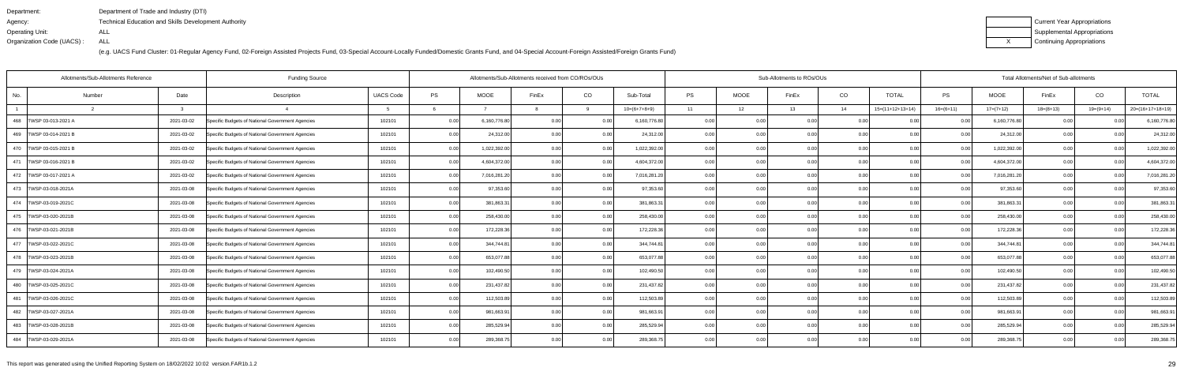| Department:               | Department of Trade and Industry (DTI)                      |
|---------------------------|-------------------------------------------------------------|
| Agency:                   | <b>Technical Education and Skills Development Authority</b> |
| Operating Unit:           | ALL                                                         |
| Organization Code (UACS): | ALL                                                         |

| Current Year Appropriations |
|-----------------------------|
| Supplemental Appropriations |
| Continuing Appropriations   |

| Allotments/Sub-Allotments Reference<br><b>Funding Source</b> |        |            |                                                  |                  |      |              | Allotments/Sub-Allotments received from CO/ROs/OUs |          |                |           |             | Sub-Allotments to ROs/OUs |      | Total Allotments/Net of Sub-allotments |                |              |             |                |                    |
|--------------------------------------------------------------|--------|------------|--------------------------------------------------|------------------|------|--------------|----------------------------------------------------|----------|----------------|-----------|-------------|---------------------------|------|----------------------------------------|----------------|--------------|-------------|----------------|--------------------|
| No.                                                          | Number | Date       | Description                                      | <b>UACS Code</b> | PS   | <b>MOOE</b>  | FinEx                                              | CO       | Sub-Total      | <b>PS</b> | <b>MOOE</b> | FinEx                     | CO   | <b>TOTAL</b>                           | <b>PS</b>      | <b>MOOE</b>  | FinEx       | CO             | <b>TOTAL</b>       |
|                                                              |        |            |                                                  |                  |      |              |                                                    | $\Omega$ | $10=(6+7+8+9)$ | 11        | 12          | 13                        | 14   | $15=(11+12+13+14)$                     | $16=(6+11)$    | $17=(7+12)$  | $18=(8+13)$ | 19=(9+14)      | $20=(16+17+18+19)$ |
| 468   TWSP 03-013-2021 A                                     |        | 2021-03-02 | Specific Budgets of National Government Agencies | 102101           | 0.00 | 6,160,776.80 | 0.00                                               | 0.00     | 6,160,776.80   | 0.00      | 0.00        | 0.00                      | 0.00 | 0.00                                   | 0.00           | 6,160,776.80 | 0.00        |                | 6,160,776.80       |
| 469   TWSP 03-014-2021 B                                     |        | 2021-03-02 | Specific Budgets of National Government Agencies | 102101           | 0.00 | 24,312.00    | 0.00                                               | 0.00     | 24,312.00      | 0.00      | 0.00        | 0.00                      | 0.00 | 0.00                                   | 0.00           | 24,312.00    | 0.00        | 0.00           | 24,312.00          |
| 470 TWSP 03-015-2021 B                                       |        | 2021-03-02 | Specific Budgets of National Government Agencies | 102101           | 0.00 | 1,022,392.00 | 0.00                                               | 0.00     | 1,022,392.00   | 0.001     | 0.00        | 0.00 l                    | 0.00 | 0.00                                   | 0.00           | 1,022,392.00 | 0.00        | 0.00           | 1,022,392.00       |
| 471   TWSP 03-016-2021 B                                     |        | 2021-03-02 | Specific Budgets of National Government Agencies | 102101           | 0.00 | 4,604,372.00 | 0.00                                               | 0.00     | 4,604,372.00   | 0.00      | 0.00        | 0.00                      | 0.00 | 0.00                                   | 0.00           | 4,604,372.00 | 0.00        | 0.00           | 4,604,372.00       |
| 472   TWSP 03-017-2021 A                                     |        | 2021-03-02 | Specific Budgets of National Government Agencies | 102101           | 0.00 | 7,016,281.20 | 0.00                                               | 0.00     | 7,016,281.20   | 0.00      | 0.00        | 0.00                      | 0.00 | 0.00                                   | 0.0            | 7,016,281.20 | 0.00        | 0.00           | 7,016,281.20       |
| 473   TWSP-03-018-2021A                                      |        | 2021-03-08 | Specific Budgets of National Government Agencies | 102101           | 0.00 | 97,353.60    | 0.00                                               | 0.00     | 97,353.60      | 0.00      | 0.00        | 0.00 l                    | 0.00 | 0.00                                   | 0.00           | 97,353.60    | 0.00        | 0.00           | 97,353.60          |
| 474   TWSP-03-019-2021C                                      |        | 2021-03-08 | Specific Budgets of National Government Agencies | 102101           | 0.00 | 381,863.3    | 0.00                                               | 0.00     | 381,863.31     | 0.00      | 0.00        | 0.00                      | 0.00 | 0.00                                   | 0.00           | 381,863.31   | 0.00        | 0.00           | 381,863.31         |
| 475   TWSP-03-020-2021B                                      |        | 2021-03-08 | Specific Budgets of National Government Agencies | 102101           | 0.00 | 258,430.00   | 0.00                                               | 0.00     | 258,430.00     | 0.00      | 0.00        | 0.00                      | 0.00 | 0.00                                   | 0.00           | 258,430.00   | 0.00        | 0 <sub>0</sub> | 258,430.00         |
| 476   TWSP-03-021-2021B                                      |        | 2021-03-08 | Specific Budgets of National Government Agencies | 102101           | 0.00 | 172,228.36   | 0.00                                               | 0.00     | 172,228.36     | 0.001     | 0.00        | 0.00                      | 0.00 | 0.00                                   | 0 <sub>0</sub> | 172,228.36   | 0.00        | 0.00           | 172,228.36         |
| 477   TWSP-03-022-2021C                                      |        | 2021-03-08 | Specific Budgets of National Government Agencies | 102101           | 0.00 | 344,744.8    | 0.00                                               | 0.00     | 344,744.81     | 0.00      | 0.00        | 0.00                      | 0.00 | 0.00                                   | 0.00           | 344,744.81   | 0.00        | 0.00           | 344,744.81         |
| 478   TWSP-03-023-2021B                                      |        | 2021-03-08 | Specific Budgets of National Government Agencies | 102101           | 0.00 | 653,077.88   | 0.00                                               | 0.00     | 653,077.88     | 0.00      | 0.00        | 0.00                      | 0.00 | 0.00                                   | 0.00           | 653,077.88   | 0.00        |                | 653,077.88         |
| 479 TWSP-03-024-2021A                                        |        | 2021-03-08 | Specific Budgets of National Government Agencies | 102101           | 0.00 | 102,490.50   | 0.00                                               | 0.00     | 102,490.50     | 0.00      | 0.00        | 0.00                      | 0.00 | 0.00                                   |                | 102,490.50   | 0.00        | 0.00           | 102,490.50         |
| 480   TWSP-03-025-2021C                                      |        | 2021-03-08 | Specific Budgets of National Government Agencies | 102101           | 0.00 | 231,437.82   | 0.00                                               | 0.00     | 231,437.82     | 0.00      | 0.00        | 0.00                      | 0.00 | 0.00                                   | 0.00           | 231,437.82   | 0.00        | 0.00           | 231,437.82         |
| 481   TWSP-03-026-2021C                                      |        | 2021-03-08 | Specific Budgets of National Government Agencies | 102101           | 0.00 | 112,503.89   | 0.OC                                               | 0.00     | 112,503.89     | 0.00      | 0.00        | 0.00                      | 0.00 | 0.00                                   | 0.00           | 112,503.89   | 0.00        | 0.00           | 112,503.89         |
| 482   TWSP-03-027-2021A                                      |        | 2021-03-08 | Specific Budgets of National Government Agencies | 102101           | 0.00 | 981,663.9    | 0.00                                               | 0.00     | 981,663.91     | 0.00      | 0.00        | 0.00                      | 0.00 | 0.00                                   |                | 981,663.9    | 0.00        |                | 981,663.91         |
| 483   TWSP-03-028-2021B                                      |        | 2021-03-08 | Specific Budgets of National Government Agencies | 102101           | 0.00 | 285,529.94   | 0.OC                                               | 0.00     | 285,529.94     | 0.00      | 0.00        | 0.00                      | 0.00 | 0.00                                   |                | 285,529.94   | 0.00        |                | 285,529.94         |
| 484   TWSP-03-029-2021A                                      |        | 2021-03-08 | Specific Budgets of National Government Agencies | 102101           | 0.00 | 289,368.7    | n nr                                               | 0.00     | 289,368.75     | 0.00      | 0.00        | 0.001                     | 0.00 | 0.001                                  | 0 <sub>0</sub> | 289,368.7    | 0.00        | በ በበ           | 289,368.75         |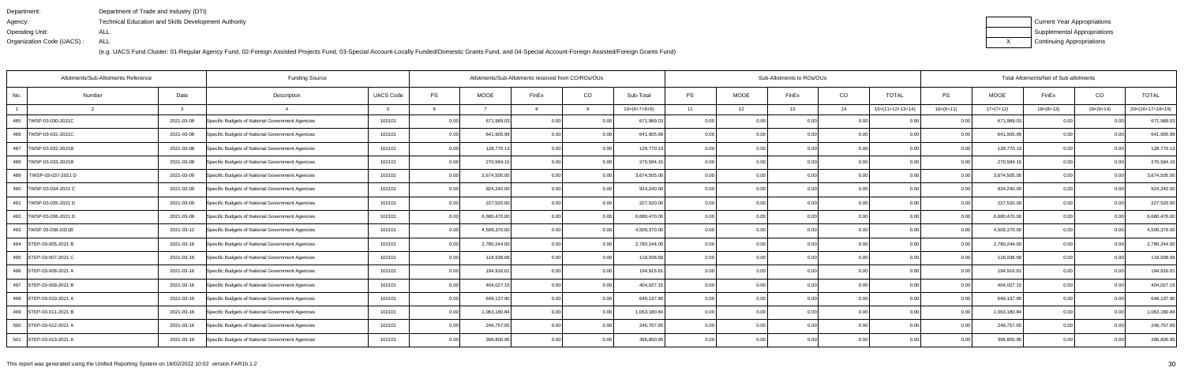| Department:               | Department of Trade and Industry (DTI)                      |
|---------------------------|-------------------------------------------------------------|
| Agency:                   | <b>Technical Education and Skills Development Authority</b> |
| Operating Unit:           | ALL                                                         |
| Organization Code (UACS): | ALL                                                         |

| Current Year Appropriations |
|-----------------------------|
| Supplemental Appropriations |
| Continuing Appropriations   |

| <b>Funding Source</b><br>Allotments/Sub-Allotments Reference |        |            |                                                  |                  |      |              | Allotments/Sub-Allotments received from CO/ROs/OUs |      |                |       |             | Sub-Allotments to ROs/OUs |      |                    | Total Allotments/Net of Sub-allotments |              |             |                |                    |  |
|--------------------------------------------------------------|--------|------------|--------------------------------------------------|------------------|------|--------------|----------------------------------------------------|------|----------------|-------|-------------|---------------------------|------|--------------------|----------------------------------------|--------------|-------------|----------------|--------------------|--|
| No.                                                          | Number | Date       | Description                                      | <b>UACS Code</b> | PS   | <b>MOOE</b>  | FinEx                                              | CO   | Sub-Total      | PS    | <b>MOOE</b> | FinEx                     | CO   | <b>TOTAL</b>       | <b>PS</b>                              | <b>MOOE</b>  | FinEx       | CO             | <b>TOTAL</b>       |  |
|                                                              |        |            |                                                  |                  |      |              |                                                    |      | $10=(6+7+8+9)$ | 11    | 12          | 13                        | 14   | $15=(11+12+13+14)$ | $16=(6+11)$                            | $17=(7+12)$  | $18=(8+13)$ | 19=(9+14)      | $20=(16+17+18+19)$ |  |
| 485   TWSP-03-030-2021C                                      |        | 2021-03-08 | Specific Budgets of National Government Agencies | 102101           | 0.00 | 671,989.03   | 0.00                                               | 0.00 | 671,989.03     | 0.00  | 0.00        | 0.00                      | 0.00 | 0.00               | 0.00                                   | 671,989.0    | 0.00        |                | 671,989.03         |  |
| 486   TWSP-03-031-2021C                                      |        | 2021-03-08 | Specific Budgets of National Government Agencies | 102101           | 0.00 | 641,905.99   | 0.00                                               | 0.00 | 641,905.99     | 0.00  | 0.00        | 0.00                      | 0.00 | 0.00               | 0.0                                    | 641,905.9    | 0.00        | ი იი           | 641,905.99         |  |
| 487   TWSP-03-032-2021B                                      |        | 2021-03-08 | Specific Budgets of National Government Agencies | 102101           | 0.00 | 128,770.13   | 0.00                                               | 0.00 | 128,770.13     | 0.00  | 0.00        | 0.00                      | 0.00 | 0.00               | 0.00                                   | 128,770.13   | 0.00        | 0.00           | 128,770.13         |  |
| 488   TWSP-03-033-2021B                                      |        | 2021-03-08 | Specific Budgets of National Government Agencies | 102101           | 0.00 | 270,584.15   | 0.00                                               | 0.00 | 270,584.15     | 0.00  | 0.00        | 0.00                      | 0.00 | 0.00               | 0.00                                   | 270,584.1    | 0.00        | 0.00           | 270,584.15         |  |
| TWSP-03-037-2021 D<br>489                                    |        | 2021-03-09 | Specific Budgets of National Government Agencies | 102101           | 0.00 | 3,674,505.00 | 0.00                                               | 0.00 | 3,674,505.00   | 0.00  | 0.00        | 0.00                      | 0.00 | 0.00               | 0 Q                                    | 3,674,505.00 | 0.00        |                | 3,674,505.00       |  |
| 490   TWSP-03-034-2021 C                                     |        | 2021-03-09 | Specific Budgets of National Government Agencies | 102101           | 0.00 | 924,240.00   | 0.00                                               | 0.00 | 924,240.00     | 0.00  | 0.00        | 0.00                      | 0.00 | 0.00               | $\cap$ $\cap$                          | 924,240.00   | 0.00        | 0 <sub>0</sub> | 924,240.00         |  |
| 491   TWSP-03-035-2021 D                                     |        | 2021-03-09 | Specific Budgets of National Government Agencies | 102101           | 0.00 | 227,520.00   | 0.00                                               | 0.00 | 227,520.00     | 0.00  | 0.00        | 0.00                      | 0.00 | 0.00               | 0.00                                   | 227,520.00   | 0.00        | 0.00           | 227,520.00         |  |
| 492   TWSP-03-036-2021 D                                     |        | 2021-03-09 | Specific Budgets of National Government Agencies | 102101           | 0.00 | 6,680,470.00 | 0 <sub>0</sub>                                     | 0.00 | 6,680,470.00   | 0.00  | 0.00        | 0.00                      | 0.00 | 0.00               | 0 <sub>0</sub>                         | 6,680,470.00 | 0.00        |                | 6,680,470.00       |  |
| 493   TWSP 03-038-2021B                                      |        | 2021-03-12 | Specific Budgets of National Government Agencies | 102101           | 0.00 | 4,509,370.00 | 0.00                                               | 0.00 | 4,509,370.00   | 0.00  | 0.00        | 0.00                      | 0.00 | 0.00               |                                        | 4,509,370.00 | 0.00        | 0.00           | 4,509,370.00       |  |
| 494 STEP-03-005-2021 B                                       |        | 2021-03-16 | Specific Budgets of National Government Agencies | 102101           | 0.00 | 2,780,244.00 | 0 <sub>0</sub>                                     | 0.00 | 2,780,244.00   | 0.00  | 0.00        | 0.00                      | 0.00 | 0.00               | 0.00                                   | 2,780,244.00 | 0.00        | 0.00           | 2,780,244.00       |  |
| 495 STEP-03-007-2021 C                                       |        | 2021-03-16 | Specific Budgets of National Government Agencies | 102101           | 0.00 | 118,938.68   | 0.00                                               | 0.00 | 118,938.68     | 0.00  | 0.00        | 0.00                      | 0.00 | 0.00               | 0.00                                   | 118,938.68   | 0.00        | ი იი           | 118,938.68         |  |
| 496 STEP-03-008-2021 A                                       |        | 2021-03-16 | Specific Budgets of National Government Agencies | 102101           | 0.00 | 194,916.6    | 0.00                                               | 0.00 | 194,916.61     | 0.00  | 0.00        | 0.00                      | 0.00 | 0.001              | 0 <sub>0</sub>                         | 194,916.61   | 0.00        | 0.00           | 194,916.61         |  |
| 497 STEP-03-009-2021 B                                       |        | 2021-03-16 | Specific Budgets of National Government Agencies | 102101           | 0.00 | 404,027.1    | 0.00                                               | 0.00 | 404,027.15     | 0.00  | 0.00        | 0.00                      | 0.00 | 0.00               | 0 <sub>0</sub>                         | 404,027.15   | 0.00        | 0.00           | 404,027.15         |  |
| 498 STEP-03-010-2021 A                                       |        | 2021-03-16 | Specific Budgets of National Government Agencies | 102101           | 0.00 | 649,137.90   | 0.00                                               | 0.00 | 649,137.90     | 0.001 | 0.00        | 0.00                      | 0.00 | 0.00               | 0.00                                   | 649,137.90   | 0.00        | 0.00           | 649,137.90         |  |
| 499 STEP-03-011-2021 B                                       |        | 2021-03-16 | Specific Budgets of National Government Agencies | 102101           | 0.00 | 1,063,180.84 | 0.00                                               | 0.00 | 1,063,180.84   | 0.00  | 0.00        | 0.00                      | 0.00 | 0.00               | 0 Q                                    | 1,063,180.84 | 0.00        | ი იი           | 1,063,180.84       |  |
| 500 STEP-03-012-2021 A                                       |        | 2021-03-16 | Specific Budgets of National Government Agencies | 102101           | 0.00 | 246,757.65   | 0.00                                               | 0.00 | 246,757.65     | 0.001 | 0.00        | 0.00                      | 0.00 | 0.00               |                                        | 246,757.65   | 0.00        | 0.00           | 246,757.65         |  |
| 501 STEP-03-013-2021 A                                       |        | 2021-03-16 | Specific Budgets of National Government Agencies | 102101           | 0.00 | 396,800.95   | 0.00                                               | 0.00 | 396,800.95     | 0.00  | 0.00        | 0.00                      | 0.00 | 0.00               | 0.00                                   | 396,800.95   | 0.00        | 0.00           | 396,800.95         |  |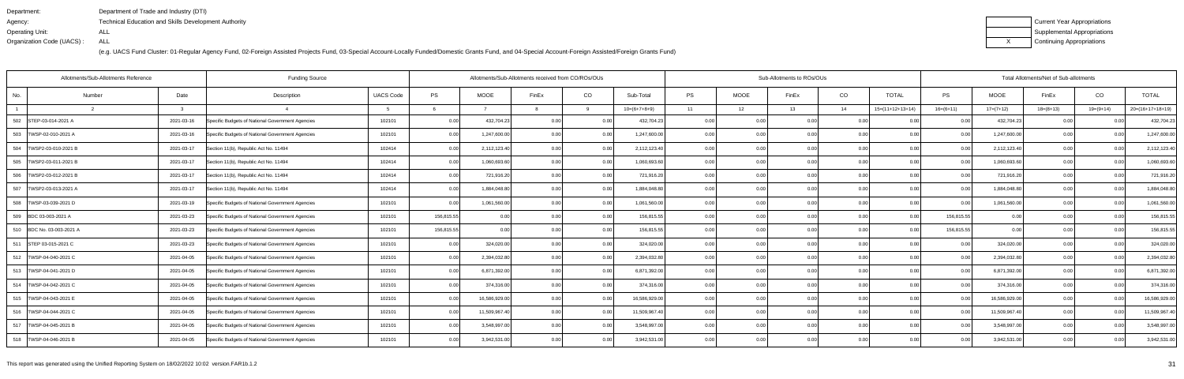| Department:               | Department of Trade and Industry (DTI)                      |
|---------------------------|-------------------------------------------------------------|
| Agency:                   | <b>Technical Education and Skills Development Authority</b> |
| Operating Unit:           | ALL                                                         |
| Organization Code (UACS): | ALL                                                         |

| Current Year Appropriations |
|-----------------------------|
| Supplemental Appropriations |
| Continuing Appropriations   |

| Allotments/Sub-Allotments Reference<br><b>Funding Source</b> |        |            |                                                  |                  |            | Allotments/Sub-Allotments received from CO/ROs/OUs |                |       |                |           |             | Sub-Allotments to ROs/OUs |                |                    | Total Allotments/Net of Sub-allotments |               |             |                |                    |  |
|--------------------------------------------------------------|--------|------------|--------------------------------------------------|------------------|------------|----------------------------------------------------|----------------|-------|----------------|-----------|-------------|---------------------------|----------------|--------------------|----------------------------------------|---------------|-------------|----------------|--------------------|--|
| No.                                                          | Number | Date       | Description                                      | <b>UACS Code</b> | PS         | <b>MOOE</b>                                        | FinEx          | CO    | Sub-Total      | <b>PS</b> | <b>MOOE</b> | FinEx                     | CO             | <b>TOTAL</b>       | PS                                     | <b>MOOE</b>   | FinEx       | CO             | <b>TOTAL</b>       |  |
|                                                              |        |            |                                                  |                  |            |                                                    |                |       | $10=(6+7+8+9)$ | 11        | 12          | 13                        | 14             | $15=(11+12+13+14)$ | $16=(6+11)$                            | $17=(7+12)$   | $18=(8+13)$ | $19=(9+14)$    | $20=(16+17+18+19)$ |  |
| 502 STEP-03-014-2021 A                                       |        | 2021-03-16 | Specific Budgets of National Government Agencies | 102101           | 0.00       | 432,704.23                                         | 0 <sub>0</sub> | 0.00  | 432,704.23     | 0.00      |             | 0.00                      | 0.0            |                    | 0.00                                   | 432,704.23    | 0.00        |                | 432,704.23         |  |
| 503<br>TWSP-02-010-2021 A                                    |        | 2021-03-16 | Specific Budgets of National Government Agencies | 102101           | 0.00       | 1,247,600.00                                       | 0.00           | 0.00  | 1,247,600.00   | 0.001     | 0.00        | n nc                      | 0.00           | 0.00               | 0.00                                   | 1,247,600.00  | 0.00        | 0 <sub>0</sub> | 1,247,600.00       |  |
| 504   TWSP2-03-010-2021 B                                    |        | 2021-03-17 | Section 11(b), Republic Act No. 11494            | 102414           | 0.00       | 2,112,123.40                                       |                | 0.00  | 2,112,123.40   | 0.00      | 0.00        | 0.OC                      | 0.00           | 0.00               | 0.00                                   | 2,112,123.40  | 0.00        | 0.00           | 2,112,123.40       |  |
| 505   TWSP2-03-011-2021 B                                    |        | 2021-03-17 | Section 11(b), Republic Act No. 11494            | 102414           | 0.00       | 1,060,693.60                                       | 0.00           | 0.00  | 1,060,693.60   | 0.00      | 0.00        | 0.00                      | 0.00           | 0.00               | 0.00                                   | 1,060,693.60  | 0.00        | 0 <sub>0</sub> | 1,060,693.60       |  |
| 506   TWSP2-03-012-2021 B                                    |        | 2021-03-17 | Section 11(b), Republic Act No. 11494            | 102414           | 0.00       | 721,916.20                                         | 0.00           | 0.00  | 721,916.20     | 0.001     | 0.00        | n nr                      | 0.00           | 0.00               | 0.00                                   | 721,916.20    | 0.00        | 0 <sub>0</sub> | 721,916.20         |  |
| 507 TWSP2-03-013-2021 A                                      |        | 2021-03-17 | Section 11(b), Republic Act No. 11494            | 102414           | 0.00       | 1,884,048.80                                       | 0.00           | 0.00  | 1,884,048.80   | 0.00      | 0.00        | n nr                      | 0.00           | 0.00               | 0.00                                   | 1,884,048.80  | 0.00        | 0.00           | 1,884,048.80       |  |
| 508  TWSP-03-039-2021 D                                      |        | 2021-03-19 | Specific Budgets of National Government Agencies | 102101           | 0.00       | 1,061,560.00                                       | 0.00           | 0.00  | 1,061,560.00   | 0.00      | 0.00        | 0.00                      | 0.00           | 0.00               | 0.00                                   | 1,061,560.00  | 0.00        | 0.00           | 1,061,560.00       |  |
| 509 BDC 03-003-2021 A                                        |        | 2021-03-23 | Specific Budgets of National Government Agencies | 102101           | 156,815.55 |                                                    | 0 <sub>0</sub> | 0.00  | 156,815.55     | 0.00      | 0.00        |                           | 0.0            | ი იი               | 156.815.55                             | 0.00          | 0.00        | 0 <sub>0</sub> | 156,815.55         |  |
| 510 BDC No. 03-003-2021 A                                    |        | 2021-03-23 | Specific Budgets of National Government Agencies | 102101           | 156,815.55 | 0.00                                               | 0.00           | 0.00  | 156,815.55     | 0.001     | 0.00        | 0.00                      | 0.00           | 0.00               | 156,815.55                             | 0.00          | 0.00        | 0.00           | 156,815.55         |  |
| 511 STEP 03-015-2021 C                                       |        | 2021-03-23 | Specific Budgets of National Government Agencies | 102101           | 0.00       | 324,020.00                                         | 0.00           | 0.00  | 324,020.00     | 0.00      | 0.00        | 0.00                      | 0.00           | 0.00               | 0.00                                   | 324,020.00    | 0.00        | 0.00           | 324,020.00         |  |
| 512   TWSP-04-040-2021 C                                     |        | 2021-04-05 | Specific Budgets of National Government Agencies | 102101           | 0.00       | 2,394,032.80                                       | 0.00           | 0.00  | 2,394,032.80   | 0.001     | 0.00        | 0.00                      | 0.0            | 0.00               | 0.00                                   | 2,394,032.80  | 0.00        | 0.00           | 2,394,032.80       |  |
| 513   TWSP-04-041-2021 D                                     |        | 2021-04-05 | Specific Budgets of National Government Agencies | 102101           | 0.00       | 6,871,392.00                                       | 0.00           | 0.00  | 6,871,392.00   | 0.00      | 0.00        | 0.00                      | 0 <sub>0</sub> | 0.00               | 0.00                                   | 6,871,392.00  | 0.00        | 0 <sub>0</sub> | 6,871,392.00       |  |
| 514   TWSP-04-042-2021 C                                     |        | 2021-04-05 | Specific Budgets of National Government Agencies | 102101           | 0.00       | 374,316.00                                         | 0.00           | 0.00  | 374,316.00     | 0.00      | 0.00        | 0.00                      | 0.00           | 0.00               | 0.00                                   | 374,316.00    | 0.00        | 0.00           | 374,316.00         |  |
| 515   TWSP-04-043-2021 E                                     |        | 2021-04-05 | Specific Budgets of National Government Agencies | 102101           | 0.00       | 16,586,929.00                                      | 0.00           | 0.00  | 16,586,929.00  | 0.001     | 0.00        | 0.00                      | 0.00           | 0.00               | 0.00                                   | 16,586,929.00 | 0.00        | 0.00           | 16,586,929.00      |  |
| 516   TWSP-04-044-2021 C                                     |        | 2021-04-05 | Specific Budgets of National Government Agencies | 102101           | 0.00       | 11,509,967.40                                      | 0.00           | 0.00  | 11,509,967.40  | 0.001     | 0.00        | 0.00                      | 0.00           | 0.00               | 0.00                                   | 11,509,967.40 | 0.00        | 0 <sub>0</sub> | 11,509,967.40      |  |
| 517   TWSP-04-045-2021 B                                     |        | 2021-04-05 | Specific Budgets of National Government Agencies | 102101           | 0.00       | 3,548,997.00                                       | 0.00           | 0.00  | 3,548,997.00   | 0.00      | 0.00        | n nc                      | 0.00           | 0.00               | 0.00                                   | 3,548,997.00  | 0.00        | 0.00           | 3,548,997.00       |  |
| 518   TWSP-04-046-2021 B                                     |        | 2021-04-05 | Specific Budgets of National Government Agencies | 102101           | 0.00       | 3,942,531.00                                       | 0.00           | 0.001 | 3,942,531.00   | 0.001     | 0.00        | 0.00                      | 0.00           | 0.00               | 0.00                                   | 3,942,531.00  | 0.00        | 0.00           | 3,942,531.00       |  |
|                                                              |        |            |                                                  |                  |            |                                                    |                |       |                |           |             |                           |                |                    |                                        |               |             |                |                    |  |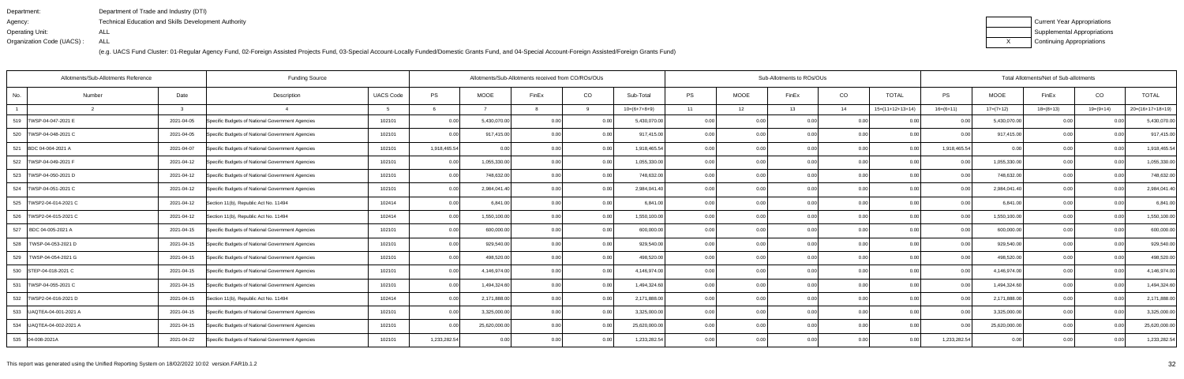| Department:               | Department of Trade and Industry (DTI)                      |
|---------------------------|-------------------------------------------------------------|
| Agency:                   | <b>Technical Education and Skills Development Authority</b> |
| Operating Unit:           | ALL                                                         |
| Organization Code (UACS): | ALL                                                         |

| Current Year Appropriations |
|-----------------------------|
| Supplemental Appropriations |
| Continuing Appropriations   |

|                            | Allotments/Sub-Allotments Reference | <b>Funding Source</b>                            |                  | Allotments/Sub-Allotments received from CO/ROs/OUs |               |                |      |                |       | Sub-Allotments to ROs/OUs |       |      | Total Allotments/Net of Sub-allotments |               |               |             |                |                    |  |
|----------------------------|-------------------------------------|--------------------------------------------------|------------------|----------------------------------------------------|---------------|----------------|------|----------------|-------|---------------------------|-------|------|----------------------------------------|---------------|---------------|-------------|----------------|--------------------|--|
| No.                        | Date<br>Number                      | Description                                      | <b>UACS Code</b> | PS                                                 | <b>MOOE</b>   | FinEx          | CO   | Sub-Total      | PS    | <b>MOOE</b>               | FinEx | CO   | <b>TOTAL</b>                           | $\mathsf{PS}$ | <b>MOOE</b>   | FinEx       | CO             | <b>TOTAL</b>       |  |
|                            | 3                                   |                                                  |                  |                                                    |               |                | q    | $10=(6+7+8+9)$ | 11    | 12                        | 13    | 14   | $15=(11+12+13+14)$                     | $16=(6+11)$   | $17=(7+12)$   | $18=(8+13)$ | $19=(9+14)$    | $20=(16+17+18+19)$ |  |
| 519   TWSP-04-047-2021 E   | 2021-04-05                          | Specific Budgets of National Government Agencies | 102101           | 0.00                                               | 5,430,070.00  | 0.0(           | 0.00 | 5,430,070.00   | 0.00  |                           | 0.00  |      |                                        | 0.00          | 5,430,070.00  |             |                | 5,430,070.00       |  |
| 520   TWSP-04-048-2021 C   | 2021-04-05                          | Specific Budgets of National Government Agencies | 102101           | 0.00                                               | 917,415.00    | 0.00           | 0.00 | 917,415.00     | 0.001 | 0.00                      | 0.OC  | 0.00 | 0.00                                   | 0.00          | 917,415.00    | 0.00        | 0 <sub>0</sub> | 917,415.00         |  |
| 521 BDC 04-004-2021 A      | 2021-04-07                          | Specific Budgets of National Government Agencies | 102101           | 1,918,465.54                                       | 0.00          | 0.00           | 0.00 | 1,918,465.54   | 0.00  | 0.00                      | 0.00  | 0.00 | 0.00                                   | 1,918,465.54  | 0.00          | 0.00        | 0.00           | 1,918,465.54       |  |
| 522   TWSP-04-049-2021 F   | 2021-04-12                          | Specific Budgets of National Government Agencies | 102101           | 0.00                                               | 1,055,330.00  | 0.00           | 0.00 | 1,055,330.00   | 0.00  | 0.00                      | 0.00  | 0.00 | 0.00                                   | 0.00          | 1,055,330.00  | 0.00        | 0.00           | 1,055,330.00       |  |
| 523 TWSP-04-050-2021 D     | 2021-04-12                          | Specific Budgets of National Government Agencies | 102101           | 0.00                                               | 748,632.00    | 0 <sub>0</sub> | 0.00 | 748,632.00     | 0.00  | 0.00                      | 0.00  | 0.00 | 0.00                                   | 0.00          | 748,632.00    | 0.00        | 0 <sub>0</sub> | 748,632.00         |  |
| 524   TWSP-04-051-2021 C   | 2021-04-12                          | Specific Budgets of National Government Agencies | 102101           | 0.00                                               | 2,984,041.40  | 0.00           | 0.00 | 2,984,041.40   | 0.00  | 0.00                      | 0.00  | 0.00 | 0.00                                   | 0.00          | 2,984,041.40  | 0.00        | 0.00           | 2,984,041.40       |  |
| 525   TWSP2-04-014-2021 C  | 2021-04-12                          | Section 11(b), Republic Act No. 11494            | 102414           | 0.00                                               | 6,841.00      | 0.00           | 0.00 | 6.841.00       | 0.00  | 0.00                      | 0.00  | 0.00 | 0.00                                   | 0.00          | 6,841.00      | 0.00        | 0.00           | 6,841.00           |  |
| 526   TWSP2-04-015-2021 C  | 2021-04-12                          | Section 11(b), Republic Act No. 11494            | 102414           | 0.00                                               | 1,550,100.00  | 0.00           | 0.00 | 1,550,100.00   | 0.00  | 0.00                      | 0.00  | 0.00 | 0.00                                   | 0.00          | 1,550,100.00  | 0.00        | 0 <sub>0</sub> | 1,550,100.00       |  |
| 527<br>BDC 04-005-2021 A   | 2021-04-15                          | Specific Budgets of National Government Agencies | 102101           | 0.00                                               | 600,000.00    | 0.00           | 0.00 | 600,000.00     | 0.001 | 0.00                      | 0.00  | 0.00 | 0.00                                   | 0.00          | 600,000.00    | 0.00        | 0.00           | 600,000.00         |  |
| 528   TWSP-04-053-2021 D   | 2021-04-15                          | Specific Budgets of National Government Agencies | 102101           | 0.00                                               | 929,540.00    | 0.00           | 0.00 | 929,540.00     | 0.00  | 0.00                      | 0.00  | 0.00 | 0.00                                   | 0.00          | 929,540.00    | 0.00        | 0.00           | 929,540.00         |  |
| 529<br>TWSP-04-054-2021 G  | 2021-04-15                          | Specific Budgets of National Government Agencies | 102101           | 0.00                                               | 498,520.00    | 0.00           | 0.00 | 498,520.00     | 0.00  | 0.00                      | 0.00  | 0.00 | 0.00                                   | 0.00          | 498,520.00    | 0.00        | 0.00           | 498,520.00         |  |
| 530 STEP-04-018-2021 C     | 2021-04-15                          | Specific Budgets of National Government Agencies | 102101           | 0.00                                               | 4,146,974.00  | 0 <sub>0</sub> | 0.00 | 4,146,974.00   | 0.001 | 0.00                      | 0.OC  | 0.00 | 0.00                                   | 0.00          | 4,146,974.00  | 0.00        | 0 <sub>0</sub> | 4,146,974.00       |  |
| 531<br>TWSP-04-055-2021 C  | 2021-04-15                          | Specific Budgets of National Government Agencies | 102101           | 0.00                                               | 1,494,324.60  | 0.00           | 0.00 | 1,494,324.60   | 0.00  | 0.00                      | 0.OC  | 0.00 | 0.00                                   | 0.00          | 1,494,324.60  | 0.00        | 0.00           | 1,494,324.60       |  |
| 532  TWSP2-04-016-2021 D   | 2021-04-15                          | Section 11(b), Republic Act No. 11494            | 102414           | 0.00                                               | 2,171,888.00  | 0.00           | 0.00 | 2,171,888.00   | 0.001 | 0.00                      | 0.00  | 0.00 | 0.00                                   | 0.00          | 2,171,888.00  | 0.00        | 0.00           | 2,171,888.00       |  |
| 533   UAQTEA-04-001-2021 A | 2021-04-15                          | Specific Budgets of National Government Agencies | 102101           | 0.00                                               | 3,325,000.00  | 0.00           | 0.00 | 3,325,000.00   | 0.001 | 0.00                      | 0.00  | 0.00 | 0.00                                   | 0.00          | 3,325,000.00  | 0.00        | 0 <sub>0</sub> | 3,325,000.00       |  |
| 534 UAQTEA-04-002-2021 A   | 2021-04-15                          | Specific Budgets of National Government Agencies | 102101           | 0.00                                               | 25,620,000.00 | 0.00           | 0.00 | 25,620,000.00  | 0.00  | 0.00                      | 0.OC  | 0.00 | 0.00                                   | 0.00          | 25,620,000.00 | 0.00        |                | 25,620,000.00      |  |
| 535 04-008-2021A           | 2021-04-22                          | Specific Budgets of National Government Agencies | 102101           | 1,233,282.54                                       | 0.00          | 0.00           | 0.00 | 1,233,282.54   | 0.001 | 0.00                      | 0.00  | 0.00 | 0.00                                   | 1,233,282.54  | 0.00          | 0.00        | 0.00           | 1,233,282.54       |  |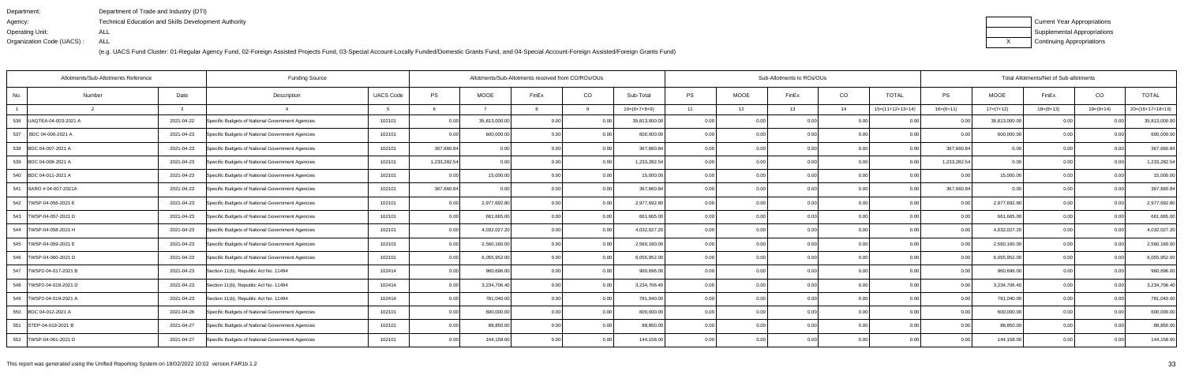| Department:               | Department of Trade and Industry (DTI)                      |
|---------------------------|-------------------------------------------------------------|
| Agency:                   | <b>Technical Education and Skills Development Authority</b> |
| Operating Unit:           | ALL                                                         |
| Organization Code (UACS): | ALL                                                         |

| Current Year Appropriations |
|-----------------------------|
| Supplemental Appropriations |
| Continuing Appropriations   |

|                           | Allotments/Sub-Allotments Reference |            | <b>Funding Source</b>                            | Allotments/Sub-Allotments received from CO/ROs/OUs |              |                |                |       |                | Sub-Allotments to ROs/OUs |             |       | Total Allotments/Net of Sub-allotments |                    |                   |               |             |                |                    |
|---------------------------|-------------------------------------|------------|--------------------------------------------------|----------------------------------------------------|--------------|----------------|----------------|-------|----------------|---------------------------|-------------|-------|----------------------------------------|--------------------|-------------------|---------------|-------------|----------------|--------------------|
| No.                       | Number                              | Date       | Description                                      | <b>UACS Code</b>                                   | <b>PS</b>    | <b>MOOE</b>    | FinEx          | CO    | Sub-Total      | <b>PS</b>                 | <b>MOOE</b> | FinEx | CO                                     | <b>TOTAL</b>       | PS                | <b>MOOE</b>   | FinEx       | CO             | <b>TOTAL</b>       |
|                           |                                     |            |                                                  |                                                    |              |                |                | a     | $10=(6+7+8+9)$ | 11                        | 12          | 13    | 14                                     | $15=(11+12+13+14)$ | $16=(6+11)$       | $17=(7+12)$   | $18=(8+13)$ | $19=(9+14)$    | $20=(16+17+18+19)$ |
| 536 UAQTEA-04-003-2021 A  |                                     | 2021-04-22 | Specific Budgets of National Government Agencies | 102101                                             | 0.00         | 35,813,000.00  | 0.00           | 0.00  | 35,813,000.00  | 0.00                      |             | 0.00  | 0.0                                    |                    | 0.00              | 35,813,000.00 | 0.00        |                | 35,813,000.00      |
| 537<br>BDC 04-006-2021 A  |                                     | 2021-04-23 | Specific Budgets of National Government Agencies | 102101                                             | 0.00         | 600,000.00     |                | 0.00  | 600,000.00     | 0.001                     | 0.00        | n nr  | 0.00                                   | 0.00               | n nr              | 600,000.00    | 0.00        |                | 600,000.00         |
| 538 BDC 04-007-2021 A     |                                     | 2021-04-23 | Specific Budgets of National Government Agencies | 102101                                             | 367,660.84   |                |                | 0.00  | 367,660.84     | 0.00                      | 0.00        |       | 0.00                                   | 0.00               | 367,660.84        | 0.00          | 0.00        | 0 <sub>0</sub> | 367,660.84         |
| 539 BDC 04-008-2021 A     |                                     | 2021-04-23 | Specific Budgets of National Government Agencies | 102101                                             | 1,233,282.54 | 0.00           | 0.00           | 0.00  | 1,233,282.54   | 0.001                     | 0.00        | 0.00  | 0.00                                   | 0.00               | 1,233,282.54      | 0.00          | 0.00        | 0.00           | 1,233,282.54       |
| 540 BDC 04-011-2021 A     |                                     | 2021-04-23 | Specific Budgets of National Government Agencies | 102101                                             | 0.00         | 15,000.00      |                | 0.00  | 15,000.00      | 0.00                      | 0.0         |       | 0.0                                    | 0.00               |                   | 15,000.00     | 0.00        |                | 15,000.00          |
| 541 SARO # 04-007-2021A   |                                     | 2021-04-23 | Specific Budgets of National Government Agencies | 102101                                             | 367,660.84   | 0 <sub>0</sub> | 0 <sub>0</sub> | 0.00  | 367,660.84     | 0.001                     | 0.00        | 0.OC  | 0.0                                    | 0.00               | 367,660.84        | 0.00          | 0.00        | 0.0(           | 367,660.84         |
| 542   TWSP-04-056-2021 E  |                                     | 2021-04-23 | Specific Budgets of National Government Agencies | 102101                                             | 0.00         | 2,977,692.80   | 0.00           | 0.00  | 2,977,692.80   | 0.00                      | 0.00        | 0.00  | 0.00                                   | 0.00               | 0.00              | 2,977,692.80  | 0.00        | 0.00           | 2,977,692.80       |
| 543   TWSP-04-057-2021 D  |                                     | 2021-04-23 | Specific Budgets of National Government Agencies | 102101                                             | 0.00         | 661,665.00     | 0 <sub>0</sub> | 0.00  | 661,665.00     | 0.00                      | 0.00        |       | 0 <sub>0</sub>                         |                    | 0.OC              | 661,665.00    | 0.00        |                | 661,665.00         |
| 544   TWSP-04-058-2021 H  |                                     | 2021-04-23 | Specific Budgets of National Government Agencies | 102101                                             | 0.00         | 4,032,027.20   | 0.00           | 0.00  | 4,032,027.20   | 0.00                      | 0.00        | 0.00  | 0 <sub>0</sub>                         | 0.00               | 0.00              | 4,032,027.20  | 0.00        | 0.00           | 4,032,027.20       |
| 545 TWSP-04-059-2021 E    |                                     | 2021-04-23 | Specific Budgets of National Government Agencies | 102101                                             | 0.00         | 2,560,160.00   | 0.00           | 0.00  | 2,560,160.00   | 0.00                      | 0.00        | 0.00  | 0.00                                   | 0.00               | 0.00              | 2,560,160.00  | 0.00        | 0.00           | 2,560,160.00       |
| 546   TWSP-04-060-2021 D  |                                     | 2021-04-23 | Specific Budgets of National Government Agencies | 102101                                             | 0.00         | 6,055,952.00   | 0.00           | 0.00  | 6,055,952.00   | 0.00                      | 0.00        | 0.00  | 0.0                                    | 0.00               | 0.00              | 6,055,952.00  | 0.00        | 0.00           | 6,055,952.00       |
| 547   TWSP2-04-017-2021 B |                                     | 2021-04-23 | Section 11(b), Republic Act No. 11494            | 102414                                             | 0.00         | 960,696.00     | 0.00           | 0.00  | 960,696.00     | 0.00                      | 0.00        | 0.00  | 0.0                                    | 0.00               | 0.00              | 960,696.0     | 0.00        | 0.0(           | 960,696.00         |
| 548 TWSP2-04-018-2021 D   |                                     | 2021-04-23 | Section 11(b), Republic Act No. 11494            | 102414                                             | 0.00         | 3,234,706.40   | 0.00           | 0.00  | 3,234,706.40   | 0.00                      | 0.00        | 0.OC  | 0.0                                    | 0.00               | 0.00              | 3,234,706.40  | 0.00        | 0.00           | 3,234,706.40       |
| 549   TWSP2-04-019-2021 A |                                     | 2021-04-23 | Section 11(b), Republic Act No. 11494            | 102414                                             | 0.00         | 781,040.00     | 0.00           | 0.00  | 781,040.00     | 0.001                     | 0.00        | 0.00  | 0.00                                   | 0.00               | 0.00              | 781,040.00    | 0.00        | 0.00           | 781,040.00         |
| 550 BDC 04-012-2021 A     |                                     | 2021-04-26 | Specific Budgets of National Government Agencies | 102101                                             | 0.00         | 600,000.00     | 0.00           | 0.00  | 600,000.00     | 0.001                     | 0.00        | 0.00  | 0.00                                   | 0.00               | 0.00              | 600,000.00    | 0.00        | 0.00           | 600,000.00         |
| 551 STEP-04-019-2021 B    |                                     | 2021-04-27 | Specific Budgets of National Government Agencies | 102101                                             | 0.00         | 88,850.00      | 0.00           | 0.00  | 88,850.00      | 0.00                      | 0.00        | 0.00  | 0.00                                   | 0.00               | 0.00              | 88,850.00     | 0.00        | 0.00           | 88,850.00          |
| 552   TWSP-04-061-2021 D  |                                     | 2021-04-27 | Specific Budgets of National Government Agencies | 102101                                             | 0.00         | 144,158.00     | 0.00           | 0.001 | 144,158.00     | 0.001                     | 0.00        | 0.00  | 0.00                                   | 0.00               | 0.00 <sub>l</sub> | 144,158.00    | 0.00        | 0.00           | 144,158.00         |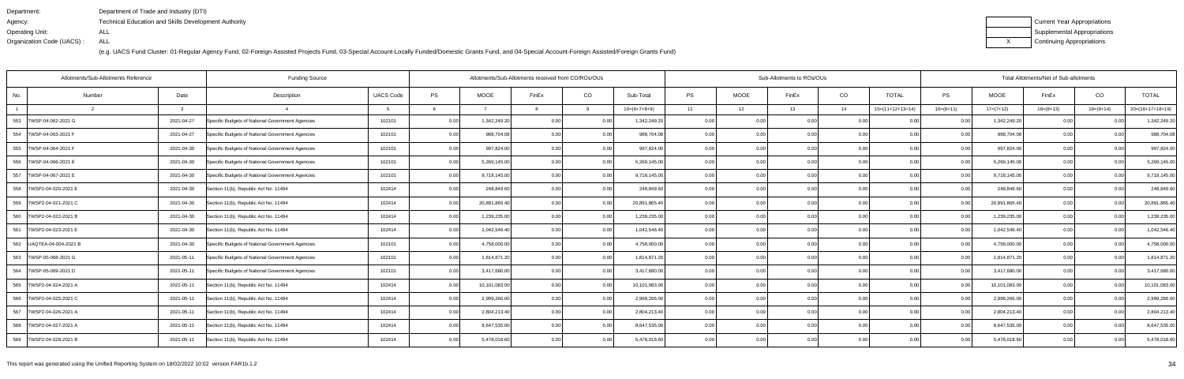| Department:               | Department of Trade and Industry (DTI)               |
|---------------------------|------------------------------------------------------|
| Agency:                   | Technical Education and Skills Development Authority |
| Operating Unit:           | ALL                                                  |
| Organization Code (UACS): | ALL                                                  |

| Current Year Appropriations |
|-----------------------------|
| Supplemental Appropriations |
| Continuing Appropriations   |

|                            | Allotments/Sub-Allotments Reference |            |                                                  | Allotments/Sub-Allotments received from CO/ROs/OUs |      |               |                |          | Sub-Allotments to ROs/OUs |       | Total Allotments/Net of Sub-allotments |                   |      |                    |                |               |             |           |                    |
|----------------------------|-------------------------------------|------------|--------------------------------------------------|----------------------------------------------------|------|---------------|----------------|----------|---------------------------|-------|----------------------------------------|-------------------|------|--------------------|----------------|---------------|-------------|-----------|--------------------|
| No.                        | Number                              | Date       | Description                                      | <b>UACS Code</b>                                   | PS   | <b>MOOE</b>   | FinEx          | CO       | Sub-Total                 | PS    | <b>MOOE</b>                            | FinEx             | CO   | <b>TOTAL</b>       | <b>PS</b>      | <b>MOOE</b>   | FinEx       | CO        | <b>TOTAL</b>       |
|                            |                                     |            |                                                  |                                                    |      |               |                | $\alpha$ | $10=(6+7+8+9)$            | 11    | 12                                     | 13                | 14   | $15=(11+12+13+14)$ | $16=(6+11)$    | $17=(7+12)$   | $18=(8+13)$ | 19=(9+14) | $20=(16+17+18+19)$ |
| 553 TWSP-04-062-2021 G     |                                     | 2021-04-27 | Specific Budgets of National Government Agencies | 102101                                             | 0.00 | 1,342,249.20  | 0.00           | 0.00     | 1,342,249.20              | 0.001 | 0.00                                   | 0.00              | 0.00 | 0.00               | 0.00           | 1,342,249.20  | 0.00        |           | 1,342,249.20       |
| 554 TWSP-04-063-2021 F     |                                     | 2021-04-27 | Specific Budgets of National Government Agencies | 102101                                             | 0.00 | 988,704.08    | 0.00           | 0.00     | 988,704.08                | 0.00  | 0.00                                   | 0.00              | 0.00 | 0.00               | 0.00           | 988,704.08    | 0.00        | ი იი      | 988,704.08         |
| 555   TWSP-04-064-2021 F   |                                     | 2021-04-30 | Specific Budgets of National Government Agencies | 102101                                             | 0.00 | 997,824.00    | 0.00           | 0.00     | 997,824.00                | 0.00  | 0.00                                   | 0.00              | 0.00 | 0.00               | 0.00           | 997,824.00    | 0.00        | 0.00      | 997,824.00         |
| 556   TWSP-04-066-2021 E   |                                     | 2021-04-30 | Specific Budgets of National Government Agencies | 102101                                             | 0.00 | 5,269,145.00  | 0.00           | 0.00     | 5,269,145.00              | 0.00  | 0.00                                   | 0.00              | 0.00 | 0.00               | 0.00           | 5,269,145.00  | 0.00        | 0.00      | 5,269,145.00       |
| 557<br>TWSP-04-067-2021 E  |                                     | 2021-04-30 | Specific Budgets of National Government Agencies | 102101                                             | 0.00 | 9,718,145.00  | 0.00           | 0.00     | 9,718,145.00              | 0.00  | 0.00                                   | 0.00              | 0.00 | 0.00               | 0 Q            | 9,718,145.00  | 0.00        |           | 9,718,145.00       |
| 558  TWSP2-04-020-2021 E   |                                     | 2021-04-30 | Section 11(b), Republic Act No. 11494            | 102414                                             | 0.00 | 248,849.60    | 0.00           | 0.00     | 248,849.60                | 0.00  | 0.00                                   | 0.00              | 0.00 | 0.00               | $\cap$         | 248,849.60    | 0.00        | 0.00      | 248,849.60         |
| 559   TWSP2-04-021-2021 C  |                                     | 2021-04-30 | Section 11(b), Republic Act No. 11494            | 102414                                             | 0.00 | 20,891,865.40 | 0.00           | 0.00     | 20,891,865.40             | 0.00  | 0.00                                   | 0.00              | 0.00 | 0.00               | 0.00           | 20,891,865.40 | 0.00        | 0.00      | 20,891,865.40      |
| 560   TWSP2-04-022-2021 B  |                                     | 2021-04-30 | Section 11(b), Republic Act No. 11494            | 102414                                             | 0.00 | 1,239,235.00  | 0 <sub>0</sub> | 0.00     | 1,239,235.00              | 0.00  | 0.00                                   | 0.00              | 0.00 | 0.00               |                | 1,239,235.00  | 0.00        |           | 1,239,235.00       |
| 561   TWSP2-04-023-2021 E  |                                     | 2021-04-30 | Section 11(b), Republic Act No. 11494            | 102414                                             | 0.00 | 1,042,546.40  | 0.00           | 0.00     | 1,042,546.40              | 0.00  | 0.00                                   | 0.00              | 0.00 | 0.00               |                | 1,042,546.40  | 0.00        | 0.00      | 1,042,546.40       |
| 562   UAQTEA-04-004-2021 B |                                     | 2021-04-30 | Specific Budgets of National Government Agencies | 102101                                             | 0.00 | 4,758,000.00  | 0 <sub>0</sub> | 0.00     | 4,758,000.00              | 0.00  | 0.00                                   | 0.00              | 0.00 | 0.00               | 0.00           | 4,758,000.00  | 0.00        | 0.00      | 4,758,000.00       |
| 563 TWSP-05-068-2021 G     |                                     | 2021-05-11 | Specific Budgets of National Government Agencies | 102101                                             | 0.00 | 1,814,871.20  | 0.00           | 0.00     | 1,814,871.20              | 0.00  | 0.00                                   | 0.00              | 0.00 | 0.00               | 0 <sub>0</sub> | 1,814,871.20  | 0.00        |           | 1,814,871.20       |
| 564   TWSP-05-069-2021 D   |                                     | 2021-05-11 | Specific Budgets of National Government Agencies | 102101                                             | 0.00 | 3,417,680.00  | 0.00           | 0.00     | 3,417,680.00              | 0.00  | 0.00                                   | 0.00              | 0.00 | 0.001              | 0.00           | 3,417,680.00  | 0.00        | 0.00      | 3,417,680.00       |
| 565   TWSP2-04-024-2021 A  |                                     | 2021-05-11 | Section 11(b), Republic Act No. 11494            | 102414                                             | 0.00 | 10,101,083.00 | 0.00           | 0.00     | 10,101,083.00             | 0.00  | 0.00                                   | 0.00              | 0.00 | 0.00               | $\cap$         | 10,101,083.00 | 0.00        | 0.00      | 10,101,083.00      |
| 566 TWSP2-04-025-2021 C    |                                     | 2021-05-11 | Section 11(b), Republic Act No. 11494            | 102414                                             | 0.00 | 2,999,266.00  | 0.00           | 0.00     | 2,999,266.00              | 0.001 | 0.00                                   | 0.00              | 0.00 | 0.001              | 0.00           | 2,999,266.00  | 0.00        | 0.00      | 2,999,266.00       |
| 567<br>TWSP2-04-026-2021 A |                                     | 2021-05-11 | Section 11(b), Republic Act No. 11494            | 102414                                             | 0.00 | 2,804,213.40  | 0.00           | 0.00     | 2,804,213.40              | 0.00  | 0.00                                   | 0.00              | 0.00 | 0.00               | 0 <sub>0</sub> | 2,804,213.40  | 0.00        |           | 2,804,213.40       |
| 568   TWSP2-04-027-2021 A  |                                     | 2021-05-11 | Section 11(b), Republic Act No. 11494            | 102414                                             | 0.00 | 8,647,535.00  | 0.00           | 0.00     | 8,647,535.00              | 0.001 | 0.00                                   | 0.00 <sub>1</sub> | 0.00 | 0.00               | 0 <sub>0</sub> | 8,647,535.00  | 0.00        | 0.00      | 8,647,535.00       |
| 569 TWSP2-04-028-2021 B    |                                     | 2021-05-11 | Section 11(b), Republic Act No. 11494            | 102414                                             | 0.00 | 5,478,018.60  | 0.00           | 0.00     | 5,478,018.60              | 0.001 | 0.00                                   | 0.00              | 0.00 | 0.00               | 0.00           | 5,478,018.60  | 0.00        | 0.00      | 5,478,018.60       |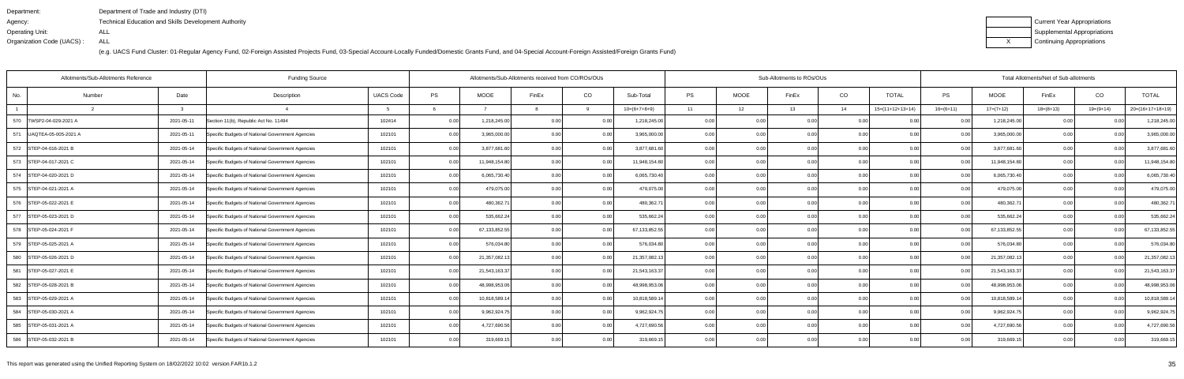| Department:               | Department of Trade and Industry (DTI)                      |
|---------------------------|-------------------------------------------------------------|
| Agency:                   | <b>Technical Education and Skills Development Authority</b> |
| Operating Unit:           | ALL                                                         |
| Organization Code (UACS): | ALL                                                         |

| Current Year Appropriations |
|-----------------------------|
| Supplemental Appropriations |
| Continuing Appropriations   |

| <b>Funding Source</b><br>Allotments/Sub-Allotments Reference |            |                                                  |                  |      |               |       |      |                                                    |           |      |       |                                                                                                                              | Total Allotments/Net of Sub-allotments |                                                      |               |             |                |                    |  |
|--------------------------------------------------------------|------------|--------------------------------------------------|------------------|------|---------------|-------|------|----------------------------------------------------|-----------|------|-------|------------------------------------------------------------------------------------------------------------------------------|----------------------------------------|------------------------------------------------------|---------------|-------------|----------------|--------------------|--|
| Number                                                       | Date       | Description                                      | <b>UACS Code</b> | PS   | <b>MOOE</b>   | FinEx | CO   | Sub-Total                                          | <b>PS</b> | MOOE | FinEx | CO                                                                                                                           | <b>TOTAL</b>                           | PS                                                   | MOOE          | FinEx       | CO             | <b>TOTAL</b>       |  |
|                                                              |            |                                                  |                  |      |               |       | q    | $10=(6+7+8+9)$                                     | 11        | 12   | 13    | 14                                                                                                                           | $15=(11+12+13+14)$                     | $16=(6+11)$                                          | $17=(7+12)$   | $18=(8+13)$ | $19=(9+14)$    | $20=(16+17+18+19)$ |  |
| TWSP2-04-029-2021 A                                          | 2021-05-11 | Section 11(b), Republic Act No. 11494            | 102414           | 0.00 | 1,218,245.00  | 0.00  | 0.00 | 1,218,245.00                                       | 0.00      |      | 0.00  | 0.0                                                                                                                          |                                        | 0.00                                                 | 1,218,245.00  | 0.00        | 0.0(           | 1,218,245.00       |  |
| UAQTEA-05-005-2021 A                                         | 2021-05-11 | Specific Budgets of National Government Agencies | 102101           | 0.00 | 3,965,000.00  | 0.00  | 0.00 | 3,965,000.00                                       | 0.00      |      | ስ ስበ  | 0.0                                                                                                                          | 0.00                                   | 0.00                                                 | 3,965,000.00  | 0.00        | 0 <sub>0</sub> | 3,965,000.00       |  |
| 572 STEP-04-016-2021 B                                       | 2021-05-14 | Specific Budgets of National Government Agencies | 102101           | 0.00 | 3,877,681.60  | 0.00  | 0.00 | 3,877,681.60                                       | 0.00      |      | ስ በ(  |                                                                                                                              | 0.00                                   | 0.00                                                 | 3,877,681.60  | 0.00        | 0.00           | 3,877,681.60       |  |
| 573 STEP-04-017-2021 C                                       | 2021-05-14 | Specific Budgets of National Government Agencies | 102101           | 0.00 | 11,948,154.80 | 0.00  | 0.00 | 11,948,154.80                                      | 0.00      |      | 0.00  |                                                                                                                              | 0.00                                   | 0.00                                                 | 11,948,154.80 | 0.00        | 0.00           | 11,948,154.80      |  |
| 574 STEP-04-020-2021 D                                       | 2021-05-14 | Specific Budgets of National Government Agencies | 102101           | 0.00 | 6,065,730.40  | 0.00  | 0.00 | 6,065,730.40                                       | 0.001     |      |       | 0.0                                                                                                                          | 0.00                                   | 0.00                                                 | 6,065,730.40  | 0.00        | 0 <sub>0</sub> | 6,065,730.40       |  |
| 575 STEP-04-021-2021 A                                       | 2021-05-14 | Specific Budgets of National Government Agencies | 102101           | 0.00 | 479,075.00    |       | 0.00 | 479,075.00                                         | 0.00      |      |       | 0.0                                                                                                                          | 0.00                                   | 0.00                                                 | 479,075.00    | 0.00        | 0.00           | 479,075.00         |  |
| 576 STEP-05-022-2021 E                                       | 2021-05-14 | Specific Budgets of National Government Agencies | 102101           | 0.00 | 480,362.71    | 0.00  | 0.00 | 480,362.7                                          | 0.00      |      | 0.00  |                                                                                                                              | 0.00                                   | 0.00                                                 | 480,362.71    | 0.00        | 0.00           | 480,362.71         |  |
| 577 STEP-05-023-2021 D                                       | 2021-05-14 | Specific Budgets of National Government Agencies | 102101           | 0.00 | 535,662.24    |       | 0.00 | 535,662.24                                         | 0.00      |      |       | 0.0                                                                                                                          | 0.00                                   | n nc                                                 | 535,662.24    | 0.00        | $\Omega$       | 535,662.24         |  |
| 578 STEP-05-024-2021 F                                       | 2021-05-14 | Specific Budgets of National Government Agencies | 102101           | 0.00 | 67,133,852.55 |       | 0.00 | 67,133,852.55                                      | 0.00      |      | ი იი  | 0.0                                                                                                                          | 0.00                                   | 0.00                                                 | 67,133,852.55 | 0.00        |                | 67, 133, 852. 55   |  |
| 579 STEP-05-025-2021 A                                       | 2021-05-14 | Specific Budgets of National Government Agencies | 102101           | 0.00 | 576,034.80    | 0.00  | 0.00 | 576,034.80                                         | 0.00      |      | 0.00  |                                                                                                                              | 0.00                                   | 0.00                                                 | 576,034.80    | 0.00        | 0.00           | 576,034.80         |  |
| 580 STEP-05-026-2021 D                                       | 2021-05-14 | Specific Budgets of National Government Agencies | 102101           | 0.00 | 21,357,082.13 | 0.00  | 0.00 | 21,357,082.13                                      | 0.00      | 0.0  |       | 0.0                                                                                                                          |                                        | 0.00                                                 | 21,357,082.13 | 0.00        | 0 <sub>0</sub> | 21,357,082.13      |  |
| STEP-05-027-2021 E                                           | 2021-05-14 | Specific Budgets of National Government Agencies | 102101           | 0.00 | 21,543,163.37 |       | 0.00 | 21,543,163.37                                      | 0.00      |      | n nr  | 0 <sub>0</sub>                                                                                                               | 0.00                                   | 0.00                                                 | 21,543,163.37 | 0.00        |                | 21,543,163.37      |  |
| 582 STEP-05-028-2021 B                                       | 2021-05-14 | Specific Budgets of National Government Agencies | 102101           | 0.00 | 48,998,953.06 | 0.00  | 0.00 | 48,998,953.06                                      | 0.00      |      | ი იი  |                                                                                                                              | 0.00                                   | 0.00                                                 | 48,998,953.06 | 0.00        | 0.00           | 48,998,953.06      |  |
| 583 STEP-05-029-2021 A                                       | 2021-05-14 | Specific Budgets of National Government Agencies | 102101           | 0.00 | 10,818,589.14 |       | 0.00 | 10,818,589.14                                      | 0.00      |      | 0.00  | 0.0                                                                                                                          | 0.00                                   | 0.00                                                 | 10,818,589.14 | 0.00        | 0.00           | 10,818,589.14      |  |
| 584 STEP-05-030-2021 A                                       | 2021-05-14 | Specific Budgets of National Government Agencies | 102101           | 0.00 | 9,962,924.75  |       | 0.00 | 9,962,924.75                                       | 0.00      |      | n nn  | 0.0                                                                                                                          | 0.00                                   |                                                      | 9,962,924.7   | 0.00        |                | 9,962,924.75       |  |
| 585 STEP-05-031-2021 A                                       | 2021-05-14 | Specific Budgets of National Government Agencies | 102101           | 0.00 | 4,727,690.56  |       | 0.00 | 4,727,690.56                                       | 0.00      |      |       |                                                                                                                              | 0.00                                   | 0.00                                                 | 4,727,690.56  | 0.00        | 0 <sub>0</sub> | 4,727,690.56       |  |
| 586 STEP-05-032-2021 B                                       | 2021-05-14 | Specific Budgets of National Government Agencies | 102101           | 0.00 | 319,669.15    | 0.00  | 0.00 | 319,669.15                                         | 0.001     |      | 0.00  |                                                                                                                              | 0.00                                   | 0.001                                                | 319,669.15    | 0.00        | 0.00           | 319,669.15         |  |
|                                                              |            |                                                  |                  |      |               |       |      | Allotments/Sub-Allotments received from CO/ROs/OUs |           |      |       | 0.00<br>0.00<br>0.00<br>0.00<br>0.00<br>0.00<br>0.00<br>0.00<br>0.00<br>0.00<br>0.00<br>0.00<br>0.00<br>0.00<br>0.00<br>0.00 | Sub-Allotments to ROs/OUs              | 0.00<br>0.00<br>0.00<br>0.00<br>0.00<br>0.00<br>0.00 |               |             |                |                    |  |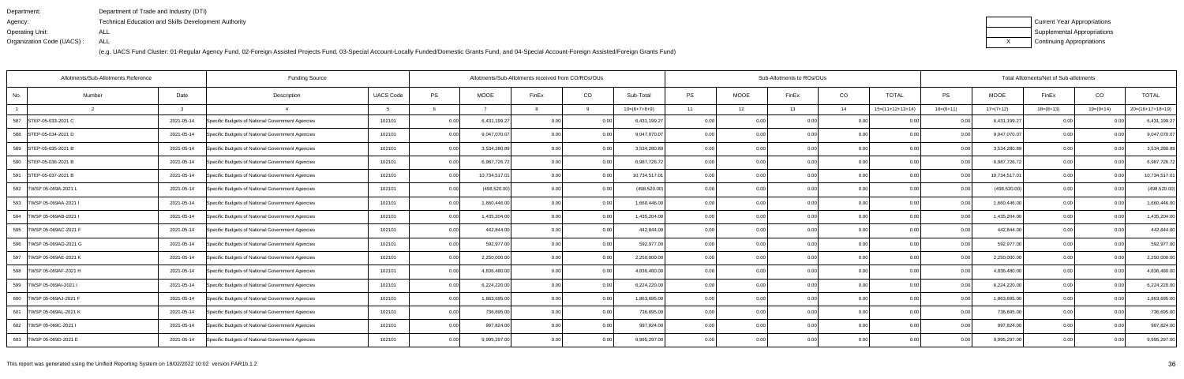| Department:               | Department of Trade and Industry (DTI)                      |
|---------------------------|-------------------------------------------------------------|
| Agency:                   | <b>Technical Education and Skills Development Authority</b> |
| Operating Unit:           | ALL                                                         |
| Organization Code (UACS): | ALL                                                         |

| Current Year Appropriations |
|-----------------------------|
| Supplemental Appropriations |
| Continuing Appropriations   |

|        |                                                                                                                                                                                                                                                                                                                                                                                                                                             |                                                  |                  |                       |               |                |      |                                                    |           |                                                                                                                          | Total Allotments/Net of Sub-allotments |                                                                                                                                      |                                                                                                                                                                   |             |               |                   |                |                              |
|--------|---------------------------------------------------------------------------------------------------------------------------------------------------------------------------------------------------------------------------------------------------------------------------------------------------------------------------------------------------------------------------------------------------------------------------------------------|--------------------------------------------------|------------------|-----------------------|---------------|----------------|------|----------------------------------------------------|-----------|--------------------------------------------------------------------------------------------------------------------------|----------------------------------------|--------------------------------------------------------------------------------------------------------------------------------------|-------------------------------------------------------------------------------------------------------------------------------------------------------------------|-------------|---------------|-------------------|----------------|------------------------------|
| Number | Date                                                                                                                                                                                                                                                                                                                                                                                                                                        | Description                                      | <b>UACS Code</b> | PS                    | <b>MOOE</b>   | FinEx          | CO   | Sub-Total                                          | <b>PS</b> | <b>MOOE</b>                                                                                                              | FinEx                                  | CO                                                                                                                                   | <b>TOTAL</b>                                                                                                                                                      | <b>PS</b>   | <b>MOOE</b>   | FinEx             | CO             | <b>TOTAL</b>                 |
|        |                                                                                                                                                                                                                                                                                                                                                                                                                                             |                                                  |                  |                       |               |                | Q    | $10=(6+7+8+9)$                                     | 11        | 12                                                                                                                       | 13                                     | 14                                                                                                                                   | $15=(11+12+13+14)$                                                                                                                                                | $16=(6+11)$ | $17=(7+12)$   | $18=(8+13)$       | $19=(9+14)$    | $20=(16+17+18+19)$           |
|        | 2021-05-14                                                                                                                                                                                                                                                                                                                                                                                                                                  | Specific Budgets of National Government Agencies | 102101           | 0.00                  | 6,431,199.27  | 0.00           | 0.00 | 6,431,199.27                                       | 0.00      |                                                                                                                          |                                        | 0.0                                                                                                                                  | 0.00                                                                                                                                                              | 0.00        | 6,431,199.27  | 0.00              |                | 6,431,199.27                 |
|        | 2021-05-14                                                                                                                                                                                                                                                                                                                                                                                                                                  | Specific Budgets of National Government Agencies | 102101           | 0.00                  | 9,047,070.07  | 0.00           | 0.00 | 9,047,070.07                                       | 0.00      |                                                                                                                          |                                        | 0.00                                                                                                                                 | 0.00                                                                                                                                                              | 0.00        | 9,047,070.07  | 0.00              | 0 <sub>0</sub> | 9,047,070.07                 |
|        | 2021-05-14                                                                                                                                                                                                                                                                                                                                                                                                                                  | Specific Budgets of National Government Agencies | 102101           | 0.00                  | 3,534,280.89  | 0.00           | 0.00 |                                                    | 0.00      |                                                                                                                          |                                        |                                                                                                                                      | 0.00                                                                                                                                                              | 0.00        | 3,534,280.89  | 0.00              | 0 <sub>0</sub> | 3,534,280.89                 |
|        | 2021-05-14                                                                                                                                                                                                                                                                                                                                                                                                                                  | Specific Budgets of National Government Agencies | 102101           | 0.00                  | 6,987,726.72  | 0.00           | 0.00 |                                                    | 0.00      |                                                                                                                          |                                        |                                                                                                                                      | 0.00                                                                                                                                                              | 0.00        | 6,987,726.72  | 0.00              | 0 <sub>0</sub> | 6,987,726.72                 |
|        | 2021-05-14                                                                                                                                                                                                                                                                                                                                                                                                                                  | Specific Budgets of National Government Agencies | 102101           | 0.00                  | 10,734,517.01 | 0.00           | 0.00 | 10,734,517.01                                      | 0.001     |                                                                                                                          |                                        | 0.00                                                                                                                                 | 0.00                                                                                                                                                              | 0.00        | 10,734,517.01 | 0.00              | 0 <sub>0</sub> | 10,734,517.01                |
|        | 2021-05-14                                                                                                                                                                                                                                                                                                                                                                                                                                  | Specific Budgets of National Government Agencies | 102101           | 0.00                  | (498, 520.00) | 0.00           | 0.00 | (498, 520.00)                                      | 0.00      |                                                                                                                          | 0.OC                                   | 0.00                                                                                                                                 | 0.00                                                                                                                                                              | 0.00        | (498, 520.00) | 0.00              |                | (498, 520.00)                |
|        | 2021-05-14                                                                                                                                                                                                                                                                                                                                                                                                                                  | Specific Budgets of National Government Agencies | 102101           | 0.00                  | 1,660,446.00  | 0.00           | 0.00 |                                                    | 0.00      |                                                                                                                          |                                        |                                                                                                                                      | 0.00                                                                                                                                                              | 0.00        | 1,660,446.00  | 0.00              |                | 1,660,446.00                 |
|        | 2021-05-14                                                                                                                                                                                                                                                                                                                                                                                                                                  | Specific Budgets of National Government Agencies | 102101           | 0.00                  | 1,435,204.00  | $\cap$ $\cap$  | 0.00 |                                                    | 0.00      |                                                                                                                          | 0.OC                                   | 0.00                                                                                                                                 | 0.00                                                                                                                                                              | 0.00        | 1,435,204.00  | 0.00              | $\Omega$       | 1,435,204.00                 |
|        | 2021-05-14                                                                                                                                                                                                                                                                                                                                                                                                                                  | Specific Budgets of National Government Agencies | 102101           | 0.00                  | 442,844.00    |                | 0.00 | 442,844.00                                         | 0.001     |                                                                                                                          |                                        | 0.00                                                                                                                                 | 0.00                                                                                                                                                              | 0.00        | 442,844.00    | 0.00              |                | 442,844.00                   |
|        | 2021-05-14                                                                                                                                                                                                                                                                                                                                                                                                                                  | Specific Budgets of National Government Agencies | 102101           | 0.00                  | 592,977.00    | 0.00           | 0.00 |                                                    | 0.001     |                                                                                                                          |                                        |                                                                                                                                      | 0.00                                                                                                                                                              | 0.00        | 592,977.00    | 0.00              |                | 592,977.00                   |
|        | 2021-05-14                                                                                                                                                                                                                                                                                                                                                                                                                                  | Specific Budgets of National Government Agencies | 102101           | 0.00                  | 2,250,000.00  | 0 <sub>0</sub> | 0.00 | 2,250,000.00                                       | 0.00      |                                                                                                                          |                                        | 0.0                                                                                                                                  | 0.00                                                                                                                                                              | 0.00        | 2,250,000.00  | 0.00              |                | 2,250,000.00                 |
|        | 2021-05-14                                                                                                                                                                                                                                                                                                                                                                                                                                  | Specific Budgets of National Government Agencies | 102101           | 0.00                  | 4,836,480.00  |                | 0.00 | 4,836,480.00                                       | 0.00      |                                                                                                                          | n nr                                   | 0 <sub>0</sub>                                                                                                                       | 0.00                                                                                                                                                              | 0.00        | 4,836,480.00  | 0.00              |                | 4,836,480.00                 |
|        | 2021-05-14                                                                                                                                                                                                                                                                                                                                                                                                                                  | Specific Budgets of National Government Agencies | 102101           | 0.00                  | 6,224,220.00  | 0.00           | 0.00 |                                                    | 0.001     |                                                                                                                          |                                        |                                                                                                                                      | 0.00                                                                                                                                                              | 0.00        | 6,224,220.00  | 0.00              |                | 6,224,220.00                 |
|        | 2021-05-14                                                                                                                                                                                                                                                                                                                                                                                                                                  | Specific Budgets of National Government Agencies | 102101           | 0.00                  | 1,863,695.00  |                | 0.00 | 1,863,695.00                                       | 0.00      |                                                                                                                          |                                        | 0.0                                                                                                                                  | 0.00                                                                                                                                                              | 0.00        | 1,863,695.00  | 0.00              | 0 <sub>0</sub> | 1,863,695.00                 |
|        | 2021-05-14                                                                                                                                                                                                                                                                                                                                                                                                                                  | Specific Budgets of National Government Agencies | 102101           | 0.00                  | 736,695.00    |                | 0.00 | 736,695.00                                         | 0.001     |                                                                                                                          |                                        | 0.00                                                                                                                                 | 0.00                                                                                                                                                              | 0.00        | 736,695.00    | 0.00 <sub>l</sub> |                | 736,695.00                   |
|        | 2021-05-14                                                                                                                                                                                                                                                                                                                                                                                                                                  | Specific Budgets of National Government Agencies | 102101           | 0.00                  | 997,824.00    |                | 0.00 |                                                    | 0.001     |                                                                                                                          | 0.OC                                   |                                                                                                                                      | 0.00                                                                                                                                                              | 0.00        | 997,824.00    | 0.00              |                | 997,824.00                   |
|        | 2021-05-14                                                                                                                                                                                                                                                                                                                                                                                                                                  | Specific Budgets of National Government Agencies | 102101           | 0.00                  | 9,995,297.00  | 0.00           | 0.00 |                                                    | 0.001     |                                                                                                                          |                                        | 0.00                                                                                                                                 | 0.00                                                                                                                                                              | 0.00        | 9,995,297.00  | 0.00              |                | 9,995,297.00                 |
|        | STEP-05-033-2021 C<br>588 STEP-05-034-2021 D<br>589 STEP-05-035-2021 B<br>590 STEP-05-036-2021 B<br>STEP-05-037-2021 B<br>TWSP 05-069A-2021<br>TWSP 05-069AA-2021 I<br>TWSP 05-069AB-2021 I<br>595 TWSP 05-069AC-2021 F<br>596   TWSP 05-069AD-2021 G<br>TWSP 05-069AE-2021 K<br>TWSP 05-069AF-2021 H<br>TWSP 05-069AI-2021 I<br>600 TWSP 05-069AJ-2021 F<br>TWSP 05-069AL-2021 K<br>602   TWSP 05-069C-2021  <br>603   TWSP 05-069D-2021 E | Allotments/Sub-Allotments Reference              |                  | <b>Funding Source</b> |               |                |      | Allotments/Sub-Allotments received from CO/ROs/OUs |           | 3,534,280.89<br>6,987,726.72<br>1,660,446.00<br>1,435,204.00<br>592,977.00<br>6,224,220.00<br>997,824.00<br>9,995,297.00 |                                        | 0.00<br>0.00<br>0.00<br>0.00<br>0.00<br>0.00<br>0.00<br>0.00<br>0.00<br>0.00<br>0.00<br>0.00<br>0.00<br>0.00<br>0.00<br>0.00<br>0.00 | Sub-Allotments to ROs/OUs<br>0.00<br>0.00<br>0.00<br>0.00<br>0.00<br>0.00<br>0.00<br>0.00<br>0.00<br>0.00<br>0.00<br>0.00<br>0.00<br>0.00<br>0.00<br>0.00<br>0.00 | 0.00        |               |                   |                | 0.00<br>0.00<br>0.00<br>0.00 |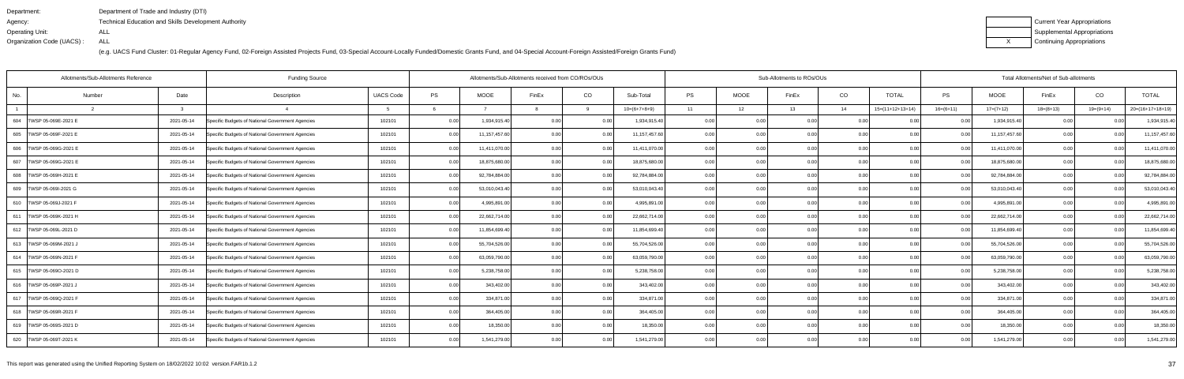| Department:               | Department of Trade and Industry (DTI)                      |
|---------------------------|-------------------------------------------------------------|
| Agency:                   | <b>Technical Education and Skills Development Authority</b> |
| Operating Unit:           | ALL                                                         |
| Organization Code (UACS): | ALL                                                         |

| Current Year Appropriations |
|-----------------------------|
| Supplemental Appropriations |
| Continuing Appropriations   |

|                           | Allotments/Sub-Allotments Reference |              | <b>Funding Source</b>                            |                  |      |               | Allotments/Sub-Allotments received from CO/ROs/OUs |      |                 |           |             | Sub-Allotments to ROs/OUs |      |                    | Total Allotments/Net of Sub-allotments |               |             |             |                    |  |  |
|---------------------------|-------------------------------------|--------------|--------------------------------------------------|------------------|------|---------------|----------------------------------------------------|------|-----------------|-----------|-------------|---------------------------|------|--------------------|----------------------------------------|---------------|-------------|-------------|--------------------|--|--|
| No.                       | Number                              | Date         | Description                                      | <b>UACS Code</b> | PS   | <b>MOOE</b>   | FinEx                                              | CO   | Sub-Total       | <b>PS</b> | <b>MOOE</b> | FinEx                     | CO   | <b>TOTAL</b>       | PS                                     | <b>MOOE</b>   | FinEx       | CO          | <b>TOTAL</b>       |  |  |
|                           |                                     | $\mathbf{R}$ |                                                  |                  |      |               |                                                    |      | $10=(6+7+8+9)$  | 11        | 12          | 13                        | 14   | $15=(11+12+13+14)$ | $16=(6+11)$                            | $17=(7+12)$   | $18=(8+13)$ | $19=(9+14)$ | $20=(16+17+18+19)$ |  |  |
| 604   TWSP 05-069E-2021 E |                                     | 2021-05-14   | Specific Budgets of National Government Agencies | 102101           | 0.00 | 1,934,915.40  | 0.0(                                               | 0.00 | 1,934,915.40    | 0.00      |             | 0.00                      |      |                    |                                        | 1,934,915.40  |             |             | 1,934,915.40       |  |  |
| 605   TWSP 05-069F-2021 E |                                     | 2021-05-14   | Specific Budgets of National Government Agencies | 102101           | 0.00 | 11,157,457.60 | $\cap$ $\cap$                                      | 0.00 | 11, 157, 457.60 | 0.00      | 0.00        | 0.00                      | 0.00 | 0.00               | n nr                                   | 11,157,457.60 | 0.00        |             | 11,157,457.60      |  |  |
| 606   TWSP 05-069G-2021 E |                                     | 2021-05-14   | Specific Budgets of National Government Agencies | 102101           | 0.00 | 11,411,070.00 | 0 <sub>0</sub>                                     | 0.00 | 11,411,070.00   | 0.00      | 0.00        | 0.00                      | 0.00 | 0.00               | 0.00                                   | 11,411,070.00 | 0.00        | 0.00        | 11,411,070.00      |  |  |
| 607   TWSP 05-069G-2021 E |                                     | 2021-05-14   | Specific Budgets of National Government Agencies | 102101           | 0.00 | 18,875,680.00 | 0.00                                               | 0.00 | 18,875,680.00   | 0.00      | 0.00        | 0.00                      | 0.00 | 0.00               | 0.00                                   | 18,875,680.00 | 0.00        | n nr        | 18,875,680.00      |  |  |
| 608   TWSP 05-069H-2021 E |                                     | 2021-05-14   | Specific Budgets of National Government Agencies | 102101           | 0.00 | 92,784,884.00 | 0 <sub>0</sub>                                     | 0.00 | 92,784,884.00   | 0.00      | 0.00        | 0.00                      | 0.00 | 0.00               | 0 <sub>0</sub>                         | 92,784,884.00 | 0.00        | 0.00        | 92,784,884.00      |  |  |
| 609 TWSP 05-069I-2021 G   |                                     | 2021-05-14   | Specific Budgets of National Government Agencies | 102101           | 0.00 | 53,010,043.40 | 0.00                                               | 0.00 | 53,010,043.40   | 0.00      | 0.00        | 0.00                      | 0.00 | 0.00               | 0.00                                   | 53,010,043.40 | 0.00        | 0.00        | 53,010,043.40      |  |  |
| 610 TWSP 05-069J-2021 F   |                                     | 2021-05-14   | Specific Budgets of National Government Agencies | 102101           | 0.00 | 4,995,891.00  | 0.00                                               | 0.00 | 4,995,891.00    | 0.00      | 0.00        | 0.00                      | 0.00 | 0.00               | 0.00                                   | 4,995,891.00  | 0.00        | 0.00        | 4,995,891.00       |  |  |
| 611 TWSP 05-069K-2021 H   |                                     | 2021-05-14   | Specific Budgets of National Government Agencies | 102101           | 0.00 | 22,662,714.00 | 0 <sub>0</sub>                                     | 0.00 | 22,662,714.00   | 0.00      | 0.00        | 0.00                      | 0.00 | 0.00               |                                        | 22,662,714.00 | 0.00        |             | 22,662,714.00      |  |  |
| 612 TWSP 05-069L-2021 D   |                                     | 2021-05-14   | Specific Budgets of National Government Agencies | 102101           | 0.00 | 11,854,699.40 | 0.00                                               | 0.00 | 11,854,699.40   | 0.00      | 0.00        | 0.00                      | 0.00 | 0.00               | 0.00                                   | 11,854,699.40 | 0.00        | 0.00        | 11,854,699.40      |  |  |
| 613 TWSP 05-069M-2021 J   |                                     | 2021-05-14   | Specific Budgets of National Government Agencies | 102101           | 0.00 | 55,704,526.00 | 0.00                                               | 0.00 | 55,704,526.00   | 0.00      | 0.00        | 0.00                      | 0.00 | 0.00               | 0.00                                   | 55,704,526.00 | 0.00        | 0.00        | 55,704,526.00      |  |  |
| 614   TWSP 05-069N-2021 F |                                     | 2021-05-14   | Specific Budgets of National Government Agencies | 102101           | 0.00 | 63,059,790.00 | 0.00                                               | 0.00 | 63,059,790.00   | 0.00      | 0.00        | 0.00                      | 0.00 | 0.00               | 0.00                                   | 63,059,790.00 | 0.00        | 0.00        | 63,059,790.00      |  |  |
| 615   TWSP 05-069O-2021 D |                                     | 2021-05-14   | Specific Budgets of National Government Agencies | 102101           | 0.00 | 5,238,758.00  | 0 <sub>0</sub>                                     | 0.00 | 5,238,758.00    | 0.00      | 0.00        | 0.00                      | 0.00 | 0.00               | 0.00                                   | 5,238,758.00  | 0.00        | 0.00        | 5,238,758.00       |  |  |
| 616   TWSP 05-069P-2021 J |                                     | 2021-05-14   | Specific Budgets of National Government Agencies | 102101           | 0.00 | 343,402.00    | 0.00                                               | 0.00 | 343,402.00      | 0.00      | 0.00        | 0 <sub>0</sub>            | 0.00 | 0.00               | 0.00                                   | 343,402.00    | 0.00        | 0.00        | 343,402.00         |  |  |
| 617   TWSP 05-069Q-2021 F |                                     | 2021-05-14   | Specific Budgets of National Government Agencies | 102101           | 0.00 | 334,871.00    | 0.00                                               | 0.00 | 334,871.00      | 0.00      | 0.00        | 0.00                      | 0.00 | 0.00               | 0.00                                   | 334,871.00    | 0.00        | 0.00        | 334,871.00         |  |  |
| 618   TWSP 05-069R-2021 F |                                     | 2021-05-14   | Specific Budgets of National Government Agencies | 102101           | 0.00 | 364,405.00    | 0 <sub>0</sub>                                     | 0.00 | 364,405.00      | 0.00      | 0.00        | 0.00                      | 0.00 | 0.00               | 0.00                                   | 364,405.00    | 0.00        | 0.00        | 364,405.00         |  |  |
| 619   TWSP 05-069S-2021 D |                                     | 2021-05-14   | Specific Budgets of National Government Agencies | 102101           | 0.00 | 18,350.00     |                                                    | 0.00 | 18,350.00       | 0.00      | 0.00        | 0.00                      | 0.00 | 0.00               | 0.00                                   | 18,350.00     | 0.00        | -0.00       | 18,350.00          |  |  |
| 620 TWSP 05-069T-2021 K   |                                     | 2021-05-14   | Specific Budgets of National Government Agencies | 102101           | 0.00 | 1,541,279.00  | 0.00                                               | 0.00 | 1,541,279.00    | 0.00      | 0.00        | 0.00                      | 0.00 | 0.00               | 0.001                                  | 1,541,279.00  | 0.00        | 0.00        | 1,541,279.00       |  |  |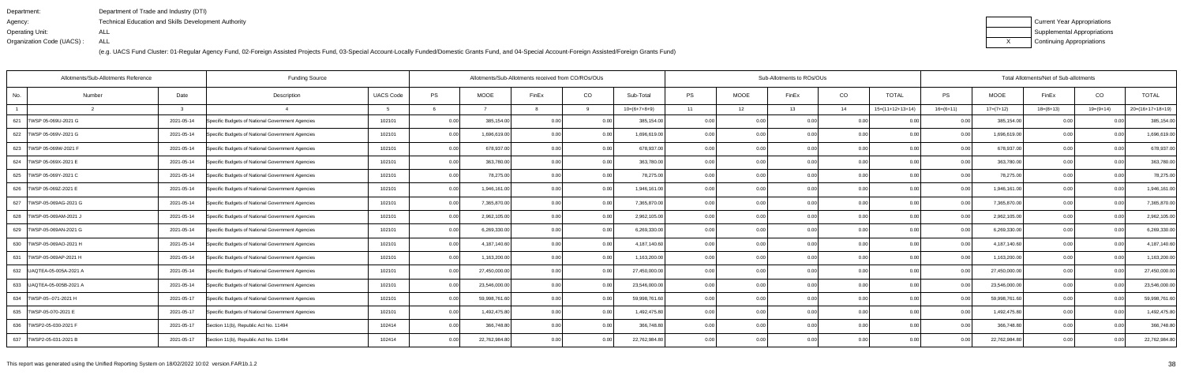| Department:               | Department of Trade and Industry (DTI)                      |
|---------------------------|-------------------------------------------------------------|
| Agency:                   | <b>Technical Education and Skills Development Authority</b> |
| Operating Unit:           | ALL                                                         |
| Organization Code (UACS): | ALL                                                         |

| Current Year Appropriations |
|-----------------------------|
| Supplemental Appropriations |
| Continuing Appropriations   |

| <b>Funding Source</b><br>Allotments/Sub-Allotments Reference |        |            |                                                  |                  |      |               | Allotments/Sub-Allotments received from CO/ROs/OUs |          |                |           |             | Sub-Allotments to ROs/OUs |      | Total Allotments/Net of Sub-allotments |                |               |             |             |                    |  |
|--------------------------------------------------------------|--------|------------|--------------------------------------------------|------------------|------|---------------|----------------------------------------------------|----------|----------------|-----------|-------------|---------------------------|------|----------------------------------------|----------------|---------------|-------------|-------------|--------------------|--|
| No.                                                          | Number | Date       | Description                                      | <b>UACS Code</b> | PS   | <b>MOOE</b>   | FinEx                                              | CO       | Sub-Total      | <b>PS</b> | <b>MOOE</b> | FinEx                     | CO   | <b>TOTAL</b>                           | <b>PS</b>      | MOOE          | FinEx       | CO          | <b>TOTAL</b>       |  |
|                                                              |        |            |                                                  |                  |      |               |                                                    | $\alpha$ | $10=(6+7+8+9)$ | 11        | 12          | 13                        | 14   | $15=(11+12+13+14)$                     | $16=(6+11)$    | $17=(7+12)$   | $18=(8+13)$ | $19=(9+14)$ | $20=(16+17+18+19)$ |  |
| 621 TWSP 05-069U-2021 G                                      |        | 2021-05-14 | Specific Budgets of National Government Agencies | 102101           | 0.00 | 385,154.00    | 0.00                                               | 0.00     | 385,154.00     | 0.00      | 0.00        | 0.00                      | 0.00 |                                        | 0.00           | 385,154.00    | 0.00        | 0.00        | 385,154.00         |  |
| 622 TWSP 05-069V-2021 G                                      |        | 2021-05-14 | Specific Budgets of National Government Agencies | 102101           | 0.00 | 1,696,619.00  | 0.00                                               | 0.00     | 1,696,619.00   | 0.00      | 0.00        | 0.00                      | 0.00 | 0.00                                   | 0.00           | 1,696,619.00  | 0.00        | 0.00        | 1,696,619.00       |  |
| 623   TWSP 05-069W-2021 F                                    |        | 2021-05-14 | Specific Budgets of National Government Agencies | 102101           | 0.00 | 678,937.00    | 0.00                                               | 0.00     | 678,937.00     | 0.00      | 0.00        | 0.00                      | 0.00 | 0.00                                   | 0.00           | 678,937.00    | 0.00        | 0.00        | 678,937.00         |  |
| 624   TWSP 05-069X-2021 E                                    |        | 2021-05-14 | Specific Budgets of National Government Agencies | 102101           | 0.00 | 363,780.00    | 0.00                                               | 0.00     | 363,780.00     | 0.00      | 0.00        | 0.00                      | 0.00 | 0.00                                   | 0.00           | 363,780.00    | 0.00        | 0.00        | 363,780.00         |  |
| 625   TWSP 05-069Y-2021 C                                    |        | 2021-05-14 | Specific Budgets of National Government Agencies | 102101           | 0.00 | 78,275.00     | 0.00                                               | 0.00     | 78,275.00      | 0.0(      | 0.00        | 0.00                      | 0.00 | 0 <sub>0</sub>                         | 0.00           | 78,275.00     | 0.00        | 0.00        | 78,275.00          |  |
| 626   TWSP 05-069Z-2021 E                                    |        | 2021-05-14 | Specific Budgets of National Government Agencies | 102101           | 0.00 | 1,946,161.00  | 0 <sub>0</sub>                                     | 0.00     | 1,946,161.00   | 0.00      | 0.00        | 0.00                      | 0.00 | 0 <sub>0</sub>                         | 0 <sub>0</sub> | 1,946,161.00  | 0.00        | 0.00        | 1,946,161.00       |  |
| TWSP-05-069AG-2021 G<br>627                                  |        | 2021-05-14 | Specific Budgets of National Government Agencies | 102101           | 0.00 | 7,365,870.00  | 0.00                                               | 0.00     | 7,365,870.00   | 0.00      | 0.00        | 0.00                      | 0.00 | 0.00                                   | 0.00           | 7,365,870.00  | 0.00        | 0.00        | 7,365,870.00       |  |
| 628   TWSP-05-069AM-2021 J                                   |        | 2021-05-14 | Specific Budgets of National Government Agencies | 102101           | 0.00 | 2,962,105.00  | 0 <sub>0</sub>                                     | 0.00     | 2,962,105.00   | 0.00      | 0.00        | 0.00                      | 0.00 |                                        | 0.00           | 2,962,105.00  | 0.00        | 0.00        | 2,962,105.00       |  |
| 629   TWSP-05-069AN-2021 G                                   |        | 2021-05-14 | Specific Budgets of National Government Agencies | 102101           | 0.00 | 6,269,330.00  | 0 <sub>0</sub>                                     | 0.00     | 6,269,330.00   | 0.00      | 0.00        | 0.00                      | 0.00 | 0.00                                   |                | 6,269,330.00  | 0.00        | 0.OC        | 6,269,330.00       |  |
| 630   TWSP-05-069AO-2021 H                                   |        | 2021-05-14 | Specific Budgets of National Government Agencies | 102101           | 0.00 | 4,187,140.60  | 0 <sub>0</sub>                                     | 0.00     | 4,187,140.60   | 0.00      | 0.00        | 0.00                      | 0.00 | 0.00                                   | 0.OC           | 4,187,140.60  | 0.00        | 0.00        | 4,187,140.60       |  |
| 631   TWSP-05-069AP-2021 H                                   |        | 2021-05-14 | Specific Budgets of National Government Agencies | 102101           | 0.00 | 1,163,200.00  | 0 <sub>0</sub>                                     | 0.00     | 1,163,200.00   | 0.00      | 0.00        | 0.00                      | 0.00 | 0.00                                   | 0.00           | 1,163,200.00  | 0.00        | 0.00        | 1,163,200.00       |  |
| 632   UAQTEA-05-005A-2021 A                                  |        | 2021-05-14 | Specific Budgets of National Government Agencies | 102101           | 0.00 | 27,450,000.00 | 0 <sub>0</sub>                                     | 0.00     | 27,450,000.00  | 0.00      | 0.00        | 0.00                      | 0.00 | 0.00                                   | 0 <sub>0</sub> | 27,450,000.00 | 0.00        | 0.00        | 27,450,000.00      |  |
| 633 JUAQTEA-05-005B-2021 A                                   |        | 2021-05-14 | Specific Budgets of National Government Agencies | 102101           | 0.00 | 23,546,000.00 | 0 <sub>0</sub>                                     | 0.00     | 23,546,000.00  | 0.00      | 0.00        | 0.00                      | 0.00 | 0 <sub>0</sub>                         | $\cap$ $\cap$  | 23,546,000.00 | 0.00        | 0.00        | 23,546,000.00      |  |
| 634   TWSP-05--071-2021 H                                    |        | 2021-05-17 | Specific Budgets of National Government Agencies | 102101           | 0.00 | 59,998,761.60 | 0.00                                               | 0.00     | 59,998,761.60  | 0.001     | 0.00        | 0.001                     | 0.00 | 0.00                                   | 0.00           | 59,998,761.60 | 0.00        | 0.00        | 59,998,761.60      |  |
| 635   TWSP-05-070-2021 E                                     |        | 2021-05-17 | Specific Budgets of National Government Agencies | 102101           | 0.00 | 1,492,475.80  | 0.00                                               | 0.00     | 1,492,475.80   | 0.00      | 0.00        | 0.00                      | 0.00 | 0.00                                   | 0.00           | 1,492,475.80  | 0.00        | 0.00        | 1,492,475.80       |  |
| 636   TWSP2-05-030-2021 F                                    |        | 2021-05-17 | Section 11(b), Republic Act No. 11494            | 102414           | 0.00 | 366,748.80    | 0 <sub>0</sub>                                     | 0.00     | 366,748.80     | 0.00      | 0.00        | 0.00                      | 0.00 | 0.00                                   | 0 <sub>0</sub> | 366,748.80    | 0.00        | 0.00        | 366,748.80         |  |
| 637 TWSP2-05-031-2021 B                                      |        | 2021-05-17 | Section 11(b), Republic Act No. 11494            | 102414           | 0.00 | 22,762,984.80 | 0.00                                               | 0.00     | 22,762,984.80  | 0.00      | 0.00        | 0.00                      | 0.00 | 0.00                                   | 0.00           | 22,762,984.80 | 0.00        | 0.00        | 22,762,984.80      |  |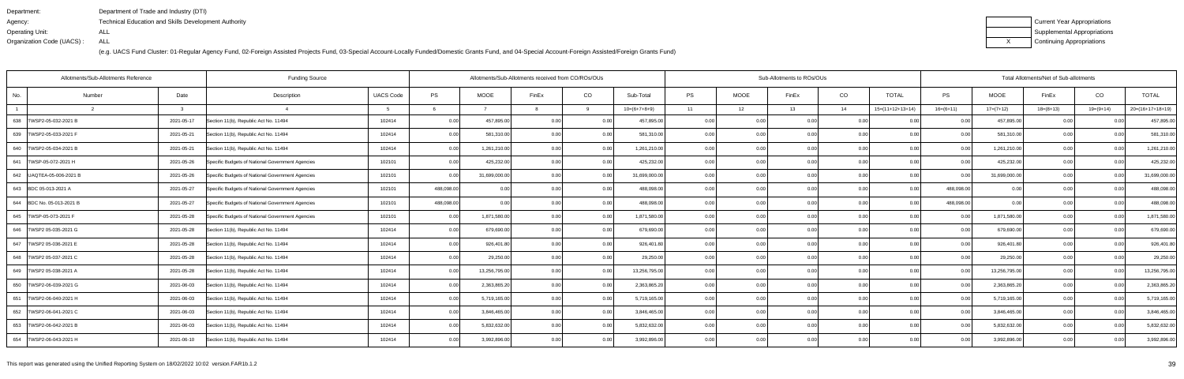| Department:               | Department of Trade and Industry (DTI)                      |
|---------------------------|-------------------------------------------------------------|
| Agency:                   | <b>Technical Education and Skills Development Authority</b> |
| Operating Unit:           | ALL                                                         |
| Organization Code (UACS): | ALL                                                         |

| Current Year Appropriations |
|-----------------------------|
| Supplemental Appropriations |
| Continuing Appropriations   |

| Allotments/Sub-Allotments Reference<br><b>Funding Source</b> |                |            |                                                  |                  |            |               | Allotments/Sub-Allotments received from CO/ROs/OUs |          |                |           |             | Sub-Allotments to ROs/OUs |      | Total Allotments/Net of Sub-allotments |                |               |             |                |                    |  |
|--------------------------------------------------------------|----------------|------------|--------------------------------------------------|------------------|------------|---------------|----------------------------------------------------|----------|----------------|-----------|-------------|---------------------------|------|----------------------------------------|----------------|---------------|-------------|----------------|--------------------|--|
| No.                                                          | Number         | Date       | Description                                      | <b>UACS Code</b> | PS         | <b>MOOE</b>   | FinEx                                              | CO       | Sub-Total      | <b>PS</b> | <b>MOOE</b> | FinEx                     | CO   | <b>TOTAL</b>                           | <b>PS</b>      | <b>MOOE</b>   | FinEx       | CO             | <b>TOTAL</b>       |  |
|                                                              | $\overline{2}$ |            |                                                  |                  |            |               |                                                    | $\alpha$ | $10=(6+7+8+9)$ | 11        | 12          | 13                        | 14   | $15=(11+12+13+14)$                     | $16=(6+11)$    | $17=(7+12)$   | $18=(8+13)$ | 19=(9+14)      | $20=(16+17+18+19)$ |  |
| 638   TWSP2-05-032-2021 B                                    |                | 2021-05-17 | Section 11(b), Republic Act No. 11494            | 102414           | 0.00       | 457,895.00    | 0.00                                               | 0.00     | 457,895.00     | 0.001     | 0.00        | 0.00                      | 0.00 | 0.00                                   | 0.00           | 457,895.00    | 0.00        | 0.00           | 457,895.00         |  |
| 639 TWSP2-05-033-2021 F                                      |                | 2021-05-21 | Section 11(b), Republic Act No. 11494            | 102414           | 0.00       | 581,310.00    | 0.00                                               | 0.00     | 581,310.00     | 0.00      | 0.00        | 0.00                      | 0.00 | 0.00                                   | 0.00           | 581,310.00    | 0.00        | 0.00           | 581,310.00         |  |
| 640   TWSP2-05-034-2021 B                                    |                | 2021-05-21 | Section 11(b), Republic Act No. 11494            | 102414           | 0.00       | 1,261,210.00  | 0.00                                               | 0.00     | 1,261,210.00   | 0.00      | 0.00        | 0.00                      | 0.00 | 0.00                                   | 0.00           | 1,261,210.00  | 0.00        | 0.00           | 1,261,210.00       |  |
| 641   TWSP-05-072-2021 H                                     |                | 2021-05-26 | Specific Budgets of National Government Agencies | 102101           | 0.00       | 425,232.00    | 0.00                                               | 0.00     | 425,232.00     | 0.001     | 0.00        | 0.00                      | 0.00 | 0.00                                   | 0.00           | 425,232.00    | 0.00        | 0.00           | 425,232.00         |  |
| 642   UAQTEA-05-006-2021 B                                   |                | 2021-05-26 | Specific Budgets of National Government Agencies | 102101           | 0.00       | 31,699,000.00 | 0 <sub>0</sub>                                     | 0.00     | 31,699,000.00  | 0.00      | 0.00        | 0.00                      | 0.00 | 0.00                                   | 0 <sub>0</sub> | 31,699,000.00 | 0.00        |                | 31,699,000.00      |  |
| 643 BDC 05-013-2021 A                                        |                | 2021-05-27 | Specific Budgets of National Government Agencies | 102101           | 488,098.00 | 0.00          | 0 <sub>0</sub>                                     | 0.00     | 488,098.00     | 0.00      | 0.00        | 0.00                      | 0.00 | 0.00                                   | 488,098.00     | 0.00          | 0.00        | 0 <sub>0</sub> | 488,098.00         |  |
| 644 BDC No. 05-013-2021 B                                    |                | 2021-05-27 | Specific Budgets of National Government Agencies | 102101           | 488,098.00 | 0.00          | 0.00                                               | 0.00     | 488,098.00     | 0.00      | 0.00        | 0.00                      | 0.00 | 0.00                                   | 488,098.00     | 0.00          | 0.00        | 0.00           | 488,098.00         |  |
| 645   TWSP-05-073-2021 F                                     |                | 2021-05-28 | Specific Budgets of National Government Agencies | 102101           | 0.00       | 1,871,580.00  | 0 <sub>0</sub>                                     | 0.00     | 1,871,580.00   | 0.00      | 0.00        | 0.00                      | 0.00 | 0.00                                   | 0 <sub>0</sub> | 1,871,580.00  | 0.00        |                | 1,871,580.00       |  |
| 646   TWSP2 05-035-2021 G                                    |                | 2021-05-28 | Section 11(b), Republic Act No. 11494            | 102414           | 0.00       | 679,690.00    | 0.00                                               | 0.00     | 679,690.00     | 0.00      | 0.00        | 0.00                      | 0.00 | 0.00                                   | 0.00           | 679,690.00    | 0.00        | 0.00           | 679,690.00         |  |
| 647   TWSP2 05-036-2021 E                                    |                | 2021-05-28 | Section 11(b), Republic Act No. 11494            | 102414           | 0.00       | 926,401.80    | 0 <sub>0</sub>                                     | 0.00     | 926,401.80     | 0.00      | 0.00        | 0.00                      | 0.00 | 0.00                                   | 0.00           | 926,401.80    | 0.00        | 0.00           | 926,401.80         |  |
| 648   TWSP2 05-037-2021 C                                    |                | 2021-05-28 | Section 11(b), Republic Act No. 11494            | 102414           | 0.00       | 29,250.00     | 0.00                                               | 0.00     | 29,250.00      | 0.00      | 0.00        | 0.00                      | 0.00 | 0.00                                   | 0.00           | 29,250.00     | 0.00        | ი იი           | 29,250.00          |  |
| 649   TWSP2 05-038-2021 A                                    |                | 2021-05-28 | Section 11(b), Republic Act No. 11494            | 102414           | 0.00       | 13,256,795.00 | 0.00                                               | 0.00     | 13,256,795.00  | 0.00      | 0.00        | 0.00                      | 0.00 | 0.00                                   | 0.00           | 13,256,795.00 | 0.00        | 0.00           | 13,256,795.00      |  |
| 650   TWSP2-06-039-2021 G                                    |                | 2021-06-03 | Section 11(b), Republic Act No. 11494            | 102414           | 0.00       | 2,363,865.20  | 0.00                                               | 0.00     | 2,363,865.20   | 0.00      | 0.00        | 0.00                      | 0.00 | 0.00                                   | 0 <sub>0</sub> | 2,363,865.20  | 0.00        | 0.00           | 2,363,865.20       |  |
| 651   TWSP2-06-040-2021 H                                    |                | 2021-06-03 | Section 11(b), Republic Act No. 11494            | 102414           | 0.00       | 5,719,165.00  | 0.00                                               | 0.00     | 5,719,165.00   | 0.001     | 0.00        | 0.00                      | 0.00 | 0.001                                  | 0.00           | 5,719,165.00  | 0.00        | 0.00           | 5,719,165.00       |  |
| 652   TWSP2-06-041-2021 C                                    |                | 2021-06-03 | Section 11(b), Republic Act No. 11494            | 102414           | 0.00       | 3,846,465.00  | 0.00                                               | 0.00     | 3,846,465.00   | 0.00      | 0.00        | 0.00                      | 0.00 | 0.00                                   | 0.00           | 3,846,465.00  | 0.00        | 0.00           | 3,846,465.00       |  |
| 653   TWSP2-06-042-2021 B                                    |                | 2021-06-03 | Section 11(b), Republic Act No. 11494            | 102414           | 0.00       | 5,832,632.00  | 0.00                                               | 0.00     | 5,832,632.00   | 0.001     | 0.00        | 0.00 <sub>1</sub>         | 0.00 | 0.00                                   | 0.00           | 5,832,632.00  | 0.00        | 0.00           | 5,832,632.00       |  |
| 654   TWSP2-06-043-2021 H                                    |                | 2021-06-10 | Section 11(b), Republic Act No. 11494            | 102414           | 0.00       | 3,992,896.00  | 0.00                                               | 0.00     | 3,992,896.00   | 0.001     | 0.00        | 0.00                      | 0.00 | 0.00                                   | 0.00           | 3,992,896.00  | 0.00        | 0.00           | 3,992,896.00       |  |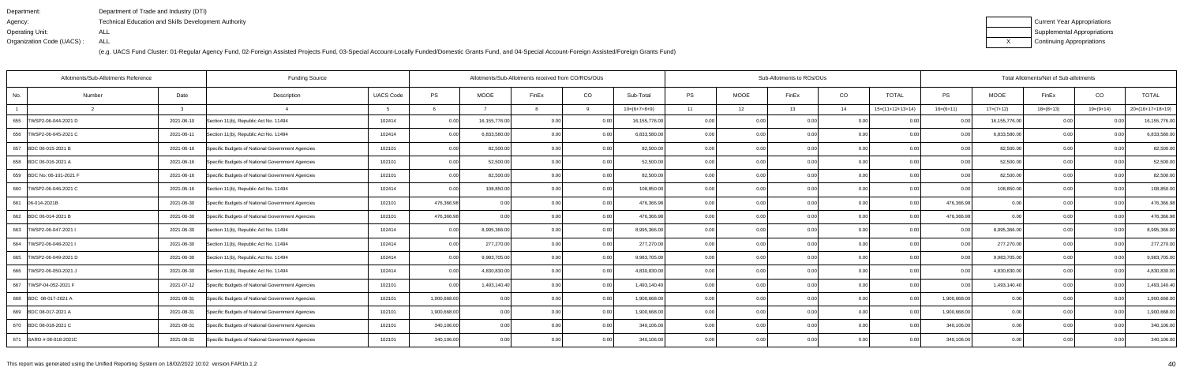| Department:               | Department of Trade and Industry (DTI)               |
|---------------------------|------------------------------------------------------|
| Agency:                   | Technical Education and Skills Development Authority |
| Operating Unit:           | ALL                                                  |
| Organization Code (UACS): | ALL                                                  |

| Current Year Appropriations |
|-----------------------------|
| Supplemental Appropriations |
| Continuing Appropriations   |

| Allotments/Sub-Allotments Reference<br><b>Funding Source</b> |        |            |                                                  |                  |              |               | Allotments/Sub-Allotments received from CO/ROs/OUs |          |                |           |             | Sub-Allotments to ROs/OUs |      |                    |                | Total Allotments/Net of Sub-allotments |             |                |                    |  |  |
|--------------------------------------------------------------|--------|------------|--------------------------------------------------|------------------|--------------|---------------|----------------------------------------------------|----------|----------------|-----------|-------------|---------------------------|------|--------------------|----------------|----------------------------------------|-------------|----------------|--------------------|--|--|
| No.                                                          | Number | Date       | Description                                      | <b>UACS Code</b> | PS           | <b>MOOE</b>   | FinEx                                              | CO       | Sub-Total      | <b>PS</b> | <b>MOOE</b> | FinEx                     | CO   | <b>TOTAL</b>       | <b>PS</b>      | <b>MOOE</b>                            | FinEx       | CO             | <b>TOTAL</b>       |  |  |
|                                                              |        |            |                                                  |                  |              |               |                                                    | $\alpha$ | $10=(6+7+8+9)$ | 11        | 12          | 13                        | 14   | $15=(11+12+13+14)$ | $16=(6+11)$    | $17=(7+12)$                            | $18=(8+13)$ | 19=(9+14)      | $20=(16+17+18+19)$ |  |  |
| 655   TWSP2-06-044-2021 D                                    |        | 2021-06-10 | Section 11(b), Republic Act No. 11494            | 102414           | 0.00         | 16,155,776.00 | 0.00                                               | 0.00     | 16,155,776.00  | 0.001     | 0.00        | 0.00                      | 0.00 | 0.00               | 0.00           | 16,155,776.00                          | 0.00        |                | 16,155,776.00      |  |  |
| 656   TWSP2-06-045-2021 C                                    |        | 2021-06-11 | Section 11(b), Republic Act No. 11494            | 102414           | 0.00         | 6,833,580.00  | 0.00                                               | 0.00     | 6,833,580.00   | 0.00      | 0.00        | 0.00                      | 0.00 | 0.00               | 0.00           | 6,833,580.0                            | 0.00        | ი იი           | 6,833,580.00       |  |  |
| 657 BDC 06-015-2021 B                                        |        | 2021-06-16 | Specific Budgets of National Government Agencies | 102101           | 0.00         | 82,500.00     | 0.00                                               | 0.00     | 82,500.00      | 0.00      | 0.00        | 0.00                      | 0.00 | 0.00               | 0.00           | 82,500.00                              | 0.00        | 0.00           | 82,500.00          |  |  |
| 658 BDC 06-016-2021 A                                        |        | 2021-06-16 | Specific Budgets of National Government Agencies | 102101           | 0.00         | 52,500.00     | 0.00                                               | 0.00     | 52,500.00      | 0.001     | 0.00        | 0.00                      | 0.00 | 0.00               | 0.00           | 52,500.00                              | 0.00        | 0.00           | 52,500.00          |  |  |
| 659 BDC No: 06-101-2021 F                                    |        | 2021-06-16 | Specific Budgets of National Government Agencies | 102101           | 0.00         | 82,500.00     | 0 <sub>0</sub>                                     | 0.00     | 82,500.00      | 0.0(      | 0.00        |                           | 0.00 | 0.00               | 0 Q            | 82,500.00                              | 0.0         |                | 82,500.00          |  |  |
| 660   TWSP2-06-046-2021 C                                    |        | 2021-06-16 | Section 11(b), Republic Act No. 11494            | 102414           | 0.00         | 108,850.00    | 0 <sub>0</sub>                                     | 0.00     | 108,850.00     | 0.00      | 0.00        | 0.00                      | 0.00 | 0.00               | $\cap$ $\cap$  | 108,850.00                             | 0.00        | 0 <sub>0</sub> | 108,850.00         |  |  |
| 661 06-014-2021B                                             |        | 2021-06-30 | Specific Budgets of National Government Agencies | 102101           | 476,366.98   | 0.001         | 0.00                                               | 0.00     | 476,366.98     | 0.00      | 0.00        | 0.00                      | 0.00 | 0.00               | 476,366.98     | 0.00                                   | 0.00        | 0.00           | 476,366.98         |  |  |
| 662 BDC 06-014-2021 B                                        |        | 2021-06-30 | Specific Budgets of National Government Agencies | 102101           | 476,366.98   | 0.00          | 0 <sub>0</sub>                                     | 0.00     | 476,366.98     | 0.0       | 0.00        |                           | 0.00 |                    | 476,366.98     | 0.00                                   | 0.0         |                | 476,366.98         |  |  |
| 663   TWSP2-06-047-2021 I                                    |        | 2021-06-30 | Section 11(b), Republic Act No. 11494            | 102414           | 0.00         | 8,995,366.00  | 0.00                                               | 0.00     | 8,995,366.00   | 0.00      | 0.00        | 0.00                      | 0.00 | 0.001              | 0 <sub>0</sub> | 8,995,366.00                           | 0.00        | 0.00           | 8,995,366.00       |  |  |
| 664   TWSP2-06-048-2021                                      |        | 2021-06-30 | Section 11(b), Republic Act No. 11494            | 102414           | 0.00         | 277,270.00    | 0.00                                               | 0.00     | 277,270.00     | 0.00      | 0.00        | 0.001                     | 0.00 | 0.00               | 0.00           | 277,270.00                             | 0.00        | 0.00           | 277,270.00         |  |  |
| 665  TWSP2-06-049-2021 D                                     |        | 2021-06-30 | Section 11(b), Republic Act No. 11494            | 102414           | 0.00         | 9,983,705.00  | 0.00                                               | 0.00     | 9,983,705.00   | 0.00      | 0.00        | 0.00                      | 0.00 | 0.00               | 0.00           | 9,983,705.00                           | 0.00        | 0.00           | 9,983,705.00       |  |  |
| 666   TWSP2-06-050-2021 J                                    |        | 2021-06-30 | Section 11(b), Republic Act No. 11494            | 102414           | 0.00         | 4,830,830.00  | 0.00                                               | 0.00     | 4,830,830.00   | 0.001     | 0.00        | 0.00                      | 0.00 | 0.00               | 0.00           | 4,830,830.00                           | 0.00        | 0.00           | 4,830,830.00       |  |  |
| TWSP-04-052-2021 F<br>667                                    |        | 2021-07-12 | Specific Budgets of National Government Agencies | 102101           | 0.00         | 1,493,140.40  | 0.00                                               | 0.00     | 1,493,140.40   | 0.001     | 0.00        | 0.00                      | 0.00 | 0.00               | 0 <sub>0</sub> | 1,493,140.40                           | 0.00        | 0.00           | 1,493,140.40       |  |  |
| 668 BDC 08-017-2021 A                                        |        | 2021-08-31 | Specific Budgets of National Government Agencies | 102101           | 1,900,668.00 | 0.00          | 0.00                                               | 0.00     | 1,900,668.00   | 0.001     | 0.00        | 0.00                      | 0.00 | 0.00               | 1,900,668.00   | 0.00                                   | 0.00        | 0.00           | 1,900,668.00       |  |  |
| 669 BDC 08-017-2021 A                                        |        | 2021-08-31 | Specific Budgets of National Government Agencies | 102101           | 1,900,668.00 | 0.00          | 0.00                                               | 0.00     | 1,900,668.00   | 0.00      | 0.00        | 0.00                      | 0.00 | 0.00               | 1,900,668.0    | 0.00                                   | 0.00        | 0.00           | 1,900,668.00       |  |  |
| 670 BDC 08-018-2021 C                                        |        | 2021-08-31 | Specific Budgets of National Government Agencies | 102101           | 340,106.00   | 0.00          | 0.00                                               | 0.00     | 340,106.00     | 0.00      | 0.00        | 0.00                      | 0.00 | 0.00               | 340,106.00     | 0.00                                   | 0.00        | 0.00           | 340,106.00         |  |  |
| 671 SARO # 08-018-2021C                                      |        | 2021-08-31 | Specific Budgets of National Government Agencies | 102101           | 340,106.00   | 0.00          | 0.00                                               | 0.00     | 340,106.00     | 0.001     | 0.00        | 0.00 l                    | 0.00 | 0.001              | 340,106.00     | 0.00                                   | 0.00        | 0.00           | 340,106.00         |  |  |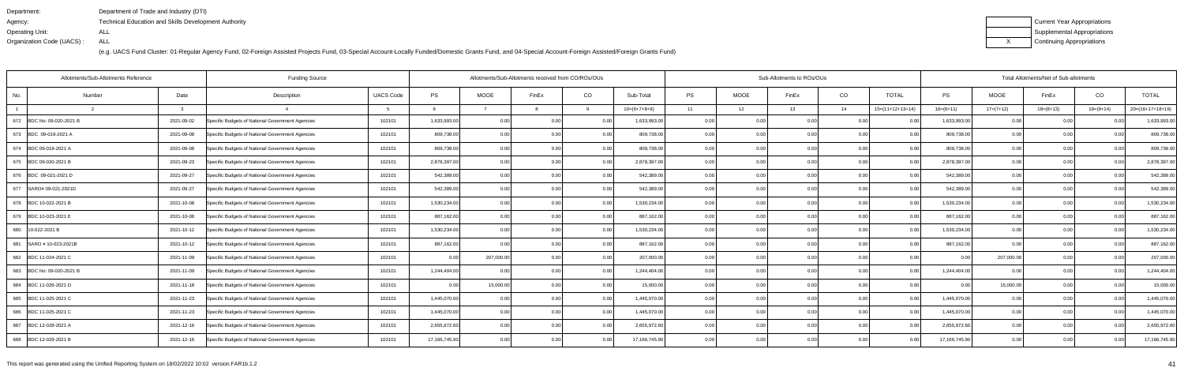| Department:               | Department of Trade and Industry (DTI)               |
|---------------------------|------------------------------------------------------|
| Agency:                   | Technical Education and Skills Development Authority |
| Operating Unit:           | ALL                                                  |
| Organization Code (UACS): | ALL                                                  |

| Current Year Appropriations |
|-----------------------------|
| Supplemental Appropriations |
| Continuing Appropriations   |

| Allotments/Sub-Allotments Reference<br><b>Funding Source</b> |        |            |                                                  |                  |               | Allotments/Sub-Allotments received from CO/ROs/OUs |       |          |                |           |             | Sub-Allotments to ROs/OUs |      | Total Allotments/Net of Sub-allotments |               |             |             |                |                    |
|--------------------------------------------------------------|--------|------------|--------------------------------------------------|------------------|---------------|----------------------------------------------------|-------|----------|----------------|-----------|-------------|---------------------------|------|----------------------------------------|---------------|-------------|-------------|----------------|--------------------|
| No.                                                          | Number | Date       | Description                                      | <b>UACS Code</b> | PS            | <b>MOOE</b>                                        | FinEx | CO       | Sub-Total      | <b>PS</b> | <b>MOOE</b> | FinEx                     | CO   | <b>TOTAL</b>                           | <b>PS</b>     | <b>MOOE</b> | FinEx       | CO             | <b>TOTAL</b>       |
|                                                              |        |            |                                                  |                  |               |                                                    |       | $\alpha$ | $10=(6+7+8+9)$ | 11        | 12          | 13                        | 14   | $15=(11+12+13+14)$                     | $16=(6+11)$   | $17=(7+12)$ | $18=(8+13)$ | 19=(9+14)      | $20=(16+17+18+19)$ |
| 672 BDC No: 09-020-2021 B                                    |        | 2021-09-02 | Specific Budgets of National Government Agencies | 102101           | 1,633,993.00  | 0.00                                               | 0.00  | 0.00     | 1,633,993.00   | 0.00      | 0.00        | 0.00                      | 0.00 | 0.00                                   | 1,633,993.00  | 0.00        | 0.00        |                | 1,633,993.00       |
| 673 BDC 09-019-2021 A                                        |        | 2021-09-08 | Specific Budgets of National Government Agencies | 102101           | 809,738.00    | 0.00                                               | 0.00  | 0.00     | 809,738.00     | 0.00      | 0.00        | 0.00                      | 0.00 | 0.00                                   | 809,738.00    | 0.00        | 0.00        | 0.00           | 809,738.00         |
| 674 BDC 09-019-2021 A                                        |        | 2021-09-08 | Specific Budgets of National Government Agencies | 102101           | 809,738.00    | 0.00                                               | 0.00  | 0.00     | 809,738.00     | 0.001     | 0.00        | 0.00                      | 0.00 | 0.00                                   | 809,738.00    | 0.00        | 0.00        | 0.00           | 809,738.00         |
| 675 BDC 09-020-2021 B                                        |        | 2021-09-23 | Specific Budgets of National Government Agencies | 102101           | 2,878,397.00  | 0.00                                               | 0.00  | 0.00     | 2,878,397.00   | 0.00      | 0.00        | 0.00                      | 0.00 | 0.00                                   | 2,878,397.00  | 0.00        | 0.00        | 0.00           | 2,878,397.00       |
| 676 BDC 09-021-2021 D                                        |        | 2021-09-27 | Specific Budgets of National Government Agencies | 102101           | 542,389.00    | 0.00                                               | 0.00  | 0.00     | 542,389.00     | 0.00      | 0.00        | 0.00                      | 0.00 | 0.00                                   | 542,389.00    | 0.00        | 0.0         | 0 <sub>0</sub> | 542,389.00         |
| 677 SARO# 09-021-2021D                                       |        | 2021-09-27 | Specific Budgets of National Government Agencies | 102101           | 542,389.00    | 0.001                                              | 0.00  | 0.00     | 542,389.00     | 0.001     | 0.00        | 0.00 l                    | 0.00 | 0.00                                   | 542,389.00    | 0.00        | 0.00        | 0.00           | 542,389.00         |
| 678 BDC 10-022-2021 B                                        |        | 2021-10-08 | Specific Budgets of National Government Agencies | 102101           | 1,530,234.00  | 0.00                                               | 0.00  | 0.00     | 1,530,234.00   | 0.00      | 0.00        | 0.00                      | 0.00 | 0.00                                   | 1,530,234.00  | 0.00        | 0.00        | 0.00           | 1,530,234.00       |
| 679 BDC 10-023-2021 E                                        |        | 2021-10-08 | Specific Budgets of National Government Agencies | 102101           | 887,162.00    | 0.00                                               | 0.00  | 0.00     | 887,162.00     | 0.00      | 0.00        | 0.00                      | 0.00 | 0.00                                   | 887,162.00    | 0.00        | 0.00        |                | 887,162.00         |
| 680 10-022-2021 B                                            |        | 2021-10-12 | Specific Budgets of National Government Agencies | 102101           | 1,530,234.00  | 0.001                                              | 0.00  | 0.00     | 1,530,234.00   | 0.001     | 0.00        | 0.00                      | 0.00 | 0.00                                   | 1,530,234.00  | 0.00        | 0.00        | 0.00           | 1,530,234.00       |
| 681 SARO # 10-023-2021B                                      |        | 2021-10-12 | Specific Budgets of National Government Agencies | 102101           | 887,162.00    | 0.00                                               | 0.00  | 0.00     | 887,162.00     | 0.00      | 0.00        | 0.00                      | 0.00 | 0.00                                   | 887,162.00    | 0.00        | 0.00        | 0.00           | 887,162.00         |
| 682 BDC 11-024-2021 C                                        |        | 2021-11-09 | Specific Budgets of National Government Agencies | 102101           | 0.00          | 207,000.00                                         | 0.00  | 0.00     | 207,000.00     | 0.00      | 0.00        | 0.00                      | 0.00 | 0.00                                   | 0.00          | 207,000.00  | 0.00        |                | 207,000.00         |
| 683 BDC No: 09-020-2021 B                                    |        | 2021-11-09 | Specific Budgets of National Government Agencies | 102101           | 1,244,404.00  | 0.00                                               | 0.00  | 0.00     | 1,244,404.00   | 0.00      | 0.00        | 0.00                      | 0.00 | 0.00                                   | 1,244,404.00  | 0.00        | 0.00        | 0 <sub>0</sub> | 1,244,404.00       |
| 684 BDC 11-026-2021 D                                        |        | 2021-11-18 | Specific Budgets of National Government Agencies | 102101           | 0.00          | 15,000.00                                          | 0.00  | 0.00     | 15,000.00      | 0.00      | 0.00        | 0.00                      | 0.00 | 0.00                                   | 0 Q           | 15,000.00   | 0.00        | 0.00           | 15,000.00          |
| 685 BDC 11-025-2021 C                                        |        | 2021-11-23 | Specific Budgets of National Government Agencies | 102101           | 1,445,070.00  | 0.00                                               | 0.OC  | 0.00     | 1,445,070.00   | 0.00      | 0.00        | 0.00                      | 0.00 | 0.00                                   | 1,445,070.00  | 0.00        | 0.00        | ი იი           | 1,445,070.00       |
| 686 BDC 11-025-2021 C                                        |        | 2021-11-23 | Specific Budgets of National Government Agencies | 102101           | 1,445,070.00  | 0.00 <sub>l</sub>                                  | 0.00  | 0.00     | 1,445,070.00   | 0.00      | 0.00        | 0.00                      | 0.00 | 0.00                                   | 1,445,070.00  | 0.00        | 0.00        |                | 1,445,070.00       |
| 687 BDC 12-028-2021 A                                        |        | 2021-12-16 | Specific Budgets of National Government Agencies | 102101           | 2,655,972.60  | 0.00                                               | 0.OC  | 0.00     | 2,655,972.60   | 0.00      | 0.00        | 0.00                      | 0.00 | 0.00                                   | 2,655,972.60  | 0.00        | 0.00        | 0.00           | 2,655,972.60       |
| 688 BDC 12-029-2021 B                                        |        | 2021-12-16 | Specific Budgets of National Government Agencies | 102101           | 17,166,745.90 | 0.00 <sub>1</sub>                                  | n nr  | 0.00     | 17,166,745.90  | 0.00      | 0.00        | 0.001                     | 0.00 | 0.00                                   | 17,166,745.90 | 0.00        | 0.00        |                | 17,166,745.90      |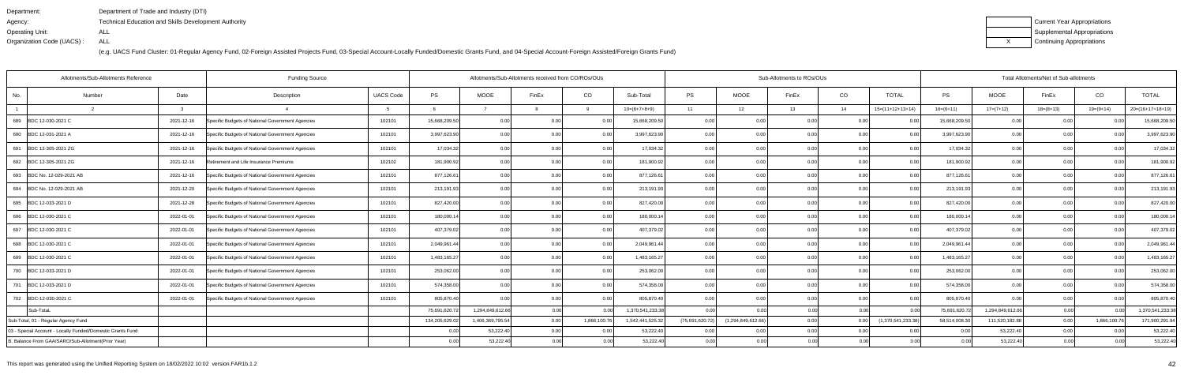| Department:               | Department of Trade and Industry (DTI)                      |
|---------------------------|-------------------------------------------------------------|
| Agency:                   | <b>Technical Education and Skills Development Authority</b> |
| Operating Unit:           | ALL                                                         |
| Organization Code (UACS): | ALL                                                         |

| Current Year Appropriations |
|-----------------------------|
| Supplemental Appropriations |
| Continuing Appropriations   |

| Allotments/Sub-Allotments Reference<br><b>Funding Source</b> |        |            |                                                  |                  |                | Allotments/Sub-Allotments received from CO/ROs/OUs |                   |                   |                  |                 |                       | Sub-Allotments to ROs/OUs |      | Total Allotments/Net of Sub-allotments |               |                  |             |              |                    |
|--------------------------------------------------------------|--------|------------|--------------------------------------------------|------------------|----------------|----------------------------------------------------|-------------------|-------------------|------------------|-----------------|-----------------------|---------------------------|------|----------------------------------------|---------------|------------------|-------------|--------------|--------------------|
| No.                                                          | Number | Date       | Description                                      | <b>UACS Code</b> | PS             | <b>MOOE</b>                                        | FinEx             | CO                | Sub-Total        | PS              | <b>MOOE</b>           | FinEx                     | CO   | <b>TOTAL</b>                           | PS            | <b>MOOE</b>      | FinEx       | CO           | <b>TOTAL</b>       |
|                                                              |        |            |                                                  |                  |                |                                                    |                   | $\alpha$          | $10=(6+7+8+9)$   | 11              | 12                    | 13                        | 14   | $15=(11+12+13+14)$                     | $16=(6+11)$   | $17=(7+12)$      | $18=(8+13)$ | $19=(9+14)$  | $20=(16+17+18+19)$ |
| 689 BDC 12-030-2021 C                                        |        | 2021-12-16 | Specific Budgets of National Government Agencies | 102101           | 15,668,209.50  | 0.00                                               | 0.00              | 0.00              | 15,668,209.50    | 0.00            | 0.00                  | 0.00                      | 0.00 |                                        | 15,668,209.50 | 0.00             | 0.00        |              | 15,668,209.50      |
| 690 BDC 12-031-2021 A                                        |        | 2021-12-16 | Specific Budgets of National Government Agencies | 102101           | 3,997,623.90   | 0.00                                               | 0.00              | 0.00              | 3,997,623.90     | 0.00            | 0.00                  | 0.00                      | 0.00 | 0.00                                   | 3,997,623.90  | 0.00             | 0.00        | 0.00         | 3,997,623.90       |
| 691 BDC 12-305-2021 ZG                                       |        | 2021-12-16 | Specific Budgets of National Government Agencies | 102101           | 17,034.32      | 0.00                                               | 0.00              | 0.00              | 17,034.32        | 0.00            | 0.00                  | 0.00                      | 0.00 | 0.00                                   | 17,034.32     | 0.00             | 0.00        | 0.00         | 17,034.32          |
| 692 BDC 12-305-2021 ZG                                       |        | 2021-12-16 | Retirement and Life Insurance Premiums           | 102102           | 181,900.92     | 0.00                                               | 0.00              | 0.00              | 181,900.92       | 0.001           | 0.00                  | 0.00                      | 0.00 | 0.00                                   | 181,900.92    | 0.00             | 0.00        | 0.00         | 181,900.92         |
| 693 BDC No. 12-029-2021 AB                                   |        | 2021-12-16 | Specific Budgets of National Government Agencies | 102101           | 877,126.61     | 0.00                                               | 0.00              | 0.00              | 877,126.61       | 0.00            | 0.00                  | 0.00                      | 0.00 | 0.00                                   | 877,126.6     | 0.00             | 0.00        | 0.00         | 877,126.61         |
| 694 BDC No. 12-029-2021 AB                                   |        | 2021-12-20 | Specific Budgets of National Government Agencies | 102101           | 213,191.93     | 0.00                                               | 0.00              | 0.00              | 213,191.93       | 0.00            | 0.00                  | 0.00                      | 0.00 | 0.00                                   | 213,191.93    | 0.00             | 0.00        | 0.00         | 213,191.93         |
| 695 BDC 12-033-2021 D                                        |        | 2021-12-28 | Specific Budgets of National Government Agencies | 102101           | 827,420.00     | 0.00                                               | 0.00              | 0.00              | 827,420.00       | 0.00            | 0.00                  | 0.00                      | 0.00 | 0.001                                  | 827,420.00    | 0.00             | 0.00        | 0.00         | 827,420.00         |
| 696 BDC 12-030-2021 C                                        |        | 2022-01-01 | Specific Budgets of National Government Agencies | 102101           | 180,000.14     | 0.00                                               | 0.00              | 0.00              | 180,000.14       | 0.0             | 0.00                  |                           | 0.00 | 0.00                                   | 180,000.14    | 0.00             | 0.00        |              | 180,000.14         |
| 697 BDC 12-030-2021 C                                        |        | 2022-01-01 | Specific Budgets of National Government Agencies | 102101           | 407,379.02     | 0.00                                               | 0.OC              | 0.00              | 407,379.02       | 0.00            | 0.00                  | 0.00                      | 0.00 | 0.00                                   | 407,379.02    | 0.00             | 0.00        | በ በር         | 407,379.02         |
| 698 BDC 12-030-2021 C                                        |        | 2022-01-01 | Specific Budgets of National Government Agencies | 102101           | 2,049,961.44   | 0.00                                               | 0.00              | 0.00              | 2,049,961.44     | 0.00            | 0.00                  | 0.001                     | 0.00 | 0.001                                  | 2,049,961.44  | 0.00             | 0.00        | 0.00         | 2,049,961.44       |
| 699 BDC 12-030-2021 C                                        |        | 2022-01-01 | Specific Budgets of National Government Agencies | 102101           | 1,483,165.27   | 0.00                                               |                   | 0.00              | 1,483,165.27     | 0.0(            | 0.0                   |                           | 0.00 |                                        | 1,483,165.27  | 0.00             | 0.0         |              | 1,483,165.27       |
| 700 BDC 12-033-2021 D                                        |        | 2022-01-01 | Specific Budgets of National Government Agencies | 102101           | 253,062.00     | 0.00                                               | 0 <sub>0</sub>    | 0.00              | 253,062.00       | 0.00            | 0.00                  | 0.00                      | 0.00 |                                        | 253,062.00    | 0.00             | 0.00        | 0.00         | 253,062.00         |
| 701 BDC 12-033-2021 D                                        |        | 2022-01-01 | Specific Budgets of National Government Agencies | 102101           | 574,358.00     | 0.00                                               | 0.00              | 0.00              | 574,358.00       | 0.00            | 0.00                  | 0.00                      | 0.00 | 0.00                                   | 574,358.00    | 0.00             | 0.00        | 0.00         | 574,358.00         |
| 702 BDC-12-030-2021 C                                        |        | 2022-01-01 | Specific Budgets of National Government Agencies | 102101           | 805,870.40     | 0.00                                               | 0 <sub>0</sub>    | 0.00              | 805,870.40       | 0.00            | 0.00                  | 0.00                      | 0.00 |                                        | 805,870.40    | 0.00             | 0.00        |              | 805,870.40         |
| Sub-TotaL                                                    |        |            |                                                  |                  | 75,691,620.72  | 1,294,849,612.66                                   | 0.00 <sub>l</sub> | 0.00              | 1,370,541,233.38 | n nnl           | 0.00                  | 0.00                      | 0.00 | n nn                                   | 75,691,620.72 | 1,294,849,612.66 | 0.00        | n nr         | 1,370,541,233.38   |
| Sub-Total, 01 - Regular Agency Fund                          |        |            |                                                  |                  | 134,205,629.02 | 1,406,369,795.54                                   | 0.00              | 1,866,100.76      | 1,542,441,525.32 | (75,691,620.72) | (1, 294, 849, 612.66) | 0.00                      | 0.00 | (1,370,541,233.38)                     | 58,514,008.30 | 111,520,182.88   | 0.00        | 1,866,100.76 | 171,900,291.94     |
| 03 - Special Account - Locally Funded/Domestic Grants Fund   |        |            |                                                  |                  | 0.00           | 53,222.40                                          | 0.00              | 0.00              | 53,222.40        | 0.00            | 0.00                  | 0.00                      | 0.00 | 0.00                                   | 0.00          | 53,222.40        | 0.00        | 0.00         | 53,222.40          |
| B. Balance From GAA/SARO/Sub-Allotment(Prior Year)           |        |            |                                                  |                  | 0.00           | 53,222.40                                          | 0.00              | 0.00 <sub>l</sub> | 53,222.40        | 0.00            | 0.00                  | 0.00 <sub>l</sub>         | 0.00 | 0.00                                   | 0.00          | 53,222.40        | 0.00        | 0.00         | 53,222.40          |